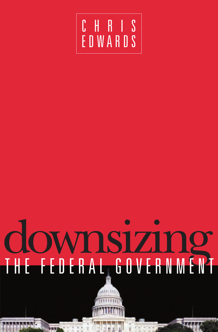

### downsizing THE FEDERAL GOVERNMENT

What's Holding Back Health Care and How to Free Italy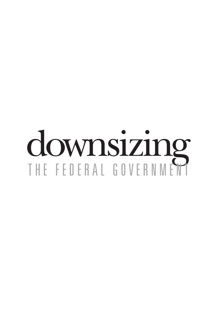## downsizing THE FEDERAL GOVERNMENT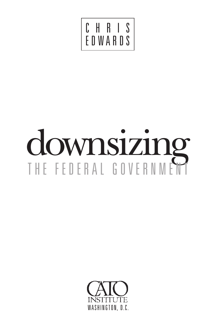

# downsizing THE FEDERAL GOVERNMENT

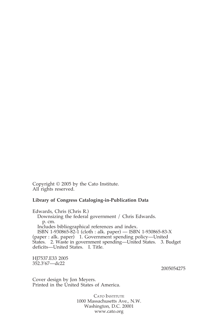Copyright © 2005 by the Cato Institute. All rights reserved.

### **Library of Congress Cataloging-in-Publication Data**

Edwards, Chris (Chris R.) Downsizing the federal government / Chris Edwards. p. cm. Includes bibliographical references and index. ISBN 1-930865-82-1 (cloth : alk. paper) — ISBN 1-930865-83-X (paper : alk. paper) 1. Government spending policy—United States. 2. Waste in government spending—United States. 3. Budget deficits—United States. I. Title.

HJ7537.E33 2005 352.3'67—dc22

2005054275

Cover design by Jon Meyers. Printed in the United States of America.

> CATO INSTITUTE 1000 Massachusetts Ave., N.W. Washington, D.C. 20001 www.cato.org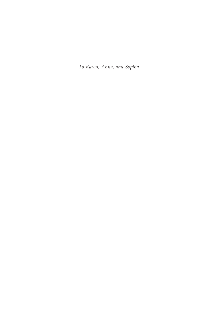*To Karen, Anna, and Sophia*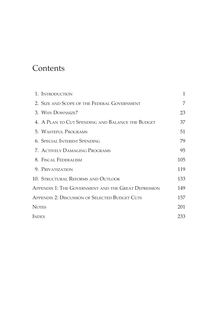### **Contents**

| 1. Introduction                                     | 1   |
|-----------------------------------------------------|-----|
| 2. SIZE AND SCOPE OF THE FEDERAL GOVERNMENT         | 7   |
| 3. WHY DOWNSIZE?                                    | 23  |
| 4. A PLAN TO CUT SPENDING AND BALANCE THE BUDGET    | 37  |
| 5. WASTEFUL PROGRAMS                                | 51  |
| 6. SPECIAL INTEREST SPENDING                        | 79  |
| 7. ACTIVELY DAMAGING PROGRAMS                       | 95  |
| 8. FISCAL FEDERALISM                                | 105 |
| 9. PRIVATIZATION                                    | 119 |
| 10. STRUCTURAL REFORMS AND OUTLOOK                  | 133 |
| APPENDIX 1: THE GOVERNMENT AND THE GREAT DEPRESSION | 149 |
| APPENDIX 2: DISCUSSION OF SELECTED BUDGET CUTS      | 157 |
| <b>NOTES</b>                                        | 201 |
| <b>INDEX</b>                                        | 233 |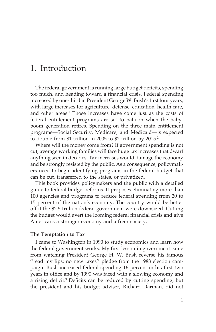### 1. Introduction

The federal government is running large budget deficits, spending too much, and heading toward a financial crisis. Federal spending increased by one-third in President George W. Bush's first four years, with large increases for agriculture, defense, education, health care, and other areas.<sup>1</sup> Those increases have come just as the costs of federal entitlement programs are set to balloon when the babyboom generation retires. Spending on the three main entitlement programs—Social Security, Medicare, and Medicaid—is expected to double from \$1 trillion in 2005 to \$2 trillion by 2015.<sup>2</sup>

Where will the money come from? If government spending is not cut, average working families will face huge tax increases that dwarf anything seen in decades. Tax increases would damage the economy and be strongly resisted by the public. As a consequence, policymakers need to begin identifying programs in the federal budget that can be cut, transferred to the states, or privatized.

This book provides policymakers and the public with a detailed guide to federal budget reforms. It proposes eliminating more than 100 agencies and programs to reduce federal spending from 20 to 15 percent of the nation's economy. The country would be better off if the \$2.5 trillion federal government were downsized. Cutting the budget would avert the looming federal financial crisis and give Americans a stronger economy and a freer society.

### **The Temptation to Tax**

I came to Washington in 1990 to study economics and learn how the federal government works. My first lesson in government came from watching President George H. W. Bush reverse his famous ''read my lips: no new taxes'' pledge from the 1988 election campaign. Bush increased federal spending 16 percent in his first two years in office and by 1990 was faced with a slowing economy and a rising deficit.<sup>3</sup> Deficits can be reduced by cutting spending, but the president and his budget adviser, Richard Darman, did not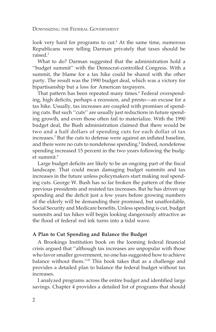look very hard for programs to cut.<sup>4</sup> At the same time, numerous Republicans were telling Darman privately that taxes should be raised.5

What to do? Darman suggested that the administration hold a ''budget summit'' with the Democrat-controlled Congress. With a summit, the blame for a tax hike could be shared with the other party. The result was the 1990 budget deal, which was a victory for bipartisanship but a loss for American taxpayers.

That pattern has been repeated many times.<sup>6</sup> Federal overspending, high deficits, perhaps a recession, and presto—an excuse for a tax hike. Usually, tax increases are coupled with promises of spending cuts. But such ''cuts'' are usually just reductions in future spending growth, and even those often fail to materialize. With the 1990 budget deal, the Bush administration claimed that there would be two and a half dollars of spending cuts for each dollar of tax increases.7 But the cuts to defense were against an inflated baseline, and there were no cuts to nondefense spending.<sup>8</sup> Indeed, nondefense spending increased 15 percent in the two years following the budget summit.<sup>9</sup>

Large budget deficits are likely to be an ongoing part of the fiscal landscape. That could mean damaging budget summits and tax increases in the future unless policymakers start making real spending cuts. George W. Bush has so far broken the pattern of the three previous presidents and resisted tax increases. But he has driven up spending and the deficit just a few years before growing numbers of the elderly will be demanding their promised, but unaffordable, Social Security and Medicare benefits. Unless spending is cut, budget summits and tax hikes will begin looking dangerously attractive as the flood of federal red ink turns into a tidal wave.

### **A Plan to Cut Spending and Balance the Budget**

A Brookings Institution book on the looming federal financial crisis argued that ''although tax increases are unpopular with those who favor smaller government, no one has suggested how to achieve balance without them.''10 This book takes that as a challenge and provides a detailed plan to balance the federal budget without tax increases.

I analyzed programs across the entire budget and identified large savings. Chapter 4 provides a detailed list of programs that should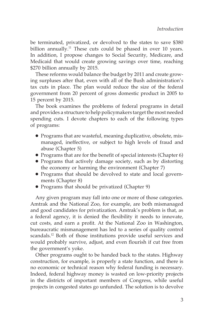be terminated, privatized, or devolved to the states to save \$380 billion annually.<sup>11</sup> These cuts could be phased in over 10 years. In addition, I propose changes to Social Security, Medicare, and Medicaid that would create growing savings over time, reaching \$270 billion annually by 2015.

These reforms would balance the budget by 2011 and create growing surpluses after that, even with all of the Bush administration's tax cuts in place. The plan would reduce the size of the federal government from 20 percent of gross domestic product in 2005 to 15 percent by 2015.

The book examines the problems of federal programs in detail and provides a structure to help policymakers target the most needed spending cuts. I devote chapters to each of the following types of programs:

- Programs that are wasteful, meaning duplicative, obsolete, mismanaged, ineffective, or subject to high levels of fraud and abuse (Chapter 5)
- Programs that are for the benefit of special interests (Chapter 6)
- Programs that actively damage society, such as by distorting the economy or harming the environment (Chapter 7)
- Programs that should be devolved to state and local governments (Chapter 8)
- Programs that should be privatized (Chapter 9)

Any given program may fall into one or more of those categories. Amtrak and the National Zoo, for example, are both mismanaged and good candidates for privatization. Amtrak's problem is that, as a federal agency, it is denied the flexibility it needs to innovate, cut costs, and earn a profit. At the National Zoo in Washington, bureaucratic mismanagement has led to a series of quality control scandals.12 Both of those institutions provide useful services and would probably survive, adjust, and even flourish if cut free from the government's yoke.

Other programs ought to be handed back to the states. Highway construction, for example, is properly a state function, and there is no economic or technical reason why federal funding is necessary. Indeed, federal highway money is wasted on low-priority projects in the districts of important members of Congress, while useful projects in congested states go unfunded. The solution is to devolve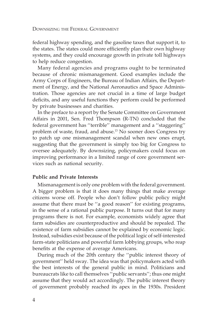federal highway spending, and the gasoline taxes that support it, to the states. The states could more efficiently plan their own highway systems, and they could encourage growth in private toll highways to help reduce congestion.

Many federal agencies and programs ought to be terminated because of chronic mismanagement. Good examples include the Army Corps of Engineers, the Bureau of Indian Affairs, the Department of Energy, and the National Aeronautics and Space Administration. Those agencies are not crucial in a time of large budget deficits, and any useful functions they perform could be performed by private businesses and charities.

In the preface to a report by the Senate Committee on Government Affairs in 2001, Sen. Fred Thompson (R-TN) concluded that the federal government has ''terrible'' management and a ''staggering'' problem of waste, fraud, and abuse.13 No sooner does Congress try to patch up one mismanagement scandal when new ones erupt, suggesting that the government is simply too big for Congress to oversee adequately. By downsizing, policymakers could focus on improving performance in a limited range of core government services such as national security.

### **Public and Private Interests**

Mismanagement is only one problem with the federal government. A bigger problem is that it does many things that make average citizens worse off. People who don't follow public policy might assume that there must be ''a good reason'' for existing programs, in the sense of a rational public purpose. It turns out that for many programs there is not. For example, economists widely agree that farm subsidies are counterproductive and should be repealed. The existence of farm subsidies cannot be explained by economic logic. Instead, subsidies exist because of the political logic of self-interested farm-state politicians and powerful farm lobbying groups, who reap benefits at the expense of average Americans.

During much of the 20th century the ''public interest theory of government'' held sway. The idea was that policymakers acted with the best interests of the general public in mind. Politicians and bureaucrats like to call themselves ''public servants''; thus one might assume that they would act accordingly. The public interest theory of government probably reached its apex in the 1930s. President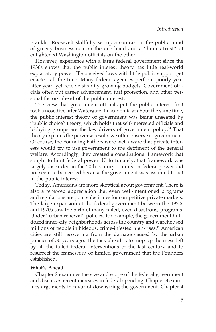Franklin Roosevelt skillfully set up a contrast in the public mind of greedy businessmen on the one hand and a ''brains trust'' of enlightened Washington officials on the other.

However, experience with a large federal government since the 1930s shows that the public interest theory has little real-world explanatory power. Ill-conceived laws with little public support get enacted all the time. Many federal agencies perform poorly year after year, yet receive steadily growing budgets. Government officials often put career advancement, turf protection, and other personal factors ahead of the public interest.

The view that government officials put the public interest first took a nosedive after Watergate. In academia at about the same time, the public interest theory of government was being unseated by ''public choice'' theory, which holds that self-interested officials and lobbying groups are the key drivers of government policy.<sup>14</sup> That theory explains the perverse results we often observe in government. Of course, the Founding Fathers were well aware that private interests would try to use government to the detriment of the general welfare. Accordingly, they created a constitutional framework that sought to limit federal power. Unfortunately, that framework was largely discarded in the 20th century—limits on federal power did not seem to be needed because the government was assumed to act in the public interest.

Today, Americans are more skeptical about government. There is also a renewed appreciation that even well-intentioned programs and regulations are poor substitutes for competitive private markets. The large expansion of the federal government between the 1930s and 1970s saw the birth of many failed, even disastrous, programs. Under ''urban renewal'' policies, for example, the government bulldozed inner-city neighborhoods across the country and warehoused millions of people in hideous, crime-infested high-rises.15 American cities are still recovering from the damage caused by the urban policies of 50 years ago. The task ahead is to mop up the mess left by all the failed federal interventions of the last century and to resurrect the framework of limited government that the Founders established.

### **What's Ahead**

Chapter 2 examines the size and scope of the federal government and discusses recent increases in federal spending. Chapter 3 examines arguments in favor of downsizing the government. Chapter 4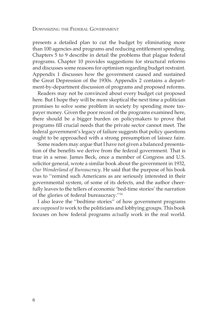presents a detailed plan to cut the budget by eliminating more than 100 agencies and programs and reducing entitlement spending. Chapters 5 to 9 describe in detail the problems that plague federal programs. Chapter 10 provides suggestions for structural reforms and discusses some reasons for optimism regarding budget restraint. Appendix 1 discusses how the government caused and sustained the Great Depression of the 1930s. Appendix 2 contains a department-by-department discussion of programs and proposed reforms.

Readers may not be convinced about every budget cut proposed here. But I hope they will be more skeptical the next time a politician promises to solve some problem in society by spending more taxpayer money. Given the poor record of the programs examined here, there should be a bigger burden on policymakers to prove that programs fill crucial needs that the private sector cannot meet. The federal government's legacy of failure suggests that policy questions ought to be approached with a strong presumption of laissez faire.

Some readers may argue that I have not given a balanced presentation of the benefits we derive from the federal government. That is true in a sense. James Beck, once a member of Congress and U.S. solicitor general, wrote a similar book about the government in 1932, *Our Wonderland of Bureaucracy*. He said that the purpose of his book was to ''remind such Americans as are seriously interested in their governmental system, of some of its defects, and the author cheerfully leaves to the tellers of economic 'bed-time stories' the narration of the glories of federal bureaucracy.''16

I also leave the ''bedtime stories'' of how government programs are *supposed to* work to the politicians and lobbying groups. This book focuses on how federal programs *actually* work in the real world.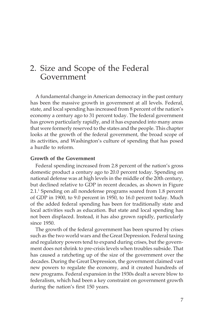### 2. Size and Scope of the Federal Government

A fundamental change in American democracy in the past century has been the massive growth in government at all levels. Federal, state, and local spending has increased from 8 percent of the nation's economy a century ago to 31 percent today. The federal government has grown particularly rapidly, and it has expanded into many areas that were formerly reserved to the states and the people. This chapter looks at the growth of the federal government, the broad scope of its activities, and Washington's culture of spending that has posed a hurdle to reform.

### **Growth of the Government**

Federal spending increased from 2.8 percent of the nation's gross domestic product a century ago to 20.0 percent today. Spending on national defense was at high levels in the middle of the 20th century, but declined relative to GDP in recent decades, as shown in Figure 2.1.1 Spending on all nondefense programs soared from 1.8 percent of GDP in 1900, to 9.0 percent in 1950, to 16.0 percent today. Much of the added federal spending has been for traditionally state and local activities such as education. But state and local spending has not been displaced. Instead, it has also grown rapidly, particularly since 1950.

The growth of the federal government has been spurred by crises such as the two world wars and the Great Depression. Federal taxing and regulatory powers tend to expand during crises, but the government does not shrink to pre-crisis levels when troubles subside. That has caused a ratcheting up of the size of the government over the decades. During the Great Depression, the government claimed vast new powers to regulate the economy, and it created hundreds of new programs. Federal expansion in the 1930s dealt a severe blow to federalism, which had been a key constraint on government growth during the nation's first 150 years.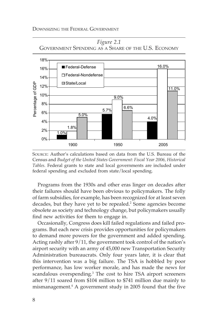

SOURCE: Author's calculations based on data from the U.S. Bureau of the Census and *Budget of the United States Government: Fiscal Year 2006, Historical Tables.* Federal grants to state and local governments are included under federal spending and excluded from state/local spending.

Programs from the 1930s and other eras linger on decades after their failures should have been obvious to policymakers. The folly of farm subsidies, for example, has been recognized for at least seven decades, but they have yet to be repealed.<sup>2</sup> Some agencies become obsolete as society and technology change, but policymakers usually find new activities for them to engage in.

Occasionally, Congress does kill failed regulations and failed programs. But each new crisis provides opportunities for policymakers to demand more powers for the government and added spending. Acting rashly after 9/11, the government took control of the nation's airport security with an army of 45,000 new Transportation Security Administration bureaucrats. Only four years later, it is clear that this intervention was a big failure. The TSA is hobbled by poor performance, has low worker morale, and has made the news for scandalous overspending.<sup>3</sup> The cost to hire TSA airport screeners after 9/11 soared from \$104 million to \$741 million due mainly to mismanagement.<sup>4</sup> A government study in 2005 found that the five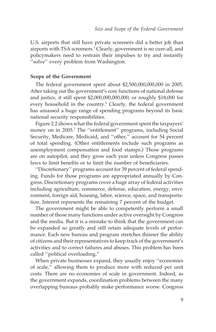U.S. airports that still have private screeners did a better job than airports with TSA screeners.<sup>5</sup> Clearly, government is no cure-all, and policymakers need to restrain their impulses to try and instantly ''solve'' every problem from Washington.

### **Scope of the Government**

The federal government spent about \$2,500,000,000,000 in 2005. After taking out the government's core functions of national defense and justice, it still spent \$2,000,000,000,000, or roughly \$18,000 for every household in the country.<sup>6</sup> Clearly, the federal government has amassed a huge range of spending programs beyond its basic national security responsibilities.

Figure 2.2 shows what the federal government spent the taxpayers' money on in 2005.<sup>7</sup> The "entitlement" programs, including Social Security, Medicare, Medicaid, and ''other,'' account for 54 percent of total spending. (Other entitlements include such programs as unemployment compensation and food stamps.) Those programs are on autopilot, and they grow each year unless Congress passes laws to limit benefits or to limit the number of beneficiaries.

''Discretionary'' programs account for 39 percent of federal spending. Funds for those programs are appropriated annually by Congress. Discretionary programs cover a huge array of federal activities including agriculture, commerce, defense, education, energy, environment, foreign aid, housing, labor, science, space, and transportation. Interest represents the remaining 7 percent of the budget.

The government might be able to competently perform a small number of those many functions under active oversight by Congress and the media. But it is a mistake to think that the government can be expanded so greatly and still retain adequate levels of performance. Each new bureau and program stretches thinner the ability of citizens and their representatives to keep track of the government's activities and to correct failures and abuses. This problem has been called ''political overloading.''

When private businesses expand, they usually enjoy ''economies of scale,'' allowing them to produce more with reduced per unit costs. There are no economies of scale in government. Indeed, as the government expands, coordination problems between the many overlapping bureaus probably make performance worse. Congress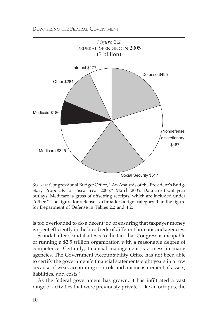

SOURCE: Congressional Budget Office, ''An Analysis of the President's Budgetary Proposals for Fiscal Year 2006,'' March 2005. Data are fiscal year outlays. Medicare is gross of offsetting receipts, which are included under ''other.'' The figure for defense is a broader budget category than the figure for Department of Defense in Tables 2.2 and 4.2.

is too overloaded to do a decent job of ensuring that taxpayer money is spent efficiently in the hundreds of different bureaus and agencies.

Scandal after scandal attests to the fact that Congress is incapable of running a \$2.5 trillion organization with a reasonable degree of competence. Certainly, financial management is a mess in many agencies. The Government Accountability Office has not been able to certify the government's financial statements eight years in a row because of weak accounting controls and mismeasurement of assets, liabilities, and costs. $8$ 

As the federal government has grown, it has infiltrated a vast range of activities that were previously private. Like an octopus, the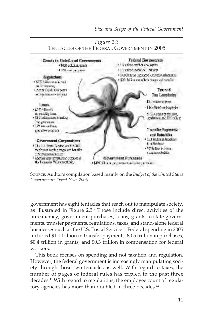

SOURCE: Author's compilation based mainly on the *Budget of the United States Government: Fiscal Year 2006.*

government has eight tentacles that reach out to manipulate society, as illustrated in Figure 2.3.<sup>9</sup> Those include direct activities of the bureaucracy, government purchases, loans, grants to state governments, transfer payments, regulations, taxes, and stand-alone federal businesses such as the U.S. Postal Service.<sup>10</sup> Federal spending in 2005 included \$1.1 trillion in transfer payments, \$0.5 trillion in purchases, \$0.4 trillion in grants, and \$0.3 trillion in compensation for federal workers.

This book focuses on spending and not taxation and regulation. However, the federal government is increasingly manipulating society through those two tentacles as well. With regard to taxes, the number of pages of federal rules has tripled in the past three decades.<sup>11</sup> With regard to regulations, the employee count of regulatory agencies has more than doubled in three decades.<sup>12</sup>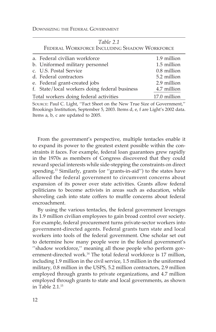| Table 2.1<br><b>FEDERAL WORKFORCE INCLUDING SHADOW WORKFORCE</b> |                                               |             |  |  |
|------------------------------------------------------------------|-----------------------------------------------|-------------|--|--|
|                                                                  | a. Federal civilian workforce                 | 1.9 million |  |  |
|                                                                  | b. Uniformed military personnel               | 1.5 million |  |  |
|                                                                  | c. U.S. Postal Service                        | 0.8 million |  |  |
|                                                                  | d. Federal contractors                        | 5.2 million |  |  |
|                                                                  | e. Federal grant-created jobs                 | 2.9 million |  |  |
|                                                                  | f. State/local workers doing federal business | 4.7 million |  |  |
| Total workers doing federal activities<br>17.0 million           |                                               |             |  |  |

SOURCE: Paul C. Light, ''Fact Sheet on the New True Size of Government,'' Brookings Institution, September 5, 2003. Items d, e, f are Light's 2002 data. Items a, b, c are updated to 2005.

From the government's perspective, multiple tentacles enable it to expand its power to the greatest extent possible within the constraints it faces. For example, federal loan guarantees grew rapidly in the 1970s as members of Congress discovered that they could reward special interests while side-stepping the constraints on direct spending.13 Similarly, grants (or ''grants-in-aid'') to the states have allowed the federal government to circumvent concerns about expansion of its power over state activities. Grants allow federal politicians to become activists in areas such as education, while shoveling cash into state coffers to muffle concerns about federal encroachment.

By using the various tentacles, the federal government leverages its 1.9 million civilian employees to gain broad control over society. For example, federal procurement turns private-sector workers into government-directed agents. Federal grants turn state and local workers into tools of the federal government. One scholar set out to determine how many people were in the federal government's ''shadow workforce,'' meaning all those people who perform government-directed work.14 The total federal workforce is 17 million, including 1.9 million in the civil service, 1.5 million in the uniformed military, 0.8 million in the USPS, 5.2 million contractors, 2.9 million employed through grants to private organizations, and 4.7 million employed through grants to state and local governments, as shown in Table  $2.1<sup>15</sup>$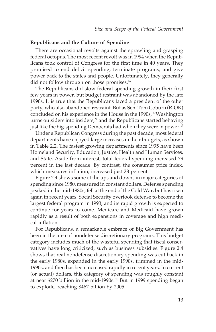### **Republicans and the Culture of Spending**

There are occasional revolts against the sprawling and grasping federal octopus. The most recent revolt was in 1994 when the Republicans took control of Congress for the first time in 40 years. They promised to end deficit spending, terminate programs, and give power back to the states and people. Unfortunately, they generally did not follow through on those promises.<sup>16</sup>

The Republicans did slow federal spending growth in their first few years in power, but budget restraint was abandoned by the late 1990s. It is true that the Republicans faced a president of the other party, who also abandoned restraint. But as Sen. Tom Coburn (R-OK) concluded on his experience in the House in the 1990s, ''Washington turns outsiders into insiders,'' and the Republicans started behaving just like the big-spending Democrats had when they were in power.<sup>17</sup>

Under a Republican Congress during the past decade, most federal departments have enjoyed large increases in their budgets, as shown in Table 2.2. The fastest growing departments since 1995 have been Homeland Security, Education, Justice, Health and Human Services, and State. Aside from interest, total federal spending increased 79 percent in the last decade. By contrast, the consumer price index, which measures inflation, increased just 28 percent.

Figure 2.4 shows some of the ups and downs in major categories of spending since 1980, measured in constant dollars. Defense spending peaked in the mid-1980s, fell at the end of the Cold War, but has risen again in recent years. Social Security overtook defense to become the largest federal program in 1993, and its rapid growth is expected to continue for years to come. Medicare and Medicaid have grown rapidly as a result of both expansions in coverage and high medical inflation.

For Republicans, a remarkable embrace of Big Government has been in the area of nondefense discretionary programs. This budget category includes much of the wasteful spending that fiscal conservatives have long criticized, such as business subsidies. Figure 2.4 shows that real nondefense discretionary spending was cut back in the early 1980s, expanded in the early 1990s, trimmed in the mid-1990s, and then has been increased rapidly in recent years. In current (or actual) dollars, this category of spending was roughly constant at near \$270 billion in the mid-1990s. <sup>18</sup> But in 1999 spending began to explode, reaching \$467 billion by 2005.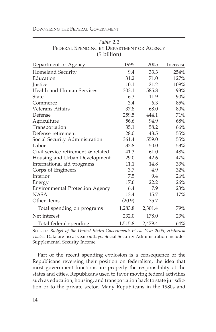| (\$ billion)                           |         |         |          |  |  |
|----------------------------------------|---------|---------|----------|--|--|
| Department or Agency                   | 1995    | 2005    | Increase |  |  |
| Homeland Security                      | 9.4     | 33.3    | 254%     |  |  |
| Education                              | 31.2    | 71.0    | 127%     |  |  |
| <b>Justice</b>                         | 10.1    | 21.2    | 109%     |  |  |
| Health and Human Services              | 303.1   | 585.8   | 93%      |  |  |
| State                                  | 6.3     | 11.9    | 90%      |  |  |
| Commerce                               | 3.4     | 6.3     | 85%      |  |  |
| Veterans Affairs                       | 37.8    | 68.0    | 80%      |  |  |
| Defense                                | 259.5   | 444.1   | 71%      |  |  |
| Agriculture                            | 56.6    | 94.9    | 68%      |  |  |
| Transportation                         | 35.1    | 58.2    | 66%      |  |  |
| Defense retirement                     | 28.0    | 43.5    | 55%      |  |  |
| Social Security Administration         | 361.4   | 559.0   | 55%      |  |  |
| Labor                                  | 32.8    | 50.0    | 53%      |  |  |
| Civil service retirement & related     | 41.3    | 61.0    | $48\%$   |  |  |
| Housing and Urban Development          | 29.0    | 42.6    | 47%      |  |  |
| International aid programs             | 11.1    | 14.8    | 33%      |  |  |
| Corps of Engineers                     | 3.7     | 4.9     | $32\%$   |  |  |
| Interior                               | 7.5     | 9.4     | 26%      |  |  |
| Energy                                 | 17.6    | 22.2    | 26%      |  |  |
| <b>Environmental Protection Agency</b> | 6.4     | 7.9     | 23%      |  |  |
| <b>NASA</b>                            | 13.4    | 15.7    | 17%      |  |  |
| Other items                            | (20.9)  | 75.7    |          |  |  |
| Total spending on programs             | 1,283.8 | 2,301.4 | 79%      |  |  |
| Net interest                           | 232.0   | 178.0   | $-23%$   |  |  |
| Total federal spending                 | 1,515.8 | 2,479.4 | 64%      |  |  |

*Table 2.2* FEDERAL SPENDING BY DEPARTMENT OR AGENCY

DOWNSIZING THE FEDERAL GOVERNMENT

SOURCE: *Budget of the United States Government: Fiscal Year 2006, Historical Tables*. Data are fiscal year outlays. Social Security Administration includes Supplemental Security Income.

Part of the recent spending explosion is a consequence of the Republicans reversing their position on federalism, the idea that most government functions are properly the responsibility of the states and cities. Republicans used to favor moving federal activities such as education, housing, and transportation back to state jurisdiction or to the private sector. Many Republicans in the 1980s and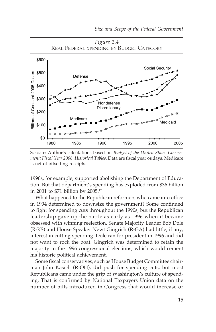

SOURCE: Author's calculations based on *Budget of the United States Government: Fiscal Year 2006, Historical Tables.* Data are fiscal year outlays. Medicare is net of offsetting receipts.

1990s, for example, supported abolishing the Department of Education. But that department's spending has exploded from \$36 billion in 2001 to \$71 billion by 2005.19

What happened to the Republican reformers who came into office in 1994 determined to downsize the government? Some continued to fight for spending cuts throughout the 1990s, but the Republican leadership gave up the battle as early as 1996 when it became obsessed with winning reelection. Senate Majority Leader Bob Dole (R-KS) and House Speaker Newt Gingrich (R-GA) had little, if any, interest in cutting spending. Dole ran for president in 1996 and did not want to rock the boat. Gingrich was determined to retain the majority in the 1996 congressional elections, which would cement his historic political achievement.

Some fiscal conservatives, such as House Budget Committee chairman John Kasich (R-OH), did push for spending cuts, but most Republicans came under the grip of Washington's culture of spending. That is confirmed by National Taxpayers Union data on the number of bills introduced in Congress that would increase or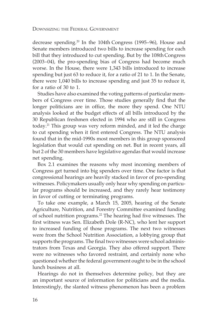decrease spending.20 In the 104th Congress (1995–96), House and Senate members introduced two bills to increase spending for each bill that they introduced to cut spending. But by the 108th Congress (2003–04), the pro-spending bias of Congress had become much worse. In the House, there were 1,343 bills introduced to increase spending but just 63 to reduce it, for a ratio of 21 to 1. In the Senate, there were 1,040 bills to increase spending and just 35 to reduce it, for a ratio of 30 to 1.

Studies have also examined the voting patterns of particular members of Congress over time. Those studies generally find that the longer politicians are in office, the more they spend. One NTU analysis looked at the budget effects of all bills introduced by the 30 Republican freshmen elected in 1994 who are still in Congress today.21 This group was very reform minded, and it led the charge to cut spending when it first entered Congress. The NTU analysis found that in the mid-1990s most members in this group sponsored legislation that would cut spending on net. But in recent years, all but 2 of the 30 members have legislative agendas that would increase net spending.

Box 2.1 examines the reasons why most incoming members of Congress get turned into big spenders over time. One factor is that congressional hearings are heavily stacked in favor of pro-spending witnesses. Policymakers usually only hear why spending on particular programs should be increased, and they rarely hear testimony in favor of cutting or terminating programs.

To take one example, a March 15, 2005, hearing of the Senate Agriculture, Nutrition, and Forestry Committee examined funding of school nutrition programs.22 The hearing had five witnesses. The first witness was Sen. Elizabeth Dole (R-NC), who lent her support to increased funding of those programs. The next two witnesses were from the School Nutrition Association, a lobbying group that supports the programs. The final two witnesses were school administrators from Texas and Georgia. They also offered support. There were no witnesses who favored restraint, and certainly none who questioned whether the federal government ought to be in the school lunch business at all.

Hearings do not in themselves determine policy, but they are an important source of information for politicians and the media. Interestingly, the slanted witness phenomenon has been a problem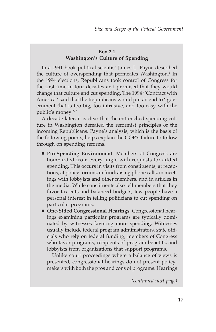### **Box 2.1 Washington's Culture of Spending**

In a 1991 book political scientist James L. Payne described the culture of overspending that permeates Washington.<sup>1</sup> In the 1994 elections, Republicans took control of Congress for the first time in four decades and promised that they would change that culture and cut spending. The 1994 ''Contract with America'' said that the Republicans would put an end to ''government that is too big, too intrusive, and too easy with the public's money.''2

A decade later, it is clear that the entrenched spending culture in Washington defeated the reformist principles of the incoming Republicans. Payne's analysis, which is the basis of the following points, helps explain the GOP's failure to follow through on spending reforms.

- **Pro-Spending Environment**. Members of Congress are bombarded from every angle with requests for added spending. This occurs in visits from constituents, at receptions, at policy forums, in fundraising phone calls, in meetings with lobbyists and other members, and in articles in the media. While constituents also tell members that they favor tax cuts and balanced budgets, few people have a personal interest in telling politicians to cut spending on particular programs.
- **One-Sided Congressional Hearings**. Congressional hearings examining particular programs are typically dominated by witnesses favoring more spending. Witnesses usually include federal program administrators, state officials who rely on federal funding, members of Congress who favor programs, recipients of program benefits, and lobbyists from organizations that support programs.

Unlike court proceedings where a balance of views is presented, congressional hearings do not present policymakers with both the pros and cons of programs. Hearings

*(continued next page)*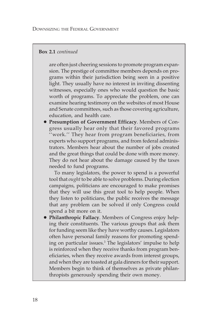### **Box 2.1** *continued*

are often just cheering sessions to promote program expansion. The prestige of committee members depends on programs within their jurisdiction being seen in a positive light. They usually have no interest in inviting dissenting witnesses, especially ones who would question the basic worth of programs. To appreciate the problem, one can examine hearing testimony on the websites of most House and Senate committees, such as those covering agriculture, education, and health care.

● **Presumption of Government Efficacy**. Members of Congress usually hear only that their favored programs ''work.'' They hear from program beneficiaries, from experts who support programs, and from federal administrators. Members hear about the number of jobs created and the great things that could be done with more money. They do not hear about the damage caused by the taxes needed to fund programs.

To many legislators, the power to spend is a powerful tool that *ought* to be able to solve problems. During election campaigns, politicians are encouraged to make promises that they will use this great tool to help people. When they listen to politicians, the public receives the message that any problem can be solved if only Congress could spend a bit more on it.

**Philanthropic Fallacy.** Members of Congress enjoy helping their constituents. The various groups that ask them for funding seem like they have worthy causes. Legislators often have personal family reasons for promoting spending on particular issues.<sup>3</sup> The legislators' impulse to help is reinforced when they receive thanks from program beneficiaries, when they receive awards from interest groups, and when they are toasted at gala dinners for their support. Members begin to think of themselves as private philanthropists generously spending their own money.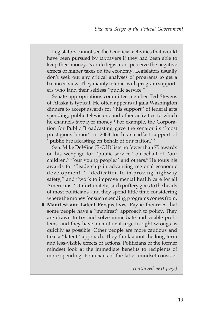Legislators cannot see the beneficial activities that would have been pursued by taxpayers if they had been able to keep their money. Nor do legislators perceive the negative effects of higher taxes on the economy. Legislators usually don't seek out any critical analyses of programs to get a balanced view. They mainly interact with program supporters who laud their selfless ''public service.''

Senate appropriations committee member Ted Stevens of Alaska is typical. He often appears at gala Washington dinners to accept awards for ''his support'' of federal arts spending, public television, and other activities to which he channels taxpayer money.<sup>4</sup> For example, the Corporation for Public Broadcasting gave the senator its ''most prestigious honor'' in 2003 for his steadfast support of ''public broadcasting on behalf of our nation.''5

Sen. Mike DeWine (R-OH) lists no fewer than 75 awards on his webpage for ''public service'' on behalf of ''our children," "our young people," and others.<sup>6</sup> He touts his awards for ''leadership in advancing regional economic development,'' ''dedication to improving highway safety,'' and ''work to improve mental health care for all Americans.'' Unfortunately, such puffery goes to the heads of most politicians, and they spend little time considering where the money for such spending programs comes from.

● **Manifest and Latent Perspectives**. Payne theorizes that some people have a ''manifest'' approach to policy. They are drawn to try and solve immediate and visible problems, and they have a emotional urge to right wrongs as quickly as possible. Other people are more cautious and take a ''latent'' approach. They think about the long-term and less-visible effects of actions. Politicians of the former mindset look at the immediate benefits to recipients of more spending. Politicians of the latter mindset consider

*(continued next page)*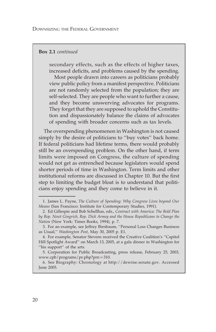### **Box 2.1** *continued*

secondary effects, such as the effects of higher taxes, increased deficits, and problems caused by the spending.

Most people drawn into careers as politicians probably view public policy from a manifest perspective. Politicians are not randomly selected from the population; they are self-selected. They are people who want to further a cause, and they become unswerving advocates for programs. They forget that they are supposed to uphold the Constitution and dispassionately balance the claims of advocates of spending with broader concerns such as tax levels.

The overspending phenomenon in Washington is not caused simply by the desire of politicians to ''buy votes'' back home. If federal politicians had lifetime terms, there would probably still be an overspending problem. On the other hand, if term limits were imposed on Congress, the culture of spending would not get as entrenched because legislators would spend shorter periods of time in Washington. Term limits and other institutional reforms are discussed in Chapter 10. But the first step to limiting the budget bloat is to understand that politicians enjoy spending and they come to believe in it.

<sup>1.</sup> James L. Payne, *The Culture of Spending: Why Congress Lives beyond Our Means* (San Francisco: Institute for Contemporary Studies, 1991).

<sup>2.</sup> Ed Gillespie and Bob Schellhas, eds., *Contract with America: The Bold Plan by Rep. Newt Gingrich, Rep. Dick Armey and the House Republicans to Change the Nation* (New York: Times Books, 1994), p. 7.

<sup>3.</sup> For an example, see Jeffrey Birnbaum, ''Personal Loss Changes Business as Usual,'' *Washington Post*, May 30, 2005 p. E1.

<sup>4.</sup> For example, Senator Stevens received the Creative Coalition's ''Capitol Hill Spotlight Award'' on March 13, 2005, at a gala dinner in Washington for "his support" of the arts.

<sup>5.</sup> Corporation for Public Broadcasting, press release, February 25, 2003, www.cpb/programs/pr.php?prn=310.

<sup>6.</sup> See Biography: Chronology at http://dewine.senate.gov. Accessed June 2005.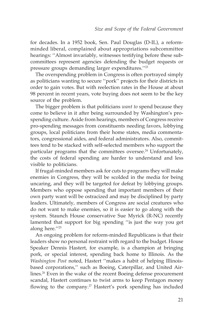for decades. In a 1952 book, Sen. Paul Douglas (D-IL), a reformminded liberal, complained about appropriations subcommittee hearings: ''Almost invariably, witnesses testifying before these subcommittees represent agencies defending the budget requests or pressure groups demanding larger expenditures.''23

The overspending problem in Congress is often portrayed simply as politicians wanting to secure ''pork'' projects for their districts in order to gain votes. But with reelection rates in the House at about 98 percent in recent years, vote buying does not seem to be the key source of the problem.

The bigger problem is that politicians *want to* spend because they come to believe in it after being surrounded by Washington's prospending culture. Aside from hearings, members of Congress receive pro-spending messages from constituents needing favors, lobbying groups, local politicians from their home states, media commentators, congressional aides, and federal administrators. Also, committees tend to be stacked with self-selected members who support the particular programs that the committees oversee.<sup>24</sup> Unfortunately, the costs of federal spending are harder to understand and less visible to politicians.

If frugal-minded members ask for cuts to programs they will make enemies in Congress, they will be scolded in the media for being uncaring, and they will be targeted for defeat by lobbying groups. Members who oppose spending that important members of their own party want will be ostracized and may be disciplined by party leaders. Ultimately, members of Congress are social creatures who do not want to make enemies, so it is easier to go along with the system. Staunch House conservative Sue Myrick (R-NC) recently lamented that support for big spending ''is just the way you get along here.''25

An ongoing problem for reform-minded Republicans is that their leaders show no personal restraint with regard to the budget. House Speaker Dennis Hastert, for example, is a champion at bringing pork, or special interest, spending back home to Illinois. As the *Washington Post* noted, Hastert ''makes a habit of helping Illinoisbased corporations,'' such as Boeing, Caterpillar, and United Airlines.<sup>26</sup> Even in the wake of the recent Boeing defense procurement scandal, Hastert continues to twist arms to keep Pentagon money flowing to the company.<sup>27</sup> Hastert's pork spending has included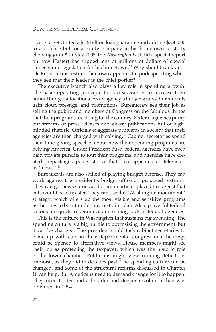trying to get United a \$1.6 billion loan guarantee and adding \$250,000 to a defense bill for a candy company in his hometown to study chewing gum.28 In May 2005, the *Washington Post* did a special report on how Hastert has slipped tens of millions of dollars of special projects into legislation for his hometown.29 Why should rank-andfile Republicans restrain their own appetites for pork spending when they see that their leader is the chief porker?

The executive branch also plays a key role in spending growth. The basic operating principle for bureaucrats is to increase their annual budget allocations. As an agency's budget grows, bureaucrats gain clout, prestige, and promotions. Bureaucrats see their job as selling the public and members of Congress on the fabulous things that their programs are doing for the country. Federal agencies pump out streams of press releases and glossy publications full of highminded rhetoric. Officials exaggerate problems in society that their agencies are then charged with solving.<sup>30</sup> Cabinet secretaries spend their time giving speeches about how their spending programs are helping America. Under President Bush, federal agencies have even paid private pundits to tout their programs, and agencies have created prepackaged policy stories that have appeared on television as ''news.''31

Bureaucrats are also skilled at playing budget defense. They can work against the president's budget office on proposed restraint. They can get news stories and opinion articles placed to suggest that cuts would be a disaster. They can use the ''Washington monument'' strategy, which offers up the most visible and sensitive programs as the ones to be hit under any restraint plan. Also, powerful federal unions are quick to denounce any scaling back of federal agencies.

This is the culture in Washington that sustains big spending. The spending culture is a big hurdle to downsizing the government, but it can be changed. The president could task cabinet secretaries to come up with cuts in their departments. Congressional hearings could be opened to alternative views. House members might see their job as protecting the taxpayer, which was the historic role of the lower chamber. Politicians might view running deficits as immoral, as they did in decades past. The spending culture can be changed, and some of the structural reforms discussed in Chapter 10 can help. But Americans need to demand change for it to happen. They need to demand a broader and deeper revolution than was delivered in 1994.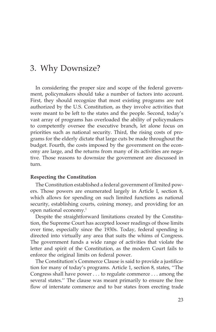### 3. Why Downsize?

In considering the proper size and scope of the federal government, policymakers should take a number of factors into account. First, they should recognize that most existing programs are not authorized by the U.S. Constitution, as they involve activities that were meant to be left to the states and the people. Second, today's vast array of programs has overloaded the ability of policymakers to competently oversee the executive branch, let alone focus on priorities such as national security. Third, the rising costs of programs for the elderly dictate that large cuts be made throughout the budget. Fourth, the costs imposed by the government on the economy are large, and the returns from many of its activities are negative. Those reasons to downsize the government are discussed in turn.

### **Respecting the Constitution**

The Constitution established a federal government of limited powers. Those powers are enumerated largely in Article I, section 8, which allows for spending on such limited functions as national security, establishing courts, coining money, and providing for an open national economy.1

Despite the straightforward limitations created by the Constitution, the Supreme Court has accepted looser readings of those limits over time, especially since the 1930s. Today, federal spending is directed into virtually any area that suits the whims of Congress. The government funds a wide range of activities that violate the letter and spirit of the Constitution, as the modern Court fails to enforce the original limits on federal power.

The Constitution's Commerce Clause is said to provide a justification for many of today's programs. Article 1, section 8, states, ''The Congress shall have power . . . to regulate commerce . . . among the several states.'' The clause was meant primarily to ensure the free flow of interstate commerce and to bar states from erecting trade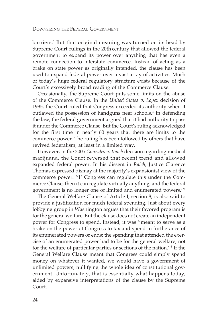barriers.2 But that original meaning was turned on its head by Supreme Court rulings in the 20th century that allowed the federal government to expand its power over anything that has even a remote connection to interstate commerce. Instead of acting as a brake on state power as originally intended, the clause has been used to expand federal power over a vast array of activities. Much of today's huge federal regulatory structure exists because of the Court's excessively broad reading of the Commerce Clause.

Occasionally, the Supreme Court puts some limits on the abuse of the Commerce Clause. In the *United States v. Lopez* decision of 1995, the Court ruled that Congress exceeded its authority when it outlawed the possession of handguns near schools.<sup>3</sup> In defending the law, the federal government argued that it had authority to pass it under the Commerce Clause. But the Court's ruling acknowledged for the first time in nearly 60 years that there are limits to the commerce power. The ruling has been followed by others that have revived federalism, at least in a limited way.

However, in the 2005 *Gonzales v. Raich* decision regarding medical marijuana, the Court reversed that recent trend and allowed expanded federal power. In his dissent in *Raich*, Justice Clarence Thomas expressed dismay at the majority's expansionist view of the commerce power: ''If Congress can regulate this under the Commerce Clause, then it can regulate virtually anything, and the federal government is no longer one of limited and enumerated powers.''4

The General Welfare Clause of Article I, section 8, is also said to provide a justification for much federal spending. Just about every lobbying group in Washington argues that their favored program is for the general welfare. But the clause does not create an independent power for Congress to spend. Instead, it was ''meant to serve as a brake on the power of Congress to tax and spend in furtherance of its enumerated powers or ends: the spending that attended the exercise of an enumerated power had to be for the general welfare, not for the welfare of particular parties or sections of the nation.''5 If the General Welfare Clause meant that Congress could simply spend money on whatever it wanted, we would have a government of unlimited powers, nullifying the whole idea of constitutional government. Unfortunately, that is essentially what happens today, aided by expansive interpretations of the clause by the Supreme Court.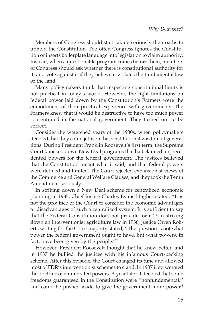Members of Congress should start taking seriously their oaths to uphold the Constitution. Too often Congress ignores the Constitution or inserts boilerplate language into legislation to claim authority. Instead, when a questionable program comes before them, members of Congress should ask whether there is constitutional authority for it, and vote against it if they believe it violates the fundamental law of the land.

Many policymakers think that respecting constitutional limits is not practical in today's world. However, the tight limitations on federal power laid down by the Constitution's Framers were the embodiment of their practical experience with governments. The Framers knew that it would be destructive to have too much power concentrated in the national government. They turned out to be correct.

Consider the watershed years of the 1930s, when policymakers decided that they could jettison the constitutional wisdom of generations. During President Franklin Roosevelt's first term, the Supreme Court knocked down New Deal programs that had claimed unprecedented powers for the federal government. The justices believed that the Constitution meant what it said, and that federal powers were defined and limited. The Court rejected expansionist views of the Commerce and General Welfare Clauses, and they took the Tenth Amendment seriously.

In striking down a New Deal scheme for centralized economic planning in 1935, Chief Justice Charles Evans Hughes stated: ''It is not the province of the Court to consider the economic advantages or disadvantages of such a centralized system. It is sufficient to say that the Federal Constitution does not provide for it.''6 In striking down an interventionist agriculture law in 1936, Justice Owen Roberts writing for the Court majority stated, ''The question is not what power the federal government ought to have, but what powers, in fact, have been given by the people.''7

However, President Roosevelt thought that he knew better, and in 1937 he bullied the justices with his infamous Court-packing scheme. After this episode, the Court changed its tune and allowed most of FDR's interventionist schemes to stand. In 1937 it eviscerated the doctrine of enumerated powers. A year later it decided that some freedoms guaranteed in the Constitution were ''nonfundamental,'' and could be pushed aside to give the government more power.<sup>8</sup>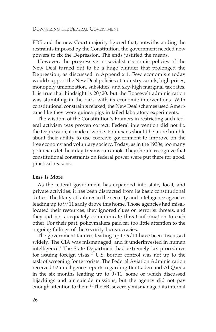FDR and the new Court majority figured that, notwithstanding the restraints imposed by the Constitution, the government needed new powers to fix the Depression. The ends justified the means.

However, the progressive or socialist economic policies of the New Deal turned out to be a huge blunder that prolonged the Depression, as discussed in Appendix 1. Few economists today would support the New Deal policies of industry cartels, high prices, monopoly unionization, subsidies, and sky-high marginal tax rates. It is true that hindsight is 20/20, but the Roosevelt administration was stumbling in the dark with its economic interventions. With constitutional constraints relaxed, the New Deal schemes used Americans like they were guinea pigs in failed laboratory experiments.

The wisdom of the Constitution's Framers in restricting such federal activism was proven correct. Federal intervention did not fix the Depression; it made it worse. Politicians should be more humble about their ability to use coercive government to improve on the free economy and voluntary society. Today, as in the 1930s, too many politicians let their daydreams run amok. They should recognize that constitutional constraints on federal power were put there for good, practical reasons.

### **Less Is More**

As the federal government has expanded into state, local, and private activities, it has been distracted from its basic constitutional duties. The litany of failures in the security and intelligence agencies leading up to 9/11 sadly drove this home. Those agencies had misallocated their resources, they ignored clues on terrorist threats, and they did not adequately communicate threat information to each other. For their part, policymakers paid far too little attention to the ongoing failings of the security bureaucracies.

The government failures leading up to 9/11 have been discussed widely. The CIA was mismanaged, and it underinvested in human intelligence.<sup>9</sup> The State Department had extremely lax procedures for issuing foreign visas.10 U.S. border control was not up to the task of screening for terrorists. The Federal Aviation Administration received 52 intelligence reports regarding Bin Laden and Al Qaeda in the six months leading up to 9/11, some of which discussed hijackings and air suicide missions, but the agency did not pay enough attention to them.<sup>11</sup> The FBI severely mismanaged its internal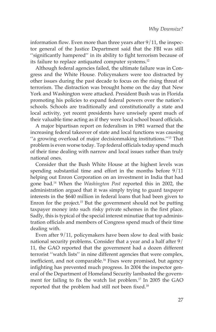information flow. Even more than three years after 9/11, the inspector general of the Justice Department said that the FBI was still ''significantly hampered'' in its ability to fight terrorism because of its failure to replace antiquated computer systems.<sup>12</sup>

Although federal agencies failed, the ultimate failure was in Congress and the White House. Policymakers were too distracted by other issues during the past decade to focus on the rising threat of terrorism. The distraction was brought home on the day that New York and Washington were attacked. President Bush was in Florida promoting his policies to expand federal powers over the nation's schools. Schools are traditionally and constitutionally a state and local activity, yet recent presidents have unwisely spent much of their valuable time acting as if they were local school board officials.

A major bipartisan report on federalism in 1981 warned that the increasing federal takeover of state and local functions was causing ''a growing overload of major decisionmaking institutions.''13 That problem is even worse today. Top federal officials today spend much of their time dealing with narrow and local issues rather than truly national ones.

Consider that the Bush White House at the highest levels was spending substantial time and effort in the months before 9/11 helping out Enron Corporation on an investment in India that had gone bad.14 When the *Washington Post* reported this in 2002, the administration argued that it was simply trying to guard taxpayer interests in the \$640 million in federal loans that had been given to Enron for the project.15 But the government should not be putting taxpayer money into such risky private schemes in the first place. Sadly, this is typical of the special interest minutiae that top administration officials and members of Congress spend much of their time dealing with.

Even after 9/11, policymakers have been slow to deal with basic national security problems. Consider that a year and a half after 9/ 11, the GAO reported that the government had a dozen different terrorist ''watch lists'' in nine different agencies that were complex, inefficient, and not comparable.<sup>16</sup> Fixes were promised, but agency infighting has prevented much progress. In 2004 the inspector general of the Department of Homeland Security lambasted the government for failing to fix the watch list problem.17 In 2005 the GAO reported that the problem had still not been fixed.18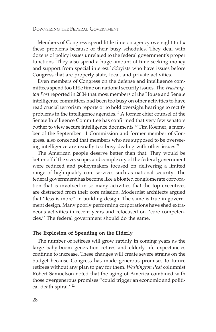Members of Congress spend little time on agency oversight to fix these problems because of their busy schedules. They deal with dozens of policy issues unrelated to the federal government's proper functions. They also spend a huge amount of time seeking money and support from special interest lobbyists who have issues before Congress that are properly state, local, and private activities.

Even members of Congress on the defense and intelligence committees spend too little time on national security issues. The *Washington Post* reported in 2004 that most members of the House and Senate intelligence committees had been too busy on other activities to have read crucial terrorism reports or to hold oversight hearings to rectify problems in the intelligence agencies.19 A former chief counsel of the Senate Intelligence Committee has confirmed that very few senators bother to view secure intelligence documents.<sup>20</sup> Tim Roemer, a member of the September 11 Commission and former member of Congress, also conceded that members who are supposed to be overseeing intelligence are usually too busy dealing with other issues.<sup>21</sup>

The American people deserve better than that. They would be better off if the size, scope, and complexity of the federal government were reduced and policymakers focused on delivering a limited range of high-quality core services such as national security. The federal government has become like a bloated conglomerate corporation that is involved in so many activities that the top executives are distracted from their core mission. Modernist architects argued that ''less is more'' in building design. The same is true in government design. Many poorly performing corporations have shed extraneous activities in recent years and refocused on ''core competencies.'' The federal government should do the same.

### **The Explosion of Spending on the Elderly**

The number of retirees will grow rapidly in coming years as the large baby-boom generation retires and elderly life expectancies continue to increase. These changes will create severe strains on the budget because Congress has made generous promises to future retirees without any plan to pay for them. *Washington Post* columnist Robert Samuelson noted that the aging of America combined with those overgenerous promises ''could trigger an economic and political death spiral."<sup>22</sup>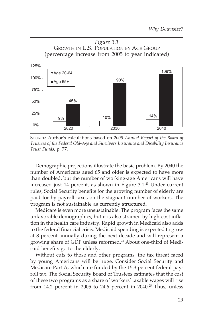

SOURCE: Author's calculations based on *2005 Annual Report of the Board of Trustees of the Federal Old-Age and Survivors Insurance and Disability Insurance Trust Funds,* p. 77.

Demographic projections illustrate the basic problem. By 2040 the number of Americans aged 65 and older is expected to have more than doubled, but the number of working-age Americans will have increased just 14 percent, as shown in Figure 3.1.<sup>23</sup> Under current rules, Social Security benefits for the growing number of elderly are paid for by payroll taxes on the stagnant number of workers. The program is not sustainable as currently structured.

Medicare is even more unsustainable. The program faces the same unfavorable demographics, but it is also strained by high-cost inflation in the health care industry. Rapid growth in Medicaid also adds to the federal financial crisis. Medicaid spending is expected to grow at 8 percent annually during the next decade and will represent a growing share of GDP unless reformed.<sup>24</sup> About one-third of Medicaid benefits go to the elderly.

Without cuts to those and other programs, the tax threat faced by young Americans will be huge. Consider Social Security and Medicare Part A, which are funded by the 15.3 percent federal payroll tax. The Social Security Board of Trustees estimates that the cost of these two programs as a share of workers' taxable wages will rise from 14.2 percent in 2005 to 24.6 percent in  $2040^{25}$  Thus, unless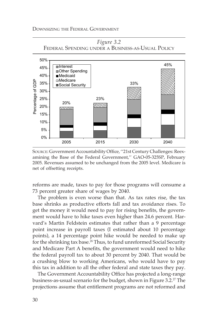*Figure 3.2* FEDERAL SPENDING UNDER A BUSINESS-AS-USUAL POLICY



SOURCE: Government Accountability Office, ''21st Century Challenges: Reexamining the Base of the Federal Government," GAO-05-325SP, February 2005. Revenues assumed to be unchanged from the 2005 level. Medicare is net of offsetting receipts.

reforms are made, taxes to pay for those programs will consume a 73 percent greater share of wages by 2040.

The problem is even worse than that. As tax rates rise, the tax base shrinks as productive efforts fall and tax avoidance rises. To get the money it would need to pay for rising benefits, the government would have to hike taxes even higher than 24.6 percent. Harvard's Martin Feldstein estimates that rather than a 9 percentage point increase in payroll taxes (I estimated about 10 percentage points), a 14 percentage point hike would be needed to make up for the shrinking tax base.<sup>26</sup> Thus, to fund unreformed Social Security and Medicare Part A benefits, the government would need to hike the federal payroll tax to about 30 percent by 2040. That would be a crushing blow to working Americans, who would have to pay this tax in addition to all the other federal and state taxes they pay.

The Government Accountability Office has projected a long-range business-as-usual scenario for the budget, shown in Figure 3.2.27 The projections assume that entitlement programs are not reformed and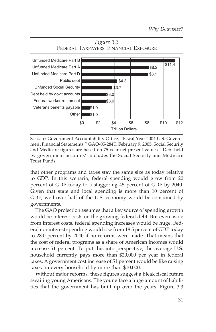

SOURCE: Government Accountability Office, ''Fiscal Year 2004 U.S. Government Financial Statements,'' GAO-05-284T, February 9, 2005. Social Security and Medicare figures are based on 75-year net present values. ''Debt held by government accounts'' includes the Social Security and Medicare

Trust Funds.

that other programs and taxes stay the same size as today relative to GDP. In this scenario, federal spending would grow from 20 percent of GDP today to a staggering 45 percent of GDP by 2040. Given that state and local spending is more than 10 percent of GDP, well over half of the U.S. economy would be consumed by governments.

The GAO projection assumes that a key source of spending growth would be interest costs on the growing federal debt. But even aside from interest costs, federal spending increases would be huge. Federal noninterest spending would rise from 18.5 percent of GDP today to 28.0 percent by 2040 if no reforms were made. That means that the cost of federal programs as a share of American incomes would increase 51 percent. To put this into perspective, the average U.S. household currently pays more than \$20,000 per year in federal taxes. A government cost increase of 51 percent would be like raising taxes on every household by more than \$10,000.

Without major reforms, these figures suggest a bleak fiscal future awaiting young Americans. The young face a huge amount of liabilities that the government has built up over the years. Figure 3.3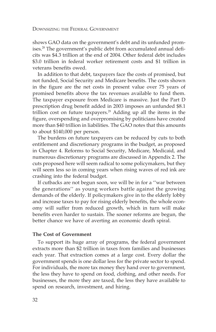shows GAO data on the government's debt and its unfunded promises.28 The government's public debt from accumulated annual deficits was \$4.3 trillion at the end of 2004. Other federal debt includes \$3.0 trillion in federal worker retirement costs and \$1 trillion in veterans benefits owed.

In addition to that debt, taxpayers face the costs of promised, but not funded, Social Security and Medicare benefits. The costs shown in the figure are the net costs in present value over 75 years of promised benefits above the tax revenues available to fund them. The taxpayer exposure from Medicare is massive. Just the Part D prescription drug benefit added in 2003 imposes an unfunded \$8.1 trillion cost on future taxpayers.<sup>29</sup> Adding up all the items in the figure, overspending and overpromising by politicians have created more than \$40 trillion in liabilities. The GAO notes that this amounts to about \$140,000 per person.

The burdens on future taxpayers can be reduced by cuts to both entitlement and discretionary programs in the budget, as proposed in Chapter 4. Reforms to Social Security, Medicare, Medicaid, and numerous discretionary programs are discussed in Appendix 2. The cuts proposed here will seem radical to some policymakers, but they will seem less so in coming years when rising waves of red ink are crashing into the federal budget.

If cutbacks are not begun soon, we will be in for a ''war between the generations'' as young workers battle against the growing demands of the elderly. If policymakers give in to the elderly lobby and increase taxes to pay for rising elderly benefits, the whole economy will suffer from reduced growth, which in turn will make benefits even harder to sustain. The sooner reforms are begun, the better chance we have of averting an economic death spiral.

### **The Cost of Government**

To support its huge array of programs, the federal government extracts more than \$2 trillion in taxes from families and businesses each year. That extraction comes at a large cost. Every dollar the government spends is one dollar less for the private sector to spend. For individuals, the more tax money they hand over to government, the less they have to spend on food, clothing, and other needs. For businesses, the more they are taxed, the less they have available to spend on research, investment, and hiring.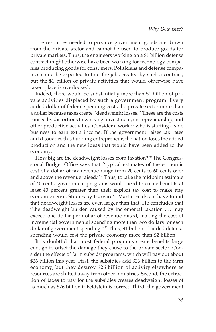The resources needed to produce government goods are drawn from the private sector and cannot be used to produce goods for private markets. Thus, the engineers working on a \$1 billion defense contract might otherwise have been working for technology companies producing goods for consumers. Politicians and defense companies could be expected to tout the jobs created by such a contract, but the \$1 billion of private activities that would otherwise have taken place is overlooked.

Indeed, there would be substantially more than \$1 billion of private activities displaced by such a government program. Every added dollar of federal spending costs the private sector more than a dollar because taxes create ''deadweight losses.'' These are the costs caused by distortions to working, investment, entrepreneurship, and other productive activities. Consider a worker who is starting a side business to earn extra income. If the government raises tax rates and dissuades this budding entrepreneur, the nation loses the added production and the new ideas that would have been added to the economy.

How big are the deadweight losses from taxation?<sup>30</sup> The Congressional Budget Office says that ''typical estimates of the economic cost of a dollar of tax revenue range from 20 cents to 60 cents over and above the revenue raised.''31 Thus, to take the midpoint estimate of 40 cents, government programs would need to create benefits at least 40 percent greater than their explicit tax cost to make any economic sense. Studies by Harvard's Martin Feldstein have found that deadweight losses are even larger than that. He concludes that ''the deadweight burden caused by incremental taxation . . . may exceed one dollar per dollar of revenue raised, making the cost of incremental governmental spending more than two dollars for each dollar of government spending.''32 Thus, \$1 billion of added defense spending would cost the private economy more than \$2 billion.

It is doubtful that most federal programs create benefits large enough to offset the damage they cause to the private sector. Consider the effects of farm subsidy programs, which will pay out about \$26 billion this year. First, the subsidies add \$26 billion to the farm economy, but they destroy \$26 billion of activity elsewhere as resources are shifted away from other industries. Second, the extraction of taxes to pay for the subsidies creates deadweight losses of as much as \$26 billion if Feldstein is correct. Third, the government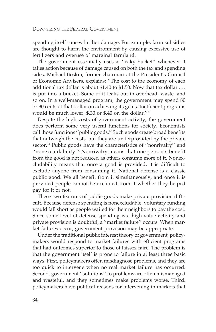spending itself causes further damage. For example, farm subsidies are thought to harm the environment by causing excessive use of fertilizers and overuse of marginal farmland.

The government essentially uses a ''leaky bucket'' whenever it takes action because of damage caused on both the tax and spending sides. Michael Boskin, former chairman of the President's Council of Economic Advisers, explains: ''The cost to the economy of each additional tax dollar is about \$1.40 to \$1.50. Now that tax dollar . . . is put into a bucket. Some of it leaks out in overhead, waste, and so on. In a well-managed program, the government may spend 80 or 90 cents of that dollar on achieving its goals. Inefficient programs would be much lower, \$.30 or \$.40 on the dollar.''33

Despite the high costs of government activity, the government does perform some very useful functions for society. Economists call those functions ''public goods.'' Such goods create broad benefits that outweigh the costs, but they are underprovided by the private sector.<sup>34</sup> Public goods have the characteristics of "nonrivalry" and ''nonexcludability.'' Nonrivalry means that one person's benefit from the good is not reduced as others consume more of it. Nonexcludability means that once a good is provided, it is difficult to exclude anyone from consuming it. National defense is a classic public good. We all benefit from it simultaneously, and once it is provided people cannot be excluded from it whether they helped pay for it or not.

These two features of public goods make private provision difficult. Because defense spending is nonexcludable, voluntary funding would fall short as people waited for their neighbors to pay the cost. Since some level of defense spending is a high-value activity and private provision is doubtful, a ''market failure'' occurs. When market failures occur, government provision may be appropriate.

Under the traditional public interest theory of government, policymakers would respond to market failures with efficient programs that had outcomes superior to those of laissez faire. The problem is that the government itself is prone to failure in at least three basic ways. First, policymakers often misdiagnose problems, and they are too quick to intervene when no real market failure has occurred. Second, government ''solutions'' to problems are often mismanaged and wasteful, and they sometimes make problems worse. Third, policymakers have political reasons for intervening in markets that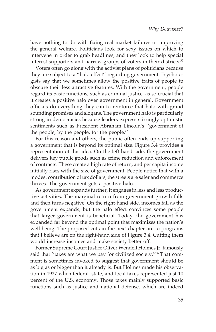have nothing to do with fixing real market failures or improving the general welfare. Politicians look for sexy issues on which to intervene in order to grab headlines, and they look to help special interest supporters and narrow groups of voters in their districts.<sup>35</sup>

Voters often go along with the activist plans of politicians because they are subject to a ''halo effect'' regarding government. Psychologists say that we sometimes allow the positive traits of people to obscure their less attractive features. With the government, people regard its basic functions, such as criminal justice, as so crucial that it creates a positive halo over government in general. Government officials do everything they can to reinforce that halo with grand sounding promises and slogans. The government halo is particularly strong in democracies because leaders express stirringly optimistic sentiments such as President Abraham Lincoln's ''government of the people, by the people, for the people.''

For this reason and others, the public often ends up supporting a government that is beyond its optimal size. Figure 3.4 provides a representation of this idea. On the left-hand side, the government delivers key public goods such as crime reduction and enforcement of contracts. These create a high rate of return, and per capita income initially rises with the size of government. People notice that with a modest contribution of tax dollars, the streets are safer and commerce thrives. The government gets a positive halo.

As government expands further, it engages in less and less productive activities. The marginal return from government growth falls and then turns negative. On the right-hand side, incomes fall as the government expands, but the halo effect convinces some people that larger government is beneficial. Today, the government has expanded far beyond the optimal point that maximizes the nation's well-being. The proposed cuts in the next chapter are to programs that I believe are on the right-hand side of Figure 3.4. Cutting them would increase incomes and make society better off.

Former Supreme Court Justice Oliver Wendell Holmes Jr. famously said that ''taxes are what we pay for civilized society.''36 That comment is sometimes invoked to suggest that government should be as big as or bigger than it already is. But Holmes made his observation in 1927 when federal, state, and local taxes represented just 10 percent of the U.S. economy. Those taxes mainly supported basic functions such as justice and national defense, which are indeed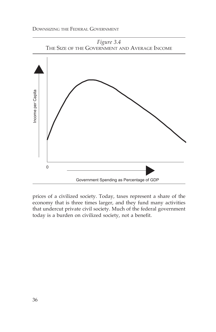

prices of a civilized society. Today, taxes represent a share of the economy that is three times larger, and they fund many activities that undercut private civil society. Much of the federal government today is a burden on civilized society, not a benefit.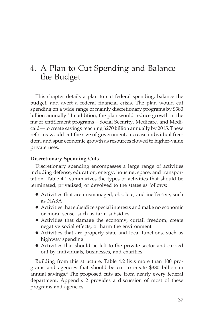# 4. A Plan to Cut Spending and Balance the Budget

This chapter details a plan to cut federal spending, balance the budget, and avert a federal financial crisis. The plan would cut spending on a wide range of mainly discretionary programs by \$380 billion annually.<sup>1</sup> In addition, the plan would reduce growth in the major entitlement programs—Social Security, Medicare, and Medicaid—to create savings reaching \$270 billion annually by 2015. These reforms would cut the size of government, increase individual freedom, and spur economic growth as resources flowed to higher-value private uses.

# **Discretionary Spending Cuts**

Discretionary spending encompasses a large range of activities including defense, education, energy, housing, space, and transportation. Table 4.1 summarizes the types of activities that should be terminated, privatized, or devolved to the states as follows:

- Activities that are mismanaged, obsolete, and ineffective, such as NASA
- Activities that subsidize special interests and make no economic or moral sense, such as farm subsidies
- Activities that damage the economy, curtail freedom, create negative social effects, or harm the environment
- Activities that are properly state and local functions, such as highway spending
- Activities that should be left to the private sector and carried out by individuals, businesses, and charities

Building from this structure, Table 4.2 lists more than 100 programs and agencies that should be cut to create \$380 billion in annual savings.2 The proposed cuts are from nearly every federal department. Appendix 2 provides a discussion of most of these programs and agencies.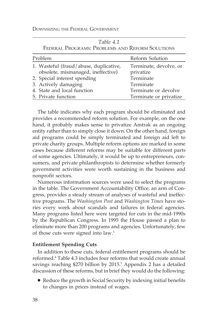| Table 4.1                                       |
|-------------------------------------------------|
| FEDERAL PROGRAMS: PROBLEMS AND REFORM SOLUTIONS |

| Problem                                | Reform Solution        |
|----------------------------------------|------------------------|
| 1. Wasteful (fraud/abuse, duplicative, | Terminate, devolve, or |
| obsolete, mismanaged, ineffective)     | privatize              |
| 2. Special interest spending           | Terminate              |
| 3. Actively damaging                   | Terminate              |
| 4. State and local function            | Terminate or devolve   |
| 5. Private function                    | Terminate or privatize |

The table indicates why each program should be eliminated and provides a recommended reform solution. For example, on the one hand, it probably makes sense to privatize Amtrak as an ongoing entity rather than to simply close it down. On the other hand, foreign aid programs could be simply terminated and foreign aid left to private charity groups. Multiple reform options are marked in some cases because different reforms may be suitable for different parts of some agencies. Ultimately, it would be up to entrepreneurs, consumers, and private philanthropists to determine whether formerly government activities were worth sustaining in the business and nonprofit sectors.

Numerous information sources were used to select the programs in the table. The Government Accountability Office, an arm of Congress, provides a steady stream of analyses of wasteful and ineffective programs. The *Washington Post* and *Washington Times* have stories every week about scandals and failures in federal agencies. Many programs listed here were targeted for cuts in the mid-1990s by the Republican Congress. In 1995 the House passed a plan to eliminate more than 200 programs and agencies. Unfortunately, few of those cuts were signed into law.3

# **Entitlement Spending Cuts**

In addition to these cuts, federal entitlement programs should be reformed.4 Table 4.3 includes four reforms that would create annual savings reaching \$270 billion by 2015.<sup>5</sup> Appendix 2 has a detailed discussion of these reforms, but in brief they would do the following:

● Reduce the growth in Social Security by indexing initial benefits to changes in prices instead of wages.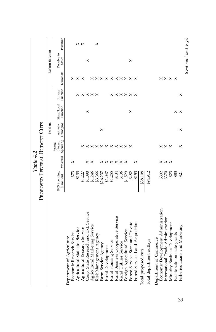|                              | Reform Solution | Privatize<br>Devolve to<br><b>States</b> |                                                        |                                 | $\times\times$                | ×                                     |                                | ×                      |                     |                   |                       |                                    |                         |                              | $\pmb{\times}$                    |                                  |                     |                          |                        |                                     |                                    |                               |                             |                               | (continued next page) |
|------------------------------|-----------------|------------------------------------------|--------------------------------------------------------|---------------------------------|-------------------------------|---------------------------------------|--------------------------------|------------------------|---------------------|-------------------|-----------------------|------------------------------------|-------------------------|------------------------------|-----------------------------------|----------------------------------|---------------------|--------------------------|------------------------|-------------------------------------|------------------------------------|-------------------------------|-----------------------------|-------------------------------|-----------------------|
|                              |                 | Terminate                                | ×                                                      |                                 | $\times\times$                |                                       | ×                              | $\times$               | $\times$            | $\times$          |                       | <b>xxxxx</b>                       |                         |                              |                                   | $\times$                         |                     |                          |                        | ×                                   | $\times$                           | $\times\times$                |                             |                               |                       |
|                              |                 | Function<br>Private                      |                                                        |                                 | <b>xxxxx</b>                  |                                       |                                |                        |                     |                   |                       | <b>xxxxxx</b>                      |                         |                              |                                   |                                  |                     |                          |                        |                                     |                                    |                               |                             | ×                             |                       |
|                              |                 | State/Local<br>Function                  |                                                        |                                 |                               | ×                                     |                                |                        |                     |                   |                       |                                    |                         |                              | $\pmb{\times}$                    |                                  |                     |                          |                        |                                     |                                    |                               |                             | $\times\times$                |                       |
|                              | Problem         | Damaging<br>Actively                     |                                                        |                                 |                               |                                       |                                |                        | ×                   |                   |                       |                                    |                         |                              |                                   |                                  |                     |                          |                        |                                     |                                    |                               |                             | ×                             |                       |
|                              |                 | Spending<br>Interest<br>Special          |                                                        |                                 |                               |                                       | $\times\times\times$           |                        | $\times\times$      |                   |                       | <b>xxxxx</b>                       |                         |                              |                                   |                                  |                     |                          |                        | ×                                   | $\times\times$                     |                               |                             | ×                             |                       |
| Table 4.2                    |                 | Wasteful                                 | ×                                                      |                                 |                               |                                       | $\times\times$                 |                        |                     |                   |                       | <b>xxxxxx</b>                      |                         |                              |                                   | $\times$                         |                     |                          |                        |                                     | $\times\times\times$               |                               |                             |                               |                       |
| Proposed Federal Budget Cuts |                 | 2005 Spending<br>$($$ million $)$        | \$73                                                   | \$133                           | \$1,227                       | \$1,090                               | \$1,246                        | \$3,366                | \$26,237            | \$1,047           | \$1,255               | \$134                              | \$136                   | \$1,529                      | \$482                             | \$153                            | \$38,108            | \$94,912                 |                        | \$392                               | \$370                              | \$23                          | \$83                        | \$21                          |                       |
|                              |                 |                                          | Economic Research Service<br>Department of Agriculture | Agricultural Statistics Service | Agricultural Research Service | Coop. State Research and Ext. Service | Agricultural Marketing Service | Risk Management Agency | Farm Service Agency | Rural Development | Rural Housing Service | Rural Business Cooperative Service | Rural Utilities Service | Foreign Agricultural Service | Forest Service: State and Private | Forest Service: Land Acquisition | Total proposed cuts | Total department outlays | Department of Commerce | Economic Development Administration | International Trade Administration | Minority Business Development | Pacific salmon state grants | Fisheries Loans and Marketing |                       |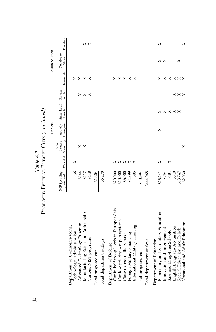|                                                             |                                          | Table 4.2                  |                                 |                      |                            |                      |                            |                             |                |
|-------------------------------------------------------------|------------------------------------------|----------------------------|---------------------------------|----------------------|----------------------------|----------------------|----------------------------|-----------------------------|----------------|
|                                                             | PROPOSED FEDERAL BUDGET CUTS (continued) |                            |                                 |                      |                            |                      |                            |                             |                |
|                                                             |                                          |                            |                                 | Problem              |                            |                      |                            | <b>Reform Solution</b>      |                |
|                                                             | 2005 Spending<br>$($$ million $)$        | Wasteful                   | Spending<br>Interest<br>Special | Damaging<br>Actively | State/Local<br>Function    | Function<br>Private  | Terminate                  | Devolve to<br><b>States</b> | Privatize      |
| Department of Commerce (cont.)<br>Technology Administration | \$6                                      | ×                          |                                 |                      |                            |                      |                            |                             |                |
| Advanced Technology Program                                 | \$144                                    |                            | ×                               |                      |                            |                      |                            |                             |                |
| Manufacturing Extension Partnership                         | \$117                                    |                            | $\times$                        |                      |                            | $\times\times\times$ | <b>××××</b> ×              |                             | $\times\times$ |
| Various NIST programs                                       | \$448                                    |                            |                                 |                      |                            |                      |                            |                             |                |
| Total proposed cuts                                         | \$1,604                                  |                            |                                 |                      |                            |                      |                            |                             |                |
| Total department outlays                                    | \$6,278                                  |                            |                                 |                      |                            |                      |                            |                             |                |
| Department of Defense                                       |                                          |                            |                                 |                      |                            |                      |                            |                             |                |
| Cut in half troop levels in Europe/Asia                     | \$20,000                                 |                            |                                 |                      |                            |                      |                            |                             |                |
| Cut low-priority weapon systems                             | \$10,000                                 | $\times\times\times\times$ |                                 |                      |                            |                      | $\times\times\times\times$ |                             |                |
| Close excess military bases                                 | \$6,000                                  |                            |                                 |                      |                            |                      |                            |                             |                |
| Foreign Military Financing                                  | \$4,899                                  |                            |                                 |                      |                            |                      |                            |                             |                |
| International Military Training                             | \$95                                     |                            |                                 |                      |                            |                      |                            |                             |                |
| Total proposed cuts                                         | \$40,994                                 |                            |                                 |                      |                            |                      |                            |                             |                |
| Total department outlays                                    | \$444,068                                |                            |                                 |                      |                            |                      |                            |                             |                |
| Department of Education                                     |                                          |                            |                                 |                      |                            |                      |                            |                             |                |
| Elementary and Secondary Education                          | \$23,241                                 | ×                          |                                 | ×                    |                            |                      |                            | $\times\times$              | ×              |
| Innovation and Improvement                                  | \$754                                    |                            |                                 |                      |                            |                      |                            |                             |                |
| Safe and Drug-Free Schools                                  | \$484                                    | ×                          |                                 |                      |                            |                      |                            |                             |                |
| English Language Acquisition                                | \$840                                    |                            |                                 |                      | $\times\times\times\times$ |                      | $\times\times\times\times$ |                             |                |
| Special Education and Rehab.                                | \$13,747                                 |                            |                                 |                      |                            | $\times\times\times$ |                            | ×                           |                |
| Vocational and Adult Education                              | \$2,030                                  |                            | $\times$                        |                      |                            |                      |                            |                             | $\times$       |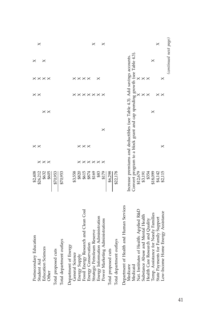|                         | $\times$       |                           |          |                     |                          |                      |                 |                |                                       |                     | ×                           |                                   | $\pmb{\times}$                  |                     |                          |                                         |                                                                          |                                                                           |                                        |                                   |                                  |                                     | ×                                 |                                   |                       |
|-------------------------|----------------|---------------------------|----------|---------------------|--------------------------|----------------------|-----------------|----------------|---------------------------------------|---------------------|-----------------------------|-----------------------------------|---------------------------------|---------------------|--------------------------|-----------------------------------------|--------------------------------------------------------------------------|---------------------------------------------------------------------------|----------------------------------------|-----------------------------------|----------------------------------|-------------------------------------|-----------------------------------|-----------------------------------|-----------------------|
| ×                       |                | ×                         |          |                     |                          |                      |                 |                |                                       |                     |                             |                                   |                                 |                     |                          |                                         |                                                                          |                                                                           |                                        |                                   |                                  | ×                                   |                                   |                                   | (continued next page) |
|                         | $\times\times$ |                           | $\times$ |                     |                          |                      |                 | $\times\times$ |                                       | $\times$            |                             | ×                                 |                                 |                     |                          |                                         |                                                                          |                                                                           | $\times\times$                         |                                   |                                  |                                     |                                   | ×                                 |                       |
|                         | $\times\times$ |                           |          |                     |                          |                      |                 | $\times$       | $\times$                              | $\times\times$      |                             | $\times\times$                    |                                 |                     |                          |                                         |                                                                          |                                                                           |                                        |                                   |                                  |                                     | ×                                 | ×                                 |                       |
|                         |                | $\times\times$            |          |                     |                          |                      |                 |                |                                       |                     |                             |                                   |                                 |                     |                          |                                         |                                                                          |                                                                           |                                        |                                   |                                  | ×                                   |                                   |                                   |                       |
|                         |                |                           |          |                     |                          |                      |                 |                |                                       |                     |                             |                                   | ×                               |                     |                          |                                         |                                                                          |                                                                           |                                        |                                   |                                  |                                     |                                   |                                   |                       |
|                         | $\times\times$ |                           |          |                     |                          |                      |                 |                | $\times\times\times$                  |                     |                             |                                   |                                 |                     |                          |                                         |                                                                          |                                                                           |                                        |                                   |                                  |                                     |                                   | $\times$                          |                       |
|                         |                | $\times\times\times$      |          |                     |                          |                      |                 |                |                                       | $\times$            | $\times$                    | $\times$                          | $\times$                        |                     |                          |                                         |                                                                          |                                                                           |                                        |                                   |                                  |                                     |                                   |                                   |                       |
| \$2,408                 | \$26,212       | \$632                     | \$605    | \$70,953            | \$70,953                 |                      | \$3,558         | \$820          | \$615                                 | \$874               | \$169                       | \$83                              | \$179                           | \$6,298             | \$22,178                 |                                         | Increase premiums and deductibles (see Table 4.3). Add savings accounts. | Convert program to a block grant and cap spending growth (see Table 4.3). | \$12,679                               | \$3,191                           | \$354                            | \$18,099                            | \$4,142                           | \$2,115                           |                       |
| Postsecondary Education | Student Aid    | <b>Education Sciences</b> | Other    | Total proposed cuts | Total department outlays | Department of Energy | General Science | Energy Supply  | Fossil Energy Research and Clean Coal | Energy Conservation | Strategic Petroleum Reserve | Energy Information Administration | Power Marketing Administrations | Total proposed cuts | Total department outlays | Department of Health and Human Services | Medicare                                                                 | Medicaid                                                                  | Nat. Institutes of Health: Applied R&D | Substance Abuse and Mental Health | Health Care Research and Quality | Temp. Assistance for Needy Families | State Payments for Family Support | Low-Income Home Energy Assistance |                       |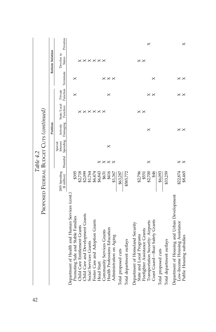|                                                                                                                                                                                                                                                                       | Proposed Federal Budget Cuts (continued)                   | Table 4.2                  |                                 |                      |                            |                     |                      |                             |           |
|-----------------------------------------------------------------------------------------------------------------------------------------------------------------------------------------------------------------------------------------------------------------------|------------------------------------------------------------|----------------------------|---------------------------------|----------------------|----------------------------|---------------------|----------------------|-----------------------------|-----------|
|                                                                                                                                                                                                                                                                       |                                                            |                            |                                 | Problem              |                            |                     |                      | Reform Solution             |           |
|                                                                                                                                                                                                                                                                       | 2005 Spending<br>$($$ million $)$                          | Wasteful                   | Spending<br>Interest<br>Special | Damaging<br>Actively | State/Local<br>Function    | Function<br>Private | Terminate            | Devolve to<br><b>States</b> | Privatize |
| Department of Health and Human Services (cont.)<br>Promoting Safe and Stable Families<br><b>Care Entitlement Grants</b>                                                                                                                                               | \$395<br>\$2,718                                           |                            |                                 |                      |                            | ×                   | ×                    |                             |           |
| Child Care and Development Grants                                                                                                                                                                                                                                     | \$2,099                                                    |                            |                                 |                      | $\times\times$             |                     |                      | <b>xxxxxx</b>               |           |
| Social Services Grants                                                                                                                                                                                                                                                | \$1,764                                                    |                            |                                 |                      | $\times\times\times\times$ |                     |                      |                             |           |
| Foster Care and Adoption Grants                                                                                                                                                                                                                                       | \$6,474                                                    |                            |                                 |                      |                            |                     |                      |                             |           |
| <b>Head Start</b>                                                                                                                                                                                                                                                     | \$6,843                                                    |                            |                                 |                      |                            |                     |                      |                             |           |
| Community Services Grants                                                                                                                                                                                                                                             | \$631                                                      |                            |                                 |                      |                            |                     |                      |                             |           |
| Health Professions Education                                                                                                                                                                                                                                          | \$416                                                      | $\times\times\times\times$ | ×                               |                      |                            | ×                   | $\times\times\times$ |                             |           |
| Administration on Aging                                                                                                                                                                                                                                               | \$1,367                                                    |                            |                                 |                      |                            |                     |                      |                             |           |
| Total proposed cuts                                                                                                                                                                                                                                                   | \$63,287                                                   |                            |                                 |                      |                            |                     |                      |                             |           |
| Total department outlays                                                                                                                                                                                                                                              | \$585,772                                                  |                            |                                 |                      |                            |                     |                      |                             |           |
| Department of Housing and Urban Development<br>Coast Guard-Boat Safety Grants<br>Transportation Security: Airports<br>Department of Homeland Security<br>Firefighter Assistance Grants<br>State and Local Programs<br>Total department outlays<br>Total proposed cuts | \$2,796<br>\$2,700<br>\$6,093<br>\$33,259<br>\$46<br>\$551 | ×                          |                                 | ×                    | $\times$<br>$\times$       | $\times\times$      | $\times$             | $\times\times$              | ×         |
| Low-Income Housing Assistance                                                                                                                                                                                                                                         | \$22,874                                                   | $\times$                   |                                 | $\times$<br>×        |                            | $\times$            | $\times$<br>×        |                             |           |
| Public Housing subsidies                                                                                                                                                                                                                                              | \$8,465                                                    |                            |                                 |                      |                            |                     |                      |                             | ×         |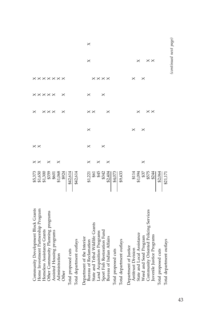| Community Development Block Grants   | \$5,373              |   | $\times\times$ |   |                      |                            |                            |          |   |
|--------------------------------------|----------------------|---|----------------|---|----------------------|----------------------------|----------------------------|----------|---|
| Home Investment Partnership Program  | $$1,650$<br>$$1,300$ |   |                |   |                      |                            | ×                          |          |   |
| Homeless Assistance Grants           |                      |   |                |   |                      |                            |                            |          |   |
| Other Community Planning programs    | \$359                | × |                |   | $\times\times\times$ | $\times\times\times\times$ | $\times\times\times\times$ |          |   |
| Assisted Housing programs            | \$601                |   |                |   |                      |                            |                            |          |   |
| Administration                       | \$1,068              | × |                |   |                      |                            |                            |          |   |
| Other                                | \$924                |   |                |   | $\times$             | ×                          | $\times$                   |          |   |
| Total proposed cuts                  | \$42,614             |   |                |   |                      |                            |                            |          |   |
| Total department outlays             | \$42,614             |   |                |   |                      |                            |                            |          |   |
| Department of the Interior           |                      |   |                |   |                      |                            |                            |          |   |
| Bureau of Reclamation                | \$1,221              |   | ×              | × |                      | ×                          |                            | ×        | × |
| State and Tribal Wildlife Grants     | \$61                 |   |                |   |                      |                            |                            |          |   |
| Land Acquisition Programs            | \$45                 |   |                |   |                      |                            | $\times\times\times$       |          |   |
| Sport Fish Restoration Fund          | \$342                |   | ×              |   |                      | ×                          |                            |          |   |
| Bureau of Indian Affairs             | \$2,404              |   |                |   | ×                    |                            |                            |          |   |
| Total proposed cuts                  | \$4,073              |   |                |   |                      |                            |                            |          |   |
| Total department outlays             | \$9,433              |   |                |   |                      |                            |                            |          |   |
| Department of Justice                |                      |   |                |   |                      |                            |                            |          |   |
| <b>Antitrust Division</b>            | \$114                |   |                |   |                      |                            |                            |          |   |
| State and Local Assistance           | \$1,094              |   |                |   |                      |                            |                            | ×        |   |
| Weed and Seed Program                | \$37                 | × |                |   |                      |                            |                            |          |   |
| Community Oriented Policing Services | \$575                |   |                |   | ×                    |                            |                            | ×        |   |
| Juvenile Justice Programs            | \$244                |   |                |   | $\times$             |                            |                            | $\times$ |   |
| Total proposed cuts                  | \$2,064              |   |                |   |                      |                            |                            |          |   |
| Total department outlays             | \$21,17              |   |                |   |                      |                            |                            |          |   |

 $\left( {continued~next~page} \right)$ *(continued next page)*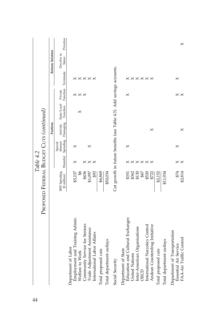|                                                       |                                                                      | Table 4.2            |                                 |                      |                         |                     |                            |                             |           |
|-------------------------------------------------------|----------------------------------------------------------------------|----------------------|---------------------------------|----------------------|-------------------------|---------------------|----------------------------|-----------------------------|-----------|
|                                                       | Proposed Federal Budget Cuts (continued)                             |                      |                                 |                      |                         |                     |                            |                             |           |
|                                                       |                                                                      |                      |                                 | Problem              |                         |                     |                            | Reform Solution             |           |
|                                                       | 2005 Spending<br>(\$ million)                                        | Wasteful             | Spending<br>Interest<br>Special | Damaging<br>Actively | State/Local<br>Function | Function<br>Private | Terminate                  | Devolve to<br><b>States</b> | Privatize |
| Employment and Training Admin.<br>Department of Labor | \$5,237                                                              | ×                    | $\times$                        |                      |                         |                     |                            |                             |           |
| Welfare to Work                                       | $\frac{6}{5}$                                                        |                      |                                 |                      | $\pmb{\times}$          | $\times\times$      | $\times\times$             |                             |           |
| Community Service for Seniors                         | \$436                                                                |                      |                                 |                      |                         | $\times$            |                            |                             |           |
| Trade Adjustment Assistance                           | \$1,097                                                              | $\times\times$       | $\times$                        |                      |                         |                     | $\times\times\times$       |                             |           |
| International Labor Affairs                           | \$93                                                                 |                      |                                 |                      |                         |                     |                            |                             |           |
| Total proposed cuts                                   | \$6,869                                                              |                      |                                 |                      |                         |                     |                            |                             |           |
| Total department outlays                              | \$50,034                                                             |                      |                                 |                      |                         |                     |                            |                             |           |
| Social Security                                       | Cut growth in future benefits (see Table 4.3). Add savings accounts. |                      |                                 |                      |                         |                     |                            |                             |           |
| Department of State                                   |                                                                      |                      |                                 |                      |                         |                     |                            |                             |           |
| Education and Cultural Exchanges                      | \$351                                                                |                      | $\pmb{\times}$                  |                      |                         | ×                   |                            |                             |           |
| United Nations                                        | \$362                                                                |                      |                                 |                      |                         |                     | ×                          |                             |           |
| Inter-American Organizations                          | \$130<br>\$67                                                        | $\times$             |                                 |                      |                         |                     | $\times\times\times\times$ |                             |           |
| OECD                                                  |                                                                      |                      |                                 |                      |                         |                     |                            |                             |           |
| International Narcotics Control                       | \$520                                                                | $\times\times\times$ |                                 |                      |                         |                     |                            |                             |           |
| Andean Counterdrug Initiative                         | \$722                                                                |                      |                                 | ×                    |                         |                     |                            |                             |           |
| Total proposed cuts                                   | \$2,152                                                              |                      |                                 |                      |                         |                     |                            |                             |           |
| Total department outlays                              | \$11,934                                                             |                      |                                 |                      |                         |                     |                            |                             |           |
| Department of Transportation                          |                                                                      |                      |                                 |                      |                         |                     |                            |                             |           |
| Essential Air Service                                 | \$74                                                                 |                      | ×                               |                      |                         | $\times\times$      | $\times$                   |                             |           |
| FAA-Air Traffic Control                               | \$2,814                                                              |                      |                                 |                      |                         |                     |                            |                             | $\times$  |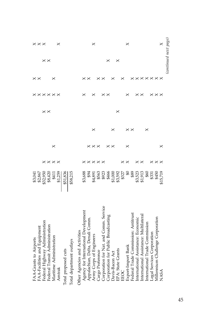| $\times\times\times$   |                              |                                                                  |                         | ×       |                     |                          |                               |                                      |                                  | ×                          |                  |                                        |                                     |                 |                   |       | ×                  |                                     |                                    |                                        |                                |                            |                                  |             | (continued next page) |
|------------------------|------------------------------|------------------------------------------------------------------|-------------------------|---------|---------------------|--------------------------|-------------------------------|--------------------------------------|----------------------------------|----------------------------|------------------|----------------------------------------|-------------------------------------|-----------------|-------------------|-------|--------------------|-------------------------------------|------------------------------------|----------------------------------------|--------------------------------|----------------------------|----------------------------------|-------------|-----------------------|
|                        |                              | $\times\times$                                                   |                         |         |                     |                          |                               |                                      |                                  |                            |                  |                                        | ×                                   |                 | $\times$          |       |                    |                                     |                                    |                                        |                                |                            |                                  |             |                       |
| $\times\times$         |                              |                                                                  | $\times$                |         |                     |                          |                               |                                      | ×                                |                            |                  | $\times$                               |                                     |                 |                   |       |                    |                                     | ×                                  | $\times$                               | $\times$                       |                            | $\times\times\times$             |             |                       |
|                        |                              | <b>xxxxx</b>                                                     |                         |         |                     |                          |                               |                                      |                                  |                            |                  | ×                                      | $\times$                            |                 |                   |       | ×                  |                                     | ×                                  | $\times$                               |                                |                            | $\times\times\times$             |             |                       |
|                        |                              | $\times\times$                                                   |                         |         |                     |                          |                               |                                      |                                  |                            |                  |                                        |                                     |                 | ×                 |       |                    |                                     |                                    |                                        |                                |                            |                                  |             |                       |
|                        |                              |                                                                  |                         |         |                     |                          |                               |                                      |                                  | ×                          |                  |                                        |                                     |                 |                   |       |                    | $\times$                            |                                    |                                        | ×                              |                            |                                  |             |                       |
|                        |                              |                                                                  | $\times$                |         |                     |                          |                               |                                      |                                  | $\times\times$             |                  |                                        |                                     |                 |                   |       | $\times$           |                                     |                                    |                                        |                                |                            |                                  | ×           |                       |
|                        |                              |                                                                  | $\times\times\times$    |         |                     |                          |                               |                                      |                                  | $\times\times\times\times$ |                  |                                        |                                     |                 |                   |       |                    |                                     |                                    |                                        |                                |                            | $\times$                         |             |                       |
| \$3,041                | \$2,867                      | \$32,950<br>\$8,420                                              | \$411                   | \$1,259 | \$51,836            | \$58,215                 |                               | \$3,688                              | 64                               | \$4,891                    | \$563            | \$923                                  | \$466                               | \$1,000         | \$3,592           | \$327 |                    | \$89                                | \$3,523                            | \$1,913                                | \$60                           | \$331                      | \$450                            | \$15,719    |                       |
| FAA-Grants to Airports | FAA-Facilities and Equipment | Federal Highway Administration<br>Federal Transit Administration | Maritime Administration | Amtrak  | Total proposed cuts | Total department outlays | Other Agencies and Activities | Agency for International Development | Appalachian, Delta, Denali Comm. | Army Corps of Engineers    | Cargo Preference | Corporation for Nat. and Comm. Service | Corporation for Public Broadcasting | Davis-Bacon Act | EPA: State Grants | EEOC  | Export-Import Bank | Federal Trade Commission: Antitrust | International Assistance: Economic | International Assistance: Multilateral | International Trade Commission | Legal Services Corporation | Millennium Challenge Corporation | <b>NASA</b> |                       |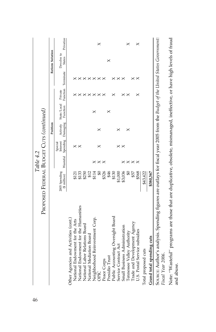|                                                                                                                                                    | Proposed Federal Budget Cuts <i>(continued)</i> | Table 4.2 |                                 |                      |                                 |                            |                |                             |           |
|----------------------------------------------------------------------------------------------------------------------------------------------------|-------------------------------------------------|-----------|---------------------------------|----------------------|---------------------------------|----------------------------|----------------|-----------------------------|-----------|
|                                                                                                                                                    |                                                 |           |                                 |                      |                                 |                            |                |                             |           |
|                                                                                                                                                    |                                                 |           |                                 | Problem              |                                 |                            |                | <b>Reform Solution</b>      |           |
|                                                                                                                                                    | 2005 Spending<br>$($$ million $)$               | Wasteful  | Spending<br>Interest<br>Special | Damaging<br>Actively | State/Local Private<br>Function | Function                   | Terminate      | Devolve to<br><b>States</b> | Privatize |
| Other Agencies and Activities (cont.)                                                                                                              |                                                 |           |                                 |                      |                                 |                            |                |                             |           |
| National Endowment for the Arts                                                                                                                    | \$121                                           |           |                                 |                      |                                 |                            |                |                             |           |
| National Endowment for the Humanities                                                                                                              | \$133                                           |           | $\times\times$                  |                      |                                 |                            |                |                             |           |
| National Labor Relations Board                                                                                                                     | \$250                                           |           |                                 |                      |                                 |                            | $\times$       |                             |           |
| National Mediation Board                                                                                                                           | \$12                                            |           |                                 |                      |                                 | $\times\times\times\times$ | $\times$       |                             |           |
| Neighborhood Reinvestment Corp.                                                                                                                    | \$114                                           |           |                                 |                      | ×                               |                            |                |                             |           |
| DIC                                                                                                                                                |                                                 |           | $\times$                        | ×                    |                                 |                            | $\times\times$ |                             | ×         |
| Peace Corps                                                                                                                                        | \$326                                           |           |                                 |                      |                                 | $\times$                   | $\times$       |                             |           |
| Presidio Trust                                                                                                                                     | \$46                                            |           |                                 |                      | ×                               |                            |                | ×                           |           |
| Public Accounting Oversight Board                                                                                                                  | \$130                                           |           |                                 |                      |                                 | ×                          | ×              |                             |           |
| Service Contract Act                                                                                                                               | \$1,000                                         |           |                                 | ×                    |                                 |                            | ×              |                             |           |
| Small Business Administration                                                                                                                      | \$3,036                                         |           | $\times\times$                  |                      |                                 |                            | $\times$       |                             |           |
| Tennessee Valley Authority                                                                                                                         | B                                               |           |                                 | ×                    |                                 | $\times\times$             |                |                             | ×         |
| Trade and Development Agency                                                                                                                       | \$57                                            |           |                                 |                      |                                 |                            | ×              |                             |           |
| U.S. Postal Service subsidies                                                                                                                      | \$568                                           |           |                                 |                      |                                 | ×                          | $\times$       |                             | ×         |
| Total proposed cuts                                                                                                                                | \$43,422                                        |           |                                 |                      |                                 |                            |                |                             |           |
| Grand total spending cuts                                                                                                                          | \$380,367                                       |           |                                 |                      |                                 |                            |                |                             |           |
| Source: Author's analysis. Spending figures are outlays for fiscal year 2005 from the Budget of the United States Government:<br>Fiscal Year 2006. |                                                 |           |                                 |                      |                                 |                            |                |                             |           |
| Note: "Wasteful" programs are those that are duplicative, obsolete, mismanaged, ineffective, or have high levels of fraud<br>and abuse.            |                                                 |           |                                 |                      |                                 |                            |                |                             |           |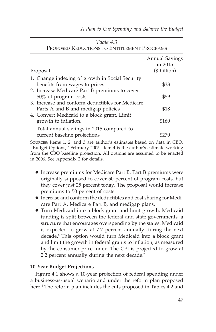| Table 4.3<br>PROPOSED REDUCTIONS TO ENTITLEMENT PROGRAMS                                                                  |                                                  |
|---------------------------------------------------------------------------------------------------------------------------|--------------------------------------------------|
| Proposal                                                                                                                  | <b>Annual Savings</b><br>in 2015<br>(\$ billion) |
| 1. Change indexing of growth in Social Security<br>benefits from wages to prices                                          | \$33                                             |
| 2. Increase Medicare Part B premiums to cover<br>50% of program costs<br>3. Increase and conform deductibles for Medicare | \$59                                             |
| Parts A and B and medigap policies<br>4. Convert Medicaid to a block grant. Limit                                         | \$18                                             |
| growth to inflation.                                                                                                      | \$160                                            |
| Total annual savings in 2015 compared to<br>current baseline projections                                                  | \$270                                            |

*A Plan to Cut Spending and Balance the Budget*

SOURCES: Items 1, 2, and 3 are author's estimates based on data in CBO, ''Budget Options,'' February 2005. Item 4 is the author's estimate working from the CBO baseline projection. All options are assumed to be enacted in 2006. See Appendix 2 for details.

- Increase premiums for Medicare Part B. Part B premiums were originally supposed to cover 50 percent of program costs, but they cover just 25 percent today. The proposal would increase premiums to 50 percent of costs.
- Increase and conform the deductibles and cost sharing for Medicare Part A, Medicare Part B, and medigap plans.
- Turn Medicaid into a block grant and limit growth. Medicaid funding is split between the federal and state governments, a structure that encourages overspending by the states. Medicaid is expected to grow at 7.7 percent annually during the next decade.6 This option would turn Medicaid into a block grant and limit the growth in federal grants to inflation, as measured by the consumer price index. The CPI is projected to grow at 2.2 percent annually during the next decade.<sup>7</sup>

# **10-Year Budget Projections**

Figure 4.1 shows a 10-year projection of federal spending under a business-as-usual scenario and under the reform plan proposed here.<sup>8</sup> The reform plan includes the cuts proposed in Tables 4.2 and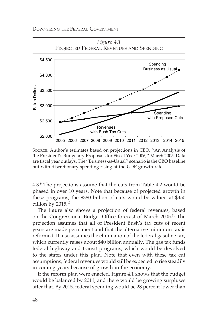

SOURCE: Author's estimates based on projections in CBO, ''An Analysis of the President's Budgetary Proposals for Fiscal Year 2006,'' March 2005. Data are fiscal year outlays. The ''Business-as-Usual'' scenario is the CBO baseline but with discretionary spending rising at the GDP growth rate.

4.3.9 The projections assume that the cuts from Table 4.2 would be phased in over 10 years. Note that because of projected growth in these programs, the \$380 billion of cuts would be valued at \$450 billion by  $2015.^{10}$ 

The figure also shows a projection of federal revenues, based on the Congressional Budget Office forecast of March 2005.11 The projection assumes that all of President Bush's tax cuts of recent years are made permanent and that the alternative minimum tax is reformed. It also assumes the elimination of the federal gasoline tax, which currently raises about \$40 billion annually. The gas tax funds federal highway and transit programs, which would be devolved to the states under this plan. Note that even with these tax cut assumptions, federal revenues would still be expected to rise steadily in coming years because of growth in the economy.

If the reform plan were enacted, Figure 4.1 shows that the budget would be balanced by 2011, and there would be growing surpluses after that. By 2015, federal spending would be 28 percent lower than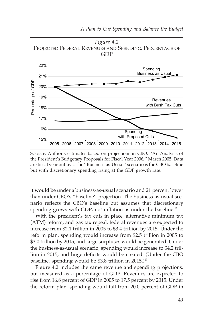



SOURCE: Author's estimates based on projections in CBO, ''An Analysis of the President's Budgetary Proposals for Fiscal Year 2006,'' March 2005. Data are fiscal year outlays. The ''Business-as-Usual'' scenario is the CBO baseline but with discretionary spending rising at the GDP growth rate.

it would be under a business-as-usual scenario and 21 percent lower than under CBO's ''baseline'' projection. The business-as-usual scenario reflects the CBO's baseline but assumes that discretionary spending grows with GDP, not inflation as under the baseline.<sup>12</sup>

With the president's tax cuts in place, alternative minimum tax (ATM) reform, and gas tax repeal, federal revenues are expected to increase from \$2.1 trillion in 2005 to \$3.4 trillion by 2015. Under the reform plan, spending would increase from \$2.5 trillion in 2005 to \$3.0 trillion by 2015, and large surpluses would be generated. Under the business-as-usual scenario, spending would increase to \$4.2 trillion in 2015, and huge deficits would be created. (Under the CBO baseline, spending would be  $$3.8$  trillion in 2015.)<sup>13</sup>

Figure 4.2 includes the same revenue and spending projections, but measured as a percentage of GDP. Revenues are expected to rise from 16.8 percent of GDP in 2005 to 17.5 percent by 2015. Under the reform plan, spending would fall from 20.0 percent of GDP in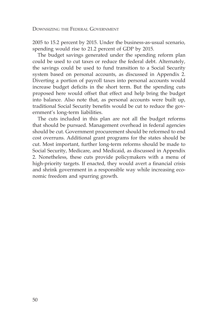2005 to 15.2 percent by 2015. Under the business-as-usual scenario, spending would rise to 21.2 percent of GDP by 2015.

The budget savings generated under the spending reform plan could be used to cut taxes or reduce the federal debt. Alternately, the savings could be used to fund transition to a Social Security system based on personal accounts, as discussed in Appendix 2. Diverting a portion of payroll taxes into personal accounts would increase budget deficits in the short term. But the spending cuts proposed here would offset that effect and help bring the budget into balance. Also note that, as personal accounts were built up, traditional Social Security benefits would be cut to reduce the government's long-term liabilities.

The cuts included in this plan are not all the budget reforms that should be pursued. Management overhead in federal agencies should be cut. Government procurement should be reformed to end cost overruns. Additional grant programs for the states should be cut. Most important, further long-term reforms should be made to Social Security, Medicare, and Medicaid, as discussed in Appendix 2. Nonetheless, these cuts provide policymakers with a menu of high-priority targets. If enacted, they would avert a financial crisis and shrink government in a responsible way while increasing economic freedom and spurring growth.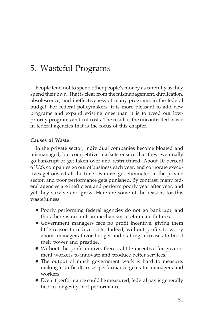# 5. Wasteful Programs

People tend not to spend other people's money as carefully as they spend their own. That is clear from the mismanagement, duplication, obsolescence, and ineffectiveness of many programs in the federal budget. For federal policymakers, it is more pleasant to add new programs and expand existing ones than it is to weed out lowpriority programs and cut costs. The result is the uncontrolled waste in federal agencies that is the focus of this chapter.

## **Causes of Waste**

In the private sector, individual companies become bloated and mismanaged, but competitive markets ensure that they eventually go bankrupt or get taken over and restructured. About 10 percent of U.S. companies go out of business each year, and corporate executives get ousted all the time.<sup>1</sup> Failures get eliminated in the private sector, and poor performance gets punished. By contrast, many federal agencies are inefficient and perform poorly year after year, and yet they survive and grow. Here are some of the reasons for this wastefulness:

- Poorly performing federal agencies do not go bankrupt, and thus there is no built-in mechanism to eliminate failures.
- Government managers face no profit incentive, giving them little reason to reduce costs. Indeed, without profits to worry about, managers favor budget and staffing increases to boost their power and prestige.
- Without the profit motive, there is little incentive for government workers to innovate and produce better services.
- The output of much government work is hard to measure, making it difficult to set performance goals for managers and workers.
- Even if performance could be measured, federal pay is generally tied to longevity, not performance.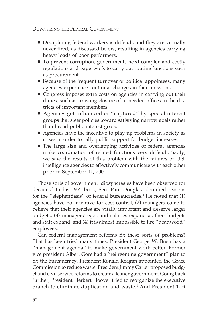- Disciplining federal workers is difficult, and they are virtually never fired, as discussed below, resulting in agencies carrying heavy loads of poor performers.
- To prevent corruption, governments need complex and costly regulations and paperwork to carry out routine functions such as procurement.
- Because of the frequent turnover of political appointees, many agencies experience continual changes in their missions.
- Congress imposes extra costs on agencies in carrying out their duties, such as resisting closure of unneeded offices in the districts of important members.
- Agencies get influenced or ''captured'' by special interest groups that steer policies toward satisfying narrow goals rather than broad public interest goals.
- Agencies have the incentive to play up problems in society as crises in order to rally public support for budget increases.
- The large size and overlapping activities of federal agencies make coordination of related functions very difficult. Sadly, we saw the results of this problem with the failures of U.S. intelligence agencies to effectively communicate with each other prior to September 11, 2001.

Those sorts of government idiosyncrasies have been observed for decades.2 In his 1952 book, Sen. Paul Douglas identified reasons for the ''elephantiasis'' of federal bureaucracies.3 He noted that (1) agencies have no incentive for cost control, (2) managers come to believe that their agencies are vitally important and deserve larger budgets, (3) managers' egos and salaries expand as their budgets and staff expand, and (4) it is almost impossible to fire ''deadwood'' employees.

Can federal management reforms fix these sorts of problems? That has been tried many times. President George W. Bush has a ''management agenda'' to make government work better. Former vice president Albert Gore had a ''reinventing government'' plan to fix the bureaucracy. President Ronald Reagan appointed the Grace Commission to reduce waste. President Jimmy Carter proposed budget and civil service reforms to create a leaner government. Going back further, President Herbert Hoover tried to reorganize the executive branch to eliminate duplication and waste.<sup>4</sup> And President Taft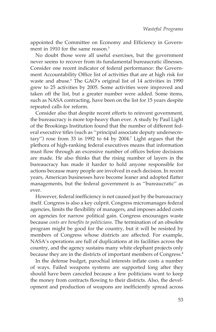appointed the Committee on Economy and Efficiency in Government in 1910 for the same reason.<sup>5</sup>

No doubt those were all useful exercises, but the government never seems to recover from its fundamental bureaucratic illnesses. Consider one recent indicator of federal performance: the Government Accountability Office list of activities that are at high risk for waste and abuse.<sup>6</sup> The GAO's original list of 14 activities in 1990 grew to 25 activities by 2005. Some activities were improved and taken off the list, but a greater number were added. Some items, such as NASA contracting, have been on the list for 15 years despite repeated calls for reform.

Consider also that despite recent efforts to reinvent government, the bureaucracy is more top-heavy than ever. A study by Paul Light of the Brookings Institution found that the number of different federal executive titles (such as ''principal associate deputy undersecretary") rose from 33 in 1992 to  $64$  by  $2004$ .<sup>7</sup> Light argues that the plethora of high-ranking federal executives means that information must flow through an excessive number of offices before decisions are made. He also thinks that the rising number of layers in the bureaucracy has made it harder to hold anyone responsible for actions because many people are involved in each decision. In recent years, American businesses have become leaner and adopted flatter managements, but the federal government is as ''bureaucratic'' as ever.

However, federal inefficiency is not caused just by the bureaucracy itself. Congress is also a key culprit. Congress micromanages federal agencies, limits the flexibility of managers, and imposes added costs on agencies for narrow political gain. Congress encourages waste because *costs are benefits to politicians*. The termination of an obsolete program might be good for the country, but it will be resisted by members of Congress whose districts are affected. For example, NASA's operations are full of duplications at its facilities across the country, and the agency sustains many white elephant projects only because they are in the districts of important members of Congress.<sup>8</sup>

In the defense budget, parochial interests inflate costs a number of ways. Failed weapons systems are supported long after they should have been canceled because a few politicians want to keep the money from contracts flowing to their districts. Also, the development and production of weapons are inefficiently spread across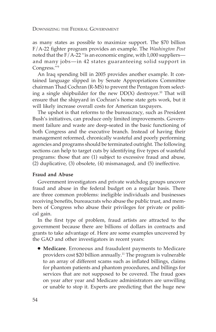as many states as possible to maximize support. The \$70 billion F/A-22 fighter program provides an example. The *Washington Post* noted that the  $F/A-22$  "is an economic engine, with 1,000 suppliers and many jobs—in 42 states guaranteeing solid support in Congress.''9

An Iraq spending bill in 2005 provides another example. It contained language slipped in by Senate Appropriations Committee chairman Thad Cochran (R-MS) to prevent the Pentagon from selecting a single shipbuilder for the new  $DD(X)$  destroyer.<sup>10</sup> That will ensure that the shipyard in Cochran's home state gets work, but it will likely increase overall costs for American taxpayers.

The upshot is that reforms to the bureaucracy, such as President Bush's initiatives, can produce only limited improvements. Government failure and waste are deep-seated in the basic functioning of both Congress and the executive branch. Instead of having their management reformed, chronically wasteful and poorly performing agencies and programs should be terminated outright. The following sections can help to target cuts by identifying five types of wasteful programs: those that are (1) subject to excessive fraud and abuse, (2) duplicative, (3) obsolete, (4) mismanaged, and (5) ineffective.

## **Fraud and Abuse**

Government investigators and private watchdog groups uncover fraud and abuse in the federal budget on a regular basis. There are three common problems: ineligible individuals and businesses receiving benefits, bureaucrats who abuse the public trust, and members of Congress who abuse their privileges for private or political gain.

In the first type of problem, fraud artists are attracted to the government because there are billions of dollars in contracts and grants to take advantage of. Here are some examples uncovered by the GAO and other investigators in recent years:

● **Medicare**. Erroneous and fraudulent payments to Medicare providers cost \$20 billion annually.11 The program is vulnerable to an array of different scams such as inflated billings, claims for phantom patients and phantom procedures, and billings for services that are not supposed to be covered. The fraud goes on year after year and Medicare administrators are unwilling or unable to stop it. Experts are predicting that the huge new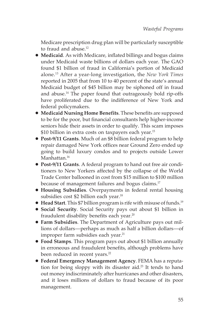Medicare prescription drug plan will be particularly susceptible to fraud and abuse.<sup>12</sup>

- **Medicaid**. As with Medicare, inflated billings and bogus claims under Medicaid waste billions of dollars each year. The GAO found \$1 billion of fraud in California's portion of Medicaid alone.13 After a year-long investigation, the *New York Times* reported in 2005 that from 10 to 40 percent of the state's annual Medicaid budget of \$45 billion may be siphoned off in fraud and abuse.<sup>14</sup> The paper found that outrageously bold rip-offs have proliferated due to the indifference of New York and federal policymakers.
- **Medicaid Nursing Home Benefits**. These benefits are supposed to be for the poor, but financial consultants help higher-income seniors hide their assets in order to qualify. This scam imposes \$10 billion in extra costs on taxpayers each year.<sup>15</sup>
- **Post-9/11 Grants**. Much of an \$8 billion federal program to help repair damaged New York offices near Ground Zero ended up going to build luxury condos and to projects outside Lower Manhattan.<sup>16</sup>
- **Post-9/11 Grants**. A federal program to hand out free air conditioners to New Yorkers affected by the collapse of the World Trade Center ballooned in cost from \$15 million to \$100 million because of management failures and bogus claims.<sup>17</sup>
- **Housing Subsidies**. Overpayments in federal rental housing subsidies cost \$2 billion each year.<sup>18</sup>
- **Head Start**. This \$7 billion program is rife with misuse of funds.19
- **Social Security**. Social Security pays out about \$1 billion in fraudulent disability benefits each year.20
- **Farm Subsidies**. The Department of Agriculture pays out millions of dollars—perhaps as much as half a billion dollars—of improper farm subsidies each year.<sup>21</sup>
- **Food Stamps**. This program pays out about \$1 billion annually in erroneous and fraudulent benefits, although problems have been reduced in recent years.<sup>22</sup>
- **Federal Emergency Management Agency**. FEMA has a reputation for being sloppy with its disaster aid.<sup>23</sup> It tends to hand out money indiscriminately after hurricanes and other disasters, and it loses millions of dollars to fraud because of its poor management.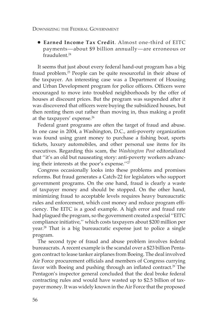● **Earned Income Tax Credit**. Almost one-third of EITC payments—about \$9 billion annually—are erroneous or fraudulent<sup>24</sup>

It seems that just about every federal hand-out program has a big fraud problem.25 People can be quite resourceful in their abuse of the taxpayer. An interesting case was a Department of Housing and Urban Development program for police officers. Officers were encouraged to move into troubled neighborhoods by the offer of houses at discount prices. But the program was suspended after it was discovered that officers were buying the subsidized houses, but then renting them out rather than moving in, thus making a profit at the taxpayers' expense.<sup>26</sup>

Federal grant programs are often the target of fraud and abuse. In one case in 2004, a Washington, D.C., anti-poverty organization was found using grant money to purchase a fishing boat, sports tickets, luxury automobiles, and other personal use items for its executives. Regarding this scam, the *Washington Post* editorialized that ''it's an old but nauseating story: anti-poverty workers advancing their interests at the poor's expense.''27

Congress occasionally looks into these problems and promises reforms. But fraud generates a Catch-22 for legislators who support government programs. On the one hand, fraud is clearly a waste of taxpayer money and should be stopped. On the other hand, minimizing fraud to acceptable levels requires heavy bureaucratic rules and enforcement, which cost money and reduce program efficiency. The EITC is a good example. A high error and fraud rate had plagued the program, so the government created a special ''EITC compliance initiative,'' which costs taxpayers about \$200 million per year.28 That is a big bureaucratic expense just to police a single program.

The second type of fraud and abuse problem involves federal bureaucrats. A recent example is the scandal over a \$23 billion Pentagon contract to lease tanker airplanes from Boeing. The deal involved Air Force procurement officials and members of Congress currying favor with Boeing and pushing through an inflated contract.<sup>29</sup> The Pentagon's inspector general concluded that the deal broke federal contracting rules and would have wasted up to \$2.5 billion of taxpayer money. It was widely known in the Air Force that the proposed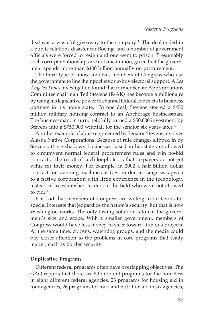deal was a wasteful giveaway to the company.30 The deal ended in a public relations disaster for Boeing, and a number of government officials were forced to resign and one went to prison. Presumably such corrupt relationships are not uncommon, given that the government spends more than \$400 billion annually on procurement.

The third type of abuse involves members of Congress who use the government to line their pockets or to buy electoral support. A *Los Angeles Times*investigation found that former Senate Appropriations Committee chairman Ted Stevens (R-AK) has become a millionaire by using his legislative power to channel federal contracts to business partners in his home state.<sup>31</sup> In one deal, Stevens steered a \$450 million military housing contract to an Anchorage businessman. The businessman, in turn, helpfully turned a \$50,000 investment by Stevens into a  $$750,000$  windfall for the senator six years later.<sup>32</sup>

Another example of abuse engineered by Senator Stevens involves Alaska Native Corporations. Because of rule changes slipped in by Stevens, those shadowy businesses based in his state are allowed to circumvent normal federal procurement rules and win no-bid contracts. The result of such loopholes is that taxpayers do not get value for their money. For example, in 2002 a half billion dollar contract for scanning machines at U.S. border crossings was given to a native corporation with little experience in the technology, instead of to established leaders in the field who were not allowed to bid.33

It is sad that members of Congress are willing to do favors for special interests that jeopardize the nation's security, but that is how Washington works. The only lasting solution is to cut the government's size and scope. With a smaller government, members of Congress would have less money to steer toward dubious projects. At the same time, citizens, watchdog groups, and the media could pay closer attention to the problems in core programs that really matter, such as border security.

# **Duplicative Programs**

Different federal programs often have overlapping objectives. The GAO reports that there are 50 different programs for the homeless in eight different federal agencies, 23 programs for housing aid in four agencies, 26 programs for food and nutrition aid in six agencies,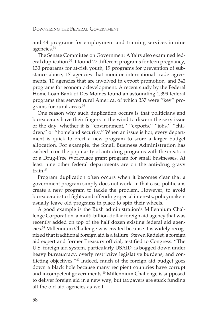and 44 programs for employment and training services in nine agencies.34

The Senate Committee on Government Affairs also examined federal duplication.<sup>35</sup> It found 27 different programs for teen pregnancy, 130 programs for at-risk youth, 19 programs for prevention of substance abuse, 17 agencies that monitor international trade agreements, 10 agencies that are involved in export promotion, and 342 programs for economic development. A recent study by the Federal Home Loan Bank of Des Moines found an astounding 1,399 federal programs that served rural America, of which 337 were ''key'' programs for rural areas.36

One reason why such duplication occurs is that politicians and bureaucrats have their fingers in the wind to discern the sexy issue of the day, whether it is ''environment,'' ''exports,'' ''jobs,'' ''children,'' or ''homeland security.'' When an issue is hot, every department is quick to erect a new program to score a larger budget allocation. For example, the Small Business Administration has cashed in on the popularity of anti-drug programs with the creation of a Drug-Free Workplace grant program for small businesses. At least nine other federal departments are on the anti-drug gravy train<sup>37</sup>

Program duplication often occurs when it becomes clear that a government program simply does not work. In that case, politicians create a new program to tackle the problem. However, to avoid bureaucratic turf fights and offending special interests, policymakers usually leave old programs in place to spin their wheels.

A good example is the Bush administration's Millennium Challenge Corporation, a multi-billion-dollar foreign aid agency that was recently added on top of the half dozen existing federal aid agencies.38 Millennium Challenge was created because it is widely recognized that traditional foreign aid is a failure. Steven Radelet, a foreign aid expert and former Treasury official, testified to Congress: ''The U.S. foreign aid system, particularly USAID, is bogged down under heavy bureaucracy, overly restrictive legislative burdens, and conflicting objectives.''39 Indeed, much of the foreign aid budget goes down a black hole because many recipient countries have corrupt and incompetent governments.<sup>40</sup> Millennium Challenge is supposed to deliver foreign aid in a new way, but taxpayers are stuck funding all the old aid agencies as well.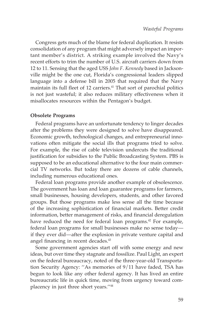Congress gets much of the blame for federal duplication. It resists consolidation of any program that might adversely impact an important member's district. A striking example involved the Navy's recent efforts to trim the number of U.S. aircraft carriers down from 12 to 11. Sensing that the aged USS *John F. Kennedy* based in Jacksonville might be the one cut, Florida's congressional leaders slipped language into a defense bill in 2005 that required that the Navy maintain its full fleet of 12 carriers.<sup>41</sup> That sort of parochial politics is not just wasteful; it also reduces military effectiveness when it misallocates resources within the Pentagon's budget.

### **Obsolete Programs**

Federal programs have an unfortunate tendency to linger decades after the problems they were designed to solve have disappeared. Economic growth, technological changes, and entrepreneurial innovations often mitigate the social ills that programs tried to solve. For example, the rise of cable television undercuts the traditional justification for subsidies to the Public Broadcasting System. PBS is supposed to be an educational alternative to the four main commercial TV networks. But today there are dozens of cable channels, including numerous educational ones.

Federal loan programs provide another example of obsolescence. The government has loan and loan guarantee programs for farmers, small businesses, housing developers, students, and other favored groups. But those programs make less sense all the time because of the increasing sophistication of financial markets. Better credit information, better management of risks, and financial deregulation have reduced the need for federal loan programs.<sup>42</sup> For example, federal loan programs for small businesses make no sense today if they ever did—after the explosion in private venture capital and angel financing in recent decades.<sup>43</sup>

Some government agencies start off with some energy and new ideas, but over time they stagnate and fossilize. Paul Light, an expert on the federal bureaucracy, noted of the three-year-old Transportation Security Agency: ''As memories of 9/11 have faded, TSA has begun to look like any other federal agency. It has lived an entire bureaucratic life in quick time, moving from urgency toward complacency in just three short years.''44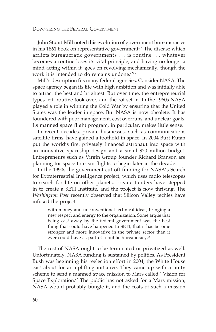John Stuart Mill noted this evolution of government bureaucracies in his 1861 book on representative government: ''The disease which afflicts bureaucratic governments . . . is routine . . . whatever becomes a routine loses its vital principle, and having no longer a mind acting within it, goes on revolving mechanically, though the work it is intended to do remains undone.''45

Mill's description fits many federal agencies. Consider NASA. The space agency began its life with high ambition and was initially able to attract the best and brightest. But over time, the entrepreneurial types left, routine took over, and the rot set in. In the 1960s NASA played a role in winning the Cold War by ensuring that the United States was the leader in space. But NASA is now obsolete. It has foundered with poor management, cost overruns, and unclear goals. Its manned space flight program, in particular, makes little sense.

In recent decades, private businesses, such as communications satellite firms, have gained a foothold in space. In 2004 Burt Rutan put the world's first privately financed astronaut into space with an innovative spaceship design and a small \$20 million budget. Entrepreneurs such as Virgin Group founder Richard Branson are planning for space tourism flights to begin later in the decade.

In the 1990s the government cut off funding for NASA's Search for Extraterrestrial Intelligence project, which uses radio telescopes to search for life on other planets. Private funders have stepped in to create a SETI Institute, and the project is now thriving. The *Washington Post* recently observed that Silicon Valley techies have infused the project

with money and unconventional technical ideas, bringing a new respect and energy to the organization. Some argue that being cast away by the federal government was the best thing that could have happened to SETI, that it has become stronger and more innovative in the private sector than it ever could have as part of a public bureaucracy.<sup>46</sup>

The rest of NASA ought to be terminated or privatized as well. Unfortunately, NASA funding is sustained by politics. As President Bush was beginning his reelection effort in 2004, the White House cast about for an uplifting initiative. They came up with a nutty scheme to send a manned space mission to Mars called ''Vision for Space Exploration.'' The public has not asked for a Mars mission, NASA would probably bungle it, and the costs of such a mission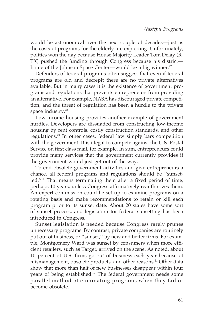would be astronomical over the next couple of decades—just as the costs of programs for the elderly are exploding. Unfortunately, politics won the day because House Majority Leader Tom Delay (R-TX) pushed the funding through Congress because his district home of the Johnson Space Center—would be a big winner.<sup>47</sup>

Defenders of federal programs often suggest that even if federal programs are old and decrepit there are no private alternatives available. But in many cases it is the existence of government programs and regulations that prevents entrepreneurs from providing an alternative. For example, NASA has discouraged private competition, and the threat of regulation has been a hurdle to the private space industry.<sup>48</sup>

Low-income housing provides another example of government hurdles. Developers are dissuaded from constructing low-income housing by rent controls, costly construction standards, and other regulations.49 In other cases, federal law simply bars competition with the government. It is illegal to compete against the U.S. Postal Service on first class mail, for example. In sum, entrepreneurs could provide many services that the government currently provides if the government would just get out of the way.

To end obsolete government activities and give entrepreneurs a chance, all federal programs and regulations should be ''sunsetted.''50 That means terminating them after a fixed period of time, perhaps 10 years, unless Congress affirmatively reauthorizes them. An expert commission could be set up to examine programs on a rotating basis and make recommendations to retain or kill each program prior to its sunset date. About 20 states have some sort of sunset process, and legislation for federal sunsetting has been introduced in Congress.

Sunset legislation is needed because Congress rarely prunes unnecessary programs. By contrast, private companies are routinely put out of business, or ''sunset,'' by new and better firms. For example, Montgomery Ward was sunset by consumers when more efficient retailers, such as Target, arrived on the scene. As noted, about 10 percent of U.S. firms go out of business each year because of mismanagement, obsolete products, and other reasons.<sup>51</sup> Other data show that more than half of new businesses disappear within four years of being established.52 The federal government needs some parallel method of eliminating programs when they fail or become obsolete.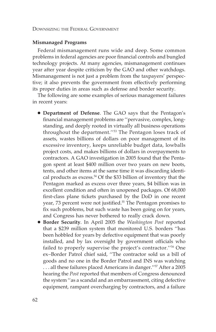#### **Mismanaged Programs**

Federal mismanagement runs wide and deep. Some common problems in federal agencies are poor financial controls and bungled technology projects. At many agencies, mismanagement continues year after year despite criticism by the GAO and other watchdogs. Mismanagement is not just a problem from the taxpayers' perspective; it also prevents the government from effectively performing its proper duties in areas such as defense and border security.

The following are some examples of serious management failures in recent years:

- **Department of Defense**. The GAO says that the Pentagon's financial management problems are ''pervasive, complex, longstanding, and deeply rooted in virtually all business operations throughout the department.''53 The Pentagon loses track of assets, wastes billions of dollars on poor management of its excessive inventory, keeps unreliable budget data, lowballs project costs, and makes billions of dollars in overpayments to contractors. A GAO investigation in 2005 found that the Pentagon spent at least \$400 million over two years on new boots, tents, and other items at the same time it was discarding identical products as excess.54 Of the \$33 billion of inventory that the Pentagon marked as excess over three years, \$4 billion was in excellent condition and often in unopened packages. Of 68,000 first-class plane tickets purchased by the DoD in one recent year, 73 percent were not justified.<sup>55</sup> The Pentagon promises to fix such problems, but such waste has been going on for years, and Congress has never bothered to really crack down.
- **Border Security**. In April 2005 the *Washington Post* reported that a \$239 million system that monitored U.S. borders ''has been hobbled for years by defective equipment that was poorly installed, and by lax oversight by government officials who failed to properly supervise the project's contractor.''56 One ex–Border Patrol chief said, ''The contractor sold us a bill of goods and no one in the Border Patrol and INS was watching ... all these failures placed Americans in danger."<sup>57</sup> After a 2005 hearing the *Post* reported that members of Congress denounced the system ''as a scandal and an embarrassment, citing defective equipment, rampant overcharging by contractors, and a failure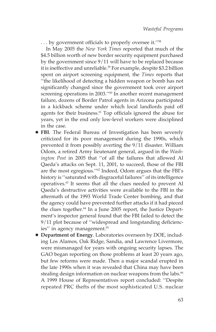. . . by government officials to properly oversee it.''58

In May 2005 the *New York Times* reported that much of the \$4.5 billion worth of new border security equipment purchased by the government since 9/11 will have to be replaced because it is ineffective and unreliable.<sup>59</sup> For example, despite \$3.2 billion spent on airport screening equipment, the *Times* reports that ''the likelihood of detecting a hidden weapon or bomb has not significantly changed since the government took over airport screening operations in 2003."<sup>60</sup> In another recent management failure, dozens of Border Patrol agents in Arizona participated in a kickback scheme under which local landlords paid off agents for their business.<sup>61</sup> Top officials ignored the abuse for years, yet in the end only low-level workers were disciplined in the case.

- **FBI**. The Federal Bureau of Investigation has been severely criticized for its poor management during the 1990s, which prevented it from possibly averting the 9/11 disaster. William Odom, a retired Army lieutenant general, argued in the *Washington Post* in 2005 that ''of all the failures that allowed Al Qaeda's attacks on Sept. 11, 2001, to succeed, those of the FBI are the most egregious.''62 Indeed, Odom argues that the FBI's history is ''saturated with disgraceful failures'' of its intelligence operatives.63 It seems that all the clues needed to prevent Al Qaeda's destructive activities were available to the FBI in the aftermath of the 1993 World Trade Center bombing, and that the agency could have prevented further attacks if it had pieced the clues together.<sup>64</sup> In a June 2005 report, the Justice Department's inspector general found that the FBI failed to detect the 9/11 plot because of ''widespread and longstanding deficiencies" in agency management.<sup>65</sup>
- **Department of Energy**. Laboratories overseen by DOE, including Los Alamos, Oak Ridge, Sandia, and Lawrence Livermore, were mismanaged for years with ongoing security lapses. The GAO began reporting on those problems at least 20 years ago, but few reforms were made. Then a major scandal erupted in the late 1990s when it was revealed that China may have been stealing design information on nuclear weapons from the labs.<sup>66</sup> A 1999 House of Representatives report concluded: ''Despite repeated PRC thefts of the most sophisticated U.S. nuclear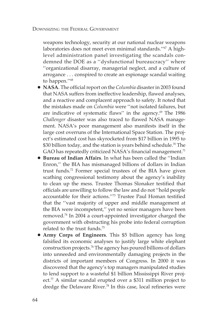weapons technology, security at our national nuclear weapons laboratories does not meet even minimal standards.''67 A highlevel administration panel investigating the scandals condemned the DOE as a ''dysfunctional bureaucracy'' where ''organizational disarray, managerial neglect, and a culture of arrogance . . . conspired to create an espionage scandal waiting to happen.''68

- **NASA**. The official report on the *Columbia* disaster in 2003 found that NASA suffers from ineffective leadership, flawed analyses, and a reactive and complacent approach to safety. It noted that the mistakes made on *Columbia* were ''not isolated failures, but are indicative of systematic flaws" in the agency. $69$  The 1986 *Challenger* disaster was also traced to flawed NASA management. NASA's poor management also manifests itself in the large cost overruns of the International Space Station. The project's estimated cost has skyrocketed from \$17 billion in 1995 to \$30 billion today, and the station is years behind schedule.<sup>70</sup> The GAO has repeatedly criticized NASA's financial management.<sup>71</sup>
- **Bureau of Indian Affairs**. In what has been called the ''Indian Enron,'' the BIA has mismanaged billions of dollars in Indian trust funds.72 Former special trustees of the BIA have given scathing congressional testimony about the agency's inability to clean up the mess. Trustee Thomas Slonaker testified that officials are unwilling to follow the law and do not ''hold people accountable for their actions.''73 Trustee Paul Homan testified that the ''vast majority of upper and middle management at the BIA were incompetent,'' yet no senior managers have been removed.74 In 2004 a court-appointed investigator charged the government with obstructing his probe into federal corruption related to the trust funds.75
- **Army Corps of Engineers**. This \$5 billion agency has long falsified its economic analyses to justify large white elephant construction projects.76 The agency has poured billions of dollars into unneeded and environmentally damaging projects in the districts of important members of Congress. In 2000 it was discovered that the agency's top managers manipulated studies to lend support to a wasteful \$1 billion Mississippi River project.<sup>77</sup> A similar scandal erupted over a \$311 million project to dredge the Delaware River.<sup>78</sup> In this case, local refineries were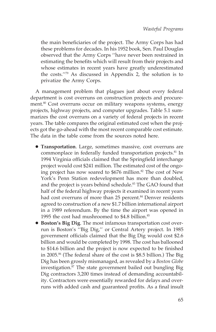the main beneficiaries of the project. The Army Corps has had these problems for decades. In his 1952 book, Sen. Paul Douglas observed that the Army Corps ''have never been restrained in estimating the benefits which will result from their projects and whose estimates in recent years have greatly underestimated the costs.''79 As discussed in Appendix 2, the solution is to privatize the Army Corps.

A management problem that plagues just about every federal department is cost overruns on construction projects and procurement.<sup>80</sup> Cost overruns occur on military weapons systems, energy projects, highway projects, and computer upgrades. Table 5.1 summarizes the cost overruns on a variety of federal projects in recent years. The table compares the original estimated cost when the projects got the go-ahead with the most recent comparable cost estimate. The data in the table come from the sources noted here.

- **Transportation**. Large, sometimes massive, cost overruns are commonplace in federally funded transportation projects.<sup>81</sup> In 1994 Virginia officials claimed that the Springfield interchange project would cost \$241 million. The estimated cost of the ongoing project has now soared to  $$676$  million.<sup>82</sup> The cost of New York's Penn Station redevelopment has more than doubled, and the project is years behind schedule.<sup>83</sup> The GAO found that half of the federal highway projects it examined in recent years had cost overruns of more than 25 percent.<sup>84</sup> Denver residents agreed to construction of a new \$1.7 billion international airport in a 1989 referendum. By the time the airport was opened in 1995 the cost had mushroomed to \$4.8 billion.<sup>85</sup>
- **Boston's Big Dig**. The most infamous transportation cost overrun is Boston's ''Big Dig,'' or Central Artery project. In 1985 government officials claimed that the Big Dig would cost \$2.6 billion and would be completed by 1998. The cost has ballooned to \$14.6 billion and the project is now expected to be finished in 2005.<sup>86</sup> (The federal share of the cost is \$8.5 billion.) The Big Dig has been grossly mismanaged, as revealed by a *Boston Globe* investigation.87 The state government bailed out bungling Big Dig contractors 3,200 times instead of demanding accountability. Contractors were essentially rewarded for delays and overruns with added cash and guaranteed profits. As a final insult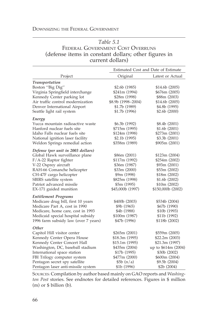## *Table 5.1* FEDERAL GOVERNMENT COST OVERRUNS (defense items in constant dollars; other figures in current dollars)

|                                      |                    | Estimated Cost and Date of Estimate |
|--------------------------------------|--------------------|-------------------------------------|
| Project                              | Original           | Latest or Actual                    |
| <b>Transportation</b>                |                    |                                     |
| Boston "Big Dig"                     | \$2.6b(1985)       | \$14.6b(2005)                       |
| Virginia Springfield interchange     | \$241m (1994)      | \$676m (2005)                       |
| Kennedy Center parking lot           | \$28m (1998)       | \$88m (2003)                        |
| Air traffic control modernization    | \$8.9b (1998-2004) | \$14.6b(2005)                       |
| Denver International Airport         | \$1.7b(1989)       | \$4.8b (1995)                       |
| Seattle light rail system            | \$1.7b(1996)       | \$2.6b(2000)                        |
| Energy                               |                    |                                     |
| Yucca mountain radioactive waste     | \$6.3b(1992)       | \$8.4b (2001)                       |
| Hanford nuclear fuels site           | \$715m (1995)      | \$1.6b(2001)                        |
| Idaho Falls nuclear fuels site       | \$124m (1998)      | \$273m (2001)                       |
| National ignition laser facility     | \$2.1b(1995)       | \$3.3b(2001)                        |
| Weldon Springs remedial action       | \$358m (1989)      | \$905m (2001)                       |
| Defense (per unit in 2003 dollars)   |                    |                                     |
| Global Hawk surveillance plane       | \$86m (2001)       | \$123m (2004)                       |
| F/A-22 Raptor fighter                | \$117m (1992)      | \$254m (2002)                       |
| V-22 Osprey aircraft                 | \$36m (1987)       | \$93m (2001)                        |
| RAH-66 Comanche helicopter           | \$33m (2000)       | \$53m (2002)                        |
| CH-47F cargo helicopter              | \$9m (1998)        | \$18m (2002)                        |
| SBIRS satellite system               | \$825m (1998)      | \$1.6b(2002)                        |
| Patriot advanced missile             | \$5m (1995)        | \$10m (2002)                        |
| EX-171 guided munition               | \$45,000b (1997)   | \$150,000b (2002)                   |
| <b>Entitlement Programs</b>          |                    |                                     |
| Medicare drug bill, first 10 years   | \$400b (2003)      | \$534b (2004)                       |
| Medicare Part A, cost in 1990        | \$9b (1965)        | \$67b (1990)                        |
| Medicare, home care, cost in 1993    | \$4b (1988)        | \$10b(1993)                         |
| Medicaid special hospital subsidy    | \$100m (1987)      | \$11b (1992)                        |
| 1996 farm subsidy law (over 7 years) | \$47b (1996)       | \$118b (2002)                       |
| Other                                |                    |                                     |
| Capitol Hill visitor center          | \$265m (2001)      | \$559m (2005)                       |
| Kennedy Center Opera House           | \$18.3m(1995)      | \$22.2m (2003)                      |
| Kennedy Center Concert Hall          | \$15.1m(1995)      | \$21.3m (1997)                      |
| Washington, DC, baseball stadium     | \$435m (2004)      | up to \$614m (2004)                 |
| International space station          | \$17b(1995)        | \$30b (2002)                        |
| FBI Trilogy computer system          | \$477m (2000)      | \$600m (2004)                       |
| Pentagon secret spy satellite        | \$5b (n/a)         | \$9.5b (2004)                       |
| Pentagon laser anti-missile system   | \$1b (1996)        | \$2b(2004)                          |

SOURCES: Compilation by author based mainly on GAO reports and *Washington Post* stories. See endnotes for detailed references. Figures in \$ million (m) or \$ billion (b).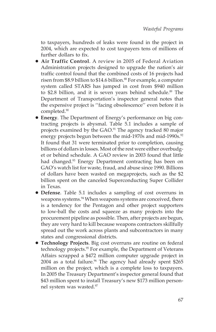to taxpayers, hundreds of leaks were found in the project in 2004, which are expected to cost taxpayers tens of millions of further dollars to fix.

- **Air Traffic Control**. A review in 2005 of Federal Aviation Administration projects designed to upgrade the nation's air traffic control found that the combined costs of 16 projects had risen from \$8.9 billion to \$14.6 billion.<sup>88</sup> For example, a computer system called STARS has jumped in cost from \$940 million to \$2.8 billion, and it is seven years behind schedule.<sup>89</sup> The Department of Transportation's inspector general notes that the expensive project is ''facing obsolescence'' even before it is completed.<sup>90</sup>
- **Energy**. The Department of Energy's performance on big contracting projects is abysmal. Table 5.1 includes a sample of projects examined by the GAO.<sup>91</sup> The agency tracked 80 major energy projects begun between the mid-1970s and mid-1990s.<sup>92</sup> It found that 31 were terminated prior to completion, causing billions of dollars in losses. Most of the rest were either overbudget or behind schedule. A GAO review in 2003 found that little had changed.<sup>93</sup> Energy Department contracting has been on GAO's watch list for waste, fraud, and abuse since 1990. Billions of dollars have been wasted on megaprojects, such as the \$2 billion spent on the canceled Superconducting Super Collider in Texas.
- **Defense**. Table 5.1 includes a sampling of cost overruns in weapons systems.94 When weapons systems are conceived, there is a tendency for the Pentagon and other project supporters to low-ball the costs and squeeze as many projects into the procurement pipeline as possible. Then, after projects are begun, they are very hard to kill because weapons contractors skillfully spread out the work across plants and subcontractors in many states and congressional districts.
- **Technology Projects**. Big cost overruns are routine on federal technology projects.<sup>95</sup> For example, the Department of Veterans Affairs scrapped a \$472 million computer upgrade project in  $2004$  as a total failure.<sup>96</sup> The agency had already spent \$265 million on the project, which is a complete loss to taxpayers. In 2005 the Treasury Department's inspector general found that \$43 million spent to install Treasury's new \$173 million personnel system was wasted.<sup>97</sup>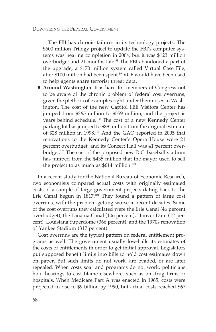The FBI has chronic failures in its technology projects. The \$600 million Trilogy project to update the FBI's computer systems was nearing completion in 2004, but it was \$123 million overbudget and 21 months late.<sup>98</sup> The FBI abandoned a part of the upgrade, a \$170 million system called Virtual Case File, after \$100 million had been spent.<sup>99</sup> VCF would have been used to help agents share terrorist threat data.

● **Around Washington**. It is hard for members of Congress not to be aware of the chronic problem of federal cost overruns, given the plethora of examples right under their noses in Washington. The cost of the new Capitol Hill Visitors Center has jumped from \$265 million to \$559 million, and the project is years behind schedule.100 The cost of a new Kennedy Center parking lot has jumped to \$88 million from the original estimate of \$28 million in 1998.101 And the GAO reported in 2005 that renovations to the Kennedy Center's Opera House were 21 percent overbudget, and its Concert Hall was 41 percent overbudget.102 The cost of the proposed new D.C. baseball stadium has jumped from the \$435 million that the mayor used to sell the project to as much as \$614 million.<sup>103</sup>

In a recent study for the National Bureau of Economic Research, two economists compared actual costs with originally estimated costs of a sample of large government projects dating back to the Erie Canal begun in 1817.104 They found a pattern of large cost overruns, with the problem getting worse in recent decades. Some of the cost overruns they calculated were the Erie Canal (46 percent overbudget), the Panama Canal (106 percent), Hoover Dam (12 percent), Louisiana Superdome (366 percent), and the 1970s renovation of Yankee Stadium (317 percent).

Cost overruns are the typical pattern on federal entitlement programs as well. The government usually low-balls its estimates of the costs of entitlements in order to get initial approval. Legislators put supposed benefit limits into bills to hold cost estimates down on paper. But such limits do not work, are evaded, or are later repealed. When costs soar and programs do not work, politicians hold hearings to cast blame elsewhere, such as on drug firms or hospitals. When Medicare Part A was enacted in 1965, costs were projected to rise to \$9 billion by 1990, but actual costs reached \$67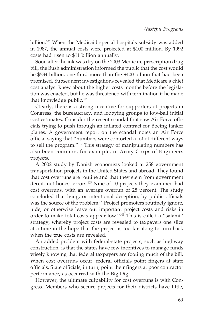billion.105 When the Medicaid special hospitals subsidy was added in 1987, the annual costs were projected at \$100 million. By 1992 costs had risen to \$11 billion annually.

Soon after the ink was dry on the 2003 Medicare prescription drug bill, the Bush administration informed the public that the cost would be \$534 billion, one-third more than the \$400 billion that had been promised. Subsequent investigations revealed that Medicare's chief cost analyst knew about the higher costs months before the legislation was enacted, but he was threatened with termination if he made that knowledge public.106

Clearly, there is a strong incentive for supporters of projects in Congress, the bureaucracy, and lobbying groups to low-ball initial cost estimates. Consider the recent scandal that saw Air Force officials trying to push through an inflated contract for Boeing tanker planes. A government report on the scandal notes an Air Force official saying that ''numbers were contorted a lot of different ways to sell the program.''107 This strategy of manipulating numbers has also been common, for example, in Army Corps of Engineers projects.

A 2002 study by Danish economists looked at 258 government transportation projects in the United States and abroad. They found that cost overruns are routine and that they stem from government deceit, not honest errors.108 Nine of 10 projects they examined had cost overruns, with an average overrun of 28 percent. The study concluded that lying, or intentional deception, by public officials was the source of the problem: ''Project promoters routinely ignore, hide, or otherwise leave out important project costs and risks in order to make total costs appear low.''109 This is called a ''salami'' strategy, whereby project costs are revealed to taxpayers one slice at a time in the hope that the project is too far along to turn back when the true costs are revealed.

An added problem with federal-state projects, such as highway construction, is that the states have few incentives to manage funds wisely knowing that federal taxpayers are footing much of the bill. When cost overruns occur, federal officials point fingers at state officials. State officials, in turn, point their fingers at poor contractor performance, as occurred with the Big Dig.

However, the ultimate culpability for cost overruns is with Congress. Members who secure projects for their districts have little,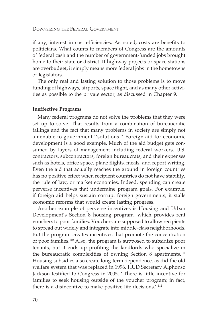if any, interest in cost efficiencies. As noted, costs are benefits to politicians. What counts to members of Congress are the amounts of federal cash and the number of government-funded jobs brought home to their state or district. If highway projects or space stations are overbudget, it simply means more federal jobs in the hometowns of legislators.

The only real and lasting solution to those problems is to move funding of highways, airports, space flight, and as many other activities as possible to the private sector, as discussed in Chapter 9.

## **Ineffective Programs**

Many federal programs do not solve the problems that they were set up to solve. That results from a combination of bureaucratic failings and the fact that many problems in society are simply not amenable to government ''solutions.'' Foreign aid for economic development is a good example. Much of the aid budget gets consumed by layers of management including federal workers, U.S. contractors, subcontractors, foreign bureaucrats, and their expenses such as hotels, office space, plane flights, meals, and report writing. Even the aid that actually reaches the ground in foreign countries has no positive effect when recipient countries do not have stability, the rule of law, or market economies. Indeed, spending can create perverse incentives that undermine program goals. For example, if foreign aid helps sustain corrupt foreign governments, it stalls economic reforms that would create lasting progress.

Another example of perverse incentives is Housing and Urban Development's Section 8 housing program, which provides rent vouchers to poor families. Vouchers are supposed to allow recipients to spread out widely and integrate into middle-class neighborhoods. But the program creates incentives that promote the concentration of poor families.110 Also, the program is supposed to subsidize poor tenants, but it ends up profiting the landlords who specialize in the bureaucratic complexities of owning Section 8 apartments.<sup>111</sup> Housing subsidies also create long-term dependence, as did the old welfare system that was replaced in 1996. HUD Secretary Alphonso Jackson testified to Congress in 2005, ''There is little incentive for families to seek housing outside of the voucher program; in fact, there is a disincentive to make positive life decisions.''112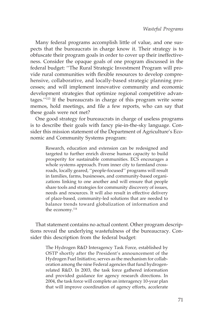Many federal programs accomplish little of value, and one suspects that the bureaucrats in charge know it. Their strategy is to obfuscate their program goals in order to cover up their ineffectiveness. Consider the opaque goals of one program discussed in the federal budget: ''The Rural Strategic Investment Program will provide rural communities with flexible resources to develop comprehensive, collaborative, and locally-based strategic planning processes; and will implement innovative community and economic development strategies that optimize regional competitive advantages.''113 If the bureaucrats in charge of this program write some memos, hold meetings, and file a few reports, who can say that these goals were not met?

One good strategy for bureaucrats in charge of useless programs is to describe their goals with fancy pie-in-the-sky language. Consider this mission statement of the Department of Agriculture's Economic and Community Systems program:

Research, education and extension can be redesigned and targeted to further enrich diverse human capacity to build prosperity for sustainable communities. ECS encourages a whole systems approach. From inner city to farmland crossroads, locally geared, ''people-focused'' programs will result in families, farms, businesses, and community-based organizations linking to one another and will ensure that people share tools and strategies for community discovery of issues, needs and resources. It will also result in effective delivery of place-based, community-led solutions that are needed to balance trends toward globalization of information and the economy.<sup>114</sup>

That statement contains no actual content. Other program descriptions reveal the underlying wastefulness of the bureaucracy. Consider this description from the federal budget:

The Hydrogen R&D Interagency Task Force, established by OSTP shortly after the President's announcement of the Hydrogen Fuel Initiative, serves as the mechanism for collaboration among the nine Federal agencies that fund hydrogenrelated R&D. In 2003, the task force gathered information and provided guidance for agency research directions. In 2004, the task force will complete an interagency 10-year plan that will improve coordination of agency efforts, accelerate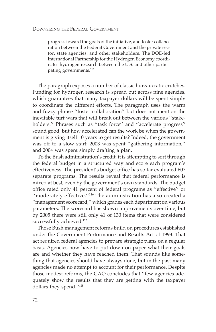progress toward the goals of the initiative, and foster collaboration between the Federal Government and the private sector, state agencies, and other stakeholders. The DOE-led International Partnership for the Hydrogen Economy coordinates hydrogen research between the U.S. and other participating governments.<sup>115</sup>

The paragraph exposes a number of classic bureaucratic crutches. Funding for hydrogen research is spread out across nine agencies, which guarantees that many taxpayer dollars will be spent simply to coordinate the different efforts. The paragraph uses the warm and fuzzy phrase ''foster collaboration'' but does not mention the inevitable turf wars that will break out between the various ''stakeholders." Phrases such as "task force" and "accelerate progress" sound good, but how accelerated can the work be when the government is giving itself 10 years to get results? Indeed, the government was off to a slow start: 2003 was spent ''gathering information,'' and 2004 was spent simply drafting a plan.

To the Bush administration's credit, it is attempting to sort through the federal budget in a structured way and score each program's effectiveness. The president's budget office has so far evaluated 607 separate programs. The results reveal that federal performance is mixed at best, even by the government's own standards. The budget office rated only 41 percent of federal programs as ''effective'' or ''moderately effective.''116 The administration has also created a ''management scorecard,'' which grades each department on various parameters. The scorecard has shown improvements over time, but by 2005 there were still only 41 of 130 items that were considered successfully achieved.<sup>117</sup>

Those Bush management reforms build on procedures established under the Government Performance and Results Act of 1993. That act required federal agencies to prepare strategic plans on a regular basis. Agencies now have to put down on paper what their goals are and whether they have reached them. That sounds like something that agencies should have always done, but in the past many agencies made no attempt to account for their performance. Despite those modest reforms, the GAO concludes that ''few agencies adequately show the results that they are getting with the taxpayer dollars they spend.''118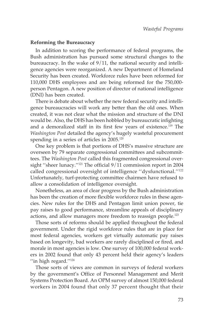#### **Reforming the Bureaucracy**

In addition to scoring the performance of federal programs, the Bush administration has pursued some structural changes to the bureaucracy. In the wake of 9/11, the national security and intelligence agencies were reorganized. A new Department of Homeland Security has been created. Workforce rules have been reformed for 110,000 DHS employees and are being reformed for the 750,000 person Pentagon. A new position of director of national intelligence (DNI) has been created.

There is debate about whether the new federal security and intelligence bureaucracies will work any better than the old ones. When created, it was not clear what the mission and structure of the DNI would be. Also, the DHS has been hobbled by bureaucratic infighting and a demoralized staff in its first few years of existence.<sup>119</sup> The *Washington Post* detailed the agency's hugely wasteful procurement spending in a series of articles in 2005.<sup>120</sup>

One key problem is that portions of DHS's massive structure are overseen by 79 separate congressional committees and subcommittees. The *Washington Post* called this fragmented congressional oversight ''sheer lunacy.''121 The official 9/11 commission report in 2004 called congressional oversight of intelligence ''dysfunctional.''122 Unfortunately, turf-protecting committee chairmen have refused to allow a consolidation of intelligence oversight.

Nonetheless, an area of clear progress by the Bush administration has been the creation of more flexible workforce rules in these agencies. New rules for the DHS and Pentagon limit union power, tie pay raises to good performance, streamline appeals of disciplinary actions, and allow managers more freedom to reassign people.<sup>123</sup>

Those sorts of reforms should be applied throughout the federal government. Under the rigid workforce rules that are in place for most federal agencies, workers get virtually automatic pay raises based on longevity, bad workers are rarely disciplined or fired, and morale in most agencies is low. One survey of 100,000 federal workers in 2002 found that only 43 percent held their agency's leaders "in high regard."<sup>124</sup>

Those sorts of views are common in surveys of federal workers by the government's Office of Personnel Management and Merit Systems Protection Board. An OPM survey of almost 150,000 federal workers in 2004 found that only 37 percent thought that their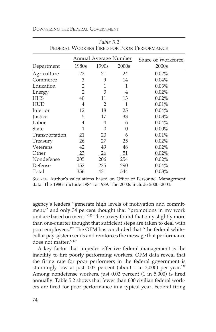|                |                |                       |       | FEDERAL WORKERS FIRED FOR POOR PERFORMANCE |
|----------------|----------------|-----------------------|-------|--------------------------------------------|
|                |                | Annual Average Number |       | Share of Workforce,                        |
| Department     | 1980s          | 1990 <sub>s</sub>     | 2000s | 2000 <sub>s</sub>                          |
| Agriculture    | 22             | 21                    | 24    | 0.02%                                      |
| Commerce       | 3              | 9                     | 14    | 0.04%                                      |
| Education      | 2              | 1                     | 1     | 0.03%                                      |
| Energy         | $\overline{2}$ | 3                     | 4     | 0.02%                                      |
| <b>HHS</b>     | 40             | 11                    | 13    | 0.02%                                      |
| <b>HUD</b>     | 4              | $\overline{2}$        | 1     | 0.01%                                      |
| Interior       | 12             | 18                    | 25    | 0.04%                                      |
| Justice        | 5              | 17                    | 33    | 0.03%                                      |
| Labor          | 4              | 4                     | 6     | 0.04%                                      |
| State          | 1              | $\Omega$              | 0     | 0.00%                                      |
| Transportation | 21             | 20                    | 6     | 0.01%                                      |
| Treasury       | 26             | 27                    | 25    | 0.02%                                      |
| Veterans       | 42             | 49                    | 48    | 0.02%                                      |
| Other          | 23             | 26                    | 51    | 0.02%                                      |
| Nondefense     | 205            | 206                   | 254   | 0.02%                                      |
| Defense        | 152            | 225                   | 290   | 0.04%                                      |
| Total          | 356            | 431                   | 544   | 0.03%                                      |

*Table 5.2*

DOWNSIZING THE FEDERAL GOVERNMENT

SOURCE: Author's calculations based on Office of Personnel Management data. The 1980s include 1984 to 1989. The 2000s include 2000–2004.

agency's leaders ''generate high levels of motivation and commitment,'' and only 34 percent thought that ''promotions in my work unit are based on merit.''125 The survey found that only slightly more than one-quarter thought that sufficient steps are taken to deal with poor employees.126 The OPM has concluded that ''the federal whitecollar pay system sends and reinforces the message that performance does not matter.''127

A key factor that impedes effective federal management is the inability to fire poorly performing workers. OPM data reveal that the firing rate for poor performers in the federal government is stunningly low at just  $0.03$  percent (about 1 in 3,000) per year.<sup>128</sup> Among nondefense workers, just 0.02 percent (1 in 5,000) is fired annually. Table 5.2 shows that fewer than 600 civilian federal workers are fired for poor performance in a typical year. Federal firing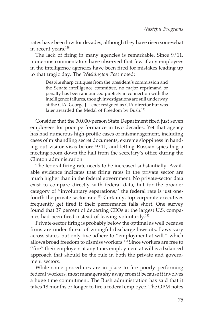rates have been low for decades, although they have risen somewhat in recent years.<sup>129</sup>

The lack of firing in many agencies is remarkable. Since 9/11, numerous commentators have observed that few if any employees in the intelligence agencies have been fired for mistakes leading up to that tragic day. The *Washington Post* noted:

Despite sharp critiques from the president's commission and the Senate intelligence committee, no major reprimand or penalty has been announced publicly in connection with the intelligence failures, though investigations are still underway at the CIA. George J. Tenet resigned as CIA director but was later awarded the Medal of Freedom by Bush.<sup>130</sup>

Consider that the 30,000-person State Department fired just seven employees for poor performance in two decades. Yet that agency has had numerous high-profile cases of mismanagement, including cases of mishandling secret documents, extreme sloppiness in handing out visitor visas before 9/11, and letting Russian spies bug a meeting room down the hall from the secretary's office during the Clinton administration.

The federal firing rate needs to be increased substantially. Available evidence indicates that firing rates in the private sector are much higher than in the federal government. No private-sector data exist to compare directly with federal data, but for the broader category of ''involuntary separations,'' the federal rate is just onefourth the private-sector rate.131 Certainly, top corporate executives frequently get fired if their performance falls short. One survey found that 37 percent of departing CEOs at the largest U.S. companies had been fired instead of leaving voluntarily.132

Private-sector firing is probably below the optimal as well because firms are under threat of wrongful discharge lawsuits. Laws vary across states, but only five adhere to ''employment at will,'' which allows broad freedom to dismiss workers.133 Since workers are free to ''fire'' their employers at any time, employment at will is a balanced approach that should be the rule in both the private and government sectors.

While some procedures are in place to fire poorly performing federal workers, most managers shy away from it because it involves a huge time commitment. The Bush administration has said that it takes 18 months or longer to fire a federal employee. The OPM notes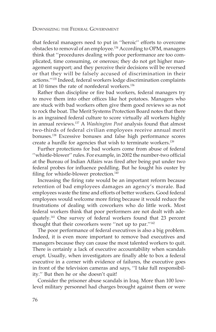that federal managers need to put in ''heroic'' efforts to overcome obstacles to removal of an employee.134 According to OPM, managers think that ''procedures dealing with poor performance are too complicated, time consuming, or onerous; they do not get higher management support; and they perceive their decisions will be reversed or that they will be falsely accused of discrimination in their actions.''135 Indeed, federal workers lodge discrimination complaints at 10 times the rate of nonfederal workers.136

Rather than discipline or fire bad workers, federal managers try to move them into other offices like hot potatoes. Managers who are stuck with bad workers often give them good reviews so as not to rock the boat. The Merit Systems Protection Board notes that there is an ingrained federal culture to score virtually all workers highly in annual reviews.137 A *Washington Post* analysis found that almost two-thirds of federal civilian employees receive annual merit bonuses.138 Excessive bonuses and false high performance scores create a hurdle for agencies that wish to terminate workers.139

Further protections for bad workers come from abuse of federal ''whistle-blower'' rules. For example, in 2002 the number-two official at the Bureau of Indian Affairs was fired after being put under two federal probes for influence peddling. But he fought his ouster by filing for whistle-blower protection. $140$ 

Increasing the firing rate would be an important reform because retention of bad employees damages an agency's morale. Bad employees waste the time and efforts of better workers. Good federal employees would welcome more firing because it would reduce the frustrations of dealing with coworkers who do little work. Most federal workers think that poor performers are not dealt with adequately.141 One survey of federal workers found that 23 percent thought that their coworkers were ''not up to par.''142

The poor performance of federal executives is also a big problem. Indeed, it is even more important to remove bad executives and managers because they can cause the most talented workers to quit. There is certainly a lack of executive accountability when scandals erupt. Usually, when investigators are finally able to box a federal executive in a corner with evidence of failures, the executive goes in front of the television cameras and says, ''I take full responsibility.'' But then he or she doesn't quit!

Consider the prisoner abuse scandals in Iraq. More than 100 lowlevel military personnel had charges brought against them or were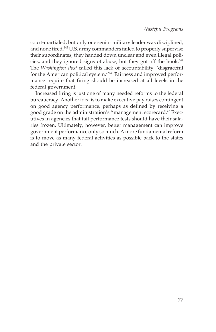court-martialed, but only one senior military leader was disciplined, and none fired.143 U.S. army commanders failed to properly supervise their subordinates, they handed down unclear and even illegal policies, and they ignored signs of abuse, but they got off the hook.144 The *Washington Post* called this lack of accountability ''disgraceful for the American political system.''145 Fairness and improved performance require that firing should be increased at all levels in the federal government.

Increased firing is just one of many needed reforms to the federal bureaucracy. Another idea is to make executive pay raises contingent on good agency performance, perhaps as defined by receiving a good grade on the administration's ''management scorecard.'' Executives in agencies that fail performance tests should have their salaries frozen. Ultimately, however, better management can improve government performance only so much. A more fundamental reform is to move as many federal activities as possible back to the states and the private sector.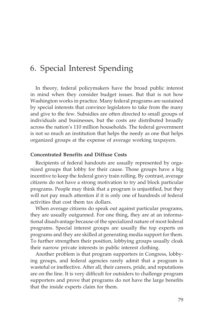# 6. Special Interest Spending

In theory, federal policymakers have the broad public interest in mind when they consider budget issues. But that is not how Washington works in practice. Many federal programs are sustained by special interests that convince legislators to take from the many and give to the few. Subsidies are often directed to small groups of individuals and businesses, but the costs are distributed broadly across the nation's 110 million households. The federal government is not so much an institution that helps the needy as one that helps organized groups at the expense of average working taxpayers.

## **Concentrated Benefits and Diffuse Costs**

Recipients of federal handouts are usually represented by organized groups that lobby for their cause. Those groups have a big incentive to keep the federal gravy train rolling. By contrast, average citizens do not have a strong motivation to try and block particular programs. People may think that a program is unjustified, but they will not pay much attention if it is only one of hundreds of federal activities that cost them tax dollars.

When average citizens do speak out against particular programs, they are usually outgunned. For one thing, they are at an informational disadvantage because of the specialized nature of most federal programs. Special interest groups are usually the top experts on programs and they are skilled at generating media support for them. To further strengthen their position, lobbying groups usually cloak their narrow private interests in public interest clothing.

Another problem is that program supporters in Congress, lobbying groups, and federal agencies rarely admit that a program is wasteful or ineffective. After all, their careers, pride, and reputations are on the line. It is very difficult for outsiders to challenge program supporters and prove that programs do not have the large benefits that the inside experts claim for them.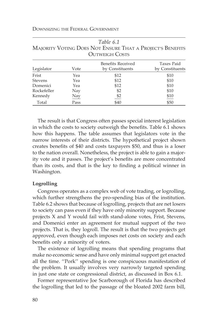| <b>DOWNSIZING THE FEDERAL GOVERNMENT</b> |
|------------------------------------------|
|------------------------------------------|

|                |      | Table 6.1<br>MAJORITY VOTING DOES NOT ENSURE THAT A PROJECT'S BENEFITS<br><b>OUTWEIGH COSTS</b> |                               |
|----------------|------|-------------------------------------------------------------------------------------------------|-------------------------------|
| Legislator     | Vote | <b>Benefits Received</b><br>by Constituents                                                     | Taxes Paid<br>by Constituents |
| Frist          | Yea  | \$12                                                                                            | \$10                          |
| <b>Stevens</b> | Yea  | \$12                                                                                            | \$10                          |
| Domenici       | Yea  | \$12                                                                                            | \$10                          |
| Rockefeller    | Nay  | \$2                                                                                             | \$10                          |
| Kennedy        | Nay  | $\frac{$2}{}$                                                                                   | \$10                          |
| Total          | Pass | \$40                                                                                            | \$50                          |

*Table 6.1*

The result is that Congress often passes special interest legislation in which the costs to society outweigh the benefits. Table 6.1 shows how this happens. The table assumes that legislators vote in the narrow interests of their districts. The hypothetical project shown creates benefits of \$40 and costs taxpayers \$50, and thus is a loser to the nation overall. Nonetheless, the project is able to gain a majority vote and it passes. The project's benefits are more concentrated than its costs, and that is the key to finding a political winner in Washington.

## **Logrolling**

Congress operates as a complex web of vote trading, or logrolling, which further strengthens the pro-spending bias of the institution. Table 6.2 shows that because of logrolling, projects that are net losers to society can pass even if they have only minority support. Because projects X and Y would fail with stand-alone votes, Frist, Stevens, and Domenici enter an agreement for mutual support of the two projects. That is, they logroll. The result is that the two projects get approved, even though each imposes net costs on society and each benefits only a minority of voters.

The existence of logrolling means that spending programs that make no economic sense and have only minimal support get enacted all the time. ''Pork'' spending is one conspicuous manifestation of the problem. It usually involves very narrowly targeted spending in just one state or congressional district, as discussed in Box 6.1.

Former representative Joe Scarborough of Florida has described the logrolling that led to the passage of the bloated 2002 farm bill,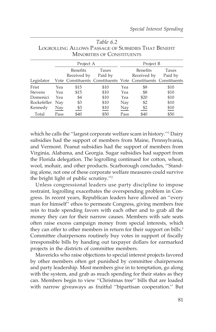|                |      |                                | <u>IVIIINUKITIES UP CUNSTITUEINTS</u> |      |                                                               |                   |
|----------------|------|--------------------------------|---------------------------------------|------|---------------------------------------------------------------|-------------------|
|                |      | Project A                      |                                       |      | Project B                                                     |                   |
|                |      | <b>Benefits</b><br>Received by | Taxes<br>Paid by                      |      | <b>Benefits</b><br>Received by                                | Taxes<br>Paid by  |
| Legislator     |      |                                |                                       |      | Vote Constituents Constituents Vote Constituents Constituents |                   |
| Frist          | Yea  | \$15                           | \$10                                  | Yea  | \$8                                                           | \$10              |
| <b>Stevens</b> | Yea  | \$15                           | \$10                                  | Yea  | \$8                                                           | \$10              |
| Domenici       | Yea  | \$4                            | \$10                                  | Yea  | \$20                                                          | \$10              |
| Rockefeller    | Nay  | \$3                            | \$10                                  | Nay  | \$2                                                           | \$10              |
| Kennedy        | Nay  | $\frac{$3}{}$                  | \$10                                  | Nay  | $\frac{$2}{2}$                                                | $\underline{$10}$ |
| Total          | Pass | \$40                           | \$50                                  | Pass | \$40                                                          | \$50              |

| Table 6.2                                           |
|-----------------------------------------------------|
| LOGROLLING ALLOWS PASSAGE OF SUBSIDIES THAT BENEFIT |
| <b>MINORITIES OF CONSTITUENTS</b>                   |

which he calls the ''largest corporate welfare scam in history.''1 Dairy subsidies had the support of members from Maine, Pennsylvania, and Vermont. Peanut subsidies had the support of members from Virginia, Alabama, and Georgia. Sugar subsidies had support from the Florida delegation. The logrolling continued for cotton, wheat, wool, mohair, and other products. Scarborough concludes, ''Standing alone, not one of these corporate welfare measures could survive the bright light of public scrutiny.''2

Unless congressional leaders use party discipline to impose restraint, logrolling exacerbates the overspending problem in Congress. In recent years, Republican leaders have allowed an ''every man for himself'' ethos to permeate Congress, giving members free rein to trade spending favors with each other and to grab all the money they can for their narrow causes. Members with safe seats often raise excess campaign money from special interests, which they can offer to other members in return for their support on bills.<sup>3</sup> Committee chairpersons routinely buy votes in support of fiscally irresponsible bills by handing out taxpayer dollars for earmarked projects in the districts of committee members.

Mavericks who raise objections to special interest projects favored by other members often get punished by committee chairpersons and party leadership. Most members give in to temptation, go along with the system, and grab as much spending for their states as they can. Members begin to view ''Christmas tree'' bills that are loaded with narrow giveaways as fruitful ''bipartisan cooperation.'' But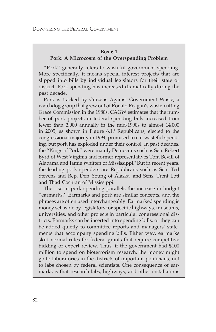## **Box 6.1**

## **Pork: A Microcosm of the Overspending Problem**

''Pork'' generally refers to wasteful government spending. More specifically, it means special interest projects that are slipped into bills by individual legislators for their state or district. Pork spending has increased dramatically during the past decade.

Pork is tracked by Citizens Against Government Waste, a watchdog group that grew out of Ronald Reagan's waste-cutting Grace Commission in the 1980s. CAGW estimates that the number of pork projects in federal spending bills increased from fewer than 2,000 annually in the mid-1990s to almost 14,000 in 2005, as shown in Figure  $6.1<sup>1</sup>$  Republicans, elected to the congressional majority in 1994, promised to cut wasteful spending, but pork has exploded under their control. In past decades, the ''Kings of Pork'' were mainly Democrats such as Sen. Robert Byrd of West Virginia and former representatives Tom Bevill of Alabama and Jamie Whitten of Mississippi.2 But in recent years, the leading pork spenders are Republicans such as Sen. Ted Stevens and Rep. Don Young of Alaska, and Sens. Trent Lott and Thad Cochran of Mississippi.

The rise in pork spending parallels the increase in budget ''earmarks.'' Earmarks and pork are similar concepts, and the phrases are often used interchangeably. Earmarked spending is money set aside by legislators for specific highways, museums, universities, and other projects in particular congressional districts. Earmarks can be inserted into spending bills, or they can be added quietly to committee reports and managers' statements that accompany spending bills. Either way, earmarks skirt normal rules for federal grants that require competitive bidding or expert review. Thus, if the government had \$100 million to spend on bioterrorism research, the money might go to laboratories in the districts of important politicians, not to labs chosen by federal scientists. One consequence of earmarks is that research labs, highways, and other installations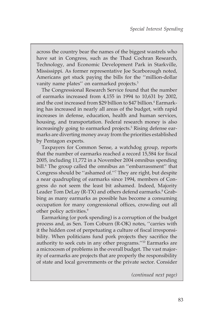across the country bear the names of the biggest wastrels who have sat in Congress, such as the Thad Cochran Research, Technology, and Economic Development Park in Starkville, Mississippi. As former representative Joe Scarborough noted, Americans get stuck paying the bills for the ''million-dollar vanity name plates" on earmarked projects.<sup>3</sup>

The Congressional Research Service found that the number of earmarks increased from 4,155 in 1994 to 10,631 by 2002, and the cost increased from \$29 billion to \$47 billion.<sup>4</sup> Earmarking has increased in nearly all areas of the budget, with rapid increases in defense, education, health and human services, housing, and transportation. Federal research money is also increasingly going to earmarked projects.<sup>5</sup> Rising defense earmarks are diverting money away from the priorities established by Pentagon experts.

Taxpayers for Common Sense, a watchdog group, reports that the number of earmarks reached a record 15,584 for fiscal 2005, including 11,772 in a November 2004 omnibus spending bill.<sup>6</sup> The group called the omnibus an "embarrassment" that Congress should be ''ashamed of.''7 They are right, but despite a near quadrupling of earmarks since 1994, members of Congress do not seem the least bit ashamed. Indeed, Majority Leader Tom DeLay (R-TX) and others defend earmarks.<sup>8</sup> Grabbing as many earmarks as possible has become a consuming occupation for many congressional offices, crowding out all other policy activities.<sup>9</sup>

Earmarking (or pork spending) is a corruption of the budget process and, as Sen. Tom Coburn (R-OK) notes, ''carries with it the hidden cost of perpetuating a culture of fiscal irresponsibility. When politicians fund pork projects they sacrifice the authority to seek cuts in any other programs.''10 Earmarks are a microcosm of problems in the overall budget. The vast majority of earmarks are projects that are properly the responsibility of state and local governments or the private sector. Consider

*(continued next page)*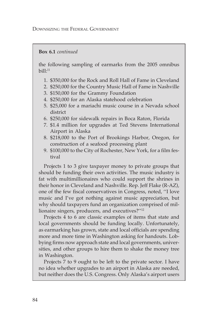## **Box 6.1** *continued*

the following sampling of earmarks from the 2005 omnibus  $bill:$ <sup>11</sup>

- 1. \$350,000 for the Rock and Roll Hall of Fame in Cleveland
- 2. \$250,000 for the Country Music Hall of Fame in Nashville
- 3. \$150,000 for the Grammy Foundation
- 4. \$250,000 for an Alaska statehood celebration
- 5. \$25,000 for a mariachi music course in a Nevada school district
- 6. \$250,000 for sidewalk repairs in Boca Raton, Florida
- 7. \$1.4 million for upgrades at Ted Stevens International Airport in Alaska
- 8. \$218,000 to the Port of Brookings Harbor, Oregon, for construction of a seafood processing plant
- 9. \$100,000 to the City of Rochester, New York, for a film festival

Projects 1 to 3 give taxpayer money to private groups that should be funding their own activities. The music industry is fat with multimillionaires who could support the shrines in their honor in Cleveland and Nashville. Rep. Jeff Flake (R-AZ), one of the few fiscal conservatives in Congress, noted, ''I love music and I've got nothing against music appreciation, but why should taxpayers fund an organization comprised of millionaire singers, producers, and executives?''12

Projects 4 to 6 are classic examples of items that state and local governments should be funding locally. Unfortunately, as earmarking has grown, state and local officials are spending more and more time in Washington asking for handouts. Lobbying firms now approach state and local governments, universities, and other groups to hire them to shake the money tree in Washington.

Projects 7 to 9 ought to be left to the private sector. I have no idea whether upgrades to an airport in Alaska are needed, but neither does the U.S. Congress. Only Alaska's airport users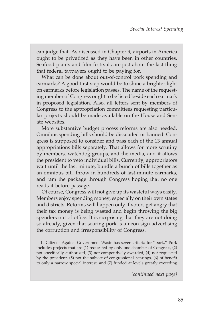can judge that. As discussed in Chapter 9, airports in America ought to be privatized as they have been in other countries. Seafood plants and film festivals are just about the last thing that federal taxpayers ought to be paying for.

What can be done about out-of-control pork spending and earmarks? A good first step would be to shine a brighter light on earmarks before legislation passes. The name of the requesting member of Congress ought to be listed beside each earmark in proposed legislation. Also, all letters sent by members of Congress to the appropriation committees requesting particular projects should be made available on the House and Senate websites.

More substantive budget process reforms are also needed. Omnibus spending bills should be dissuaded or banned. Congress is supposed to consider and pass each of the 13 annual appropriations bills separately. That allows for more scrutiny by members, watchdog groups, and the media, and it allows the president to veto individual bills. Currently, appropriators wait until the last minute, bundle a bunch of bills together as an omnibus bill, throw in hundreds of last-minute earmarks, and ram the package through Congress hoping that no one reads it before passage.

Of course, Congress will not give up its wasteful ways easily. Members enjoy spending money, especially on their own states and districts. Reforms will happen only if voters get angry that their tax money is being wasted and begin throwing the big spenders out of office. It is surprising that they are not doing so already, given that soaring pork is a neon sign advertising the corruption and irresponsibility of Congress.

*(continued next page)*

<sup>1.</sup> Citizens Against Government Waste has seven criteria for ''pork.'' Pork includes projects that are (1) requested by only one chamber of Congress, (2) not specifically authorized, (3) not competitively awarded, (4) not requested by the president, (5) not the subject of congressional hearings, (6) of benefit to only a narrow special interest, and (7) funded at levels greatly exceeding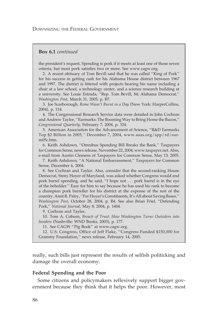#### **Box 6.1** *continued*

the president's request. Spending is pork if it meets at least one of those seven criteria, but most pork satisfies two or more. See www.cagw.org.

2. A recent obituary of Tom Bevill said that he was called ''King of Pork'' for his success in getting cash for his Alabama House district between 1967 and 1997. The district is littered with projects bearing his name including a chair at a law school, a technology center, and a science research building at a university. See Louie Estrada, ''Rep. Tom Bevill, 84; Alabama Democrat,'' *Washington Post*, March 31, 2005, p. B7.

3. Joe Scarborough, *Rome Wasn't Burnt in a Day* (New York: HarperCollins, 2004), p. 114.

4. The Congressional Research Service data were detailed in John Cochran and Andrew Taylor, ''Earmarks: The Booming Way to Bring Home the Bacon,'' *Congressional Quarterly*, February 7, 2004, p. 324.

5. American Association for the Advancement of Science, ''R&D Earmarks Top \$2 Billion in 2005,'' December 7, 2004, www.aaas.org/spp/rd/earm05c.htm.

6. Keith Ashdown, ''Omnibus Spending Bill Breaks the Bank,'' Taxpayers for Common Sense, news release, November 22, 2004, www.taxpayer.net. Also, e-mail from Austin Clemens of Taxpayers for Common Sense, May 13, 2005.

7. Keith Ashdown, ''A National Embarrassment,'' Taxpayers for Common Sense, December 6, 2004.

8. See Cochran and Taylor. Also, consider that the second-ranking House Democrat, Steny Hoyer of Maryland, was asked whether Congress would end pork barrel spending, and he said, ''I hope not . . . pork barrel is in the eye of the beholder.'' Easy for him to say because he has used his rank to become a champion pork barreller for his district at the expense of the rest of the country. Amit R. Paley, ''For Hoyer's Constituents, It's All about Saving Bases,'' *Washington Post*, October 28, 2004, p. B4. See also Brian Friel, ''Defending Pork,'' *National Journal*, May 8, 2004, p. 1404.

9. Cochran and Taylor.

10. Tom A. Coburn, *Breach of Trust: How Washington Turns Outsiders into Insiders* (Nashville: WND Books, 2003), p. 177.

11. See CAGW ''Pig Book'' at www.cagw.org.

12. U.S. Congress, Office of Jeff Flake, ''Congress Funded \$150,000 for Grammy Foundation,'' news release, February 14, 2005.

really, such bills just represent the results of selfish politicking and damage the overall economy.

## **Federal Spending and the Poor**

Some citizens and policymakers reflexively support bigger government because they think that it helps the poor. However, most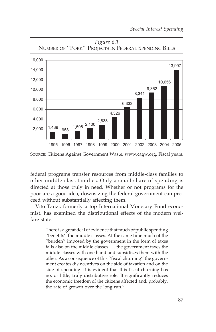

*Figure 6.1*

SOURCE: Citizens Against Government Waste, www.cagw.org. Fiscal years.

federal programs transfer resources from middle-class families to other middle-class families. Only a small share of spending is directed at those truly in need. Whether or not programs for the poor are a good idea, downsizing the federal government can proceed without substantially affecting them.

Vito Tanzi, formerly a top International Monetary Fund economist, has examined the distributional effects of the modern welfare state:

There is a great deal of evidence that much of public spending ''benefits'' the middle classes. At the same time much of the ''burden'' imposed by the government in the form of taxes falls also on the middle classes . . . the government taxes the middle classes with one hand and subsidizes them with the other. As a consequence of this ''fiscal churning'' the government creates disincentives on the side of taxation and on the side of spending. It is evident that this fiscal churning has no, or little, truly distributive role. It significantly reduces the economic freedom of the citizens affected and, probably, the rate of growth over the long run.<sup>4</sup>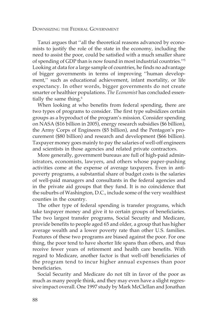Tanzi argues that ''all the theoretical reasons advanced by economists to justify the role of the state in the economy, including the need to assist the poor, could be satisfied with a much smaller share of spending of GDP than is now found in most industrial countries.''5 Looking at data for a large sample of countries, he finds no advantage of bigger governments in terms of improving ''human development,'' such as educational achievement, infant mortality, or life expectancy. In other words, bigger governments do not create smarter or healthier populations. *The Economist* has concluded essentially the same thing.<sup>6</sup>

When looking at who benefits from federal spending, there are two types of programs to consider. The first type subsidizes certain groups as a byproduct of the program's mission. Consider spending on NASA (\$16 billion in 2005), energy research subsidies (\$6 billion), the Army Corps of Engineers (\$5 billion), and the Pentagon's procurement (\$80 billion) and research and development (\$66 billion). Taxpayer money goes mainly to pay the salaries of well-off engineers and scientists in those agencies and related private contractors.

More generally, government bureaus are full of high-paid administrators, economists, lawyers, and others whose paper-pushing activities come at the expense of average taxpayers. Even in antipoverty programs, a substantial share of budget costs is the salaries of well-paid managers and consultants in the federal agencies and in the private aid groups that they fund. It is no coincidence that the suburbs of Washington, D.C., include some of the very wealthiest counties in the country.

The other type of federal spending is transfer programs, which take taxpayer money and give it to certain groups of beneficiaries. The two largest transfer programs, Social Security and Medicare, provide benefits to people aged 65 and older, a group that has higher average wealth and a lower poverty rate than other U.S. families. Features of these two programs are biased against the poor. For one thing, the poor tend to have shorter life spans than others, and thus receive fewer years of retirement and health care benefits. With regard to Medicare, another factor is that well-off beneficiaries of the program tend to incur higher annual expenses than poor beneficiaries.

Social Security and Medicare do not tilt in favor of the poor as much as many people think, and they may even have a slight regressive impact overall. One 1997 study by Mark McClellan and Jonathan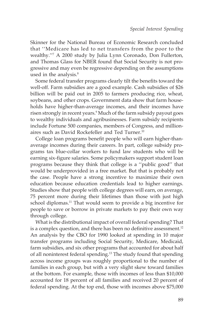Skinner for the National Bureau of Economic Research concluded that ''Medicare has led to net transfers from the poor to the wealthy.''7 A 2000 study by Julia Lynn Coronado, Don Fullerton, and Thomas Glass for NBER found that Social Security is not progressive and may even be regressive depending on the assumptions used in the analysis. $8$ 

Some federal transfer programs clearly tilt the benefits toward the well-off. Farm subsidies are a good example. Cash subsidies of \$26 billion will be paid out in 2005 to farmers producing rice, wheat, soybeans, and other crops. Government data show that farm households have higher-than-average incomes, and their incomes have risen strongly in recent years.<sup>9</sup> Much of the farm subsidy payout goes to wealthy individuals and agribusinesses. Farm subsidy recipients include Fortune 500 companies, members of Congress, and millionaires such as David Rockefeller and Ted Turner.10

College loan programs benefit people who will earn higher-thanaverage incomes during their careers. In part, college subsidy programs tax blue-collar workers to fund law students who will be earning six-figure salaries. Some policymakers support student loan programs because they think that college is a ''public good'' that would be underprovided in a free market. But that is probably not the case. People have a strong incentive to maximize their own education because education credentials lead to higher earnings. Studies show that people with college degrees will earn, on average, 75 percent more during their lifetimes than those with just high school diplomas.<sup>11</sup> That would seem to provide a big incentive for people to save or borrow in private markets to pay their own way through college.

What is the distributional impact of overall federal spending? That is a complex question, and there has been no definitive assessment.<sup>12</sup> An analysis by the CBO for 1990 looked at spending in 10 major transfer programs including Social Security, Medicare, Medicaid, farm subsidies, and six other programs that accounted for about half of all noninterest federal spending.13 The study found that spending across income groups was roughly proportional to the number of families in each group, but with a very slight skew toward families at the bottom. For example, those with incomes of less than \$10,000 accounted for 18 percent of all families and received 20 percent of federal spending. At the top end, those with incomes above \$75,000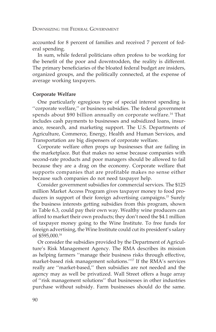accounted for 8 percent of families and received 7 percent of federal spending.

In sum, while federal politicians often profess to be working for the benefit of the poor and downtrodden, the reality is different. The primary beneficiaries of the bloated federal budget are insiders, organized groups, and the politically connected, at the expense of average working taxpayers.

## **Corporate Welfare**

One particularly egregious type of special interest spending is ''corporate welfare,'' or business subsidies. The federal government spends about \$90 billion annually on corporate welfare.<sup>14</sup> That includes cash payments to businesses and subsidized loans, insurance, research, and marketing support. The U.S. Departments of Agriculture, Commerce, Energy, Health and Human Services, and Transportation are big dispensers of corporate welfare.

Corporate welfare often props up businesses that are failing in the marketplace. But that makes no sense because companies with second-rate products and poor managers should be allowed to fail because they are a drag on the economy. Corporate welfare that supports companies that are profitable makes no sense either because such companies do not need taxpayer help.

Consider government subsidies for commercial services. The \$125 million Market Access Program gives taxpayer money to food producers in support of their foreign advertising campaigns.15 Surely the business interests getting subsidies from this program, shown in Table 6.3, could pay their own way. Wealthy wine producers can afford to market their own products; they don't need the \$4.1 million of taxpayer money going to the Wine Institute. To free funds for foreign advertising, the Wine Institute could cut its president's salary of \$595,000.16

Or consider the subsidies provided by the Department of Agriculture's Risk Management Agency. The RMA describes its mission as helping farmers ''manage their business risks through effective, market-based risk management solutions.''17 If the RMA's services really are ''market-based,'' then subsidies are not needed and the agency may as well be privatized. Wall Street offers a huge array of ''risk management solutions'' that businesses in other industries purchase without subsidy. Farm businesses should do the same.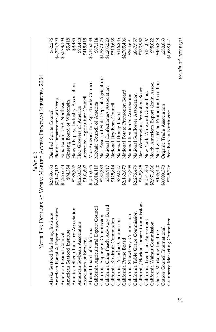| י<br>גי<br>$\frac{1}{2}$<br><b>Limento</b><br>א הבני הראה ולהראה ל<br>ſ<br>ļ<br>֧֧֧֚֚֚֚֚֚֚֚֚֚֚֚֚֚֚֚֝֘֝֓֡֓֡֓֡֓֡֓֡֓֡֓֡֓֡֓֡֓֡֡֬<br>John :<br>14 L T A T T C<br>I<br>$\sim$<br>I |   |
|------------------------------------------------------------------------------------------------------------------------------------------------------------------------------|---|
|                                                                                                                                                                              |   |
|                                                                                                                                                                              |   |
|                                                                                                                                                                              |   |
|                                                                                                                                                                              |   |
|                                                                                                                                                                              |   |
|                                                                                                                                                                              |   |
|                                                                                                                                                                              |   |
|                                                                                                                                                                              |   |
|                                                                                                                                                                              |   |
|                                                                                                                                                                              |   |
|                                                                                                                                                                              |   |
|                                                                                                                                                                              |   |
|                                                                                                                                                                              |   |
|                                                                                                                                                                              |   |
|                                                                                                                                                                              |   |
|                                                                                                                                                                              |   |
|                                                                                                                                                                              |   |
|                                                                                                                                                                              |   |
|                                                                                                                                                                              |   |
|                                                                                                                                                                              |   |
|                                                                                                                                                                              |   |
|                                                                                                                                                                              |   |
|                                                                                                                                                                              | l |

| Alaska Seafood Marketing Institute     | \$2,969,653 | Distilled Spirits Council                | \$62,276    |
|----------------------------------------|-------------|------------------------------------------|-------------|
| American Forest & Paper Association    | \$7,147,112 | Florida Department of Citrus             | \$4,776,799 |
| American Peanut Council                | \$1,265,673 | Food Export USA Northeast                | \$5,578,103 |
| American Seafood Institute             | \$94,354    | Ginseng Board of Wisconsin               | \$5,418     |
| American Sheep Industry Association    | \$285,358   | Hawaii Papaya Industry Association       | \$9,435     |
| American Soybean Association           | \$4,230,302 | Hop Growers of America                   | \$90,448    |
| Association of Brewers                 | \$101,607   | Intertribal Agriculture Council          | \$415,415   |
| Almond Board of California             | \$1,515,075 | Mid-America Int. Agri-Trade Council      | \$7,145,583 |
| California Agricultural Export Council | \$1,014,110 | Mohair Council of America                | \$67,114    |
| California Asparagus Commission        | \$237,383   | Nat. Assoc. of State Dep. of Agriculture | \$1,587,075 |
| California Cling Peach Advisory Board  | \$344,917   | National Confectioners Association       | \$1,205,523 |
| California Kiwifruit Commission        | \$125,814   | National Dry Bean Council                | \$519,638   |
| California Pistachio Commission        | \$892,327   | National Honey Board                     | \$116,285   |
| California Prune Board                 | \$2,162,873 | National Potato Promotion Board          | \$2,705,406 |
| California Strawberry Commission       | \$627,309   | National Renderers Association           | \$364,691   |
| California Table Grape Commission      | \$2,276,479 | National Sunflower Association           | \$867,957   |
| California/Florida Tomato Commissions  | \$548,825   | Nat. Watermelon Promotion Board          | \$133,952   |
| California Tree Fruit Agreement        | \$1,571,463 | New York Wine and Grape Fnd.             | \$181,007   |
| California Walnut Commission           | \$2,971,836 | North American Export Grain Assoc.       | \$95,022    |
| Cherry Marketing Institute             | \$135,420   | Northwest Wine Promotion Coalition       | \$465,848   |
| Cotton Council International           | \$9,899,373 | Organic Trade Association                | \$250,063   |
| Cranberry Marketing Committee          | \$745,726   | Pear Bureau Northwest                    | \$1,688,041 |
|                                        |             |                                          |             |

 $\left( {continued~next~page} \right)$ *(continued next page)*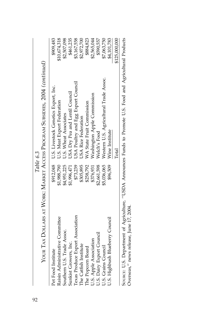| Raisin Administrative Committee<br>Pet Food Institute |             |                                                |               |
|-------------------------------------------------------|-------------|------------------------------------------------|---------------|
|                                                       |             | \$912,048 U.S. Livestock Genetics Export, Inc. | \$909,483     |
|                                                       | \$1,988,790 | U.S. Meat Export Federation                    | \$10,674,318  |
| Southern U.S. Trade Assoc.                            | \$4,951,225 | U.S. Wheat Associates                          | \$2,507,098   |
| Sunkist Growers, Inc.                                 | \$1,996,471 | USA Dry Pea and Lentil Council                 | \$461,235     |
| Texas Produce Export Association                      | \$73,239    | USA Poultry and Egg Export Council             | \$3,167,558   |
| The Catfish Institute                                 | \$305,895   | USA Rice Federation                            | \$2,972,700   |
| The Popcorn Board                                     | \$258,792   | WA State Fruit Commission                      | \$884,823     |
| U.S. Apple Association                                | \$376,931   | Washington Apple Commission                    | \$2,565,044   |
| U.S. Dairy Export Council                             | \$2,661,598 | Welch's Food                                   | \$590,557     |
| U.S. Grains Council                                   | \$5,036,065 | Western U.S. Agricultural Trade Assoc.         | \$7,063,750   |
| U.S. Highbush Blueberry Council                       | \$96,509    | Wine Institute                                 | \$4,101,783   |
|                                                       |             | Гоtal                                          | \$125,000,000 |

Source: U.S. Department of Agriculture, "USDA Announces Funds to Promote U.S. Food and Agricultural Products SOURCE: U.S. Department of Agriculture, ''USDA Announces Funds to Promote U.S. Food and Agricultural Products Overseas," news release, June 17, 2004. Overseas,'' news release, June 17, 2004.

*Table 6.3*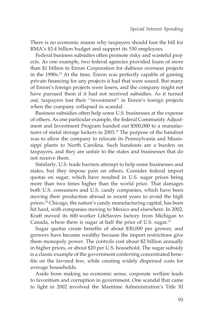There is no economic reason why taxpayers should foot the bill for RMA's \$3.4 billion budget and support its 530 employees.

Federal business subsidies often promote risky and wasteful projects. As one example, two federal agencies provided loans of more than \$1 billion to Enron Corporation for dubious overseas projects in the 1990s.<sup>18</sup> At the time, Enron was perfectly capable of gaining private financing for any projects it had that were sound. But many of Enron's foreign projects were losers, and the company might not have pursued them if it had not received subsidies. As it turned out, taxpayers lost their ''investment'' in Enron's foreign projects when the company collapsed in scandal.

Business subsidies often help some U.S. businesses at the expense of others. As one particular example, the federal Community Adjustment and Investment Program handed out \$500,000 to a manufacturer of metal storage lockers in 2003.<sup>19</sup> The purpose of the handout was to allow the company to relocate its Pennsylvania and Mississippi plants to North Carolina. Such handouts are a burden on taxpayers, and they are unfair to the states and businesses that do not receive them.

Similarly, U.S. trade barriers attempt to help some businesses and states, but they impose pain on others. Consider federal import quotas on sugar, which have resulted in U.S. sugar prices being more than two times higher than the world price. That damages both U.S. consumers and U.S. candy companies, which have been moving their production abroad in recent years to avoid the high prices.20 Chicago, the nation's candy manufacturing capital, has been hit hard, with companies moving to Mexico and elsewhere. In 2002, Kraft moved its 600-worker LifeSavers factory from Michigan to Canada, where there is sugar at half the price of U.S. sugar.<sup>21</sup>

Sugar quotas create benefits of about \$30,000 per grower, and growers have become wealthy because the import restrictions give them monopoly power. The controls cost about \$2 billion annually in higher prices, or about \$20 per U.S. household. The sugar subsidy is a classic example of the government conferring concentrated benefits on the favored few, while creating widely dispersed costs for average households.

Aside from making no economic sense, corporate welfare leads to favoritism and corruption in government. One scandal that came to light in 2002 involved the Maritime Administration's Title XI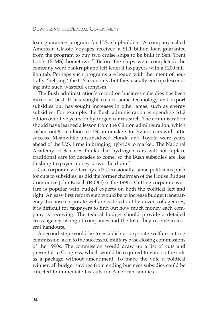loan guarantee program for U.S. shipbuilders. A company called American Classic Voyages received a \$1.1 billion loan guarantee from the program to buy two cruise ships to be built in Sen. Trent Lott's (R-MS) hometown.<sup>22</sup> Before the ships were completed, the company went bankrupt and left federal taxpayers with a \$200 million tab. Perhaps such programs are begun with the intent of neutrally ''helping'' the U.S. economy, but they usually end up descending into such wasteful cronyism.

The Bush administration's record on business subsidies has been mixed at best. It has sought cuts to some technology and export subsidies but has sought increases in other areas, such as energy subsidies. For example, the Bush administration is spending \$1.2 billion over five years on hydrogen car research. The administration should have learned a lesson from the Clinton administration, which dished out \$1.5 billion to U.S. automakers for hybrid cars with little success. Meanwhile unsubsidized Honda and Toyota were years ahead of the U.S. firms in bringing hybrids to market. The National Academy of Sciences thinks that hydrogen cars will not replace traditional cars for decades to come, so the Bush subsidies are like flushing taxpayer money down the drain.<sup>23</sup>

Can corporate welfare by cut? Occasionally, some politicians push for cuts to subsidies, as did the former chairman of the House Budget Committee John Kasich (R-OH) in the 1990s. Cutting corporate welfare is popular with budget experts on both the political left and right. An easy first reform step would be to increase budget transparency. Because corporate welfare is doled out by dozens of agencies, it is difficult for taxpayers to find out how much money each company is receiving. The federal budget should provide a detailed cross-agency listing of companies and the total they receive in federal handouts.

A second step would be to establish a corporate welfare cutting commission, akin to the successful military base closing commissions of the 1990s. The commission would draw up a list of cuts and present it to Congress, which would be required to vote on the cuts as a package without amendment. To make the vote a political winner, all budget savings from ending business subsidies could be directed to immediate tax cuts for American families.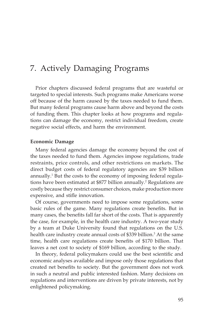# 7. Actively Damaging Programs

Prior chapters discussed federal programs that are wasteful or targeted to special interests. Such programs make Americans worse off because of the harm caused by the taxes needed to fund them. But many federal programs cause harm above and beyond the costs of funding them. This chapter looks at how programs and regulations can damage the economy, restrict individual freedom, create negative social effects, and harm the environment.

#### **Economic Damage**

Many federal agencies damage the economy beyond the cost of the taxes needed to fund them. Agencies impose regulations, trade restraints, price controls, and other restrictions on markets. The direct budget costs of federal regulatory agencies are \$39 billion annually.1 But the costs to the economy of imposing federal regulations have been estimated at \$877 billion annually.<sup>2</sup> Regulations are costly because they restrict consumer choices, make production more expensive, and stifle innovation.

Of course, governments need to impose some regulations, some basic rules of the game. Many regulations create benefits. But in many cases, the benefits fall far short of the costs. That is apparently the case, for example, in the health care industry. A two-year study by a team at Duke University found that regulations on the U.S. health care industry create annual costs of \$339 billion.<sup>3</sup> At the same time, health care regulations create benefits of \$170 billion. That leaves a net cost to society of \$169 billion, according to the study.

In theory, federal policymakers could use the best scientific and economic analyses available and impose only those regulations that created net benefits to society. But the government does not work in such a neutral and public interested fashion. Many decisions on regulations and interventions are driven by private interests, not by enlightened policymaking.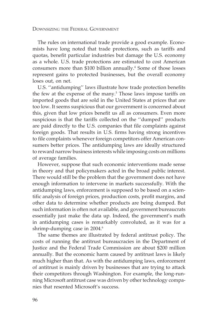The rules on international trade provide a good example. Economists have long noted that trade protections, such as tariffs and quotas, benefit particular industries but damage the U.S. economy as a whole. U.S. trade protections are estimated to cost American consumers more than \$100 billion annually.4 Some of those losses represent gains to protected businesses, but the overall economy loses out, on net.

U.S. ''antidumping'' laws illustrate how trade protection benefits the few at the expense of the many.<sup>5</sup> Those laws impose tariffs on imported goods that are sold in the United States at prices that are too low. It seems suspicious that our government is concerned about this, given that low prices benefit us all as consumers. Even more suspicious is that the tariffs collected on the ''dumped'' products are paid directly to the U.S. companies that file complaints against foreign goods. That results in U.S. firms having strong incentives to file complaints whenever foreign competitors offer American consumers better prices. The antidumping laws are ideally structured to reward narrow business interests while imposing costs on millions of average families.

However, suppose that such economic interventions made sense in theory and that policymakers acted in the broad public interest. There would still be the problem that the government does not have enough information to intervene in markets successfully. With the antidumping laws, enforcement is supposed to be based on a scientific analysis of foreign prices, production costs, profit margins, and other data to determine whether products are being dumped. But such information is often not available, and government bureaucrats essentially just make the data up. Indeed, the government's math in antidumping cases is remarkably convoluted, as it was for a shrimp-dumping case in 2004.<sup>6</sup>

The same themes are illustrated by federal antitrust policy. The costs of running the antitrust bureaucracies in the Department of Justice and the Federal Trade Commission are about \$200 million annually. But the economic harm caused by antitrust laws is likely much higher than that. As with the antidumping laws, enforcement of antitrust is mainly driven by businesses that are trying to attack their competitors through Washington. For example, the long-running Microsoft antitrust case was driven by other technology companies that resented Microsoft's success.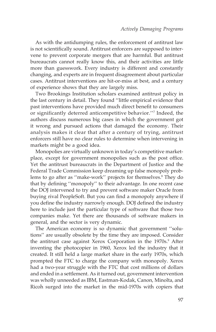As with the antidumping rules, the enforcement of antitrust law is not scientifically sound. Antitrust enforcers are supposed to intervene to prevent corporate mergers that are harmful. But antitrust bureaucrats cannot really know this, and their activities are little more than guesswork. Every industry is different and constantly changing, and experts are in frequent disagreement about particular cases. Antitrust interventions are hit-or-miss at best, and a century of experience shows that they are largely miss.

Two Brookings Institution scholars examined antitrust policy in the last century in detail. They found ''little empirical evidence that past interventions have provided much direct benefit to consumers or significantly deterred anticompetitive behavior.''7 Indeed, the authors discuss numerous big cases in which the government got it wrong and pursued actions that damaged the economy. Their analysis makes it clear that after a century of trying, antitrust enforcers still have no clear rules to determine when intervening in markets might be a good idea.

Monopolies are virtually unknown in today's competitive marketplace, except for government monopolies such as the post office. Yet the antitrust bureaucrats in the Department of Justice and the Federal Trade Commission keep dreaming up false monopoly problems to go after as "make-work" projects for themselves.<sup>8</sup> They do that by defining ''monopoly'' to their advantage. In one recent case the DOJ intervened to try and prevent software maker Oracle from buying rival PeopleSoft. But you can find a monopoly anywhere if you define the industry narrowly enough. DOJ defined the industry here to include just the particular type of software that those two companies make. Yet there are thousands of software makers in general, and the sector is very dynamic.

The American economy is so dynamic that government ''solutions'' are usually obsolete by the time they are imposed. Consider the antitrust case against Xerox Corporation in the 1970s.<sup>9</sup> After inventing the photocopier in 1960, Xerox led the industry that it created. It still held a large market share in the early 1970s, which prompted the FTC to charge the company with monopoly. Xerox had a two-year struggle with the FTC that cost millions of dollars and ended in a settlement. As it turned out, government intervention was wholly unneeded as IBM, Eastman-Kodak, Canon, Minolta, and Ricoh surged into the market in the mid-1970s with copiers that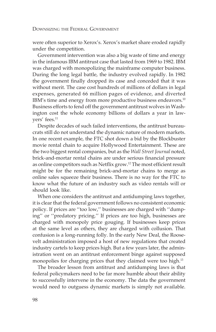were often superior to Xerox's. Xerox's market share eroded rapidly under the competition.

Government intervention was also a big waste of time and energy in the infamous IBM antitrust case that lasted from 1969 to 1982. IBM was charged with monopolizing the mainframe computer business. During the long legal battle, the industry evolved rapidly. In 1982 the government finally dropped its case and conceded that it was without merit. The case cost hundreds of millions of dollars in legal expenses, generated 66 million pages of evidence, and diverted IBM's time and energy from more productive business endeavors.<sup>10</sup> Business efforts to fend off the government antitrust wolves in Washington cost the whole economy billions of dollars a year in lawyers' fees.11

Despite decades of such failed interventions, the antitrust bureaucrats still do not understand the dynamic nature of modern markets. In one recent example, the FTC shot down a bid by the Blockbuster movie rental chain to acquire Hollywood Entertainment. These are the two biggest rental companies, but as the *Wall Street Journal* noted, brick-and-mortar rental chains are under serious financial pressure as online competitors such as Netflix grow.12 The most efficient result might be for the remaining brick-and-mortar chains to merge as online sales squeeze their business. There is no way for the FTC to know what the future of an industry such as video rentals will or should look like.

When one considers the antitrust and antidumping laws together, it is clear that the federal government follows no consistent economic policy. If prices are ''too low,'' businesses are charged with ''dumping'' or ''predatory pricing.'' If prices are too high, businesses are charged with monopoly price gouging. If businesses keep prices at the same level as others, they are charged with collusion. That confusion is a long-running folly. In the early New Deal, the Roosevelt administration imposed a host of new regulations that created industry cartels to keep prices high. But a few years later, the administration went on an antitrust enforcement binge against supposed monopolies for charging prices that they claimed were too high.<sup>13</sup>

The broader lesson from antitrust and antidumping laws is that federal policymakers need to be far more humble about their ability to successfully intervene in the economy. The data the government would need to outguess dynamic markets is simply not available.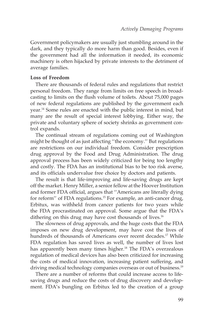Government policymakers are usually just stumbling around in the dark, and they typically do more harm than good. Besides, even if the government had all the information it needed, its economic machinery is often hijacked by private interests to the detriment of average families.

## **Loss of Freedom**

There are thousands of federal rules and regulations that restrict personal freedom. They range from limits on free speech in broadcasting to limits on the flush volume of toilets. About 75,000 pages of new federal regulations are published by the government each year.14 Some rules are enacted with the public interest in mind, but many are the result of special interest lobbying. Either way, the private and voluntary sphere of society shrinks as government control expands.

The continual stream of regulations coming out of Washington might be thought of as just affecting ''the economy.'' But regulations are restrictions on our individual freedom. Consider prescription drug approval by the Food and Drug Administration. The drug approval process has been widely criticized for being too lengthy and costly. The FDA has an institutional bias to be too risk averse, and its officials undervalue free choice by doctors and patients.

The result is that life-improving and life-saving drugs are kept off the market. Henry Miller, a senior fellow at the Hoover Institution and former FDA official, argues that ''Americans are literally dying for reform'' of FDA regulations.15 For example, an anti-cancer drug, Erbitux, was withheld from cancer patients for two years while the FDA procrastinated on approval. Some argue that the FDA's dithering on this drug may have cost thousands of lives.<sup>16</sup>

The slowness of drug approvals, and the huge costs that the FDA imposes on new drug development, may have cost the lives of hundreds of thousands of Americans over recent decades.<sup>17</sup> While FDA regulation has saved lives as well, the number of lives lost has apparently been many times higher.<sup>18</sup> The FDA's overzealous regulation of medical devices has also been criticized for increasing the costs of medical innovation, increasing patient suffering, and driving medical technology companies overseas or out of business.<sup>19</sup>

There are a number of reforms that could increase access to lifesaving drugs and reduce the costs of drug discovery and development. FDA's bungling on Erbitux led to the creation of a group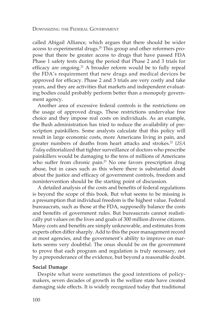called Abigail Alliance, which argues that there should be wider access to experimental drugs.20 This group and other reformers propose that there be greater access to drugs that have passed FDA Phase 1 safety tests during the period that Phase 2 and 3 trials for efficacy are ongoing.<sup>21</sup> A broader reform would be to fully repeal the FDA's requirement that new drugs and medical devices be approved for efficacy. Phase 2 and 3 trials are very costly and take years, and they are activities that markets and independent evaluating bodies could probably perform better than a monopoly government agency.

Another area of excessive federal controls is the restrictions on the usage of approved drugs. These restrictions undervalue free choice and they impose real costs on individuals. As an example, the Bush administration has tried to reduce the availability of prescription painkillers. Some analysts calculate that this policy will result in large economic costs, more Americans living in pain, and greater numbers of deaths from heart attacks and strokes.22 *USA Today* editorialized that tighter surveillance of doctors who prescribe painkillers would be damaging to the tens of millions of Americans who suffer from chronic pain.<sup>23</sup> No one favors prescription drug abuse, but in cases such as this where there is substantial doubt about the justice and efficacy of government controls, freedom and nonintervention should be the starting point of discussion.

A detailed analysis of the costs and benefits of federal regulations is beyond the scope of this book. But what seems to be missing is a presumption that individual freedom is the highest value. Federal bureaucrats, such as those at the FDA, supposedly balance the costs and benefits of government rules. But bureaucrats cannot realistically put values on the lives and goals of 300 million diverse citizens. Many costs and benefits are simply unknowable, and estimates from experts often differ sharply. Add to this the poor management record at most agencies, and the government's ability to improve on markets seems very doubtful. The onus should be on the government to prove that each program and regulation is truly necessary, not by a preponderance of the evidence, but beyond a reasonable doubt.

#### **Social Damage**

Despite what were sometimes the good intentions of policymakers, seven decades of growth in the welfare state have created damaging side effects. It is widely recognized today that traditional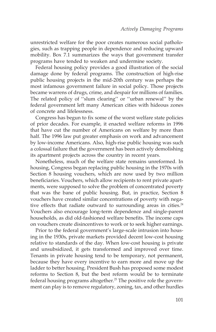unrestricted welfare for the poor creates numerous social pathologies, such as trapping people in dependence and reducing upward mobility. Box 7.1 summarizes the ways that government transfer programs have tended to weaken and undermine society.

Federal housing policy provides a good illustration of the social damage done by federal programs. The construction of high-rise public housing projects in the mid-20th century was perhaps the most infamous government failure in social policy. Those projects became warrens of drugs, crime, and despair for millions of families. The related policy of ''slum clearing'' or ''urban renewal'' by the federal government left many American cities with hideous zones of concrete and lifelessness.

Congress has begun to fix some of the worst welfare state policies of prior decades. For example, it enacted welfare reforms in 1996 that have cut the number of Americans on welfare by more than half. The 1996 law put greater emphasis on work and advancement by low-income Americans. Also, high-rise public housing was such a colossal failure that the government has been actively demolishing its apartment projects across the country in recent years.

Nonetheless, much of the welfare state remains unreformed. In housing, Congress began replacing public housing in the 1970s with Section 8 housing vouchers, which are now used by two million beneficiaries. Vouchers, which allow recipients to rent private apartments, were supposed to solve the problem of concentrated poverty that was the bane of public housing. But, in practice, Section 8 vouchers have created similar concentrations of poverty with negative effects that radiate outward to surrounding areas in cities. $24$ Vouchers also encourage long-term dependence and single-parent households, as did old-fashioned welfare benefits. The income caps on vouchers create disincentives to work or to seek higher earnings.

Prior to the federal government's large-scale intrusion into housing in the 1930s, private markets provided decent low-cost housing relative to standards of the day. When low-cost housing is private and unsubsidized, it gets transformed and improved over time. Tenants in private housing tend to be temporary, not permanent, because they have every incentive to earn more and move up the ladder to better housing. President Bush has proposed some modest reforms to Section 8, but the best reform would be to terminate federal housing programs altogether.25 The positive role the government can play is to remove regulatory, zoning, tax, and other hurdles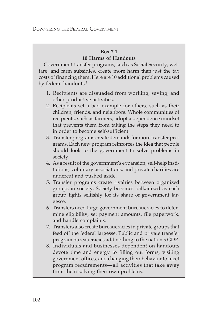# **Box 7.1 10 Harms of Handouts**

Government transfer programs, such as Social Security, welfare, and farm subsidies, create more harm than just the tax costs of financing them. Here are 10 additional problems caused by federal handouts.<sup>1</sup>

- 1. Recipients are dissuaded from working, saving, and other productive activities.
- 2. Recipients set a bad example for others, such as their children, friends, and neighbors. Whole communities of recipients, such as farmers, adopt a dependence mindset that prevents them from taking the steps they need to in order to become self-sufficient.
- 3. Transfer programs create demands for more transfer programs. Each new program reinforces the idea that people should look to the government to solve problems in society.
- 4. As a result of the government's expansion, self-help institutions, voluntary associations, and private charities are undercut and pushed aside.
- 5. Transfer programs create rivalries between organized groups in society. Society becomes balkanized as each group fights selfishly for its share of government largesse.
- 6. Transfers need large government bureaucracies to determine eligibility, set payment amounts, file paperwork, and handle complaints.
- 7. Transfers also create bureaucracies in private groups that feed off the federal largesse. Public and private transfer program bureaucracies add nothing to the nation's GDP.
- 8. Individuals and businesses dependent on handouts devote time and energy to filling out forms, visiting government offices, and changing their behavior to meet program requirements—all activities that take away from them solving their own problems.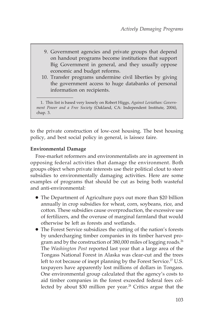- 9. Government agencies and private groups that depend on handout programs become institutions that support Big Government in general, and they usually oppose economic and budget reforms.
- 10. Transfer programs undermine civil liberties by giving the government access to huge databanks of personal information on recipients.

1. This list is based very loosely on Robert Higgs, *Against Leviathan: Government Power and a Free Society* (Oakland, CA: Independent Institute, 2004), chap. 3.

to the private construction of low-cost housing. The best housing policy, and best social policy in general, is laissez faire.

# **Environmental Damage**

Free-market reformers and environmentalists are in agreement in opposing federal activities that damage the environment. Both groups object when private interests use their political clout to steer subsidies to environmentally damaging activities. Here are some examples of programs that should be cut as being both wasteful and anti-environmental:

- The Department of Agriculture pays out more than \$20 billion annually in crop subsidies for wheat, corn, soybeans, rice, and cotton. These subsidies cause overproduction, the excessive use of fertilizers, and the overuse of marginal farmland that would otherwise be left as forests and wetlands.
- The Forest Service subsidizes the cutting of the nation's forests by undercharging timber companies in its timber harvest program and by the construction of 380,000 miles of logging roads.26 The *Washington Post* reported last year that a large area of the Tongass National Forest in Alaska was clear-cut and the trees left to rot because of inept planning by the Forest Service.<sup>27</sup> U.S. taxpayers have apparently lost millions of dollars in Tongass. One environmental group calculated that the agency's costs to aid timber companies in the forest exceeded federal fees collected by about \$30 million per year.<sup>28</sup> Critics argue that the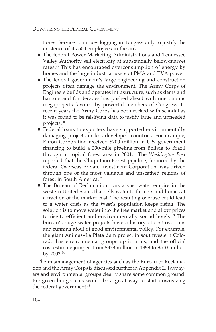Forest Service continues logging in Tongass only to justify the existence of its 500 employees in the area.

- The federal Power Marketing Administrations and Tennessee Valley Authority sell electricity at substantially below-market rates.29 This has encouraged overconsumption of energy by homes and the large industrial users of PMA and TVA power.
- The federal government's large engineering and construction projects often damage the environment. The Army Corps of Engineers builds and operates infrastructure, such as dams and harbors and for decades has pushed ahead with uneconomic megaprojects favored by powerful members of Congress. In recent years the Army Corps has been rocked with scandal as it was found to be falsifying data to justify large and unneeded projects.30
- Federal loans to exporters have supported environmentally damaging projects in less developed countries. For example, Enron Corporation received \$200 million in U.S. government financing to build a 390-mile pipeline from Bolivia to Brazil through a tropical forest area in 2001.31 The *Washington Post* reported that the Chiquitano Forest pipeline, financed by the federal Overseas Private Investment Corporation, was driven through one of the most valuable and unscathed regions of forest in South America.32
- The Bureau of Reclamation runs a vast water empire in the western United States that sells water to farmers and homes at a fraction of the market cost. The resulting overuse could lead to a water crisis as the West's population keeps rising. The solution is to move water into the free market and allow prices to rise to efficient and environmentally sound levels.<sup>33</sup> The bureau's huge water projects have a history of cost overruns and running afoul of good environmental policy. For example, the giant Animas–La Plata dam project in southwestern Colorado has environmental groups up in arms, and the official cost estimate jumped from \$338 million in 1999 to \$500 million by 2003.34

The mismanagement of agencies such as the Bureau of Reclamation and the Army Corps is discussed further in Appendix 2. Taxpayers and environmental groups clearly share some common ground. Pro-green budget cuts would be a great way to start downsizing the federal government.<sup>35</sup>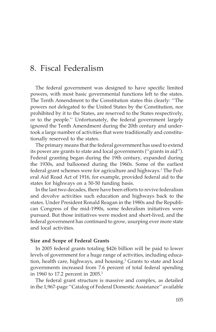# 8. Fiscal Federalism

The federal government was designed to have specific limited powers, with most basic governmental functions left to the states. The Tenth Amendment to the Constitution states this clearly: ''The powers not delegated to the United States by the Constitution, nor prohibited by it to the States, are reserved to the States respectively, or to the people.'' Unfortunately, the federal government largely ignored the Tenth Amendment during the 20th century and undertook a large number of activities that were traditionally and constitutionally reserved to the states.

The primary means that the federal government has used to extend its power are grants to state and local governments (''grants in aid''). Federal granting began during the 19th century, expanded during the 1930s, and ballooned during the 1960s. Some of the earliest federal grant schemes were for agriculture and highways.<sup>1</sup> The Federal Aid Road Act of 1916, for example, provided federal aid to the states for highways on a 50-50 funding basis.

In the last two decades, there have been efforts to revive federalism and devolve activities such education and highways back to the states. Under President Ronald Reagan in the 1980s and the Republican Congress of the mid-1990s, some federalism initiatives were pursued. But those initiatives were modest and short-lived, and the federal government has continued to grow, usurping ever more state and local activities.

#### **Size and Scope of Federal Grants**

In 2005 federal grants totaling \$426 billion will be paid to lower levels of government for a huge range of activities, including education, health care, highways, and housing.<sup>2</sup> Grants to state and local governments increased from 7.6 percent of total federal spending in 1960 to 17.2 percent in 2005.3

The federal grant structure is massive and complex, as detailed in the 1,967-page ''Catalog of Federal Domestic Assistance'' available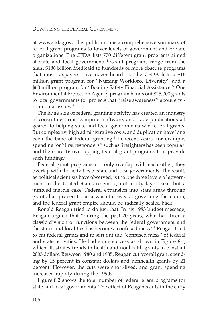at www.cfda.gov. This publication is a comprehensive summary of federal grant programs to lower levels of government and private organizations. The CFDA lists 770 different grant programs aimed at state and local governments.<sup>4</sup> Grant programs range from the giant \$186 billion Medicaid to hundreds of more obscure programs that most taxpayers have never heard of. The CFDA lists a \$16 million grant program for ''Nursing Workforce Diversity'' and a \$60 million program for ''Boating Safety Financial Assistance.'' One Environmental Protection Agency program hands out \$25,000 grants to local governments for projects that ''raise awareness'' about environmental issues.5

The huge size of federal granting activity has created an industry of consulting firms, computer software, and trade publications all geared to helping state and local governments win federal grants. But complexity, high administrative costs, and duplication have long been the bane of federal granting.<sup>6</sup> In recent years, for example, spending for ''first responders'' such as firefighters has been popular, and there are 16 overlapping federal grant programs that provide such funding.<sup>7</sup>

Federal grant programs not only overlap with each other, they overlap with the activities of state and local governments. The result, as political scientists have observed, is that the three layers of government in the United States resemble, not a tidy layer cake, but a jumbled marble cake. Federal expansion into state areas through grants has proven to be a wasteful way of governing the nation, and the federal grant empire should be radically scaled back.

Ronald Reagan tried to do just that. In his 1983 budget message, Reagan argued that ''during the past 20 years, what had been a classic division of functions between the federal government and the states and localities has become a confused mess.''8 Reagan tried to cut federal grants and to sort out the ''confused mess'' of federal and state activities. He had some success as shown in Figure 8.1, which illustrates trends in health and nonhealth grants in constant 2005 dollars. Between 1980 and 1985, Reagan cut overall grant spending by 15 percent in constant dollars and nonhealth grants by 21 percent. However, the cuts were short-lived, and grant spending increased rapidly during the 1990s.

Figure 8.2 shows the total number of federal grant programs for state and local governments. The effect of Reagan's cuts in the early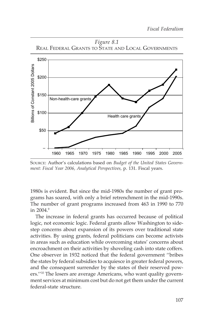

*Figure 8.1* REAL FEDERAL GRANTS TO STATE AND LOCAL GOVERNMENTS

SOURCE: Author's calculations based on *Budget of the United States Government: Fiscal Year 2006, Analytical Perspectives,* p. 131. Fiscal years.

1980s is evident. But since the mid-1980s the number of grant programs has soared, with only a brief retrenchment in the mid-1990s. The number of grant programs increased from 463 in 1990 to 770 in 2004.9

The increase in federal grants has occurred because of political logic, not economic logic. Federal grants allow Washington to sidestep concerns about expansion of its powers over traditional state activities. By using grants, federal politicians can become activists in areas such as education while overcoming states' concerns about encroachment on their activities by shoveling cash into state coffers. One observer in 1932 noticed that the federal government ''bribes the states by federal subsidies to acquiesce in greater federal powers, and the consequent surrender by the states of their reserved powers.''10 The losers are average Americans, who want quality government services at minimum cost but do not get them under the current federal-state structure.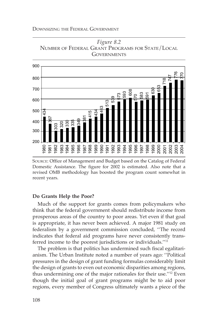



SOURCE: Office of Management and Budget based on the Catalog of Federal Domestic Assistance. The figure for 2002 is estimated. Also note that a revised OMB methodology has boosted the program count somewhat in recent years.

### **Do Grants Help the Poor?**

Much of the support for grants comes from policymakers who think that the federal government should redistribute income from prosperous areas of the country to poor areas. Yet even if that goal is appropriate, it has never been achieved. A major 1981 study on federalism by a government commission concluded, ''The record indicates that federal aid programs have never consistently transferred income to the poorest jurisdictions or individuals.''11

The problem is that politics has undermined such fiscal egalitarianism. The Urban Institute noted a number of years ago: ''Political pressures in the design of grant funding formulas considerably limit the design of grants to even out economic disparities among regions, thus undermining one of the major rationales for their use.''12 Even though the initial goal of grant programs might be to aid poor regions, every member of Congress ultimately wants a piece of the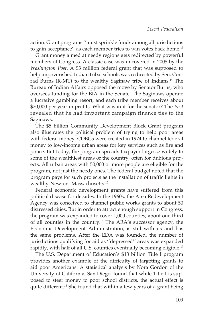action. Grant programs ''must sprinkle funds among all jurisdictions to gain acceptance" as each member tries to win votes back home.<sup>13</sup>

Grant money aimed at needy regions gets redirected by powerful members of Congress. A classic case was uncovered in 2005 by the *Washington Post*. A \$3 million federal grant that was supposed to help impoverished Indian tribal schools was redirected by Sen. Conrad Burns (R-MT) to the wealthy Saginaw tribe of Indians.<sup>14</sup> The Bureau of Indian Affairs opposed the move by Senator Burns, who oversees funding for the BIA in the Senate. The Saginaws operate a lucrative gambling resort, and each tribe member receives about \$70,000 per year in profits. What was in it for the senator? The *Post* revealed that he had important campaign finance ties to the Saginaws.

The \$5 billion Community Development Block Grant program also illustrates the political problem of trying to help poor areas with federal money. CDBGs were created in 1974 to channel federal money to low-income urban areas for key services such as fire and police. But today, the program spreads taxpayer largesse widely to some of the wealthiest areas of the country, often for dubious projects. All urban areas with 50,000 or more people are eligible for the program, not just the needy ones. The federal budget noted that the program pays for such projects as the installation of traffic lights in wealthy Newton, Massachusetts.<sup>15</sup>

Federal economic development grants have suffered from this political disease for decades. In the 1960s, the Area Redevelopment Agency was conceived to channel public works grants to about 50 distressed cities. But in order to attract enough support in Congress, the program was expanded to cover 1,000 counties, about one-third of all counties in the country.16 The ARA's successor agency, the Economic Development Administration, is still with us and has the same problems. After the EDA was founded, the number of jurisdictions qualifying for aid as ''depressed'' areas was expanded rapidly, with half of all U.S. counties eventually becoming eligible.<sup>17</sup>

The U.S. Department of Education's \$13 billion Title I program provides another example of the difficulty of targeting grants to aid poor Americans. A statistical analysis by Nora Gordon of the University of California, San Diego, found that while Title I is supposed to steer money to poor school districts, the actual effect is quite different.<sup>18</sup> She found that within a few years of a grant being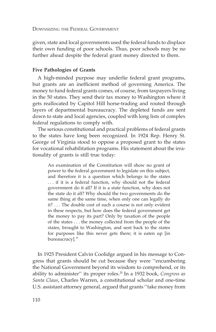given, state and local governments used the federal funds to displace their own funding of poor schools. Thus, poor schools may be no further ahead despite the federal grant money directed to them.

## **Five Pathologies of Grants**

A high-minded purpose may underlie federal grant programs, but grants are an inefficient method of governing America. The money to fund federal grants comes, of course, from taxpayers living in the 50 states. They send their tax money to Washington where it gets reallocated by Capitol Hill horse-trading and routed through layers of departmental bureaucracy. The depleted funds are sent down to state and local agencies, coupled with long lists of complex federal regulations to comply with.

The serious constitutional and practical problems of federal grants to the states have long been recognized. In 1924 Rep. Henry St. George of Virginia stood to oppose a proposed grant to the states for vocational rehabilitation programs. His statement about the irrationality of grants is still true today:

An examination of the Constitution will show no grant of power to the federal government to legislate on this subject, and therefore it is a question which belongs to the states . . . if it is a federal function, why should not the federal government do it all? If it is a state function, why does not the state do it all? Why should the two governments do the same thing at the same time, when only one can legally do it? . . . The double cost of such a course is not only evident in these respects, but how does the federal government get the money to pay its part? Only by taxation of the people of the states . . . the money collected from the people of the states, brought to Washington, and sent back to the states for purposes like this never gets there; it is eaten up [in bureaucracy].<sup>19</sup>

In 1925 President Calvin Coolidge argued in his message to Congress that grants should be cut because they were ''encumbering the National Government beyond its wisdom to comprehend, or its ability to administer'' its proper roles.20 In a 1932 book, *Congress as Santa Claus*, Charles Warren, a constitutional scholar and one-time U.S. assistant attorney general, argued that grants ''take money from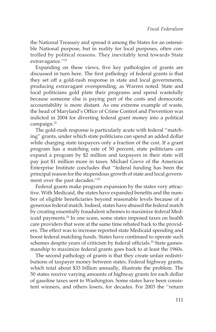the National Treasury and spread it among the States for an ostensible National purpose, but in reality for local purposes, often controlled by political reasons. They inevitably tend towards State extravagance."<sup>21</sup>

Expanding on these views, five key pathologies of grants are discussed in turn here. The first pathology of federal grants is that they set off a gold-rush response in state and local governments, producing extravagant overspending, as Warren noted. State and local politicians gold plate their programs and spend wastefully because someone else is paying part of the costs and democratic accountability is more distant. As one extreme example of waste, the head of Maryland's Office of Crime Control and Prevention was indicted in 2004 for diverting federal grant money into a political campaign.<sup>22</sup>

The gold-rush response is particularly acute with federal ''matching'' grants, under which state politicians can spend an added dollar while charging state taxpayers only a fraction of the cost. If a grant program has a matching rate of 50 percent, state politicians can expand a program by \$2 million and taxpayers in their state will pay just \$1 million more in taxes. Michael Greve of the American Enterprise Institute concludes that ''federal funding has been the principal reason for the stupendous growth of state and local government over the past decades.''23

Federal grants make program expansion by the states very attractive. With Medicaid, the states have expanded benefits and the number of eligible beneficiaries beyond reasonable levels because of a generous federal match. Indeed, states have abused the federal match by creating essentially fraudulent schemes to maximize federal Medicaid payments.<sup>24</sup> In one scam, some states imposed taxes on health care providers that were at the same time rebated back to the providers. The effect was to increase reported state Medicaid spending and boost federal matching funds. States have continued to operate such schemes despite years of criticism by federal officials.<sup>25</sup> State gamesmanship to maximize federal grants goes back to at least the 1960s.

The second pathology of grants is that they create unfair redistributions of taxpayer money between states. Federal highway grants, which total about \$33 billion annually, illustrate the problem. The 50 states receive varying amounts of highway grants for each dollar of gasoline taxes sent to Washington. Some states have been consistent winners, and others losers, for decades. For 2003 the ''return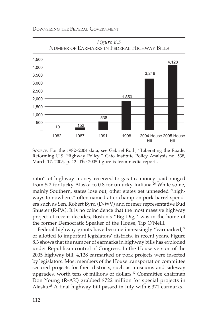

*Figure 8.3* NUMBER OF EARMARKS IN FEDERAL HIGHWAY BILLS

ratio'' of highway money received to gas tax money paid ranged from 5.2 for lucky Alaska to 0.8 for unlucky Indiana.<sup>26</sup> While some, mainly Southern, states lose out, other states get unneeded ''highways to nowhere,'' often named after champion pork-barrel spenders such as Sen. Robert Byrd (D-WV) and former representative Bud Shuster (R-PA). It is no coincidence that the most massive highway project of recent decades, Boston's ''Big Dig,'' was in the home of the former Democratic Speaker of the House, Tip O'Neill.

Federal highway grants have become increasingly ''earmarked,'' or allotted to important legislators' districts, in recent years. Figure 8.3 shows that the number of earmarks in highway bills has exploded under Republican control of Congress. In the House version of the 2005 highway bill, 4,128 earmarked or pork projects were inserted by legislators. Most members of the House transportation committee secured projects for their districts, such as museums and sideway upgrades, worth tens of millions of dollars.27 Committee chairman Don Young (R-AK) grabbed \$722 million for special projects in Alaska.28 A final highway bill passed in July with 6,371 earmarks.

SOURCE: For the 1982–2004 data, see Gabriel Roth, ''Liberating the Roads: Reforming U.S. Highway Policy,'' Cato Institute Policy Analysis no. 538, March 17, 2005, p. 12. The 2005 figure is from media reports.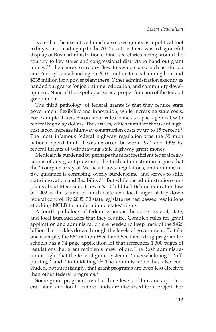Note that the executive branch also uses grants as a political tool to buy votes. Leading up to the 2004 election, there was a disgraceful display of Bush administration cabinet secretaries racing around the country to key states and congressional districts to hand out grant money.29 The energy secretary flew to swing states such as Florida and Pennsylvania handing out \$100 million for coal mining here and \$235 million for a power plant there. Other administration executives handed out grants for job training, education, and community development. None of those policy areas is a proper function of the federal government.

The third pathology of federal grants is that they reduce state government flexibility and innovation, while increasing state costs. For example, Davis-Bacon labor rules come as a package deal with federal highway dollars. These rules, which mandate the use of highcost labor, increase highway construction costs by up to 15 percent.<sup>30</sup> The most infamous federal highway regulation was the 55 mph national speed limit. It was enforced between 1974 and 1995 by federal threats of withdrawing state highway grant money.

Medicaid is burdened by perhaps the most inefficient federal regulations of any grant program. The Bush administration argues that the ''complex array of Medicaid laws, regulations, and administrative guidance is confusing, overly burdensome, and serves to stifle state innovation and flexibility.''31 But while the administration complains about Medicaid, its own No Child Left Behind education law of 2002 is the source of much state and local anger at top-down federal control. By 2005, 30 state legislatures had passed resolutions attacking NCLB for undermining states' rights.

A fourth pathology of federal grants is the costly federal, state, and local bureaucracies that they require. Complex rules for grant application and administration are needed to keep track of the \$426 billion that trickles down through the levels of government. To take one example, the \$64 million Weed and Seed anti-drug program for schools has a 74-page application kit that references 1,300 pages of regulations that grant recipients must follow. The Bush administration is right that the federal grant system is ''overwhelming,'' ''offputting," and "intimidating."<sup>32</sup> The administration has also concluded, not surprisingly, that grant programs are even less effective than other federal programs.<sup>33</sup>

Some grant programs involve three levels of bureaucracy—federal, state, and local—before funds are disbursed for a project. For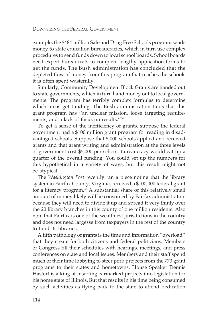example, the \$484 million Safe and Drug Free Schools program sends money to state education bureaucracies, which in turn use complex procedures to send funds down to local school boards. School boards need expert bureaucrats to complete lengthy application forms to get the funds. The Bush administration has concluded that the depleted flow of money from this program that reaches the schools it is often spent wastefully.

Similarly, Community Development Block Grants are handed out to state governments, which in turn hand money out to local governments. The program has terribly complex formulas to determine which areas get funding. The Bush administration finds that this grant program has ''an unclear mission, loose targeting requirements, and a lack of focus on results.''34

To get a sense of the inefficiency of grants, suppose the federal government had a \$100 million grant program for reading in disadvantaged schools. Suppose that 5,000 schools applied and received grants and that grant writing and administration at the three levels of government cost \$5,000 per school. Bureaucracy would eat up a quarter of the overall funding. You could set up the numbers for this hypothetical in a variety of ways, but this result might not be atypical.

The *Washington Post* recently ran a piece noting that the library system in Fairfax County, Virginia, received a \$100,000 federal grant for a literacy program.35 A substantial share of this relatively small amount of money likely will be consumed by Fairfax administrators because they will need to divide it up and spread it very thinly over the 20 library branches in this county of one million residents. Also note that Fairfax is one of the wealthiest jurisdictions in the country and does not need largesse from taxpayers in the rest of the country to fund its libraries.

A fifth pathology of grants is the time and information ''overload'' that they create for both citizens and federal politicians. Members of Congress fill their schedules with hearings, meetings, and press conferences on state and local issues. Members and their staff spend much of their time lobbying to steer pork projects from the 770 grant programs to their states and hometowns. House Speaker Dennis Hastert is a king at inserting earmarked projects into legislation for his home state of Illinois. But that results in his time being consumed by such activities as flying back to the state to attend dedication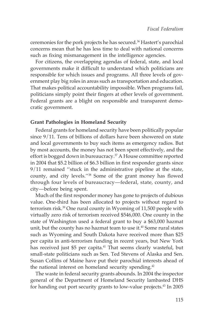ceremonies for the pork projects he has secured.36 Hastert's parochial concerns mean that he has less time to deal with national concerns such as fixing mismanagement in the intelligence agencies.

For citizens, the overlapping agendas of federal, state, and local governments make it difficult to understand which politicians are responsible for which issues and programs. All three levels of government play big roles in areas such as transportation and education. That makes political accountability impossible. When programs fail, politicians simply point their fingers at other levels of government. Federal grants are a blight on responsible and transparent democratic government.

# **Grant Pathologies in Homeland Security**

Federal grants for homeland security have been politically popular since 9/11. Tens of billions of dollars have been showered on state and local governments to buy such items as emergency radios. But by most accounts, the money has not been spent effectively, and the effort is bogged down in bureaucracy.<sup>37</sup> A House committee reported in 2004 that \$5.2 billion of \$6.3 billion in first responder grants since 9/11 remained ''stuck in the administrative pipeline at the state, county, and city levels.''38 Some of the grant money has flowed through four levels of bureaucracy—federal, state, county, and city—before being spent.

Much of the first responder money has gone to projects of dubious value. One-third has been allocated to projects without regard to terrorism risk.39 One rural county in Wyoming of 11,500 people with virtually zero risk of terrorism received \$546,000. One county in the state of Washington used a federal grant to buy a \$63,000 hazmat unit, but the county has no hazmat team to use it.<sup>40</sup> Some rural states such as Wyoming and South Dakota have received more than \$25 per capita in anti-terrorism funding in recent years, but New York has received just \$5 per capita.<sup>41</sup> That seems clearly wasteful, but small-state politicians such as Sen. Ted Stevens of Alaska and Sen. Susan Collins of Maine have put their parochial interests ahead of the national interest on homeland security spending. $42$ 

The waste in federal security grants abounds. In 2004 the inspector general of the Department of Homeland Security lambasted DHS for handing out port security grants to low-value projects.43 In 2005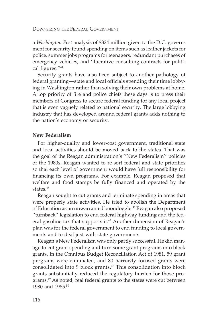a *Washington Post* analysis of \$324 million given to the D.C. government for security found spending on items such as leather jackets for police, summer jobs programs for teenagers, redundant purchases of emergency vehicles, and ''lucrative consulting contracts for political figures.''44

Security grants have also been subject to another pathology of federal granting—state and local officials spending their time lobbying in Washington rather than solving their own problems at home. A top priority of fire and police chiefs these days is to press their members of Congress to secure federal funding for any local project that is even vaguely related to national security. The large lobbying industry that has developed around federal grants adds nothing to the nation's economy or security.

# **New Federalism**

For higher-quality and lower-cost government, traditional state and local activities should be moved back to the states. That was the goal of the Reagan administration's ''New Federalism'' policies of the 1980s. Reagan wanted to re-sort federal and state priorities so that each level of government would have full responsibility for financing its own programs. For example, Reagan proposed that welfare and food stamps be fully financed and operated by the states.45

Reagan sought to cut grants and terminate spending in areas that were properly state activities. He tried to abolish the Department of Education as an unwarranted boondoggle.46 Reagan also proposed ''turnback'' legislation to end federal highway funding and the federal gasoline tax that supports it. $47$  Another dimension of Reagan's plan was for the federal government to end funding to local governments and to deal just with state governments.

Reagan's New Federalism was only partly successful. He did manage to cut grant spending and turn some grant programs into block grants. In the Omnibus Budget Reconciliation Act of 1981, 59 grant programs were eliminated, and 80 narrowly focused grants were consolidated into 9 block grants.48 This consolidation into block grants substantially reduced the regulatory burden for those programs.<sup>49</sup> As noted, real federal grants to the states were cut between 1980 and 1985<sup>50</sup>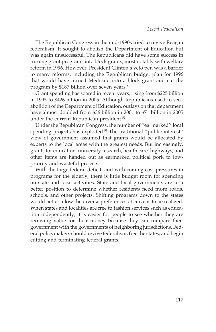The Republican Congress in the mid-1990s tried to revive Reagan federalism. It sought to abolish the Department of Education but was again unsuccessful. The Republicans did have some success in turning grant programs into block grants, most notably with welfare reform in 1996. However, President Clinton's veto pen was a barrier to many reforms, including the Republican budget plan for 1996 that would have turned Medicaid into a block grant and cut the program by \$187 billion over seven years.<sup>51</sup>

Grant spending has soared in recent years, rising from \$225 billion in 1995 to \$426 billion in 2005. Although Republicans used to seek abolition of the Department of Education, outlays on that department have almost doubled from \$36 billion in 2001 to \$71 billion in 2005 under the current Republican president.<sup>52</sup>

Under the Republican Congress, the number of ''earmarked'' local spending projects has exploded.53 The traditional ''public interest'' view of government assumed that grants would be allocated by experts to the local areas with the greatest needs. But increasingly, grants for education, university research, health care, highways, and other items are handed out as earmarked political pork to lowpriority and wasteful projects.

With the large federal deficit, and with coming cost pressures in programs for the elderly, there is little budget room for spending on state and local activities. State and local governments are in a better position to determine whether residents need more roads, schools, and other projects. Shifting programs down to the states would better allow the diverse preferences of citizens to be realized. When states and localities are free to fashion services such as education independently, it is easier for people to see whether they are receiving value for their money because they can compare their government with the governments of neighboring jurisdictions. Federal policymakers should revive federalism, free the states, and begin cutting and terminating federal grants.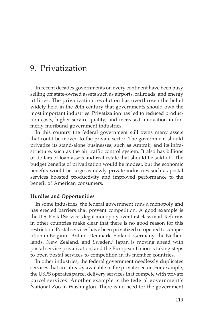# 9. Privatization

In recent decades governments on every continent have been busy selling off state-owned assets such as airports, railroads, and energy utilities. The privatization revolution has overthrown the belief widely held in the 20th century that governments should own the most important industries. Privatization has led to reduced production costs, higher service quality, and increased innovation in formerly moribund government industries.

In this country the federal government still owns many assets that could be moved to the private sector. The government should privatize its stand-alone businesses, such as Amtrak, and its infrastructure, such as the air traffic control system. It also has billions of dollars of loan assets and real estate that should be sold off. The budget benefits of privatization would be modest, but the economic benefits would be large as newly private industries such as postal services boosted productivity and improved performance to the benefit of American consumers.

## **Hurdles and Opportunities**

In some industries, the federal government runs a monopoly and has erected barriers that prevent competition. A good example is the U.S. Postal Service's legal monopoly over first class mail. Reforms in other countries make clear that there is no good reason for this restriction. Postal services have been privatized or opened to competition in Belgium, Britain, Denmark, Finland, Germany, the Netherlands, New Zealand, and Sweden.<sup>1</sup> Japan is moving ahead with postal service privatization, and the European Union is taking steps to open postal services to competition in its member countries.

In other industries, the federal government needlessly duplicates services that are already available in the private sector. For example, the USPS operates parcel delivery services that compete with private parcel services. Another example is the federal government's National Zoo in Washington. There is no need for the government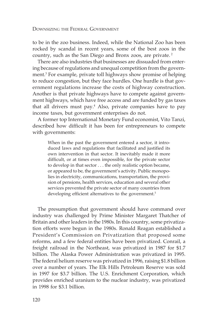to be in the zoo business. Indeed, while the National Zoo has been rocked by scandal in recent years, some of the best zoos in the country, such as the San Diego and Bronx zoos, are private. <sup>2</sup>

There are also industries that businesses are dissuaded from entering because of regulations and unequal competition from the government.3 For example, private toll highways show promise of helping to reduce congestion, but they face hurdles. One hurdle is that government regulations increase the costs of highway construction. Another is that private highways have to compete against government highways, which have free access and are funded by gas taxes that all drivers must pay.<sup>4</sup> Also, private companies have to pay income taxes, but government enterprises do not.

A former top International Monetary Fund economist, Vito Tanzi, described how difficult it has been for entrepreneurs to compete with governments:

When in the past the government entered a sector, it introduced laws and regulations that facilitated and justified its own intervention in that sector. It inevitably made it more difficult, or at times even impossible, for the private sector to develop in that sector . . . the only realistic option became, or appeared to be, the government's activity. Public monopolies in electricity, communications, transportation, the provision of pensions, health services, education and several other services prevented the private sector of many countries from developing efficient alternatives to the government.<sup>5</sup>

The presumption that government should have command over industry was challenged by Prime Minister Margaret Thatcher of Britain and other leaders in the 1980s. In this country, some privatization efforts were begun in the 1980s. Ronald Reagan established a President's Commission on Privatization that proposed some reforms, and a few federal entities have been privatized. Conrail, a freight railroad in the Northeast, was privatized in 1987 for \$1.7 billion. The Alaska Power Administration was privatized in 1995. The federal helium reserve was privatized in 1996, raising \$1.8 billion over a number of years. The Elk Hills Petroleum Reserve was sold in 1997 for \$3.7 billion. The U.S. Enrichment Corporation, which provides enriched uranium to the nuclear industry, was privatized in 1998 for \$3.1 billion.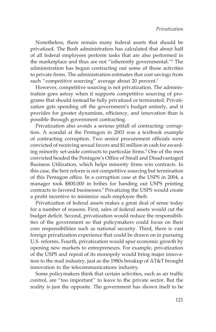Nonetheless, there remain many federal assets that should be privatized. The Bush administration has calculated that about half of all federal employees perform tasks that are also performed in the marketplace and thus are not ''inherently governmental.''6 The administration has begun contracting out some of those activities to private firms. The administration estimates that cost savings from such "competitive sourcing" average about 20 percent.<sup>7</sup>

However, competitive sourcing is not privatization. The administration goes astray when it supports competitive sourcing of programs that should instead be fully privatized or terminated. Privatization gets spending off the government's budget entirely, and it provides for greater dynamism, efficiency, and innovation than is possible through government contracting.

Privatization also avoids a serious pitfall of contracting: corruption. A scandal at the Pentagon in 2003 was a textbook example of contracting corruption. Two senior procurement officials were convicted of receiving sexual favors and \$1 million in cash for awarding minority set-aside contracts to particular firms.<sup>8</sup> One of the men convicted headed the Pentagon's Office of Small and Disadvantaged Business Utilization, which helps minority firms win contracts. In this case, the best reform is not competitive sourcing but termination of this Pentagon office. In a corruption case at the USPS in 2004, a manager took \$800,000 in bribes for handing out USPS printing contracts to favored businesses.9 Privatizing the USPS would create a profit incentive to minimize such employee theft.

Privatization of federal assets makes a great deal of sense today for a number of reasons. First, sales of federal assets would cut the budget deficit. Second, privatization would reduce the responsibilities of the government so that policymakers could focus on their core responsibilities such as national security. Third, there is vast foreign privatization experience that could be drawn on in pursuing U.S. reforms. Fourth, privatization would spur economic growth by opening new markets to entrepreneurs. For example, privatization of the USPS and repeal of its monopoly would bring major innovation to the mail industry, just as the 1980s breakup of AT&T brought innovation to the telecommunications industry.

Some policymakers think that certain activities, such as air traffic control, are ''too important'' to leave to the private sector. But the reality is just the opposite. The government has shown itself to be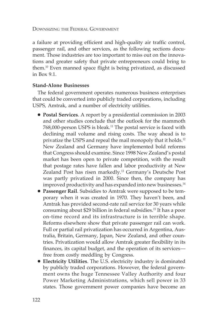a failure at providing efficient and high-quality air traffic control, passenger rail, and other services, as the following sections document. Those industries are too important to miss out on the innovations and greater safety that private entrepreneurs could bring to them.10 Even manned space flight is being privatized, as discussed in Box 9.1.

# **Stand-Alone Businesses**

The federal government operates numerous business enterprises that could be converted into publicly traded corporations, including USPS, Amtrak, and a number of electricity utilities.

- **Postal Services**. A report by a presidential commission in 2003 and other studies conclude that the outlook for the mammoth 768,000-person USPS is bleak.11 The postal service is faced with declining mail volume and rising costs. The way ahead is to privatize the USPS and repeal the mail monopoly that it holds.12 New Zealand and Germany have implemented bold reforms that Congress should examine. Since 1998 New Zealand's postal market has been open to private competition, with the result that postage rates have fallen and labor productivity at New Zealand Post has risen markedly.<sup>13</sup> Germany's Deutsche Post was partly privatized in 2000. Since then, the company has improved productivity and has expanded into new businesses.<sup>14</sup>
- **Passenger Rail**. Subsidies to Amtrak were supposed to be temporary when it was created in 1970. They haven't been, and Amtrak has provided second-rate rail service for 30 years while consuming about \$29 billion in federal subsidies.15 It has a poor on-time record and its infrastructure is in terrible shape. Reforms elsewhere show that private passenger rail can work. Full or partial rail privatization has occurred in Argentina, Australia, Britain, Germany, Japan, New Zealand, and other countries. Privatization would allow Amtrak greater flexibility in its finances, its capital budget, and the operation of its services free from costly meddling by Congress.
- **Electricity Utilities**. The U.S. electricity industry is dominated by publicly traded corporations. However, the federal government owns the huge Tennessee Valley Authority and four Power Marketing Administrations, which sell power in 33 states. Those government power companies have become an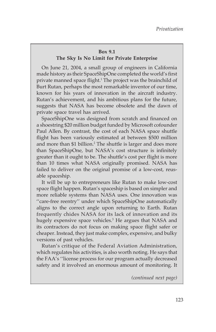# **Box 9.1 The Sky Is No Limit for Private Enterprise**

On June 21, 2004, a small group of engineers in California made history as their SpaceShipOne completed the world's first private manned space flight.<sup>1</sup> The project was the brainchild of Burt Rutan, perhaps the most remarkable inventor of our time, known for his years of innovation in the aircraft industry. Rutan's achievement, and his ambitious plans for the future, suggests that NASA has become obsolete and the dawn of private space travel has arrived.

SpaceShipOne was designed from scratch and financed on a shoestring \$20 million budget funded by Microsoft cofounder Paul Allen. By contrast, the cost of each NASA space shuttle flight has been variously estimated at between \$500 million and more than \$1 billion.<sup>2</sup> The shuttle is larger and does more than SpaceShipOne, but NASA's cost structure is infinitely greater than it ought to be. The shuttle's cost per flight is more than 10 times what NASA originally promised. NASA has failed to deliver on the original promise of a low-cost, reusable spaceship.

It will be up to entrepreneurs like Rutan to make low-cost space flight happen. Rutan's spaceship is based on simpler and more reliable systems than NASA uses. One innovation was ''care-free reentry'' under which SpaceShipOne automatically aligns to the correct angle upon returning to Earth. Rutan frequently chides NASA for its lack of innovation and its hugely expensive space vehicles.<sup>3</sup> He argues that NASA and its contractors do not focus on making space flight safer or cheaper. Instead, they just make complex, expensive, and bulky versions of past vehicles.

Rutan's critique of the Federal Aviation Administration, which regulates his activities, is also worth noting. He says that the FAA's ''license process for our program actually decreased safety and it involved an enormous amount of monitoring. It

*(continued next page)*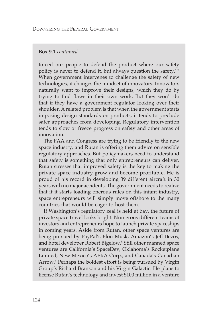## **Box 9.1** *continued*

forced our people to defend the product where our safety policy is never to defend it, but always question the safety.''4 When government intervenes to challenge the safety of new technologies, it changes the mindset of innovators. Innovators naturally want to improve their designs, which they do by trying to find flaws in their own work. But they won't do that if they have a government regulator looking over their shoulder. A related problem is that when the government starts imposing design standards on products, it tends to preclude safer approaches from developing. Regulatory intervention tends to slow or freeze progress on safety and other areas of innovation.

The FAA and Congress are trying to be friendly to the new space industry, and Rutan is offering them advice on sensible regulatory approaches. But policymakers need to understand that safety is something that only entrepreneurs can deliver. Rutan stresses that improved safety is the key to making the private space industry grow and become profitable. He is proud of his record in developing 39 different aircraft in 30 years with no major accidents. The government needs to realize that if it starts loading onerous rules on this infant industry, space entrepreneurs will simply move offshore to the many countries that would be eager to host them.

If Washington's regulatory zeal is held at bay, the future of private space travel looks bright. Numerous different teams of investors and entrepreneurs hope to launch private spaceships in coming years. Aside from Rutan, other space ventures are being pursued by PayPal's Elon Musk, Amazon's Jeff Bezos, and hotel developer Robert Bigelow.<sup>5</sup> Still other manned space ventures are California's SpaceDev, Oklahoma's Rocketplane Limited, New Mexico's AERA Corp., and Canada's Canadian Arrow.6 Perhaps the boldest effort is being pursued by Virgin Group's Richard Branson and his Virgin Galactic. He plans to license Rutan's technology and invest \$100 million in a venture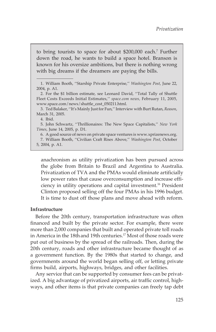to bring tourists to space for about \$200,000 each.<sup>7</sup> Further down the road, he wants to build a space hotel. Branson is known for his oversize ambitions, but there is nothing wrong with big dreams if the dreamers are paying the bills.

3. Ted Balaker, ''It's Mainly Just for Fun,'' Interview with Burt Rutan, *Reason*, March 31, 2005.

4. Ibid.

5. John Schwartz, ''Thrillionaires: The New Space Capitalists,'' *New York Times*, June 14, 2005, p. D1.

6. A good source of news on private space ventures is www.xprizenews.org. 7. William Booth, ''Civilian Craft Rises Above,'' *Washington Post*, October 5, 2004, p. A1.

anachronism as utility privatization has been pursued across the globe from Britain to Brazil and Argentina to Australia. Privatization of TVA and the PMAs would eliminate artificially low power rates that cause overconsumption and increase efficiency in utility operations and capital investment.16 President Clinton proposed selling off the four PMAs in his 1996 budget. It is time to dust off those plans and move ahead with reform.

### **Infrastructure**

Before the 20th century, transportation infrastructure was often financed and built by the private sector. For example, there were more than 2,000 companies that built and operated private toll roads in America in the 18th and 19th centuries.17 Most of those roads were put out of business by the spread of the railroads. Then, during the 20th century, roads and other infrastructure became thought of as a government function. By the 1980s that started to change, and governments around the world began selling off, or letting private firms build, airports, highways, bridges, and other facilities.

Any service that can be supported by consumer fees can be privatized. A big advantage of privatized airports, air traffic control, highways, and other items is that private companies can freely tap debt

<sup>1.</sup> William Booth, ''Starship Private Enterprise,'' *Washington Post*, June 22, 2004, p. A1.

<sup>2.</sup> For the \$1 billion estimate, see Leonard David, ''Total Tally of Shuttle Fleet Costs Exceeds Initial Estimates,'' *space.com news,* February 11, 2005, www.space.com/news/shuttle\_cost\_050211.html.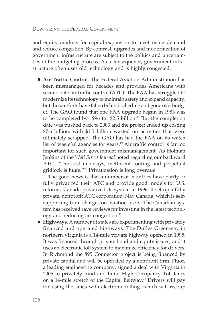and equity markets for capital expansion to meet rising demand and reduce congestion. By contrast, upgrades and modernization of government infrastructure are subject to the politics and uncertainties of the budgeting process. As a consequence, government infrastructure often uses old technology and is highly congested.

● **Air Traffic Control**. The Federal Aviation Administration has been mismanaged for decades and provides Americans with second-rate air traffic control (ATC). The FAA has struggled to modernize its technology to maintain safety and expand capacity, but those efforts have fallen behind schedule and gone overbudget. The GAO found that one FAA upgrade begun in 1983 was to be completed by 1996 for \$2.5 billion.18 But the completion date was pushed back to 2003 and the project ended up costing \$7.6 billion, with \$1.5 billion wasted on activities that were ultimately scrapped. The GAO has had the FAA on its watch list of wasteful agencies for years.<sup>19</sup> Air traffic control is far too important for such government mismanagement. As Holman Jenkins of the *Wall Street Journal* noted regarding our backward ATC, ''The cost in delays, inefficient routing and perpetual gridlock is huge.''20 Privatization is long overdue.

The good news is that a number of countries have partly or fully privatized their ATC and provide good models for U.S. reforms. Canada privatized its system in 1996. It set up a fully private, nonprofit ATC corporation, Nav Canada, which is selfsupporting from charges on aviation users. The Canadian system has received rave reviews for investing in the latest technology and reducing air congestion.<sup>21</sup>

● **Highways**. A number of states are experimenting with privately financed and operated highways. The Dulles Greenway in northern Virginia is a 14-mile private highway opened in 1995. It was financed through private bond and equity issues, and it uses an electronic toll system to maximize efficiency for drivers. In Richmond the 895 Connector project is being financed by private capital and will be operated by a nonprofit firm. Fluor, a leading engineering company, signed a deal with Virginia in 2005 to privately fund and build High Occupancy Toll lanes on a 14-mile stretch of the Capital Beltway.<sup>22</sup> Drivers will pay for using the lanes with electronic tolling, which will recoup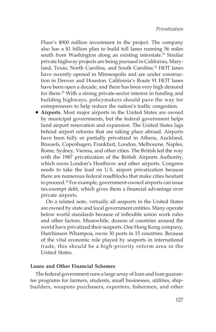Fluor's \$900 million investment in the project. The company also has a \$1 billion plan to build toll lanes running 56 miles south from Washington along an existing interstate.<sup>23</sup> Similar private highway projects are being pursued in California, Maryland, Texas, North Carolina, and South Carolina.<sup>24</sup> HOT lanes have recently opened in Minneapolis and are under construction in Denver and Houston. California's Route 91 HOT lanes have been open a decade, and there has been very high demand for them.<sup>25</sup> With a strong private-sector interest in funding and building highways, policymakers should pave the way for entrepreneurs to help reduce the nation's traffic congestion.

● **Airports**. Most major airports in the United States are owned by municipal governments, but the federal government helps fund airport renovation and expansion. The United States lags behind airport reforms that are taking place abroad. Airports have been fully or partially privatized in Athens, Auckland, Brussels, Copenhagen, Frankfurt, London, Melbourne, Naples, Rome, Sydney, Vienna, and other cities. The British led the way with the 1987 privatization of the British Airports Authority, which owns London's Heathrow and other airports. Congress needs to take the lead on U.S. airport privatization because there are numerous federal roadblocks that make cities hesitant to proceed.<sup>26</sup> For example, government-owned airports can issue tax-exempt debt, which gives them a financial advantage over private airports.

On a related note, virtually all seaports in the United States are owned by state and local government entities. Many operate below world standards because of inflexible union work rules and other factors. Meanwhile, dozens of countries around the world have privatized their seaports. One Hong Kong company, Hutchinson Whampoa, owns 30 ports in 15 countries. Because of the vital economic role played by seaports in international trade, this should be a high-priority reform area in the United States.

## **Loans and Other Financial Schemes**

The federal government runs a large array of loan and loan guarantee programs for farmers, students, small businesses, utilities, shipbuilders, weapons purchasers, exporters, fishermen, and other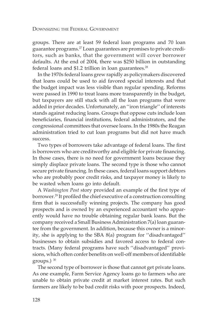groups. There are at least 59 federal loan programs and 70 loan guarantee programs.27 Loan guarantees are promises to private creditors, such as banks, that the government will cover borrower defaults. At the end of 2004, there was \$250 billion in outstanding federal loans and  $$1.2$  trillion in loan guarantees.<sup>28</sup>

In the 1970s federal loans grew rapidly as policymakers discovered that loans could be used to aid favored special interests and that the budget impact was less visible than regular spending. Reforms were passed in 1990 to treat loans more transparently in the budget, but taxpayers are still stuck with all the loan programs that were added in prior decades. Unfortunately, an ''iron triangle'' of interests stands against reducing loans. Groups that oppose cuts include loan beneficiaries, financial institutions, federal administrators, and the congressional committees that oversee loans. In the 1980s the Reagan administration tried to cut loan programs but did not have much success.

Two types of borrowers take advantage of federal loans. The first is borrowers who are creditworthy and eligible for private financing. In those cases, there is no need for government loans because they simply displace private loans. The second type is those who cannot secure private financing. In these cases, federal loans support debtors who are probably poor credit risks, and taxpayer money is likely to be wasted when loans go into default.

A *Washington Post* story provided an example of the first type of borrower.29 It profiled the chief executive of a construction consulting firm that is successfully winning projects. The company has good prospects and is owned by an experienced accountant who apparently would have no trouble obtaining regular bank loans. But the company received a Small Business Administration 7(a) loan guarantee from the government. In addition, because this owner is a minority, she is applying to the SBA 8(a) program for ''disadvantaged'' businesses to obtain subsidies and favored access to federal contracts. (Many federal programs have such ''disadvantaged'' provisions, which often confer benefits on well-off members of identifiable groups.)  $30$ 

The second type of borrower is those that cannot get private loans. As one example, Farm Service Agency loans go to farmers who are unable to obtain private credit at market interest rates. But such farmers are likely to be bad credit risks with poor prospects. Indeed,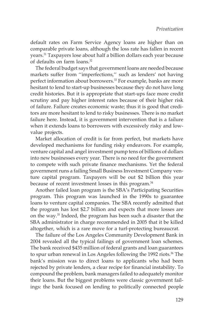default rates on Farm Service Agency loans are higher than on comparable private loans, although the loss rate has fallen in recent years.31 Taxpayers lose about half a billion dollars each year because of defaults on farm loans.32

The federal budget says that government loans are needed because markets suffer from ''imperfections,'' such as lenders' not having perfect information about borrowers.<sup>33</sup> For example, banks are more hesitant to lend to start-up businesses because they do not have long credit histories. But it is appropriate that start-ups face more credit scrutiny and pay higher interest rates because of their higher risk of failure. Failure creates economic waste; thus it is good that creditors are more hesitant to lend to risky businesses. There is no market failure here. Instead, it is government intervention that is a failure when it extends loans to borrowers with excessively risky and lowvalue projects.

Market allocation of credit is far from perfect, but markets have developed mechanisms for funding risky endeavors. For example, venture capital and angel investment pump tens of billions of dollars into new businesses every year. There is no need for the government to compete with such private finance mechanisms. Yet the federal government runs a failing Small Business Investment Company venture capital program. Taxpayers will be out \$2 billion this year because of recent investment losses in this program.34

Another failed loan program is the SBA's Participating Securities program. This program was launched in the 1990s to guarantee loans to venture capital companies. The SBA recently admitted that the program has lost \$2.7 billion and expects that more losses are on the way.35 Indeed, the program has been such a disaster that the SBA administrator in charge recommended in 2005 that it be killed altogether, which is a rare move for a turf-protecting bureaucrat.

The failure of the Los Angeles Community Development Bank in 2004 revealed all the typical failings of government loan schemes. The bank received \$435 million of federal grants and loan guarantees to spur urban renewal in Los Angeles following the 1992 riots.<sup>36</sup> The bank's mission was to direct loans to applicants who had been rejected by private lenders, a clear recipe for financial instability. To compound the problem, bank managers failed to adequately monitor their loans. But the biggest problems were classic government failings: the bank focused on lending to politically connected people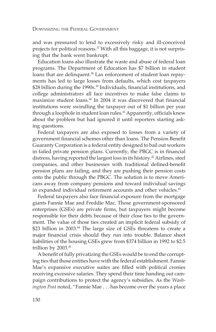and was pressured to lend to excessively risky and ill-conceived projects for political reasons.<sup>37</sup> With all this baggage, it is not surprising that the bank went bankrupt.

Education loans also illustrate the waste and abuse of federal loan programs. The Department of Education has \$7 billion in student loans that are delinquent.<sup>38</sup> Lax enforcement of student loan repayments has led to large losses from defaults, which cost taxpayers \$28 billion during the 1990s.<sup>39</sup> Individuals, financial institutions, and college administrators all face incentives to make false claims to maximize student loans.40 In 2004 it was discovered that financial institutions were swindling the taxpayer out of \$1 billion per year through a loophole in student loan rules.<sup>41</sup> Apparently, officials knew about the problem but had ignored it until reporters starting asking questions.

Federal taxpayers are also exposed to losses from a variety of government financial schemes other than loans. The Pension Benefit Guaranty Corporation is a federal entity designed to bail out workers in failed private pension plans. Currently, the PBGC is in financial distress, having reported the largest loss in its history.<sup>42</sup> Airlines, steel companies, and other businesses with traditional defined-benefit pension plans are failing, and they are pushing their pension costs onto the public through the PBGC. The solution is to move Americans away from company pensions and toward individual savings in expanded individual retirement accounts and other vehicles.<sup>43</sup>

Federal taxpayers also face financial exposure from the mortgage giants Fannie Mae and Freddie Mac. Those government-sponsored enterprises (GSEs) are private firms, but taxpayers might become responsible for their debts because of their close ties to the government. The value of those ties created an implicit federal subsidy of \$23 billion in 2003.<sup>44</sup> The large size of GSEs threatens to create a major financial crisis should they run into trouble. Balance sheet liabilities of the housing GSEs grew from \$374 billion in 1992 to \$2.5 trillion by 2003.45

A benefit of fully privatizing the GSEs would be to end the corrupting ties that those entities have with the federal establishment. Fannie Mae's expansive executive suites are filled with political cronies receiving excessive salaries. They spend their time handing out campaign contributions to protect the agency's subsidies. As the *Washington Post* noted, ''Fannie Mae . . . has become over the years a place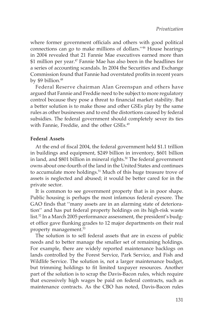where former government officials and others with good political connections can go to make millions of dollars.''46 House hearings in 2004 revealed that 21 Fannie Mae executives earned more than \$1 million per year.<sup>47</sup> Fannie Mae has also been in the headlines for a series of accounting scandals. In 2004 the Securities and Exchange Commission found that Fannie had overstated profits in recent years by \$9 billion.<sup>48</sup>

Federal Reserve chairman Alan Greenspan and others have argued that Fannie and Freddie need to be subject to more regulatory control because they pose a threat to financial market stability. But a better solution is to make those and other GSEs play by the same rules as other businesses and to end the distortions caused by federal subsidies. The federal government should completely sever its ties with Fannie, Freddie, and the other GSEs.<sup>49</sup>

# **Federal Assets**

At the end of fiscal 2004, the federal government held \$1.1 trillion in buildings and equipment, \$249 billion in inventory, \$601 billion in land, and \$801 billion in mineral rights.<sup>50</sup> The federal government owns about one-fourth of the land in the United States and continues to accumulate more holdings.<sup>51</sup> Much of this huge treasure trove of assets is neglected and abused; it would be better cared for in the private sector.

It is common to see government property that is in poor shape. Public housing is perhaps the most infamous federal eyesore. The GAO finds that ''many assets are in an alarming state of deterioration'' and has put federal property holdings on its high-risk waste list.<sup>52</sup> In a March 2005 performance assessment, the president's budget office gave flunking grades to 12 major departments on their real property management.<sup>53</sup>

The solution is to sell federal assets that are in excess of public needs and to better manage the smaller set of remaining holdings. For example, there are widely reported maintenance backlogs on lands controlled by the Forest Service, Park Service, and Fish and Wildlife Service. The solution is, not a larger maintenance budget, but trimming holdings to fit limited taxpayer resources. Another part of the solution is to scrap the Davis-Bacon rules, which require that excessively high wages be paid on federal contracts, such as maintenance contracts. As the CBO has noted, Davis-Bacon rules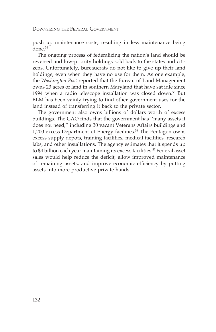push up maintenance costs, resulting in less maintenance being done.<sup>54</sup>

The ongoing process of federalizing the nation's land should be reversed and low-priority holdings sold back to the states and citizens. Unfortunately, bureaucrats do not like to give up their land holdings, even when they have no use for them. As one example, the *Washington Post* reported that the Bureau of Land Management owns 23 acres of land in southern Maryland that have sat idle since 1994 when a radio telescope installation was closed down.55 But BLM has been vainly trying to find other government uses for the land instead of transferring it back to the private sector.

The government also owns billions of dollars worth of excess buildings. The GAO finds that the government has ''many assets it does not need,'' including 30 vacant Veterans Affairs buildings and 1,200 excess Department of Energy facilities.<sup>56</sup> The Pentagon owns excess supply depots, training facilities, medical facilities, research labs, and other installations. The agency estimates that it spends up to \$4 billion each year maintaining its excess facilities.<sup>57</sup> Federal asset sales would help reduce the deficit, allow improved maintenance of remaining assets, and improve economic efficiency by putting assets into more productive private hands.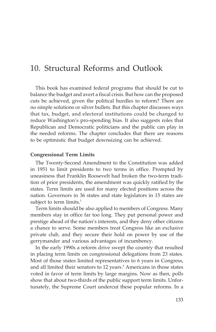# 10. Structural Reforms and Outlook

This book has examined federal programs that should be cut to balance the budget and avert a fiscal crisis. But how can the proposed cuts be achieved, given the political hurdles to reform? There are no simple solutions or silver bullets. But this chapter discusses ways that tax, budget, and electoral institutions could be changed to reduce Washington's pro-spending bias. It also suggests roles that Republican and Democratic politicians and the public can play in the needed reforms. The chapter concludes that there are reasons to be optimistic that budget downsizing can be achieved.

#### **Congressional Term Limits**

The Twenty-Second Amendment to the Constitution was added in 1951 to limit presidents to two terms in office. Prompted by uneasiness that Franklin Roosevelt had broken the two-term tradition of prior presidents, the amendment was quickly ratified by the states. Term limits are used for many elected positions across the nation. Governors in 36 states and state legislators in 15 states are subject to term limits.<sup>1</sup>

Term limits should be also applied to members of Congress. Many members stay in office far too long. They put personal power and prestige ahead of the nation's interests, and they deny other citizens a chance to serve. Some members treat Congress like an exclusive private club, and they secure their hold on power by use of the gerrymander and various advantages of incumbency.

In the early 1990s a reform drive swept the country that resulted in placing term limits on congressional delegations from 23 states. Most of those states limited representatives to 6 years in Congress, and all limited their senators to 12 years.<sup>2</sup> Americans in those states voted in favor of term limits by large margins. Now as then, polls show that about two-thirds of the public support term limits. Unfortunately, the Supreme Court undercut these popular reforms. In a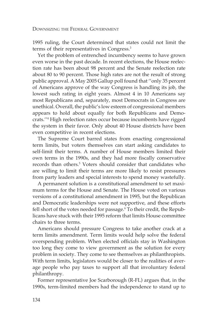1995 ruling, the Court determined that states could not limit the terms of their representatives in Congress.3

Yet the problem of entrenched incumbency seems to have grown even worse in the past decade. In recent elections, the House reelection rate has been about 98 percent and the Senate reelection rate about 80 to 90 percent. Those high rates are not the result of strong public approval. A May 2005 Gallup poll found that ''only 35 percent of Americans approve of the way Congress is handling its job, the lowest such rating in eight years. Almost 4 in 10 Americans say most Republicans and, separately, most Democrats in Congress are unethical. Overall, the public's low esteem of congressional members appears to hold about equally for both Republicans and Democrats.''4 High reelection rates occur because incumbents have rigged the system in their favor. Only about 40 House districts have been even competitive in recent elections.

The Supreme Court barred states from enacting congressional term limits, but voters themselves can start asking candidates to self-limit their terms. A number of House members limited their own terms in the 1990s, and they had more fiscally conservative records than others.<sup>5</sup> Voters should consider that candidates who are willing to limit their terms are more likely to resist pressures from party leaders and special interests to spend money wastefully.

A permanent solution is a constitutional amendment to set maximum terms for the House and Senate. The House voted on various versions of a constitutional amendment in 1995, but the Republican and Democratic leaderships were not supportive, and these efforts fell short of the votes needed for passage.<sup>6</sup> To their credit, the Republicans have stuck with their 1995 reform that limits House committee chairs to three terms.

Americans should pressure Congress to take another crack at a term limits amendment. Term limits would help solve the federal overspending problem. When elected officials stay in Washington too long they come to view government as the solution for every problem in society. They come to see themselves as philanthropists. With term limits, legislators would be closer to the realities of average people who pay taxes to support all that involuntary federal philanthropy.

Former representative Joe Scarborough (R-FL) argues that, in the 1990s, term-limited members had the independence to stand up to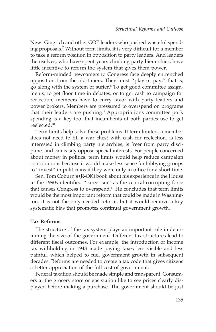Newt Gingrich and other GOP leaders who pushed wasteful spending proposals.7 Without term limits, it is very difficult for a member to take a reform position in opposition to party leaders. And leaders themselves, who have spent years climbing party hierarchies, have little incentive to reform the system that gives them power.

Reform-minded newcomers to Congress face deeply entrenched opposition from the old-timers. They must ''play or pay,'' that is, go along with the system or suffer.8 To get good committee assignments, to get floor time in debates, or to get cash to campaign for reelection, members have to curry favor with party leaders and power brokers. Members are pressured to overspend on programs that their leaders are pushing.<sup>9</sup> Appropriations committee pork spending is a key tool that incumbents of both parties use to get reelected.10

Term limits help solve these problems. If term limited, a member does not need to fill a war chest with cash for reelection, is less interested in climbing party hierarchies, is freer from party discipline, and can easily oppose special interests. For people concerned about money in politics, term limits would help reduce campaign contributions because it would make less sense for lobbying groups to ''invest'' in politicians if they were only in office for a short time.

Sen. Tom Coburn's (R-OK) book about his experience in the House in the 1990s identified ''careerism'' as the central corrupting force that causes Congress to overspend.<sup>11</sup> He concludes that term limits would be the most important reform that could be made in Washington. It is not the only needed reform, but it would remove a key systematic bias that promotes continual government growth.

# **Tax Reforms**

The structure of the tax system plays an important role in determining the size of the government. Different tax structures lead to different fiscal outcomes. For example, the introduction of income tax withholding in 1943 made paying taxes less visible and less painful, which helped to fuel government growth in subsequent decades. Reforms are needed to create a tax code that gives citizens a better appreciation of the full cost of government.

Federal taxation should be made simple and transparent. Consumers at the grocery store or gas station like to see prices clearly displayed before making a purchase. The government should be just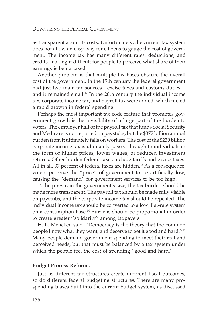as transparent about its costs. Unfortunately, the current tax system does not allow an easy way for citizens to gauge the cost of government. The income tax has many different rates, deductions, and credits, making it difficult for people to perceive what share of their earnings is being taxed.

Another problem is that multiple tax bases obscure the overall cost of the government. In the 19th century the federal government had just two main tax sources—excise taxes and customs duties and it remained small.<sup>12</sup> In the 20th century the individual income tax, corporate income tax, and payroll tax were added, which fueled a rapid growth in federal spending.

Perhaps the most important tax code feature that promotes government growth is the invisibility of a large part of the burden to voters. The employer half of the payroll tax that funds Social Security and Medicare is not reported on paystubs, but the \$372 billion annual burden from it ultimately falls on workers. The cost of the \$230 billion corporate income tax is ultimately passed through to individuals in the form of higher prices, lower wages, or reduced investment returns. Other hidden federal taxes include tariffs and excise taxes. All in all, 37 percent of federal taxes are hidden.<sup>13</sup> As a consequence, voters perceive the ''price'' of government to be artificially low, causing the ''demand'' for government services to be too high.

To help restrain the government's size, the tax burden should be made more transparent. The payroll tax should be made fully visible on paystubs, and the corporate income tax should be repealed. The individual income tax should be converted to a low, flat-rate system on a consumption base.14 Burdens should be proportional in order to create greater ''solidarity'' among taxpayers.

H. L. Mencken said, ''Democracy is the theory that the common people know what they want, and deserve to get it good and hard.''15 Many people demand government spending to meet their real and perceived needs, but that must be balanced by a tax system under which the people feel the cost of spending ''good and hard.''

## **Budget Process Reforms**

Just as different tax structures create different fiscal outcomes, so do different federal budgeting structures. There are many prospending biases built into the current budget system, as discussed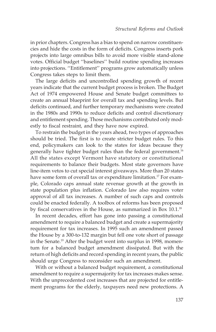in prior chapters. Congress has a bias to spend on narrow constituencies and hide the costs in the form of deficits. Congress inserts pork projects into large omnibus bills to avoid more visible stand-alone votes. Official budget ''baselines'' build routine spending increases into projections. ''Entitlement'' programs grow automatically unless Congress takes steps to limit them.

The large deficits and uncontrolled spending growth of recent years indicate that the current budget process is broken. The Budget Act of 1974 empowered House and Senate budget committees to create an annual blueprint for overall tax and spending levels. But deficits continued, and further temporary mechanisms were created in the 1980s and 1990s to reduce deficits and control discretionary and entitlement spending. Those mechanisms contributed only modestly to fiscal restraint, and they have now expired.

To restrain the budget in the years ahead, two types of approaches should be tried. The first is to create stricter budget rules. To this end, policymakers can look to the states for ideas because they generally have tighter budget rules than the federal government.16 All the states except Vermont have statutory or constitutional requirements to balance their budgets. Most state governors have line-item vetos to cut special interest giveaways. More than 20 states have some form of overall tax or expenditure limitation.17 For example, Colorado caps annual state revenue growth at the growth in state population plus inflation. Colorado law also requires voter approval of all tax increases. A number of such caps and controls could be enacted federally. A toolbox of reforms has been proposed by fiscal conservatives in the House, as summarized in Box 10.1.<sup>18</sup>

In recent decades, effort has gone into passing a constitutional amendment to require a balanced budget and create a supermajority requirement for tax increases. In 1995 such an amendment passed the House by a 300-to-132 margin but fell one vote short of passage in the Senate.19 After the budget went into surplus in 1998, momentum for a balanced budget amendment dissipated. But with the return of high deficits and record spending in recent years, the public should urge Congress to reconsider such an amendment.

With or without a balanced budget requirement, a constitutional amendment to require a supermajority for tax increases makes sense. With the unprecedented cost increases that are projected for entitlement programs for the elderly, taxpayers need new protections. A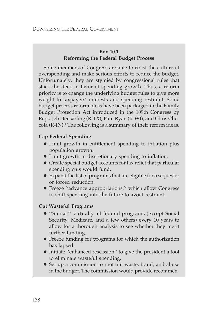## **Box 10.1 Reforming the Federal Budget Process**

Some members of Congress are able to resist the culture of overspending and make serious efforts to reduce the budget. Unfortunately, they are stymied by congressional rules that stack the deck in favor of spending growth. Thus, a reform priority is to change the underlying budget rules to give more weight to taxpayers' interests and spending restraint. Some budget process reform ideas have been packaged in the Family Budget Protection Act introduced in the 109th Congress by Reps. Jeb Hensarling (R-TX), Paul Ryan (R-WI), and Chris Chocola  $(R-IN)^1$ . The following is a summary of their reform ideas.

## **Cap Federal Spending**

- Limit growth in entitlement spending to inflation plus population growth.
- Limit growth in discretionary spending to inflation.
- Create special budget accounts for tax relief that particular spending cuts would fund.
- Expand the list of programs that are eligible for a sequester or forced reduction.
- Freeze ''advance appropriations,'' which allow Congress to shift spending into the future to avoid restraint.

## **Cut Wasteful Programs**

- ''Sunset'' virtually all federal programs (except Social Security, Medicare, and a few others) every 10 years to allow for a thorough analysis to see whether they merit further funding.
- Freeze funding for programs for which the authorization has lapsed.
- Initiate ''enhanced rescission'' to give the president a tool to eliminate wasteful spending.
- Set up a commission to root out waste, fraud, and abuse in the budget. The commission would provide recommen-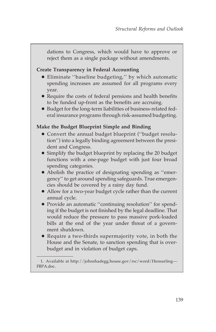dations to Congress, which would have to approve or reject them as a single package without amendments.

## **Create Transparency in Federal Accounting**

- Eliminate ''baseline budgeting,'' by which automatic spending increases are assumed for all programs every year.
- Require the costs of federal pensions and health benefits to be funded up-front as the benefits are accruing.
- Budget for the long-term liabilities of business-related federal insurance programs through risk-assumed budgeting.

# **Make the Budget Blueprint Simple and Binding**

- Convert the annual budget blueprint (''budget resolution'') into a legally binding agreement between the president and Congress.
- Simplify the budget blueprint by replacing the 20 budget functions with a one-page budget with just four broad spending categories.
- Abolish the practice of designating spending as "emergency'' to get around spending safeguards. True emergencies should be covered by a rainy day fund.
- Allow for a two-year budget cycle rather than the current annual cycle.
- Provide an automatic ''continuing resolution'' for spending if the budget is not finished by the legal deadline. That would reduce the pressure to pass massive pork-loaded bills at the end of the year under threat of a government shutdown.
- Require a two-thirds supermajority vote, in both the House and the Senate, to sanction spending that is overbudget and in violation of budget caps.

<sup>1.</sup> Available at http://johnshadegg.house.gov/rsc/word/Hensarling— FBPA.doc.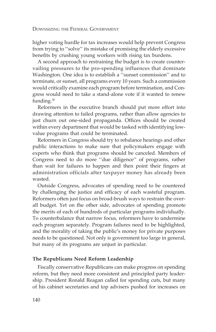higher voting hurdle for tax increases would help prevent Congress from trying to ''solve'' its mistake of promising the elderly excessive benefits by crushing young workers with rising tax burdens.

A second approach to restraining the budget is to create countervailing pressures to the pro-spending influences that dominate Washington. One idea is to establish a ''sunset commission'' and to terminate, or sunset, all programs every 10 years. Such a commission would critically examine each program before termination, and Congress would need to take a stand-alone vote if it wanted to renew funding.20

Reformers in the executive branch should put more effort into drawing attention to failed programs, rather than allow agencies to just churn out one-sided propaganda. Offices should be created within every department that would be tasked with identifying lowvalue programs that could be terminated.

Reformers in Congress should try to rebalance hearings and other public interactions to make sure that policymakers engage with experts who think that programs should be canceled. Members of Congress need to do more ''due diligence'' of programs, rather than wait for failures to happen and then point their fingers at administration officials after taxpayer money has already been wasted.

Outside Congress, advocates of spending need to be countered by challenging the justice and efficacy of each wasteful program. Reformers often just focus on broad-brush ways to restrain the overall budget. Yet on the other side, advocates of spending promote the merits of each of hundreds of particular programs individually. To counterbalance that narrow focus, reformers have to undermine each program separately. Program failures need to be highlighted, and the morality of taking the public's money for private purposes needs to be questioned. Not only is government too large in general, but many of its programs are unjust in particular.

#### **The Republicans Need Reform Leadership**

Fiscally conservative Republicans can make progress on spending reform, but they need more consistent and principled party leadership. President Ronald Reagan called for spending cuts, but many of his cabinet secretaries and top advisers pushed for increases on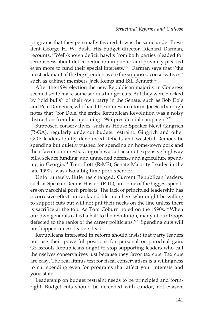programs that they personally favored. It was the same under President George H. W. Bush. His budget director, Richard Darman, recounts, ''Well-known deficit hawks from both parties pleaded for seriousness about deficit reduction in public, and privately pleaded even more to fund their special interests.''21 Darman says that ''the most adamant of the big spenders were the supposed conservatives'' such as cabinet members Jack Kemp and Bill Bennett.<sup>22</sup>

After the 1994 election the new Republican majority in Congress seemed set to make some serious budget cuts. But they were blocked by ''old bulls'' of their own party in the Senate, such as Bob Dole and Pete Domenici, who had little interest in reform. Joe Scarborough notes that ''for Dole, the entire Republican Revolution was a noisy distraction from his upcoming 1996 presidential campaign.''23

Supposed conservatives, such as House Speaker Newt Gingrich (R-GA), regularly undercut budget restraint. Gingrich and other GOP leaders loudly denounced deficits and wasteful Democratic spending but quietly pushed for spending on home-town pork and their favored interests. Gingrich was a backer of expensive highway bills, science funding, and unneeded defense and agriculture spending in Georgia.24 Trent Lott (R-MS), Senate Majority Leader in the late 1990s, was also a big-time pork spender.

Unfortunately, little has changed. Current Republican leaders, such as Speaker Dennis Hastert (R-IL), are some of the biggest spenders on parochial pork projects. The lack of principled leadership has a corrosive effect on rank-and-file members who might be willing to support cuts but will not put their necks on the line unless there is sacrifice at the top. As Tom Coburn noted on the 1990s, ''When our own generals called a halt to the revolution, many of our troops defected to the ranks of the career politicians.''25 Spending cuts will not happen unless leaders lead.

Republicans interested in reform should insist that party leaders not use their powerful positions for personal or parochial gain. Grassroots Republicans ought to stop supporting leaders who call themselves conservatives just because they favor tax cuts. Tax cuts are easy. The real litmus test for fiscal conservatism is a willingness to cut spending even for programs that affect your interests and your state.

Leadership on budget restraint needs to be principled and forthright. Budget cuts should be defended with candor, not evasive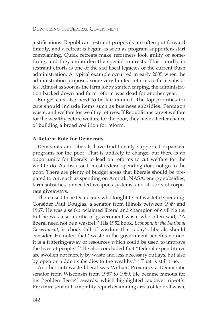justifications. Republican restraint proposals are often put forward timidly, and a retreat is begun as soon as program supporters start complaining. Quick retreats make reformers look guilty of something, and they embolden the special interests. This timidly in restraint efforts is one of the sad fiscal legacies of the current Bush administration. A typical example occurred in early 2005 when the administration proposed some very limited reforms to farm subsidies. Almost as soon as the farm lobby started carping, the administration backed down and farm reform was dead for another year.

Budget cuts also need to be fair-minded. The top priorities for cuts should include items such as business subsidies, Pentagon waste, and welfare for wealthy retirees. If Republicans target welfare for the wealthy before welfare for the poor, they have a better chance of building a broad coalition for reform.

## **A Reform Role for Democrats**

Democrats and liberals have traditionally supported expansive programs for the poor. That is unlikely to change, but there is an opportunity for liberals to lead on reforms to cut welfare for the well-to-do. As discussed, most federal spending does not go to the poor. There are plenty of budget areas that liberals should be prepared to cut, such as spending on Amtrak, NASA, energy subsidies, farm subsidies, unneeded weapons systems, and all sorts of corporate giveaways.

There used to be Democrats who fought to cut wasteful spending. Consider Paul Douglas, a senator from Illinois between 1949 and 1967. He was a self-proclaimed liberal and champion of civil rights. But he was also a critic of government waste who often said, ''A liberal need not be a wastrel.'' His 1952 book, *Economy in the National Government*, is chock full of wisdom that today's liberals should consider. He noted that ''waste in the government benefits no one. It is a frittering-away of resources which could be used to improve the lives of people.''26 He also concluded that ''federal expenditures are swollen not merely by waste and less necessary outlays, but also by open or hidden subsidies to the wealthy.''27 That is still true.

Another anti-waste liberal was William Proxmire, a Democratic senator from Wisconsin from 1957 to 1989. He became famous for his ''golden fleece'' awards, which highlighted taxpayer rip-offs. Proxmire sent out a monthly report examining areas of federal waste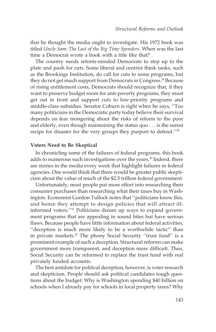that he thought the media ought to investigate. His 1972 book was titled *Uncle Sam: The Last of the Big Time Spenders*. When was the last time a Democrat wrote a book with a title like that?

The country needs reform-minded Democrats to step up to the plate and push for cuts. Some liberal and centrist think tanks, such as the Brookings Institution, do call for cuts to some programs, but they do not get much support from Democrats in Congress.<sup>28</sup> Because of rising entitlement costs, Democrats should recognize that, if they want to preserve budget room for anti-poverty programs, they must get out in front and support cuts to low-priority programs and middle-class subsidies. Senator Coburn is right when he says, ''Too many politicians in the Democratic party today believe their survival depends on fear mongering about the risks of reform to the poor and elderly, even though maintaining the status quo . . . is the surest recipe for disaster for the very groups they purport to defend.''29

## **Voters Need to Be Skeptical**

In chronicling some of the failures of federal programs, this book adds to numerous such investigations over the years.<sup>30</sup> Indeed, there are stories in the media every week that highlight failures in federal agencies. One would think that there would be greater public skepticism about the value of much of the \$2.5 trillion federal government.

Unfortunately, most people put more effort into researching their consumer purchases than researching what their taxes buy in Washington. Economist Gordon Tullock notes that ''politicians know this, and hence they attempt to design policies that will attract illinformed voters.''31 Politicians dream up ways to expand government programs that are appealing in sound bites but have serious flaws. Because people have little information about federal activities, ''deception is much more likely to be a worthwhile tactic'' than in private markets.32 The phony Social Security ''trust fund'' is a prominent example of such a deception. Structural reforms can make government more transparent, and deception more difficult. Thus, Social Security can be reformed to replace the trust fund with real privately funded accounts.

The best antidote for political deception, however, is voter research and skepticism. People should ask political candidates tough questions about the budget: Why is Washington spending \$40 billion on schools when I already pay for schools in local property taxes? Why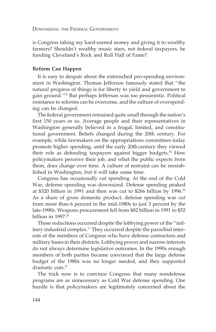is Congress taking my hard-earned money and giving it to wealthy farmers? Shouldn't wealthy music stars, not federal taxpayers, be funding Cleveland's Rock and Roll Hall of Fame?

## **Reform Can Happen**

It is easy to despair about the entrenched pro-spending environment in Washington. Thomas Jefferson famously stated that ''the natural progress of things is for liberty to yield and government to gain ground.''33 But perhaps Jefferson was too pessimistic. Political resistance to reforms can be overcome, and the culture of overspending can be changed.

The federal government remained quite small through the nation's first 150 years or so. Average people and their representatives in Washington generally believed in a frugal, limited, and constitutional government. Beliefs changed during the 20th century. For example, while lawmakers on the appropriations committees today promote higher spending, until the early 20th century they viewed their role as defending taxpayers against bigger budgets. $34$  How policymakers perceive their job, and what the public expects from them, does change over time. A culture of restraint can be reestablished in Washington, but it will take some time.

Congress has occasionally cut spending. At the end of the Cold War, defense spending was downsized. Defense spending peaked at \$320 billion in 1991 and then was cut to \$266 billion by 1996.35 As a share of gross domestic product, defense spending was cut from more than 6 percent in the mid-1980s to just 3 percent by the late-1990s. Weapons procurement fell from \$82 billion in 1991 to \$52 billion in 1997.<sup>36</sup>

Those reductions occurred despite the lobbying power of the ''military industrial complex.'' They occurred despite the parochial interests of the members of Congress who have defense contractors and military bases in their districts. Lobbying power and narrow interests do not always determine legislative outcomes. In the 1990s enough members of both parties became convinced that the large defense budget of the 1980s was no longer needed, and they supported dramatic cuts.37

The trick now is to convince Congress that many nondefense programs are as unnecessary as Cold War defense spending. One hurdle is that policymakers are legitimately concerned about the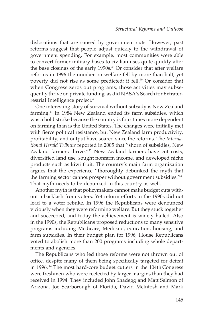dislocations that are caused by government cuts. However, past reforms suggest that people adjust quickly to the withdrawal of government spending. For example, most communities were able to convert former military bases to civilian uses quite quickly after the base closings of the early 1990s.<sup>38</sup> Or consider that after welfare reforms in 1996 the number on welfare fell by more than half, yet poverty did not rise as some predicted; it fell.<sup>39</sup> Or consider that when Congress zeros out programs, those activities may subsequently thrive on private funding, as did NASA's Search for Extraterrestrial Intelligence project.<sup>40</sup>

One interesting story of survival without subsidy is New Zealand farming.41 In 1984 New Zealand ended its farm subsidies, which was a bold stroke because the country is four times more dependent on farming than is the United States. The changes were initially met with fierce political resistance, but New Zealand farm productivity, profitability, and output have soared since the reforms. The *International Herald Tribune* reported in 2005 that ''shorn of subsidies, New Zealand farmers thrive.''42 New Zealand farmers have cut costs, diversified land use, sought nonfarm income, and developed niche products such as kiwi fruit. The country's main farm organization argues that the experience ''thoroughly debunked the myth that the farming sector cannot prosper without government subsidies.''43 That myth needs to be debunked in this country as well.

Another myth is that policymakers cannot make budget cuts without a backlash from voters. Yet reform efforts in the 1990s did not lead to a voter rebuke. In 1996 the Republicans were denounced viciously when they were reforming welfare. But they stuck together and succeeded, and today the achievement is widely hailed. Also in the 1990s, the Republicans proposed reductions to many sensitive programs including Medicare, Medicaid, education, housing, and farm subsidies. In their budget plan for 1996, House Republicans voted to abolish more than 200 programs including whole departments and agencies.

The Republicans who led those reforms were not thrown out of office, despite many of them being specifically targeted for defeat in 1996. <sup>44</sup> The most hard-core budget cutters in the 104th Congress were freshmen who were reelected by larger margins than they had received in 1994. They included John Shadegg and Matt Salmon of Arizona, Joe Scarborough of Florida, David McIntosh and Mark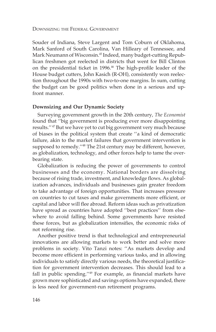Souder of Indiana, Steve Largent and Tom Coburn of Oklahoma, Mark Sanford of South Carolina, Van Hilleary of Tennessee, and Mark Neumann of Wisconsin.45 Indeed, many budget-cutting Republican freshmen got reelected in districts that went for Bill Clinton on the presidential ticket in 1996.46 The high-profile leader of the House budget cutters, John Kasich (R-OH), consistently won reelection throughout the 1990s with two-to-one margins. In sum, cutting the budget can be good politics when done in a serious and upfront manner.

## **Downsizing and Our Dynamic Society**

Surveying government growth in the 20th century, *The Economist* found that ''big government is producing ever more disappointing results.'' <sup>47</sup> But we have yet to cut big government very much because of biases in the political system that create ''a kind of democratic failure, akin to the market failures that government intervention is supposed to remedy.''48 The 21st century may be different, however, as globalization, technology, and other forces help to tame the overbearing state.

Globalization is reducing the power of governments to control businesses and the economy. National borders are dissolving because of rising trade, investment, and knowledge flows. As globalization advances, individuals and businesses gain greater freedom to take advantage of foreign opportunities. That increases pressure on countries to cut taxes and make governments more efficient, or capital and labor will flee abroad. Reform ideas such as privatization have spread as countries have adopted ''best practices'' from elsewhere to avoid falling behind. Some governments have resisted these forces, but as globalization intensifies, the economic risks of not reforming rise.

Another positive trend is that technological and entrepreneurial innovations are allowing markets to work better and solve more problems in society. Vito Tanzi notes: ''As markets develop and become more efficient in performing various tasks, and in allowing individuals to satisfy directly various needs, the theoretical justification for government intervention decreases. This should lead to a fall in public spending.''49 For example, as financial markets have grown more sophisticated and savings options have expanded, there is less need for government-run retirement programs.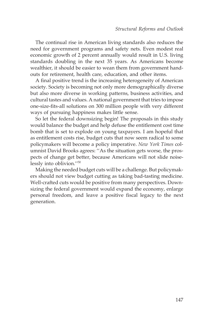The continual rise in American living standards also reduces the need for government programs and safety nets. Even modest real economic growth of 2 percent annually would result in U.S. living standards doubling in the next 35 years. As Americans become wealthier, it should be easier to wean them from government handouts for retirement, health care, education, and other items.

A final positive trend is the increasing heterogeneity of American society. Society is becoming not only more demographically diverse but also more diverse in working patterns, business activities, and cultural tastes and values. A national government that tries to impose one-size-fits-all solutions on 300 million people with very different ways of pursuing happiness makes little sense.

So let the federal downsizing begin! The proposals in this study would balance the budget and help defuse the entitlement cost time bomb that is set to explode on young taxpayers. I am hopeful that as entitlement costs rise, budget cuts that now seem radical to some policymakers will become a policy imperative. *New York Times* columnist David Brooks agrees: ''As the situation gets worse, the prospects of change get better, because Americans will not slide noiselessly into oblivion.''50

Making the needed budget cuts will be a challenge. But policymakers should not view budget cutting as taking bad-tasting medicine. Well-crafted cuts would be positive from many perspectives. Downsizing the federal government would expand the economy, enlarge personal freedom, and leave a positive fiscal legacy to the next generation.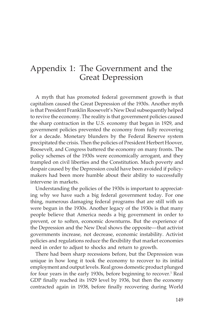# Appendix 1: The Government and the Great Depression

A myth that has promoted federal government growth is that capitalism caused the Great Depression of the 1930s. Another myth is that President Franklin Roosevelt's New Deal subsequently helped to revive the economy. The reality is that government policies caused the sharp contraction in the U.S. economy that began in 1929, and government policies prevented the economy from fully recovering for a decade. Monetary blunders by the Federal Reserve system precipitated the crisis. Then the policies of President Herbert Hoover, Roosevelt, and Congress battered the economy on many fronts. The policy schemes of the 1930s were economically arrogant, and they trampled on civil liberties and the Constitution. Much poverty and despair caused by the Depression could have been avoided if policymakers had been more humble about their ability to successfully intervene in markets.

Understanding the policies of the 1930s is important to appreciating why we have such a big federal government today. For one thing, numerous damaging federal programs that are still with us were begun in the 1930s. Another legacy of the 1930s is that many people believe that America needs a big government in order to prevent, or to soften, economic downturns. But the experience of the Depression and the New Deal shows the opposite—that activist governments increase, not decrease, economic instability. Activist policies and regulations reduce the flexibility that market economies need in order to adjust to shocks and return to growth.

There had been sharp recessions before, but the Depression was unique in how long it took the economy to recover to its initial employment and output levels. Real gross domestic product plunged for four years in the early 1930s, before beginning to recover.<sup>1</sup> Real GDP finally reached its 1929 level by 1936, but then the economy contracted again in 1938, before finally recovering during World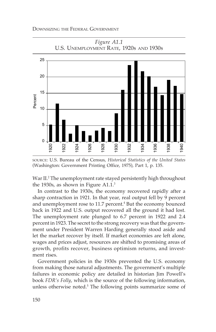

*Figure A1.1* U.S. UNEMPLOYMENT RATE, 1920s AND 1930s

SOURCE: U.S. Bureau of the Census, *Historical Statistics of the United States* (Washington: Government Printing Office, 1975), Part 1, p. 135.

War II.<sup>2</sup> The unemployment rate stayed persistently high throughout the 1930s, as shown in Figure A1.1.<sup>3</sup>

In contrast to the 1930s, the economy recovered rapidly after a sharp contraction in 1921. In that year, real output fell by 9 percent and unemployment rose to 11.7 percent.<sup>4</sup> But the economy bounced back in 1922 and U.S. output recovered all the ground it had lost. The unemployment rate plunged to 6.7 percent in 1922 and 2.4 percent in 1923. The secret to the strong recovery was that the government under President Warren Harding generally stood aside and let the market recover by itself. If market economies are left alone, wages and prices adjust, resources are shifted to promising areas of growth, profits recover, business optimism returns, and investment rises.

Government policies in the 1930s prevented the U.S. economy from making those natural adjustments. The government's multiple failures in economic policy are detailed in historian Jim Powell's book *FDR's Folly*, which is the source of the following information, unless otherwise noted.5 The following points summarize some of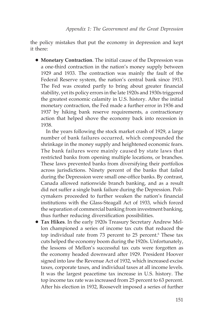the policy mistakes that put the economy in depression and kept it there:

● **Monetary Contraction**. The initial cause of the Depression was a one-third contraction in the nation's money supply between 1929 and 1933. The contraction was mainly the fault of the Federal Reserve system, the nation's central bank since 1913. The Fed was created partly to bring about greater financial stability, yet its policy errors in the late 1920s and 1930s triggered the greatest economic calamity in U.S. history. After the initial monetary contraction, the Fed made a further error in 1936 and 1937 by hiking bank reserve requirements, a contractionary action that helped shove the economy back into recession in 1938.

In the years following the stock market crash of 1929, a large number of bank failures occurred, which compounded the shrinkage in the money supply and heightened economic fears. The bank failures were mainly caused by state laws that restricted banks from opening multiple locations, or branches. These laws prevented banks from diversifying their portfolios across jurisdictions. Ninety percent of the banks that failed during the Depression were small one-office banks. By contrast, Canada allowed nationwide branch banking, and as a result did not suffer a single bank failure during the Depression. Policymakers proceeded to further weaken the nation's financial institutions with the Glass-Steagall Act of 1933, which forced the separation of commercial banking from investment banking, thus further reducing diversification possibilities.

● **Tax Hikes**. In the early 1920s Treasury Secretary Andrew Mellon championed a series of income tax cuts that reduced the top individual rate from 73 percent to 25 percent.<sup>6</sup> These tax cuts helped the economy boom during the 1920s. Unfortunately, the lessons of Mellon's successful tax cuts were forgotten as the economy headed downward after 1929. President Hoover signed into law the Revenue Act of 1932, which increased excise taxes, corporate taxes, and individual taxes at all income levels. It was the largest peacetime tax increase in U.S. history. The top income tax rate was increased from 25 percent to 63 percent. After his election in 1932, Roosevelt imposed a series of further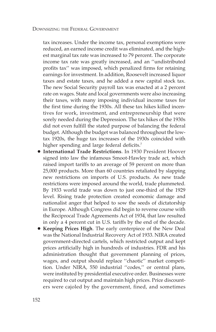tax increases. Under the income tax, personal exemptions were reduced, an earned income credit was eliminated, and the highest marginal tax rate was increased to 79 percent. The corporate income tax rate was greatly increased, and an ''undistributed profits tax'' was imposed, which penalized firms for retaining earnings for investment. In addition, Roosevelt increased liquor taxes and estate taxes, and he added a new capital stock tax. The new Social Security payroll tax was enacted at a 2 percent rate on wages. State and local governments were also increasing their taxes, with many imposing individual income taxes for the first time during the 1930s. All these tax hikes killed incentives for work, investment, and entrepreneurship that were sorely needed during the Depression. The tax hikes of the 1930s did not even fulfill the stated purpose of balancing the federal budget. Although the budget was balanced throughout the lowtax 1920s, the huge tax increases of the 1930s coincided with higher spending and large federal deficits.<sup>7</sup>

- **International Trade Restrictions**. In 1930 President Hoover signed into law the infamous Smoot-Hawley trade act, which raised import tariffs to an average of 59 percent on more than 25,000 products. More than 60 countries retaliated by slapping new restrictions on imports of U.S. products. As new trade restrictions were imposed around the world, trade plummeted. By 1933 world trade was down to just one-third of the 1929 level. Rising trade protection created economic damage and nationalist anger that helped to sow the seeds of dictatorship in Europe. Although Congress did begin to reverse course with the Reciprocal Trade Agreements Act of 1934, that law resulted in only a 4 percent cut in U.S. tariffs by the end of the decade.
- **Keeping Prices High**. The early centerpiece of the New Deal was the National Industrial Recovery Act of 1933. NIRA created government-directed cartels, which restricted output and kept prices artificially high in hundreds of industries. FDR and his administration thought that government planning of prices, wages, and output should replace ''chaotic'' market competition. Under NIRA, 550 industrial ''codes,'' or central plans, were instituted by presidential executive order. Businesses were required to cut output and maintain high prices. Price discounters were cajoled by the government, fined, and sometimes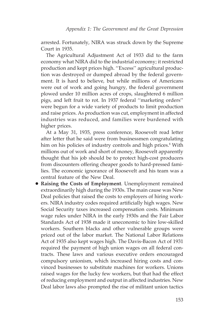arrested. Fortunately, NIRA was struck down by the Supreme Court in 1935.

The Agricultural Adjustment Act of 1933 did to the farm economy what NIRA did to the industrial economy; it restricted production and kept prices high. ''Excess'' agricultural production was destroyed or dumped abroad by the federal government. It is hard to believe, but while millions of Americans were out of work and going hungry, the federal government plowed under 10 million acres of crops, slaughtered 6 million pigs, and left fruit to rot. In 1937 federal ''marketing orders'' were begun for a wide variety of products to limit production and raise prices. As production was cut, employment in affected industries was reduced, and families were burdened with higher prices.

At a May 31, 1935, press conference, Roosevelt read letter after letter that he said were from businessmen congratulating him on his policies of industry controls and high prices.<sup>8</sup> With millions out of work and short of money, Roosevelt apparently thought that his job should be to protect high-cost producers from discounters offering cheaper goods to hard-pressed families. The economic ignorance of Roosevelt and his team was a central feature of the New Deal.

● **Raising the Costs of Employment**. Unemployment remained extraordinarily high during the 1930s. The main cause was New Deal policies that raised the costs to employers of hiring workers. NIRA industry codes required artificially high wages. New Social Security taxes increased compensation costs. Minimum wage rules under NIRA in the early 1930s and the Fair Labor Standards Act of 1938 made it uneconomic to hire low-skilled workers. Southern blacks and other vulnerable groups were priced out of the labor market. The National Labor Relations Act of 1935 also kept wages high. The Davis-Bacon Act of 1931 required the payment of high union wages on all federal contracts. These laws and various executive orders encouraged compulsory unionism, which increased hiring costs and convinced businesses to substitute machines for workers. Unions raised wages for the lucky few workers, but that had the effect of reducing employment and output in affected industries. New Deal labor laws also prompted the rise of militant union tactics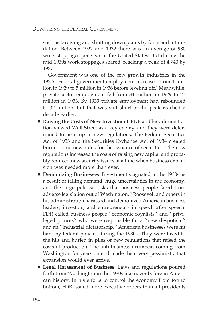such as targeting and shutting down plants by force and intimidation. Between 1922 and 1932 there was an average of 980 work stoppages per year in the United States. But during the mid-1930s work stoppages soared, reaching a peak of 4,740 by 1937.

Government was one of the few growth industries in the 1930s. Federal government employment increased from 1 million in 1929 to 5 million in 1936 before leveling off.<sup>9</sup> Meanwhile, private-sector employment fell from 34 million in 1929 to 25 million in 1933. By 1939 private employment had rebounded to 32 million, but that was still short of the peak reached a decade earlier.

- **Raising the Costs of New Investment**. FDR and his administration viewed Wall Street as a key enemy, and they were determined to tie it up in new regulations. The Federal Securities Act of 1933 and the Securities Exchange Act of 1934 created burdensome new rules for the issuance of securities. The new regulations increased the costs of raising new capital and probably reduced new security issues at a time when business expansion was needed more than ever.
- **Demonizing Businesses**. Investment stagnated in the 1930s as a result of falling demand, huge uncertainties in the economy, and the large political risks that business people faced from adverse legislation out of Washington.10 Roosevelt and others in his administration harassed and demonized American business leaders, investors, and entrepreneurs in speech after speech. FDR called business people ''economic royalists'' and ''privileged princes'' who were responsible for a ''new despotism'' and an ''industrial dictatorship.'' American businesses were hit hard by federal policies during the 1930s. They were taxed to the hilt and buried in piles of new regulations that raised the costs of production. The anti-business drumbeat coming from Washington for years on end made them very pessimistic that expansion would ever arrive.
- **Legal Harassment of Business**. Laws and regulations poured forth from Washington in the 1930s like never before in American history. In his efforts to control the economy from top to bottom, FDR issued more executive orders than all presidents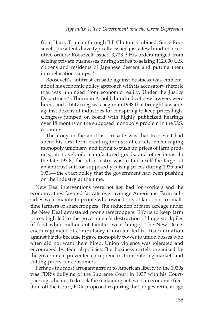from Harry Truman through Bill Clinton combined. Since Roosevelt, presidents have typically issued just a few hundred executive orders; Roosevelt issued 3,723.11 His orders ranged from seizing private businesses during strikes to seizing 112,000 U.S. citizens and residents of Japanese descent and putting them into relocation camps.12

Roosevelt's antitrust crusade against business was emblematic of his economic policy approach with its accusatory rhetoric that was unhinged from economic reality. Under the Justice Department's Thurman Arnold, hundreds of new lawyers were hired, and a blitzkrieg was begun in 1938 that brought lawsuits against dozens of industries for conspiring to keep prices high. Congress jumped on board with highly publicized hearings over 18 months on the supposed monopoly problem in the U.S. economy.

The irony in the antitrust crusade was that Roosevelt had spent his first term creating industrial cartels, encouraging monopoly unionism, and trying to push up prices of farm products, air travel, oil, manufactured goods, and other items. In the late 1930s, the oil industry was to find itself the target of an antitrust suit for supposedly raising prices during 1935 and 1936—the exact policy that the government had been pushing on the industry at the time.

New Deal interventions were not just bad for workers and the economy; they favored fat cats over average Americans. Farm subsidies went mainly to people who owned lots of land, not to smalltime farmers or sharecroppers. The reduction of farm acreage under the New Deal devastated poor sharecroppers. Efforts to keep farm prices high led to the government's destruction of huge stockpiles of food while millions of families went hungry. The New Deal's encouragement of compulsory unionism led to discrimination against blacks because it gave monopoly power to union bosses who often did not want them hired. Union violence was tolerated and encouraged by federal policies. Big business cartels organized by the government prevented entrepreneurs from entering markets and cutting prices for consumers.

Perhaps the most arrogant affront to American liberty in the 1930s was FDR's bullying of the Supreme Court in 1937 with his Courtpacking scheme. To knock the remaining believers in economic freedom off the Court, FDR proposed requiring that judges retire at age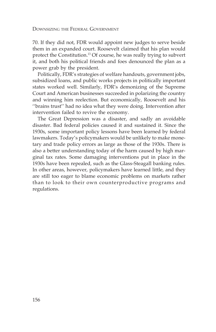70. If they did not, FDR would appoint new judges to serve beside them in an expanded court. Roosevelt claimed that his plan would protect the Constitution.13 Of course, he was really trying to subvert it, and both his political friends and foes denounced the plan as a power grab by the president.

Politically, FDR's strategies of welfare handouts, government jobs, subsidized loans, and public works projects in politically important states worked well. Similarly, FDR's demonizing of the Supreme Court and American businesses succeeded in polarizing the country and winning him reelection. But economically, Roosevelt and his ''brains trust'' had no idea what they were doing. Intervention after intervention failed to revive the economy.

The Great Depression was a disaster, and sadly an avoidable disaster. Bad federal policies caused it and sustained it. Since the 1930s, some important policy lessons have been learned by federal lawmakers. Today's policymakers would be unlikely to make monetary and trade policy errors as large as those of the 1930s. There is also a better understanding today of the harm caused by high marginal tax rates. Some damaging interventions put in place in the 1930s have been repealed, such as the Glass-Steagall banking rules. In other areas, however, policymakers have learned little, and they are still too eager to blame economic problems on markets rather than to look to their own counterproductive programs and regulations.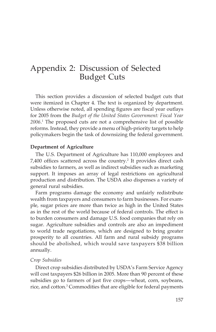# Appendix 2: Discussion of Selected Budget Cuts

This section provides a discussion of selected budget cuts that were itemized in Chapter 4. The text is organized by department. Unless otherwise noted, all spending figures are fiscal year outlays for 2005 from the *Budget of the United States Government: Fiscal Year 2006*. <sup>1</sup> The proposed cuts are not a comprehensive list of possible reforms. Instead, they provide a menu of high-priority targets to help policymakers begin the task of downsizing the federal government.

## **Department of Agriculture**

The U.S. Department of Agriculture has 110,000 employees and 7,400 offices scattered across the country.<sup>2</sup> It provides direct cash subsidies to farmers, as well as indirect subsidies such as marketing support. It imposes an array of legal restrictions on agricultural production and distribution. The USDA also dispenses a variety of general rural subsidies.

Farm programs damage the economy and unfairly redistribute wealth from taxpayers and consumers to farm businesses. For example, sugar prices are more than twice as high in the United States as in the rest of the world because of federal controls. The effect is to burden consumers and damage U.S. food companies that rely on sugar. Agriculture subsidies and controls are also an impediment to world trade negotiations, which are designed to bring greater prosperity to all countries. All farm and rural subsidy programs should be abolished, which would save taxpayers \$38 billion annually.

#### *Crop Subsidies*

Direct crop subsidies distributed by USDA's Farm Service Agency will cost taxpayers \$26 billion in 2005. More than 90 percent of these subsidies go to farmers of just five crops—wheat, corn, soybeans, rice, and cotton.<sup>3</sup> Commodities that are eligible for federal payments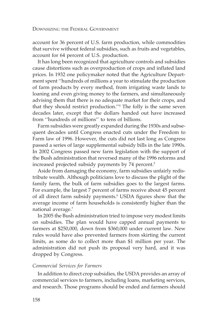account for 36 percent of U.S. farm production, while commodities that survive without federal subsidies, such as fruits and vegetables, account for 64 percent of U.S. production.

It has long been recognized that agriculture controls and subsidies cause distortions such as overproduction of crops and inflated land prices. In 1932 one policymaker noted that the Agriculture Department spent ''hundreds of millions a year to stimulate the production of farm products by every method, from irrigating waste lands to loaning and even giving money to the farmers, and simultaneously advising them that there is no adequate market for their crops, and that they should restrict production.''4 The folly is the same seven decades later, except that the dollars handed out have increased from ''hundreds of millions'' to tens of billions.

Farm subsidies were greatly expanded during the 1930s and subsequent decades until Congress enacted cuts under the Freedom to Farm law of 1996. However, the cuts did not last long as Congress passed a series of large supplemental subsidy bills in the late 1990s. In 2002 Congress passed new farm legislation with the support of the Bush administration that reversed many of the 1996 reforms and increased projected subsidy payments by 74 percent.<sup>5</sup>

Aside from damaging the economy, farm subsidies unfairly redistribute wealth. Although politicians love to discuss the plight of the family farm, the bulk of farm subsidies goes to the largest farms. For example, the largest 7 percent of farms receive about 45 percent of all direct farm subsidy payments.<sup>6</sup> USDA figures show that the average income of farm households is consistently higher than the national average.7

In 2005 the Bush administration tried to impose very modest limits on subsidies. The plan would have capped annual payments to farmers at \$250,000, down from \$360,000 under current law. New rules would have also prevented farmers from skirting the current limits, as some do to collect more than \$1 million per year. The administration did not push its proposal very hard, and it was dropped by Congress.

## *Commercial Services for Farmers*

In addition to direct crop subsidies, the USDA provides an array of commercial services to farmers, including loans, marketing services, and research. Those programs should be ended and farmers should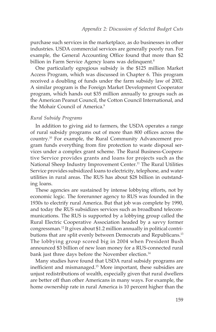purchase such services in the marketplace, as do businesses in other industries. USDA commercial services are generally poorly run. For example, the General Accounting Office found that more than \$2 billion in Farm Service Agency loans was delinquent.<sup>8</sup>

One particularly egregious subsidy is the \$125 million Market Access Program, which was discussed in Chapter 6. This program received a doubling of funds under the farm subsidy law of 2002. A similar program is the Foreign Market Development Cooperator program, which hands out \$35 million annually to groups such as the American Peanut Council, the Cotton Council International, and the Mohair Council of America.<sup>9</sup>

## *Rural Subsidy Programs*

In addition to giving aid to farmers, the USDA operates a range of rural subsidy programs out of more than 800 offices across the country.10 For example, the Rural Community Advancement program funds everything from fire protection to waste disposal services under a complex grant scheme. The Rural Business-Cooperative Service provides grants and loans for projects such as the National Sheep Industry Improvement Center.11 The Rural Utilities Service provides subsidized loans to electricity, telephone, and water utilities in rural areas. The RUS has about \$28 billion in outstanding loans.

These agencies are sustained by intense lobbying efforts, not by economic logic. The forerunner agency to RUS was founded in the 1930s to electrify rural America. But that job was complete by 1990, and today the RUS subsidizes services such as broadband telecommunications. The RUS is supported by a lobbying group called the Rural Electric Cooperative Association headed by a savvy former congressman.12 It gives about \$1.2 million annually in political contributions that are split evenly between Democrats and Republicans.<sup>13</sup> The lobbying group scored big in 2004 when President Bush announced \$3 billion of new loan money for a RUS-connected rural bank just three days before the November election.<sup>14</sup>

Many studies have found that USDA rural subsidy programs are inefficient and mismanaged.15 More important, these subsidies are unjust redistributions of wealth, especially given that rural dwellers are better off than other Americans in many ways. For example, the home ownership rate in rural America is 10 percent higher than the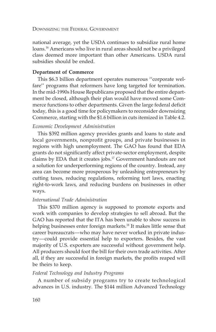national average, yet the USDA continues to subsidize rural home loans.16 Americans who live in rural areas should not be a privileged class deemed more important than other Americans. USDA rural subsidies should be ended.

#### **Department of Commerce**

This \$6.3 billion department operates numerous ''corporate welfare'' programs that reformers have long targeted for termination. In the mid-1990s House Republicans proposed that the entire department be closed, although their plan would have moved some Commerce functions to other departments. Given the large federal deficit today, this is a good time for policymakers to reconsider downsizing Commerce, starting with the \$1.6 billion in cuts itemized in Table 4.2.

## *Economic Development Administration*

This \$392 million agency provides grants and loans to state and local governments, nonprofit groups, and private businesses in regions with high unemployment. The GAO has found that EDA grants do not significantly affect private-sector employment, despite claims by EDA that it creates jobs.<sup>17</sup> Government handouts are not a solution for underperforming regions of the country. Instead, any area can become more prosperous by unleashing entrepreneurs by cutting taxes, reducing regulations, reforming tort laws, enacting right-to-work laws, and reducing burdens on businesses in other ways.

## *International Trade Administration*

This \$370 million agency is supposed to promote exports and work with companies to develop strategies to sell abroad. But the GAO has reported that the ITA has been unable to show success in helping businesses enter foreign markets.<sup>18</sup> It makes little sense that career bureaucrats—who may have never worked in private industry—could provide essential help to exporters. Besides, the vast majority of U.S. exporters are successful without government help. All producers should foot the bill for their own trade activities. After all, if they are successful in foreign markets, the profits reaped will be theirs to keep.

#### *Federal Technology and Industry Programs*

A number of subsidy programs try to create technological advances in U.S. industry. The \$144 million Advanced Technology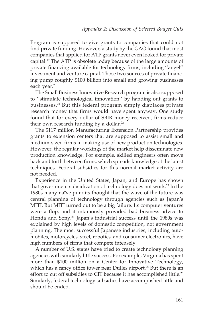Program is supposed to give grants to companies that could not find private funding. However, a study by the GAO found that most companies that applied for ATP grants never even looked for private capital.19 The ATP is obsolete today because of the large amounts of private financing available for technology firms, including ''angel'' investment and venture capital. Those two sources of private financing pump roughly \$100 billion into small and growing businesses each year.<sup>20</sup>

The Small Business Innovative Research program is also supposed to ''stimulate technological innovation'' by handing out grants to businesses.21 But this federal program simply displaces private research money that firms would have spent anyway. One study found that for every dollar of SBIR money received, firms reduce their own research funding by a dollar.<sup>22</sup>

The \$117 million Manufacturing Extension Partnership provides grants to extension centers that are supposed to assist small and medium-sized firms in making use of new production technologies. However, the regular workings of the market help disseminate new production knowledge. For example, skilled engineers often move back and forth between firms, which spreads knowledge of the latest techniques. Federal subsidies for this normal market activity are not needed.

Experience in the United States, Japan, and Europe has shown that government subsidization of technology does not work.<sup>23</sup> In the 1980s many naïve pundits thought that the wave of the future was central planning of technology through agencies such as Japan's MITI. But MITI turned out to be a big failure. Its computer ventures were a flop, and it infamously provided bad business advice to Honda and Sony.<sup>24</sup> Japan's industrial success until the 1980s was explained by high levels of domestic competition, not government planning. The most successful Japanese industries, including automobiles, motorcycles, steel, robotics, and consumer electronics, have high numbers of firms that compete intensely.

A number of U.S. states have tried to create technology planning agencies with similarly little success. For example, Virginia has spent more than \$100 million on a Center for Innovative Technology, which has a fancy office tower near Dulles airport.<sup>25</sup> But there is an effort to cut off subsidies to CIT because it has accomplished little.<sup>26</sup> Similarly, federal technology subsidies have accomplished little and should be ended.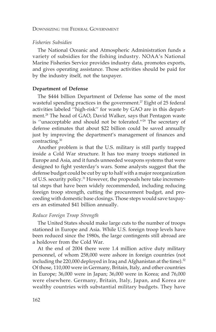#### *Fisheries Subsidies*

The National Oceanic and Atmospheric Administration funds a variety of subsidies for the fishing industry. NOAA's National Marine Fisheries Service provides industry data, promotes exports, and gives operating assistance. Those activities should be paid for by the industry itself, not the taxpayer.

#### **Department of Defense**

The \$444 billion Department of Defense has some of the most wasteful spending practices in the government.<sup>27</sup> Eight of 25 federal activities labeled ''high-risk'' for waste by GAO are in this department.28 The head of GAO, David Walker, says that Pentagon waste is ''unacceptable and should not be tolerated.''29 The secretary of defense estimates that about \$22 billion could be saved annually just by improving the department's management of finances and contracting.30

Another problem is that the U.S. military is still partly trapped inside a Cold War structure. It has too many troops stationed in Europe and Asia, and it funds unneeded weapons systems that were designed to fight yesterday's wars. Some analysts suggest that the defense budget could be cut by up to half with a major reorganization of U.S. security policy.<sup>31</sup> However, the proposals here take incremental steps that have been widely recommended, including reducing foreign troop strength, cutting the procurement budget, and proceeding with domestic base closings. Those steps would save taxpayers an estimated \$41 billion annually.

## *Reduce Foreign Troop Strength*

The United States should make large cuts to the number of troops stationed in Europe and Asia. While U.S. foreign troop levels have been reduced since the 1980s, the large contingents still abroad are a holdover from the Cold War.

At the end of 2004 there were 1.4 million active duty military personnel, of whom 258,000 were ashore in foreign countries (not including the 220,000 deployed in Iraq and Afghanistan at the time). $32$ Of those, 110,000 were in Germany, Britain, Italy, and other countries in Europe; 36,000 were in Japan; 36,000 were in Korea; and 76,000 were elsewhere. Germany, Britain, Italy, Japan, and Korea are wealthy countries with substantial military budgets. They have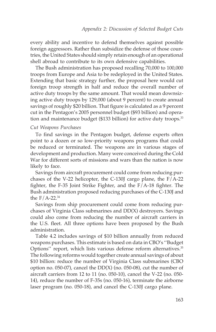every ability and incentive to defend themselves against possible foreign aggressors. Rather than subsidize the defense of those countries, the United States should simply retain enough of an operational shell abroad to contribute to its own defensive capabilities.

The Bush administration has proposed recalling 70,000 to 100,000 troops from Europe and Asia to be redeployed in the United States. Extending that basic strategy further, the proposal here would cut foreign troop strength in half and reduce the overall number of active duty troops by the same amount. That would mean downsizing active duty troops by 129,000 (about 9 percent) to create annual savings of roughly \$20 billion. That figure is calculated as a 9 percent cut in the Pentagon's 2005 personnel budget (\$93 billion) and operation and maintenance budget (\$133 billion) for active duty troops.<sup>33</sup>

## *Cut Weapons Purchases*

To find savings in the Pentagon budget, defense experts often point to a dozen or so low-priority weapons programs that could be reduced or terminated. The weapons are in various stages of development and production. Many were conceived during the Cold War for different sorts of missions and wars than the nation is now likely to face.

Savings from aircraft procurement could come from reducing purchases of the V-22 helicopter, the C-130J cargo plane, the  $F/A-22$ fighter, the F-35 Joint Strike Fighter, and the F/A-18 fighter. The Bush administration proposed reducing purchases of the C-130J and the  $F/A-22.^{34}$ 

Savings from ship procurement could come from reducing purchases of Virginia Class submarines and DD(X) destroyers. Savings could also come from reducing the number of aircraft carriers in the U.S. fleet. All three options have been proposed by the Bush administration.

Table 4.2 includes savings of \$10 billion annually from reduced weapons purchases. This estimate is based on data in CBO's ''Budget Options" report, which lists various defense reform alternatives.<sup>35</sup> The following reforms would together create annual savings of about \$10 billion: reduce the number of Virginia Class submarines (CBO option no. 050-07), cancel the  $DD(X)$  (no. 050-08), cut the number of aircraft carriers from 12 to 11 (no. 050-10), cancel the V-22 (no. 050- 14), reduce the number of F-35s (no. 050-16), terminate the airborne laser program (no. 050-18), and cancel the C-130J cargo plane.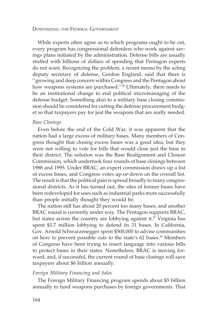While experts often agree as to which programs ought to be cut, every program has congressional defenders who work against savings plans initiated by the administration. Defense bills are usually stuffed with billions of dollars of spending that Pentagon experts do not want. Recognizing the problem, a recent memo by the acting deputy secretary of defense, Gordon England, said that there is ''growing and deep concern within Congress and the Pentagon about how weapons systems are purchased."<sup>36</sup> Ultimately, there needs to be an institutional change to end political micromanaging of the defense budget. Something akin to a military base closing commission should be considered for cutting the defense procurement budget so that taxpayers pay for just the weapons that are really needed.

## *Base Closings*

Even before the end of the Cold War, it was apparent that the nation had a large excess of military bases. Many members of Congress thought that closing excess bases was a good idea, but they were not willing to vote for bills that would close just the base in their district. The solution was the Base Realignment and Closure Commission, which undertook four rounds of base closings between 1988 and 1995. Under BRAC, an expert commission draws up a list of excess bases, and Congress votes up-or-down on the overall list. The result is that the political pain is spread broadly to many congressional districts. As it has turned out, the sites of former bases have been redeveloped for uses such as industrial parks more successfully than people initially thought they would be.

The nation still has about 20 percent too many bases, and another BRAC round is currently under way. The Pentagon supports BRAC, but states across the country are lobbying against it. $37$  Virginia has spent \$1.7 million lobbying to defend its 31 bases. In California, Gov. Arnold Schwarzenegger spent \$500,000 to advise communities on how to prevent possible cuts to the state's 62 bases.<sup>38</sup> Members of Congress have been trying to insert language into various bills to protect bases in their states. Nonetheless, BRAC is moving forward, and, if successful, the current round of base closings will save taxpayers about \$6 billion annually.

## *Foreign Military Financing and Sales*

The Foreign Military Financing program spends about \$5 billion annually to fund weapons purchases by foreign governments. That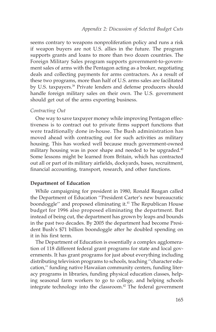seems contrary to weapons nonproliferation policy and runs a risk if weapon buyers are not U.S. allies in the future. The program supports grants and loans to more than two dozen countries. The Foreign Military Sales program supports government-to-government sales of arms with the Pentagon acting as a broker, negotiating deals and collecting payments for arms contractors. As a result of these two programs, more than half of U.S. arms sales are facilitated by U.S. taxpayers.<sup>39</sup> Private lenders and defense producers should handle foreign military sales on their own. The U.S. government should get out of the arms exporting business.

## *Contracting Out*

One way to save taxpayer money while improving Pentagon effectiveness is to contract out to private firms support functions that were traditionally done in-house. The Bush administration has moved ahead with contracting out for such activities as military housing. This has worked well because much government-owned military housing was in poor shape and needed to be upgraded. $40$ Some lessons might be learned from Britain, which has contracted out all or part of its military airfields, dockyards, bases, recruitment, financial accounting, transport, research, and other functions.

#### **Department of Education**

While campaigning for president in 1980, Ronald Reagan called the Department of Education ''President Carter's new bureaucratic boondoggle'' and proposed eliminating it.<sup>41</sup> The Republican House budget for 1996 also proposed eliminating the department. But instead of being cut, the department has grown by leaps and bounds in the past two decades. By 2005 the department had become President Bush's \$71 billion boondoggle after he doubled spending on it in his first term.

The Department of Education is essentially a complex agglomeration of 118 different federal grant programs for state and local governments. It has grant programs for just about everything including distributing television programs to schools, teaching ''character education,'' funding native Hawaiian community centers, funding literacy programs in libraries, funding physical education classes, helping seasonal farm workers to go to college, and helping schools integrate technology into the classroom. $42$  The federal government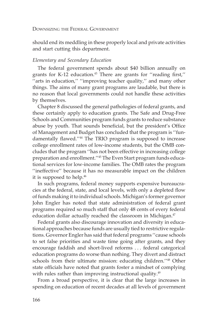should end its meddling in these properly local and private activities and start cutting this department.

## *Elementary and Secondary Education*

The federal government spends about \$40 billion annually on grants for K-12 education.<sup>43</sup> There are grants for "reading first," "arts in education," "improving teacher quality," and many other things. The aims of many grant programs are laudable, but there is no reason that local governments could not handle these activities by themselves.

Chapter 8 discussed the general pathologies of federal grants, and these certainly apply to education grants. The Safe and Drug-Free Schools and Communities program funds grants to reduce substance abuse by youth. That sounds beneficial, but the president's Office of Management and Budget has concluded that the program is ''fundamentally flawed.''44 The TRIO program is supposed to increase college enrollment rates of low-income students, but the OMB concludes that the program ''has not been effective in increasing college preparation and enrollment.''45 The Even Start program funds educational services for low-income families. The OMB rates the program ''ineffective'' because it has no measurable impact on the children it is supposed to help.46

In such programs, federal money supports expensive bureaucracies at the federal, state, and local levels, with only a depleted flow of funds making it to individual schools. Michigan's former governor John Engler has noted that state administration of federal grant programs required so much staff that only 48 cents of every federal education dollar actually reached the classroom in Michigan.<sup>47</sup>

Federal grants also discourage innovation and diversity in educational approaches because funds are usually tied to restrictive regulations. Governor Engler has said that federal programs ''cause schools to set false priorities and waste time going after grants, and they encourage faddish and short-lived reforms . . . federal categorical education programs do worse than nothing. They divert and distract schools from their ultimate mission: educating children.''48 Other state officials have noted that grants foster a mindset of complying with rules rather than improving instructional quality.<sup>49</sup>

From a broad perspective, it is clear that the large increases in spending on education of recent decades at all levels of government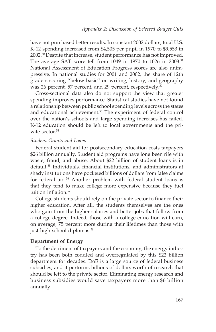have not purchased better results. In constant 2002 dollars, total U.S. K-12 spending increased from \$4,505 per pupil in 1970 to \$9,553 in 2002.50 Despite that increase, student performance has not improved. The average SAT score fell from  $1049$  in  $1970$  to  $1026$  in  $2003$ .<sup>51</sup> National Assessment of Education Progress scores are also unimpressive. In national studies for 2001 and 2002, the share of 12th graders scoring ''below basic'' on writing, history, and geography was 26 percent, 57 percent, and 29 percent, respectively.<sup>52</sup>

Cross-sectional data also do not support the view that greater spending improves performance. Statistical studies have not found a relationship between public school spending levels across the states and educational achievement.<sup>53</sup> The experiment of federal control over the nation's schools and large spending increases has failed. K-12 education should be left to local governments and the private sector.<sup>54</sup>

## *Student Grants and Loans*

Federal student aid for postsecondary education costs taxpayers \$26 billion annually. Student aid programs have long been rife with waste, fraud, and abuse. About \$22 billion of student loans is in default.55 Individuals, financial institutions, and administrators at shady institutions have pocketed billions of dollars from false claims for federal aid.56 Another problem with federal student loans is that they tend to make college more expensive because they fuel tuition inflation.<sup>57</sup>

College students should rely on the private sector to finance their higher education. After all, the students themselves are the ones who gain from the higher salaries and better jobs that follow from a college degree. Indeed, those with a college education will earn, on average, 75 percent more during their lifetimes than those with just high school diplomas.<sup>58</sup>

## **Department of Energy**

To the detriment of taxpayers and the economy, the energy industry has been both coddled and overregulated by this \$22 billion department for decades. DoE is a large source of federal business subsidies, and it performs billions of dollars worth of research that should be left to the private sector. Eliminating energy research and business subsidies would save taxpayers more than \$6 billion annually.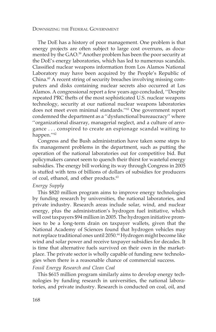The DoE has a history of poor management. One problem is that energy projects are often subject to large cost overruns, as documented by the GAO.59 Another problem has been the poor security at the DoE's energy laboratories, which has led to numerous scandals. Classified nuclear weapons information from Los Alamos National Laboratory may have been acquired by the People's Republic of China.60 A recent string of security breaches involving missing computers and disks containing nuclear secrets also occurred at Los Alamos. A congressional report a few years ago concluded, ''Despite repeated PRC thefts of the most sophisticated U.S. nuclear weapons technology, security at our national nuclear weapons laboratories does not meet even minimal standards.''61 One government report condemned the department as a ''dysfunctional bureaucracy'' where ''organizational disarray, managerial neglect, and a culture of arrogance . . . conspired to create an espionage scandal waiting to happen.''62

Congress and the Bush administration have taken some steps to fix management problems in the department, such as putting the operation of the national laboratories out for competitive bid. But policymakers cannot seem to quench their thirst for wasteful energy subsidies. The energy bill working its way through Congress in 2005 is stuffed with tens of billions of dollars of subsidies for producers of coal, ethanol, and other products.<sup>63</sup>

## *Energy Supply*

This \$820 million program aims to improve energy technologies by funding research by universities, the national laboratories, and private industry. Research areas include solar, wind, and nuclear energy, plus the administration's hydrogen fuel initiative, which will cost taxpayers \$94 million in 2005. The hydrogen initiative promises to be a long-term drain on taxpayer wallets, given that the National Academy of Sciences found that hydrogen vehicles may not replace traditional ones until 2050.<sup>64</sup> Hydrogen might become like wind and solar power and receive taxpayer subsidies for decades. It is time that alternative fuels survived on their own in the marketplace. The private sector is wholly capable of funding new technologies when there is a reasonable chance of commercial success.

#### *Fossil Energy Research and Clean Coal*

This \$615 million program similarly aims to develop energy technologies by funding research in universities, the national laboratories, and private industry. Research is conducted on coal, oil, and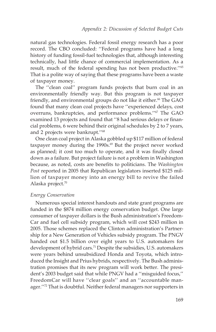natural gas technologies. Federal fossil energy research has a poor record. The CBO concluded: ''Federal programs have had a long history of funding fossil-fuel technologies that, although interesting technically, had little chance of commercial implementation. As a result, much of the federal spending has not been productive.''65 That is a polite way of saying that these programs have been a waste of taxpayer money.

The ''clean coal'' program funds projects that burn coal in an environmentally friendly way. But this program is not taxpayer friendly, and environmental groups do not like it either.<sup>66</sup> The GAO found that many clean coal projects have ''experienced delays, cost overruns, bankruptcies, and performance problems.''67 The GAO examined 13 projects and found that ''8 had serious delays or financial problems, 6 were behind their original schedules by 2 to 7 years, and 2 projects were bankrupt.''68

One clean coal project in Alaska gobbled up \$117 million of federal taxpayer money during the 1990s.<sup>69</sup> But the project never worked as planned; it cost too much to operate, and it was finally closed down as a failure. But project failure is not a problem in Washington because, as noted, costs are benefits to politicians. The *Washington Post* reported in 2005 that Republican legislators inserted \$125 million of taxpayer money into an energy bill to revive the failed Alaska project.<sup>70</sup>

## *Energy Conservation*

Numerous special interest handouts and state grant programs are funded in the \$874 million energy conservation budget. One large consumer of taxpayer dollars is the Bush administration's Freedom-Car and fuel cell subsidy program, which will cost \$243 million in 2005. Those schemes replaced the Clinton administration's Partnership for a New Generation of Vehicles subsidy program. The PNGV handed out \$1.5 billion over eight years to U.S. automakers for development of hybrid cars.<sup>71</sup> Despite the subsidies, U.S. automakers were years behind unsubsidized Honda and Toyota, which introduced the Insight and Prius hybrids, respectively. The Bush administration promises that its new program will work better. The president's 2003 budget said that while PNGV had a ''misguided focus,'' FreedomCar will have ''clear goals'' and an ''accountable manager."<sup>72</sup> That is doubtful. Neither federal managers nor supporters in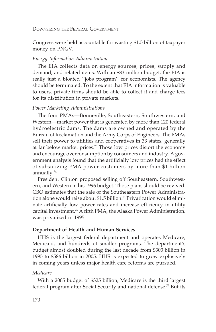Congress were held accountable for wasting \$1.5 billion of taxpayer money on PNGV.

## *Energy Information Administration*

The EIA collects data on energy sources, prices, supply and demand, and related items. With an \$83 million budget, the EIA is really just a bloated ''jobs program'' for economists. The agency should be terminated. To the extent that EIA information is valuable to users, private firms should be able to collect it and charge fees for its distribution in private markets.

## *Power Marketing Administrations*

The four PMAs—Bonneville, Southeastern, Southwestern, and Western—market power that is generated by more than 120 federal hydroelectric dams. The dams are owned and operated by the Bureau of Reclamation and the Army Corps of Engineers. The PMAs sell their power to utilities and cooperatives in 33 states, generally at far below market prices.73 Those low prices distort the economy and encourage overconsumption by consumers and industry. A government analysis found that the artificially low prices had the effect of subsidizing PMA power customers by more than \$1 billion annually.74

President Clinton proposed selling off Southeastern, Southwestern, and Western in his 1996 budget. Those plans should be revived. CBO estimates that the sale of the Southeastern Power Administration alone would raise about \$1.5 billion.<sup>75</sup> Privatization would eliminate artificially low power rates and increase efficiency in utility capital investment.76 A fifth PMA, the Alaska Power Administration, was privatized in 1995.

## **Department of Health and Human Services**

HHS is the largest federal department and operates Medicare, Medicaid, and hundreds of smaller programs. The department's budget almost doubled during the last decade from \$303 billion in 1995 to \$586 billion in 2005. HHS is expected to grow explosively in coming years unless major health care reforms are pursued.

## *Medicare*

With a 2005 budget of \$325 billion, Medicare is the third largest federal program after Social Security and national defense.<sup>77</sup> But its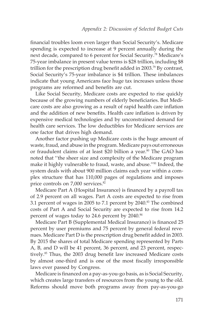financial troubles loom even larger than Social Security's. Medicare spending is expected to increase at 9 percent annually during the next decade, compared to 6 percent for Social Security.78 Medicare's 75-year imbalance in present value terms is \$28 trillion, including \$8 trillion for the prescription drug benefit added in 2003.79 By contrast, Social Security's 75-year imbalance is \$4 trillion. These imbalances indicate that young Americans face huge tax increases unless those programs are reformed and benefits are cut.

Like Social Security, Medicare costs are expected to rise quickly because of the growing numbers of elderly beneficiaries. But Medicare costs are also growing as a result of rapid health care inflation and the addition of new benefits. Health care inflation is driven by expensive medical technologies and by unconstrained demand for health care services. The low deductibles for Medicare services are one factor that drives high demand.

Another factor pushing up Medicare costs is the huge amount of waste, fraud, and abuse in the program. Medicare pays out erroneous or fraudulent claims of at least \$20 billion a year.<sup>80</sup> The GAO has noted that ''the sheer size and complexity of the Medicare program make it highly vulnerable to fraud, waste, and abuse.''81 Indeed, the system deals with about 900 million claims each year within a complex structure that has 110,000 pages of regulations and imposes price controls on 7,000 services.<sup>82</sup>

Medicare Part A (Hospital Insurance) is financed by a payroll tax of 2.9 percent on all wages. Part A costs are expected to rise from 3.1 percent of wages in 2005 to 7.1 percent by 2040.83 The combined costs of Part A and Social Security are expected to rise from 14.2 percent of wages today to 24.6 percent by 2040.<sup>84</sup>

Medicare Part B (Supplemental Medical Insurance) is financed 25 percent by user premiums and 75 percent by general federal revenues. Medicare Part D is the prescription drug benefit added in 2003. By 2015 the shares of total Medicare spending represented by Parts A, B, and D will be 41 percent, 36 percent, and 23 percent, respectively.<sup>85</sup> Thus, the 2003 drug benefit law increased Medicare costs by almost one-third and is one of the most fiscally irresponsible laws ever passed by Congress.

Medicare is financed on a pay-as-you-go basis, as is Social Security, which creates large transfers of resources from the young to the old. Reforms should move both programs away from pay-as-you-go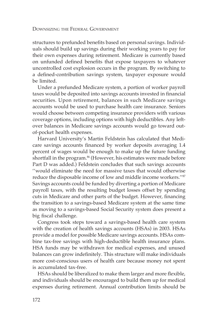structures to prefunded benefits based on personal savings. Individuals should build up savings during their working years to pay for their own expenses during retirement. Medicare is currently based on unfunded defined benefits that expose taxpayers to whatever uncontrolled cost explosion occurs in the program. By switching to a defined-contribution savings system, taxpayer exposure would be limited.

Under a prefunded Medicare system, a portion of worker payroll taxes would be deposited into savings accounts invested in financial securities. Upon retirement, balances in such Medicare savings accounts would be used to purchase health care insurance. Seniors would choose between competing insurance providers with various coverage options, including options with high deductibles. Any leftover balances in Medicare savings accounts would go toward outof-pocket health expenses.

Harvard University's Martin Feldstein has calculated that Medicare savings accounts financed by worker deposits averaging 1.4 percent of wages would be enough to make up the future funding shortfall in the program.<sup>86</sup> (However, his estimates were made before Part D was added.) Feldstein concludes that such savings accounts ''would eliminate the need for massive taxes that would otherwise reduce the disposable income of low and middle income workers.''87 Savings accounts could be funded by diverting a portion of Medicare payroll taxes, with the resulting budget losses offset by spending cuts in Medicare and other parts of the budget. However, financing the transition to a savings-based Medicare system at the same time as moving to a savings-based Social Security system does present a big fiscal challenge.

Congress took steps toward a savings-based health care system with the creation of health savings accounts (HSAs) in 2003. HSAs provide a model for possible Medicare savings accounts. HSAs combine tax-free savings with high-deductible health insurance plans. HSA funds may be withdrawn for medical expenses, and unused balances can grow indefinitely. This structure will make individuals more cost-conscious users of health care because money not spent is accumulated tax-free.

HSAs should be liberalized to make them larger and more flexible, and individuals should be encouraged to build them up for medical expenses during retirement. Annual contribution limits should be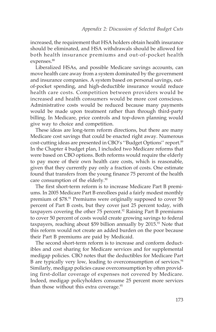increased, the requirement that HSA holders obtain health insurance should be eliminated, and HSA withdrawals should be allowed for both health insurance premiums and out-of-pocket health expenses.<sup>88</sup>

Liberalized HSAs, and possible Medicare savings accounts, can move health care away from a system dominated by the government and insurance companies. A system based on personal savings, outof-pocket spending, and high-deductible insurance would reduce health care costs. Competition between providers would be increased and health consumers would be more cost conscious. Administrative costs would be reduced because many payments would be made upon treatment rather than through third-party billing. In Medicare, price controls and top-down planning would give way to choice and competition.

These ideas are long-term reform directions, but there are many Medicare cost savings that could be enacted right away. Numerous cost-cutting ideas are presented in CBO's ''Budget Options'' report.89 In the Chapter 4 budget plan, I included two Medicare reforms that were based on CBO options. Both reforms would require the elderly to pay more of their own health care costs, which is reasonable, given that they currently pay only a fraction of costs. One estimate found that transfers from the young finance 75 percent of the health care consumption of the elderly.<sup>90</sup>

The first short-term reform is to increase Medicare Part B premiums. In 2005 Medicare Part B enrollees paid a fairly modest monthly premium of \$78.91 Premiums were originally supposed to cover 50 percent of Part B costs, but they cover just 25 percent today, with taxpayers covering the other  $75$  percent.<sup>92</sup> Raising Part B premiums to cover 50 percent of costs would create growing savings to federal taxpayers, reaching about \$59 billion annually by 2015.<sup>93</sup> Note that this reform would not create an added burden on the poor because their Part B premiums are paid by Medicaid.

The second short-term reform is to increase and conform deductibles and cost sharing for Medicare services and for supplemental medigap policies. CBO notes that the deductibles for Medicare Part B are typically very low, leading to overconsumption of services.<sup>94</sup> Similarly, medigap policies cause overconsumption by often providing first-dollar coverage of expenses not covered by Medicare. Indeed, medigap policyholders consume 25 percent more services than those without this extra coverage.<sup>95</sup>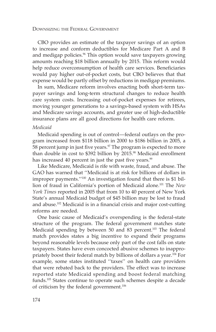CBO provides an estimate of the taxpayer savings of an option to increase and conform deductibles for Medicare Part A and B and medigap policies.<sup>96</sup> This option would save taxpayers growing amounts reaching \$18 billion annually by 2015. This reform would help reduce overconsumption of health care services. Beneficiaries would pay higher out-of-pocket costs, but CBO believes that that expense would be partly offset by reductions in medigap premiums.

In sum, Medicare reform involves enacting both short-term taxpayer savings and long-term structural changes to reduce health care system costs. Increasing out-of-pocket expenses for retirees, moving younger generations to a savings-based system with HSAs and Medicare savings accounts, and greater use of high-deductible insurance plans are all good directions for health care reform.

# *Medicaid*

Medicaid spending is out of control—federal outlays on the program increased from \$118 billion in 2000 to \$186 billion in 2005, a 58 percent jump in just five years.<sup>97</sup> The program is expected to more than double in cost to \$392 billion by 2015.98 Medicaid enrollment has increased 40 percent in just the past five years.<sup>99</sup>

Like Medicare, Medicaid is rife with waste, fraud, and abuse. The GAO has warned that ''Medicaid is at risk for billions of dollars in improper payments."<sup>100</sup> An investigation found that there is \$1 billion of fraud in California's portion of Medicaid alone.101 The *New York Times* reported in 2005 that from 10 to 40 percent of New York State's annual Medicaid budget of \$45 billion may be lost to fraud and abuse.102 Medicaid is in a financial crisis and major cost-cutting reforms are needed.

One basic cause of Medicaid's overspending is the federal-state structure of the program. The federal government matches state Medicaid spending by between 50 and 83 percent.<sup>103</sup> The federal match provides states a big incentive to expand their programs beyond reasonable levels because only part of the cost falls on state taxpayers. States have even concocted abusive schemes to inappropriately boost their federal match by billions of dollars a year.104 For example, some states instituted ''taxes'' on health care providers that were rebated back to the providers. The effect was to increase reported state Medicaid spending and boost federal matching funds.105 States continue to operate such schemes despite a decade of criticism by the federal government.<sup>106</sup>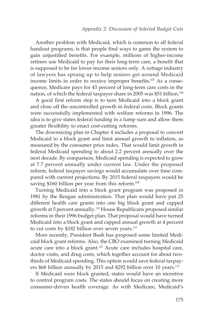Another problem with Medicaid, which is common to all federal handout programs, is that people find ways to game the system to gain unjustified benefits. For example, millions of higher-income retirees use Medicaid to pay for their long-term care, a benefit that is supposed to be for lower-income seniors only. A cottage industry of lawyers has sprung up to help seniors get around Medicaid income limits in order to receive improper benefits.<sup>107</sup> As a consequence, Medicare pays for 43 percent of long-term care costs in the nation, of which the federal taxpayer share in 2005 was \$51 billion.<sup>108</sup>

A good first reform step is to turn Medicaid into a block grant and close off the uncontrolled growth in federal costs. Block grants were successfully implemented with welfare reforms in 1996. The idea is to give states federal funding in a lump sum and allow them greater flexibility to enact cost-cutting reforms.

The downsizing plan in Chapter 4 includes a proposal to convert Medicaid to a block grant and limit annual growth to inflation, as measured by the consumer price index. That would limit growth in federal Medicaid spending to about 2.2 percent annually over the next decade. By comparison, Medicaid spending is expected to grow at 7.7 percent annually under current law. Under the proposed reform, federal taxpayer savings would accumulate over time compared with current projections. By 2015 federal taxpayers would be saving \$160 billion per year from this reform.<sup>109</sup>

Turning Medicaid into a block grant program was proposed in 1981 by the Reagan administration. That plan would have put 25 different health care grants into one big block grant and capped growth at 5 percent annually.110 House Republicans proposed similar reforms in their 1996 budget plan. That proposal would have turned Medicaid into a block grant and capped annual growth at 4 percent to cut costs by \$182 billion over seven years.<sup>111</sup>

More recently, President Bush has proposed some limited Medicaid block grant reforms. Also, the CBO examined turning Medicaid acute care into a block grant.112 Acute care includes hospital care, doctor visits, and drug costs, which together account for about twothirds of Medicaid spending. This option would save federal taxpayers \$68 billion annually by 2015 and \$292 billion over 10 years.<sup>113</sup>

If Medicaid were block granted, states would have an incentive to control program costs. The states should focus on creating more consumer-driven health coverage. As with Medicare, Medicaid's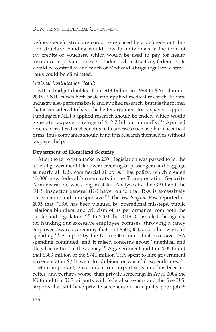defined-benefit structure could be replaced by a defined-contribution structure. Funding would flow to individuals in the form of tax credits or vouchers, which would be used to pay for health insurance in private markets. Under such a structure, federal costs would be controlled and much of Medicaid's huge regulatory apparatus could be eliminated.

## *National Institutes for Health*

NIH's budget doubled from \$13 billion in 1998 to \$26 billion in 2005.114 NIH funds both basic and applied medical research. Private industry also performs basic and applied research, but it is the former that is considered to have the better argument for taxpayer support. Funding for NIH's applied research should be ended, which would generate taxpayer savings of \$12.7 billion annually.115 Applied research creates direct benefits to businesses such as pharmaceutical firms; thus companies should fund this research themselves without taxpayer help.

# **Department of Homeland Security**

After the terrorist attacks in 2001, legislation was passed to let the federal government take over screening of passengers and baggage at nearly all U.S. commercial airports. That policy, which created 45,000 new federal bureaucrats in the Transportation Security Administration, was a big mistake. Analyses by the GAO and the DHS inspector general (IG) have found that TSA is excessively bureaucratic and unresponsive.116 The *Washington Post* reported in 2005 that ''TSA has been plagued by operational missteps, public relations blunders, and criticism of its performance from both the public and legislators.''117 In 2004 the DHS IG assailed the agency for handing out excessive employee bonuses, throwing a fancy employee awards ceremony that cost \$500,000, and other wasteful spending.<sup>118</sup> A report by the IG in 2005 found that excessive TSA spending continued, and it raised concerns about ''unethical and illegal activities" at the agency.<sup>119</sup> A government audit in 2005 found that \$303 million of the \$741 million TSA spent to hire government screeners after  $9/11$  went for dubious or wasteful expenditures.<sup>120</sup>

More important, government-run airport screening has been no better, and perhaps worse, than private screening. In April 2004 the IG found that U.S. airports with federal screeners and the five U.S. airports that still have private screeners do an equally poor job.<sup>121</sup>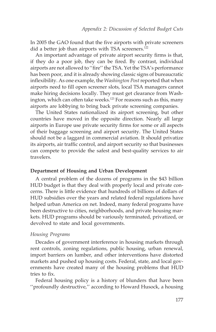In 2005 the GAO found that the five airports with private screeners did a better job than airports with TSA screeners.<sup>122</sup>

An important advantage of private airport security firms is that, if they do a poor job, they can be fired. By contrast, individual airports are not allowed to ''fire'' the TSA. Yet the TSA's performance has been poor, and it is already showing classic signs of bureaucratic inflexibility. As one example, the *Washington Post*reported that when airports need to fill open screener slots, local TSA managers cannot make hiring decisions locally. They must get clearance from Washington, which can often take weeks.<sup>123</sup> For reasons such as this, many airports are lobbying to bring back private screening companies.

The United States nationalized its airport screening, but other countries have moved in the opposite direction. Nearly all large airports in Europe use private security firms for some or all aspects of their baggage screening and airport security. The United States should not be a laggard in commercial aviation. It should privatize its airports, air traffic control, and airport security so that businesses can compete to provide the safest and best-quality services to air travelers.

# **Department of Housing and Urban Development**

A central problem of the dozens of programs in the \$43 billion HUD budget is that they deal with properly local and private concerns. There is little evidence that hundreds of billions of dollars of HUD subsidies over the years and related federal regulations have helped urban America on net. Indeed, many federal programs have been destructive to cities, neighborhoods, and private housing markets. HUD programs should be variously terminated, privatized, or devolved to state and local governments.

# *Housing Programs*

Decades of government interference in housing markets through rent controls, zoning regulations, public housing, urban renewal, import barriers on lumber, and other interventions have distorted markets and pushed up housing costs. Federal, state, and local governments have created many of the housing problems that HUD tries to fix.

Federal housing policy is a history of blunders that have been ''profoundly destructive,'' according to Howard Husock, a housing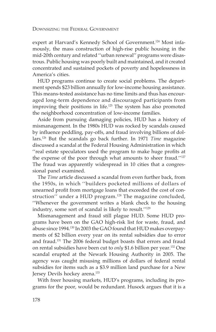expert at Harvard's Kennedy School of Government.<sup>124</sup> Most infamously, the mass construction of high-rise public housing in the mid-20th century and related ''urban renewal'' programs were disastrous. Public housing was poorly built and maintained, and it created concentrated and sustained pockets of poverty and hopelessness in America's cities.

HUD programs continue to create social problems. The department spends \$23 billion annually for low-income housing assistance. This means-tested assistance has no time limits and thus has encouraged long-term dependence and discouraged participants from improving their positions in life.125 The system has also promoted the neighborhood concentration of low-income families.

Aside from pursuing damaging policies, HUD has a history of mismanagement. In the 1980s HUD was rocked by scandals caused by influence peddling, pay-offs, and fraud involving billions of dollars.126 But the scandals go back further. In 1971 *Time* magazine discussed a scandal at the Federal Housing Administration in which ''real estate speculators used the program to make huge profits at the expense of the poor through what amounts to sheer fraud.''127 The fraud was apparently widespread in 10 cities that a congressional panel examined.

The *Time* article discussed a scandal from even further back, from the 1950s, in which ''builders pocketed millions of dollars of unearned profit from mortgage loans that exceeded the cost of construction" under a HUD program.<sup>128</sup> The magazine concluded, ''Whenever the government writes a blank check to the housing industry, some sort of scandal is likely to result.''129

Mismanagement and fraud still plague HUD. Some HUD programs have been on the GAO high-risk list for waste, fraud, and abuse since 1994.130 In 2003 the GAO found that HUD makes overpayments of \$2 billion every year on its rental subsidies due to error and fraud.131 The 2006 federal budget boasts that errors and fraud on rental subsidies have been cut to *only* \$1.6 billion per year.132 One scandal erupted at the Newark Housing Authority in 2005. The agency was caught misusing millions of dollars of federal rental subsidies for items such as a \$3.9 million land purchase for a New Jersey Devils hockey arena.<sup>133</sup>

With freer housing markets, HUD's programs, including its programs for the poor, would be redundant. Husock argues that it is a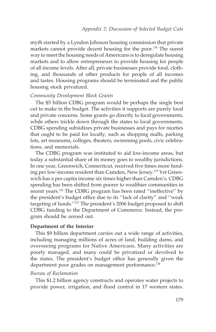myth started by a Lyndon Johnson housing commission that private markets cannot provide decent housing for the poor.134 The surest way to meet the housing needs of Americans is to deregulate housing markets and to allow entrepreneurs to provide housing for people of all income levels. After all, private businesses provide food, clothing, and thousands of other products for people of all incomes and tastes. Housing programs should be terminated and the public housing stock privatized.

## *Community Development Block Grants*

The \$5 billion CDBG program would be perhaps the single best cut to make in the budget. The activities it supports are purely local and private concerns. Some grants go directly to local governments, while others trickle down through the states to local governments. CDBG spending subsidizes private businesses and pays for niceties that ought to be paid for locally, such as shopping malls, parking lots, art museums, colleges, theaters, swimming pools, civic celebrations, and memorials.

The CDBG program was instituted to aid low-income areas, but today a substantial share of its money goes to wealthy jurisdictions. In one year, Greenwich, Connecticut, received five times more funding per low-income resident than Camden, New Jersey.<sup>135</sup> Yet Greenwich has a per capita income six times higher than Camden's. CDBG spending has been shifted from poorer to wealthier communities in recent years.<sup>136</sup> The CDBG program has been rated "ineffective" by the president's budget office due to its ''lack of clarity'' and ''weak targeting of funds.''137 The president's 2006 budget proposed to shift CDBG funding to the Department of Commerce. Instead, the program should be zeroed out.

## **Department of the Interior**

This \$9 billion department carries out a wide range of activities, including managing millions of acres of land, building dams, and overseeing programs for Native Americans. Many activities are poorly managed, and many could be privatized or devolved to the states. The president's budget office has generally given the department poor grades on management performance.<sup>138</sup>

# *Bureau of Reclamation*

This \$1.2 billion agency constructs and operates water projects to provide power, irrigation, and flood control in 17 western states.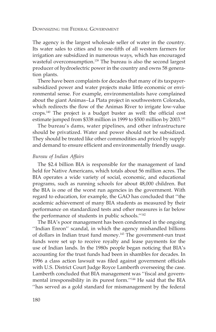The agency is the largest wholesale seller of water in the country. Its water sales to cities and to one-fifth of all western farmers for irrigation are subsidized in numerous ways, which has encouraged wasteful overconsumption.<sup>139</sup> The bureau is also the second largest producer of hydroelectric power in the country and owns 58 generation plants.

There have been complaints for decades that many of its taxpayersubsidized power and water projects make little economic or environmental sense. For example, environmentalists have complained about the giant Animas–La Plata project in southwestern Colorado, which redirects the flow of the Animas River to irrigate low-value crops.140 The project is a budget buster as well: the official cost estimate jumped from \$338 million in 1999 to \$500 million by 2003.141

The bureau's dams, water pipelines, and other infrastructure should be privatized. Water and power should not be subsidized. They should be treated like other commodities and priced by supply and demand to ensure efficient and environmentally friendly usage.

### *Bureau of Indian Affairs*

The \$2.4 billion BIA is responsible for the management of land held for Native Americans, which totals about 56 million acres. The BIA operates a wide variety of social, economic, and educational programs, such as running schools for about 48,000 children. But the BIA is one of the worst run agencies in the government. With regard to education, for example, the GAO has concluded that ''the academic achievement of many BIA students as measured by their performance on standardized tests and other measures is far below the performance of students in public schools.''142

The BIA's poor management has been condemned in the ongoing ''Indian Enron'' scandal, in which the agency mishandled billions of dollars in Indian trust fund money.143 The government-run trust funds were set up to receive royalty and lease payments for the use of Indian lands. In the 1980s people began noticing that BIA's accounting for the trust funds had been in shambles for decades. In 1996 a class action lawsuit was filed against government officials with U.S. District Court Judge Royce Lamberth overseeing the case. Lamberth concluded that BIA management was ''fiscal and governmental irresponsibility in its purest form.''144 He said that the BIA ''has served as a gold standard for mismanagement by the federal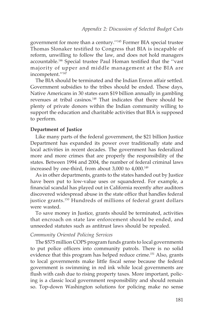government for more than a century.''145 Former BIA special trustee Thomas Slonaker testified to Congress that BIA is incapable of reform, unwilling to follow the law, and does not hold managers accountable.146 Special trustee Paul Homan testified that the ''vast majority of upper and middle management at the BIA are incompetent.''147

The BIA should be terminated and the Indian Enron affair settled. Government subsidies to the tribes should be ended. These days, Native Americans in 30 states earn \$19 billion annually in gambling revenues at tribal casinos.148 That indicates that there should be plenty of private donors within the Indian community willing to support the education and charitable activities that BIA is supposed to perform.

# **Department of Justice**

Like many parts of the federal government, the \$21 billion Justice Department has expanded its power over traditionally state and local activities in recent decades. The government has federalized more and more crimes that are properly the responsibility of the states. Between 1994 and 2004, the number of federal criminal laws increased by one-third, from about 3,000 to 4,000.<sup>149</sup>

As in other departments, grants to the states handed out by Justice have been put to low-value uses or squandered. For example, a financial scandal has played out in California recently after auditors discovered widespread abuse in the state office that handles federal justice grants.<sup>150</sup> Hundreds of millions of federal grant dollars were wasted.

To save money in Justice, grants should be terminated, activities that encroach on state law enforcement should be ended, and unneeded statutes such as antitrust laws should be repealed.

# *Community Oriented Policing Services*

The \$575 million COPS program funds grants to local governments to put police officers into community patrols. There is no solid evidence that this program has helped reduce crime.<sup>151</sup> Also, grants to local governments make little fiscal sense because the federal government is swimming in red ink while local governments are flush with cash due to rising property taxes. More important, policing is a classic local government responsibility and should remain so. Top-down Washington solutions for policing make no sense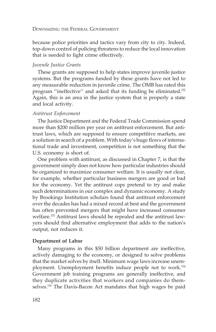because police priorities and tactics vary from city to city. Indeed, top-down control of policing threatens to reduce the local innovation that is needed to fight crime effectively.

#### *Juvenile Justice Grants*

These grants are supposed to help states improve juvenile justice systems. But the programs funded by these grants have not led to any measurable reduction in juvenile crime. The OMB has rated this program ''ineffective'' and asked that its funding be eliminated.152 Again, this is an area in the justice system that is properly a state and local activity.

#### *Antitrust Enforcement*

The Justice Department and the Federal Trade Commission spend more than \$200 million per year on antitrust enforcement. But antitrust laws, which are supposed to ensure competitive markets, are a solution in search of a problem. With today's huge flows of international trade and investment, competition is not something that the U.S. economy is short of.

One problem with antitrust, as discussed in Chapter 7, is that the government simply does not know how particular industries should be organized to maximize consumer welfare. It is usually not clear, for example, whether particular business mergers are good or bad for the economy. Yet the antitrust cops pretend to try and make such determinations in our complex and dynamic economy. A study by Brookings Institution scholars found that antitrust enforcement over the decades has had a mixed record at best and the government has often prevented mergers that might have increased consumer welfare.<sup>153</sup> Antitrust laws should be repealed and the antitrust lawyers should find alternative employment that adds to the nation's output, not reduces it.

#### **Department of Labor**

Many programs in this \$50 billion department are ineffective, actively damaging to the economy, or designed to solve problems that the market solves by itself. Minimum wage laws increase unemployment. Unemployment benefits induce people not to work.154 Government job training programs are generally ineffective, and they duplicate activities that workers and companies do themselves.155 The Davis-Bacon Act mandates that high wages be paid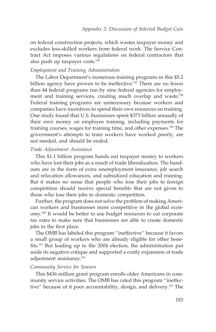on federal construction projects, which wastes taxpayer money and excludes less-skilled workers from federal work. The Service Contract Act imposes various regulations on federal contractors that also push up taxpayer costs.<sup>156</sup>

# *Employment and Training Administration*

The Labor Department's numerous training programs in this \$5.2 billion agency have proven to be ineffective.157 There are no fewer than 44 federal programs run by nine federal agencies for employment and training services, creating much overlap and waste.<sup>158</sup> Federal training programs are unnecessary because workers and companies have incentives to spend their own resources on training. One study found that U.S. businesses spent \$373 billion annually of their own money on employee training, including payments for training courses, wages for training time, and other expenses.159 The government's attempts to train workers have worked poorly, are not needed, and should be ended.

# *Trade Adjustment Assistance*

This \$1.1 billion program hands out taxpayer money to workers who have lost their jobs as a result of trade liberalization. The handouts are in the form of extra unemployment insurance, job search and relocation allowances, and subsidized education and training. But it makes no sense that people who lose their jobs to foreign competition should receive special benefits that are not given to those who lose their jobs to domestic competition.

Further, the program does not solve the problem of making American workers and businesses more competitive in the global economy.160 It would be better to use budget resources to cut corporate tax rates to make sure that businesses are able to create domestic jobs in the first place.

The OMB has labeled this program ''ineffective'' because it favors a small group of workers who are already eligible for other benefits.161 But leading up to the 2004 election, the administration put aside its negative critique and supported a costly expansion of trade adjustment assistance.162

#### *Community Service for Seniors*

This \$436 million grant program enrolls older Americans in community service activities. The OMB has rated this program ''ineffective'' because of it poor accountability, design, and delivery.163 The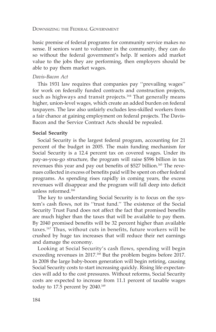basic premise of federal programs for community service makes no sense. If seniors want to volunteer in the community, they can do so without the federal government's help. If seniors add market value to the jobs they are performing, then employers should be able to pay them market wages.

# *Davis-Bacon Act*

This 1931 law requires that companies pay ''prevailing wages'' for work on federally funded contracts and construction projects, such as highways and transit projects.<sup>164</sup> That generally means higher, union-level wages, which create an added burden on federal taxpayers. The law also unfairly excludes less-skilled workers from a fair chance at gaining employment on federal projects. The Davis-Bacon and the Service Contract Acts should be repealed.

# **Social Security**

Social Security is the largest federal program, accounting for 21 percent of the budget in 2005. The main funding mechanism for Social Security is a 12.4 percent tax on covered wages. Under its pay-as-you-go structure, the program will raise \$596 billion in tax revenues this year and pay out benefits of \$527 billion.165 The revenues collected in excess of benefits paid will be spent on other federal programs. As spending rises rapidly in coming years, the excess revenues will disappear and the program will fall deep into deficit unless reformed.166

The key to understanding Social Security is to focus on the system's cash flows, not its ''trust fund.'' The existence of the Social Security Trust Fund does not affect the fact that promised benefits are much higher than the taxes that will be available to pay them. By 2040 promised benefits will be 32 percent higher than available taxes.167 Thus, without cuts in benefits, future workers will be crushed by huge tax increases that will reduce their net earnings and damage the economy.

Looking at Social Security's cash flows, spending will begin exceeding revenues in 2017.<sup>168</sup> But the problem begins before 2017. In 2008 the large baby-boom generation will begin retiring, causing Social Security costs to start increasing quickly. Rising life expectancies will add to the cost pressures. Without reforms, Social Security costs are expected to increase from 11.1 percent of taxable wages today to 17.5 percent by  $2040.^{169}$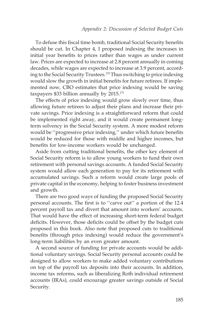To defuse this fiscal time bomb, traditional Social Security benefits should be cut. In Chapter 4, I proposed indexing the increases in initial year benefits to prices rather than wages as under current law. Prices are expected to increase at 2.8 percent annually in coming decades, while wages are expected to increase at 3.9 percent, according to the Social Security Trustees.<sup>170</sup> Thus switching to price indexing would slow the growth in initial benefits for future retirees. If implemented now, CBO estimates that price indexing would be saving taxpayers \$33 billion annually by 2015.171

The effects of price indexing would grow slowly over time, thus allowing future retirees to adjust their plans and increase their private savings. Price indexing is a straightforward reform that could be implemented right away, and it would create permanent longterm solvency in the Social Security system. A more modest reform would be ''progressive price indexing,'' under which future benefits would be reduced for those with middle and higher incomes, but benefits for low-income workers would be unchanged.

Aside from cutting traditional benefits, the other key element of Social Security reform is to allow young workers to fund their own retirement with personal savings accounts. A funded Social Security system would allow each generation to pay for its retirement with accumulated savings. Such a reform would create large pools of private capital in the economy, helping to foster business investment and growth.

There are two good ways of funding the proposed Social Security personal accounts. The first is to ''carve out'' a portion of the 12.4 percent payroll tax and divert that amount into workers' accounts. That would have the effect of increasing short-term federal budget deficits. However, those deficits could be offset by the budget cuts proposed in this book. Also note that proposed cuts to traditional benefits (through price indexing) would reduce the government's long-term liabilities by an even greater amount.

A second source of funding for private accounts would be additional voluntary savings. Social Security personal accounts could be designed to allow workers to make added voluntary contributions on top of the payroll tax deposits into their accounts. In addition, income tax reforms, such as liberalizing Roth individual retirement accounts (IRAs), could encourage greater savings outside of Social Security.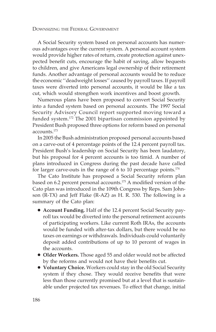A Social Security system based on personal accounts has numerous advantages over the current system. A personal account system would provide higher rates of return, create protection against unexpected benefit cuts, encourage the habit of saving, allow bequests to children, and give Americans legal ownership of their retirement funds. Another advantage of personal accounts would be to reduce the economic ''deadweight losses'' caused by payroll taxes. If payroll taxes were diverted into personal accounts, it would be like a tax cut, which would strengthen work incentives and boost growth.

Numerous plans have been proposed to convert Social Security into a funded system based on personal accounts. The 1997 Social Security Advisory Council report supported moving toward a funded system.172 The 2001 bipartisan commission appointed by President Bush proposed three options for reform based on personal accounts.173

In 2005 the Bush administration proposed personal accounts based on a carve-out of 4 percentage points of the 12.4 percent payroll tax. President Bush's leadership on Social Security has been laudatory, but his proposal for 4 percent accounts is too timid. A number of plans introduced in Congress during the past decade have called for larger carve-outs in the range of 6 to 10 percentage points. $174$ 

The Cato Institute has proposed a Social Security reform plan based on 6.2 percent personal accounts.175 A modified version of the Cato plan was introduced in the 109th Congress by Reps. Sam Johnson (R-TX) and Jeff Flake (R-AZ) as H. R. 530. The following is a summary of the Cato plan:

- **Account Funding.** Half of the 12.4 percent Social Security payroll tax would be diverted into the personal retirement accounts of participating workers. Like current Roth IRAs, the accounts would be funded with after-tax dollars, but there would be no taxes on earnings or withdrawals. Individuals could voluntarily deposit added contributions of up to 10 percent of wages in the accounts.
- **Older Workers.** Those aged 55 and older would not be affected by the reforms and would not have their benefits cut.
- **Voluntary Choice.** Workers could stay in the old Social Security system if they chose. They would receive benefits that were less than those currently promised but at a level that is sustainable under projected tax revenues. To effect that change, initial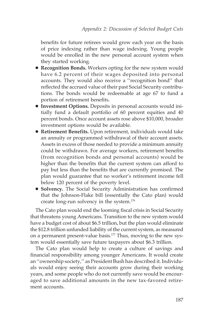benefits for future retirees would grow each year on the basis of price indexing rather than wage indexing. Young people would be enrolled in the new personal account system when they started working.

- **Recognition Bonds.** Workers opting for the new system would have 6.2 percent of their wages deposited into personal accounts. They would also receive a ''recognition bond'' that reflected the accrued value of their past Social Security contributions. The bonds would be redeemable at age 67 to fund a portion of retirement benefits.
- **Investment Options.** Deposits in personal accounts would initially fund a default portfolio of 60 percent equities and 40 percent bonds. Once account assets rose above \$10,000, broader investment options would be available.
- **Retirement Benefits.** Upon retirement, individuals would take an annuity or programmed withdrawal of their account assets. Assets in excess of those needed to provide a minimum annuity could be withdrawn. For average workers, retirement benefits (from recognition bonds and personal accounts) would be higher than the benefits that the current system can afford to pay but less than the benefits that are currently promised. The plan would guarantee that no worker's retirement income fell below 120 percent of the poverty level.
- **Solvency.** The Social Security Administration has confirmed that the Johnson-Flake bill (essentially the Cato plan) would create long-run solvency in the system.176

The Cato plan would end the looming fiscal crisis in Social Security that threatens young Americans. Transition to the new system would have a budget cost of about \$6.5 trillion, but the plan would eliminate the \$12.8 trillion unfunded liability of the current system, as measured on a permanent present-value basis.<sup>177</sup> Thus, moving to the new system would essentially save future taxpayers about \$6.3 trillion.

The Cato plan would help to create a culture of savings and financial responsibility among younger Americans. It would create an ''ownership society,'' as President Bush has described it. Individuals would enjoy seeing their accounts grow during their working years, and some people who do not currently save would be encouraged to save additional amounts in the new tax-favored retirement accounts.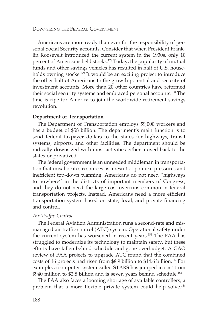Americans are more ready than ever for the responsibility of personal Social Security accounts. Consider that when President Franklin Roosevelt introduced the current system in the 1930s, only 10 percent of Americans held stocks.<sup>178</sup> Today, the popularity of mutual funds and other savings vehicles has resulted in half of U.S. households owning stocks.<sup>179</sup> It would be an exciting project to introduce the other half of Americans to the growth potential and security of investment accounts. More than 20 other countries have reformed their social security systems and embraced personal accounts.180 The time is ripe for America to join the worldwide retirement savings revolution.

## **Department of Transportation**

The Department of Transportation employs 59,000 workers and has a budget of \$58 billion. The department's main function is to send federal taxpayer dollars to the states for highways, transit systems, airports, and other facilities. The department should be radically downsized with most activities either moved back to the states or privatized.

The federal government is an unneeded middleman in transportation that misallocates resources as a result of political pressures and inefficient top-down planning. Americans do not need ''highways to nowhere'' in the districts of important members of Congress, and they do not need the large cost overruns common in federal transportation projects. Instead, Americans need a more efficient transportation system based on state, local, and private financing and control.

# *Air Traffic Control*

The Federal Aviation Administration runs a second-rate and mismanaged air traffic control (ATC) system. Operational safety under the current system has worsened in recent years.181 The FAA has struggled to modernize its technology to maintain safety, but these efforts have fallen behind schedule and gone overbudget. A GAO review of FAA projects to upgrade ATC found that the combined costs of 16 projects had risen from \$8.9 billion to \$14.6 billion.182 For example, a computer system called STARS has jumped in cost from \$940 million to \$2.8 billion and is seven years behind schedule.<sup>183</sup>

The FAA also faces a looming shortage of available controllers, a problem that a more flexible private system could help solve.184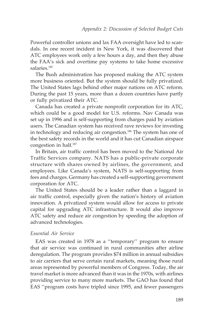Powerful controller unions and lax FAA oversight have led to scandals. In one recent incident in New York, it was discovered that ATC employees work only a few hours a day, and then they abuse the FAA's sick and overtime pay systems to take home excessive salaries.185

The Bush administration has proposed making the ATC system more business oriented. But the system should be fully privatized. The United States lags behind other major nations on ATC reform. During the past 15 years, more than a dozen countries have partly or fully privatized their ATC.

Canada has created a private nonprofit corporation for its ATC, which could be a good model for U.S. reforms. Nav Canada was set up in 1996 and is self-supporting from charges paid by aviation users. The Canadian system has received rave reviews for investing in technology and reducing air congestion.<sup>186</sup> The system has one of the best safety records in the world and it has cut Canadian airspace congestion in half.187

In Britain, air traffic control has been moved to the National Air Traffic Services company. NATS has a public-private corporate structure with shares owned by airlines, the government, and employees. Like Canada's system, NATS is self-supporting from fees and charges. Germany has created a self-supporting government corporation for ATC.

The United States should be a leader rather than a laggard in air traffic control, especially given the nation's history of aviation innovation. A privatized system would allow for access to private capital for upgrading ATC infrastructure. It would also improve ATC safety and reduce air congestion by speeding the adoption of advanced technologies.

# *Essential Air Service*

EAS was created in 1978 as a ''temporary'' program to ensure that air service was continued in rural communities after airline deregulation. The program provides \$74 million in annual subsidies to air carriers that serve certain rural markets, meaning those rural areas represented by powerful members of Congress. Today, the air travel market is more advanced than it was in the 1970s, with airlines providing service to many more markets. The GAO has found that EAS ''program costs have tripled since 1995, and fewer passengers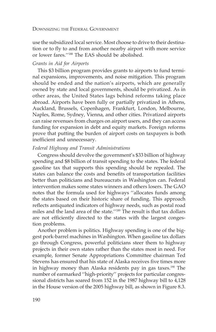use the subsidized local service. Most choose to drive to their destination or to fly to and from another nearby airport with more service or lower fares.''188 The EAS should be abolished.

## *Grants in Aid for Airports*

This \$3 billion program provides grants to airports to fund terminal expansions, improvements, and noise mitigation. This program should be ended and the nation's airports, which are generally owned by state and local governments, should be privatized. As in other areas, the United States lags behind reforms taking place abroad. Airports have been fully or partially privatized in Athens, Auckland, Brussels, Copenhagen, Frankfurt, London, Melbourne, Naples, Rome, Sydney, Vienna, and other cities. Privatized airports can raise revenues from charges on airport users, and they can access funding for expansion in debt and equity markets. Foreign reforms prove that putting the burden of airport costs on taxpayers is both inefficient and unnecessary.

#### *Federal Highway and Transit Administrations*

Congress should devolve the government's \$33 billion of highway spending and \$8 billion of transit spending to the states. The federal gasoline tax that supports this spending should be repealed. The states can balance the costs and benefits of transportation facilities better than politicians and bureaucrats in Washington can. Federal intervention makes some states winners and others losers. The GAO notes that the formula used for highways ''allocates funds among the states based on their historic share of funding. This approach reflects antiquated indicators of highway needs, such as postal road miles and the land area of the state.''189 The result is that tax dollars are not efficiently directed to the states with the largest congestion problems.

Another problem is politics. Highway spending is one of the biggest pork-barrel machines in Washington. When gasoline tax dollars go through Congress, powerful politicians steer them to highway projects in their own states rather than the states most in need. For example, former Senate Appropriations Committee chairman Ted Stevens has ensured that his state of Alaska receives five times more in highway money than Alaska residents pay in gas taxes.<sup>190</sup> The number of earmarked ''high-priority'' projects for particular congressional districts has soared from 152 in the 1987 highway bill to 4,128 in the House version of the 2005 highway bill, as shown in Figure 8.3.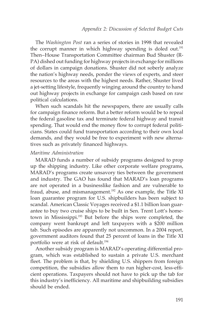The *Washington Post* ran a series of stories in 1998 that revealed the corrupt manner in which highway spending is doled out.<sup>191</sup> Then–House Transportation Committee chairman Bud Shuster (R-PA) dished out funding for highway projects in exchange for millions of dollars in campaign donations. Shuster did not soberly analyze the nation's highway needs, ponder the views of experts, and steer resources to the areas with the highest needs. Rather, Shuster lived a jet-setting lifestyle, frequently winging around the country to hand out highway projects in exchange for campaign cash based on raw political calculations.

When such scandals hit the newspapers, there are usually calls for campaign finance reform. But a better reform would be to repeal the federal gasoline tax and terminate federal highway and transit spending. That would end the money flow to corrupt federal politicians. States could fund transportation according to their own local demands, and they would be free to experiment with new alternatives such as privately financed highways.

#### *Maritime Administration*

MARAD funds a number of subsidy programs designed to prop up the shipping industry. Like other corporate welfare programs, MARAD's programs create unsavory ties between the government and industry. The GAO has found that MARAD's loan programs are not operated in a businesslike fashion and are vulnerable to fraud, abuse, and mismanagement.<sup>192</sup> As one example, the Title XI loan guarantee program for U.S. shipbuilders has been subject to scandal. American Classic Voyages received a \$1.1 billion loan guarantee to buy two cruise ships to be built in Sen. Trent Lott's hometown in Mississippi.193 But before the ships were completed, the company went bankrupt and left taxpayers with a \$200 million tab. Such episodes are apparently not uncommon. In a 2004 report, government auditors found that 25 percent of loans in the Title XI portfolio were at risk of default.194

Another subsidy program is MARAD's operating differential program, which was established to sustain a private U.S. merchant fleet. The problem is that, by shielding U.S. shippers from foreign competition, the subsidies allow them to run higher-cost, less-efficient operations. Taxpayers should not have to pick up the tab for this industry's inefficiency. All maritime and shipbuilding subsidies should be ended.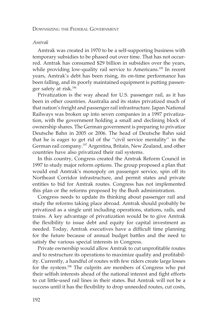#### *Amtrak*

Amtrak was created in 1970 to be a self-supporting business with temporary subsidies to be phased out over time. That has not occurred. Amtrak has consumed \$29 billion in subsidies over the years, while providing low-quality rail service to Americans.<sup>195</sup> In recent years, Amtrak's debt has been rising, its on-time performance has been falling, and its poorly maintained equipment is putting passenger safety at risk.196

Privatization is the way ahead for U.S. passenger rail, as it has been in other countries. Australia and its states privatized much of that nation's freight and passenger rail infrastructure. Japan National Railways was broken up into seven companies in a 1997 privatization, with the government holding a small and declining block of ownership shares. The German government is preparing to privatize Deutsche Bahn in 2005 or 2006. The head of Deutsche Bahn said that he is eager to get rid of the ''civil service mentality'' in the German rail company.197 Argentina, Britain, New Zealand, and other countries have also privatized their rail systems.

In this country, Congress created the Amtrak Reform Council in 1997 to study major reform options. The group proposed a plan that would end Amtrak's monopoly on passenger service, spin off its Northeast Corridor infrastructure, and permit states and private entities to bid for Amtrak routes. Congress has not implemented this plan or the reforms proposed by the Bush administration.

Congress needs to update its thinking about passenger rail and study the reforms taking place abroad. Amtrak should probably be privatized as a single unit including operations, stations, rails, and trains. A key advantage of privatization would be to give Amtrak the flexibility to issue debt and equity for capital investment as needed. Today, Amtrak executives have a difficult time planning for the future because of annual budget battles and the need to satisfy the various special interests in Congress.

Private ownership would allow Amtrak to cut unprofitable routes and to restructure its operations to maximize quality and profitability. Currently, a handful of routes with few riders create large losses for the system.198 The culprits are members of Congress who put their selfish interests ahead of the national interest and fight efforts to cut little-used rail lines in their states. But Amtrak will not be a success until it has the flexibility to drop unneeded routes, cut costs,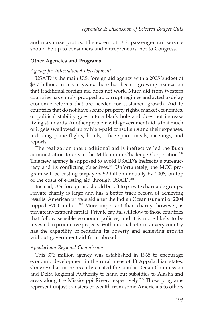and maximize profits. The extent of U.S. passenger rail service should be up to consumers and entrepreneurs, not to Congress.

## **Other Agencies and Programs**

# *Agency for International Development*

USAID is the main U.S. foreign aid agency with a 2005 budget of \$3.7 billion. In recent years, there has been a growing realization that traditional foreign aid does not work. Much aid from Western countries has simply propped up corrupt regimes and acted to delay economic reforms that are needed for sustained growth. Aid to countries that do not have secure property rights, market economies, or political stability goes into a black hole and does not increase living standards. Another problem with government aid is that much of it gets swallowed up by high-paid consultants and their expenses, including plane flights, hotels, office space, meals, meetings, and reports.

The realization that traditional aid is ineffective led the Bush administration to create the Millennium Challenge Corporation.<sup>199</sup> This new agency is supposed to avoid USAID's ineffective bureaucracy and its conflicting objectives.200 Unfortunately, the MCC program will be costing taxpayers \$2 billion annually by 2006, on top of the costs of existing aid through USAID.201

Instead, U.S. foreign aid should be left to private charitable groups. Private charity is large and has a better track record of achieving results. American private aid after the Indian Ocean tsunami of 2004 topped \$700 million.<sup>202</sup> More important than charity, however, is private investment capital. Private capital will flow to those countries that follow sensible economic policies, and it is more likely to be invested in productive projects. With internal reforms, every country has the capability of reducing its poverty and achieving growth without government aid from abroad.

## *Appalachian Regional Commission*

This \$76 million agency was established in 1965 to encourage economic development in the rural areas of 13 Appalachian states. Congress has more recently created the similar Denali Commission and Delta Regional Authority to hand out subsidies to Alaska and areas along the Mississippi River, respectively.203 Those programs represent unjust transfers of wealth from some Americans to others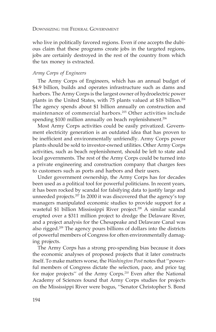who live in politically favored regions. Even if one accepts the dubious claim that these programs create jobs in the targeted regions, jobs are certainly destroyed in the rest of the country from which the tax money is extracted.

# *Army Corps of Engineers*

The Army Corps of Engineers, which has an annual budget of \$4.9 billion, builds and operates infrastructure such as dams and harbors. The Army Corps is the largest owner of hydroelectric power plants in the United States, with 75 plants valued at \$18 billion.204 The agency spends about \$1 billion annually on construction and maintenance of commercial harbors.205 Other activities include spending \$100 million annually on beach replenishment.<sup>206</sup>

Most Army Corps activities could be easily privatized. Government electricity generation is an outdated idea that has proven to be inefficient and environmentally unfriendly. Army Corps power plants should be sold to investor-owned utilities. Other Army Corps activities, such as beach replenishment, should be left to state and local governments. The rest of the Army Corps could be turned into a private engineering and construction company that charges fees to customers such as ports and harbors and their users.

Under government ownership, the Army Corps has for decades been used as a political tool for powerful politicians. In recent years, it has been rocked by scandal for falsifying data to justify large and unneeded projects.207 In 2000 it was discovered that the agency's top managers manipulated economic studies to provide support for a wasteful \$1 billion Mississippi River project.208 A similar scandal erupted over a \$311 million project to dredge the Delaware River, and a project analysis for the Chesapeake and Delaware Canal was also rigged.209 The agency pours billions of dollars into the districts of powerful members of Congress for often environmentally damaging projects.

The Army Corps has a strong pro-spending bias because it does the economic analyses of proposed projects that it later constructs itself. To make matters worse, the *Washington Post* notes that ''powerful members of Congress dictate the selection, pace, and price tag for major projects'' of the Army Corps.210 Even after the National Academy of Sciences found that Army Corps studies for projects on the Mississippi River were bogus, ''Senator Christopher S. Bond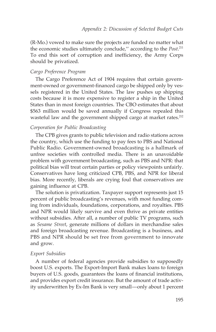(R-Mo.) vowed to make sure the projects are funded no matter what the economic studies ultimately conclude,'' according to the *Post*. 211 To end this sort of corruption and inefficiency, the Army Corps should be privatized.

# *Cargo Preference Program*

The Cargo Preference Act of 1904 requires that certain government-owned or government-financed cargo be shipped only by vessels registered in the United States. The law pushes up shipping costs because it is more expensive to register a ship in the United States than in most foreign countries. The CBO estimates that about \$563 million would be saved annually if Congress repealed this wasteful law and the government shipped cargo at market rates.<sup>212</sup>

# *Corporation for Public Broadcasting*

The CPB gives grants to public television and radio stations across the country, which use the funding to pay fees to PBS and National Public Radio. Government-owned broadcasting is a hallmark of unfree societies with controlled media. There is an unavoidable problem with government broadcasting, such as PBS and NPR: that political bias will treat certain parties or policy viewpoints unfairly. Conservatives have long criticized CPB, PBS, and NPR for liberal bias. More recently, liberals are crying foul that conservatives are gaining influence at CPB.

The solution is privatization. Taxpayer support represents just 15 percent of public broadcasting's revenues, with most funding coming from individuals, foundations, corporations, and royalties. PBS and NPR would likely survive and even thrive as private entities without subsidies. After all, a number of public TV programs, such as *Sesame Street*, generate millions of dollars in merchandise sales and foreign broadcasting revenue. Broadcasting is a business, and PBS and NPR should be set free from government to innovate and grow.

## *Export Subsidies*

A number of federal agencies provide subsidies to supposedly boost U.S. exports. The Export-Import Bank makes loans to foreign buyers of U.S. goods, guarantees the loans of financial institutions, and provides export credit insurance. But the amount of trade activity underwritten by Ex-Im Bank is very small—only about 1 percent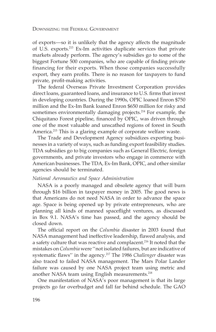of exports—so it is unlikely that the agency affects the magnitude of U.S. exports.213 Ex-Im activities duplicate services that private markets already perform. The agency's subsidies go to some of the biggest Fortune 500 companies, who are capable of finding private financing for their exports. When those companies successfully export, they earn profits. There is no reason for taxpayers to fund private, profit-making activities.

The federal Overseas Private Investment Corporation provides direct loans, guaranteed loans, and insurance to U.S. firms that invest in developing countries. During the 1990s, OPIC loaned Enron \$750 million and the Ex-Im Bank loaned Enron \$650 million for risky and sometimes environmentally damaging projects.<sup>214</sup> For example, the Chiquitano Forest pipeline, financed by OPIC, was driven through one of the most valuable and unscathed regions of forest in South America.<sup>215</sup> This is a glaring example of corporate welfare waste.

The Trade and Development Agency subsidizes exporting businesses in a variety of ways, such as funding export feasibility studies. TDA subsidies go to big companies such as General Electric, foreign governments, and private investors who engage in commerce with American businesses. The TDA, Ex-Im Bank, OPIC, and other similar agencies should be terminated.

#### *National Aeronautics and Space Administration*

NASA is a poorly managed and obsolete agency that will burn through \$16 billion in taxpayer money in 2005. The good news is that Americans do not need NASA in order to advance the space age. Space is being opened up by private entrepreneurs, who are planning all kinds of manned spaceflight ventures, as discussed in Box 9.1. NASA's time has passed, and the agency should be closed down.

The official report on the *Columbia* disaster in 2003 found that NASA management had ineffective leadership, flawed analysis, and a safety culture that was reactive and complacent.216 It noted that the mistakes on *Columbia* were ''not isolated failures, but are indicative of systematic flaws'' in the agency.217 The 1986 *Challenger* disaster was also traced to failed NASA management. The Mars Polar Lander failure was caused by one NASA project team using metric and another NASA team using English measurements.<sup>218</sup>

One manifestation of NASA's poor management is that its large projects go far overbudget and fall far behind schedule. The GAO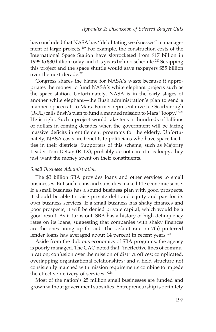has concluded that NASA has ''debilitating weaknesses'' in management of large projects.219 For example, the construction costs of the International Space Station have skyrocketed from \$17 billion in 1995 to \$30 billion today and it is years behind schedule.<sup>220</sup> Scrapping this project and the space shuttle would save taxpayers \$55 billion over the next decade.<sup>221</sup>

Congress shares the blame for NASA's waste because it appropriates the money to fund NASA's white elephant projects such as the space station. Unfortunately, NASA is in the early stages of another white elephant—the Bush administration's plan to send a manned spacecraft to Mars. Former representative Joe Scarborough (R-FL) calls Bush's plan to fund a manned mission to Mars ''loopy.''222 He is right. Such a project would take tens or hundreds of billions of dollars in coming decades when the government will be facing massive deficits in entitlement programs for the elderly. Unfortunately, NASA costs are benefits to politicians who have space facilities in their districts. Supporters of this scheme, such as Majority Leader Tom DeLay (R-TX), probably do not care if it is loopy; they just want the money spent on their constituents.

#### *Small Business Administration*

The \$3 billion SBA provides loans and other services to small businesses. But such loans and subsidies make little economic sense. If a small business has a sound business plan with good prospects, it should be able to raise private debt and equity and pay for its own business services. If a small business has shaky finances and poor prospects, it will be denied private capital, which would be a good result. As it turns out, SBA has a history of high delinquency rates on its loans, suggesting that companies with shaky finances are the ones lining up for aid. The default rate on 7(a) preferred lender loans has averaged about 14 percent in recent years.<sup>223</sup>

Aside from the dubious economics of SBA programs, the agency is poorly managed. The GAO noted that ''ineffective lines of communication; confusion over the mission of district offices; complicated, overlapping organizational relationships; and a field structure not consistently matched with mission requirements combine to impede the effective delivery of services.''224

Most of the nation's 25 million small businesses are funded and grown without government subsidies. Entrepreneurship is definitely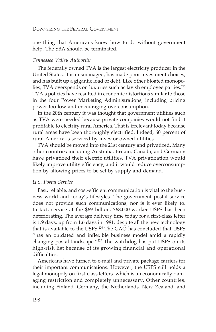one thing that Americans know how to do without government help. The SBA should be terminated.

# *Tennessee Valley Authority*

The federally owned TVA is the largest electricity producer in the United States. It is mismanaged, has made poor investment choices, and has built up a gigantic load of debt. Like other bloated monopolies, TVA overspends on luxuries such as lavish employee parties.225 TVA's policies have resulted in economic distortions similar to those in the four Power Marketing Administrations, including pricing power too low and encouraging overconsumption.

In the 20th century it was thought that government utilities such as TVA were needed because private companies would not find it profitable to electrify rural America. That is irrelevant today because rural areas have been thoroughly electrified. Indeed, 60 percent of rural America is serviced by investor-owned utilities.

TVA should be moved into the 21st century and privatized. Many other countries including Australia, Britain, Canada, and Germany have privatized their electric utilities. TVA privatization would likely improve utility efficiency, and it would reduce overconsumption by allowing prices to be set by supply and demand.

# *U.S. Postal Service*

Fast, reliable, and cost-efficient communication is vital to the business world and today's lifestyles. The government postal service does not provide such communications, nor is it ever likely to. In fact, service at the \$69 billion, 768,000-worker USPS has been deteriorating. The average delivery time today for a first-class letter is 1.9 days, up from 1.6 days in 1981, despite all the new technology that is available to the USPS.<sup>226</sup> The GAO has concluded that USPS ''has an outdated and inflexible business model amid a rapidly changing postal landscape.''227 The watchdog has put USPS on its high-risk list because of its growing financial and operational difficulties.

Americans have turned to e-mail and private package carriers for their important communications. However, the USPS still holds a legal monopoly on first-class letters, which is an economically damaging restriction and completely unnecessary. Other countries, including Finland, Germany, the Netherlands, New Zealand, and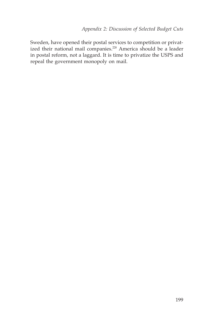Sweden, have opened their postal services to competition or privatized their national mail companies.<sup>228</sup> America should be a leader in postal reform, not a laggard. It is time to privatize the USPS and repeal the government monopoly on mail.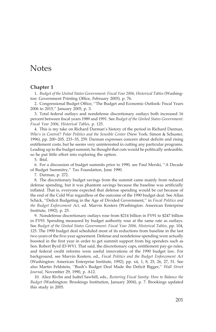# **Notes**

#### **Chapter 1**

1. *Budget of the United States Government: Fiscal Year 2006, Historical Tables*(Washington: Government Printing Office, February 2005), p. 76.

2. Congressional Budget Office, ''The Budget and Economic Outlook: Fiscal Years 2006 to 2015,'' January 2005, p. 3.

3. Total federal outlays and nondefense discretionary outlays both increased 16 percent between fiscal years 1989 and 1991. See *Budget of the United States Government: Fiscal Year 2006, Historical Tables*, p. 125.

4. This is my take on Richard Darman's history of the period in Richard Darman, *Who's in Control? Polar Politics and the Sensible Center* (New York: Simon & Schuster, 1996), pp. 200–205, 233–35, 259. Darman expresses concern about deficits and rising entitlement costs, but he seems very uninterested in cutting any particular programs. Leading up to the budget summit, he thought that cuts would be politically unfeasible, so he put little effort into exploring the option.

5. Ibid.

6. For a discussion of budget summits prior to 1990, see Paul Merski, ''A Decade of Budget Summitry,'' Tax Foundation, June 1990.

7. Darman, p. 272.

8. The discretionary budget savings from the summit came mainly from reduced defense spending, but it was phantom savings because the baseline was artificially inflated. That is, everyone expected that defense spending would be cut because of the end of the Cold War regardless of the outcome of the 1990 budget deal. See Allan Schick, ''Deficit Budgeting in the Age of Divided Government,'' in *Fiscal Politics and the Budget Enforcement Act,* ed. Marvin Kosters (Washington: American Enterprise Institute, 1992), p. 25.

9. Nondefense discretionary outlays rose from \$214 billion in FY91 to \$247 billion in FY93. Spending measured by budget authority rose at the same rate as outlays. See *Budget of the United States Government: Fiscal Year 2006, Historical Tables*, pp. 104, 125. The 1990 budget deal scheduled most of its reductions from baseline in the last two years of the five-year agreement. Defense and nondefense spending were actually boosted in the first year in order to get summit support from big spenders such as Sen. Robert Byrd (D-WV). That said, the discretionary caps, entitlement pay-go rules, and federal credit reforms were useful innovations of the 1990 budget law. For background, see Marvin Kosters, ed., *Fiscal Politics and the Budget Enforcement Act* (Washington: American Enterprise Institute, 1992), pp. xii, 1, 8, 25, 26, 27, 51. See also Martin Feldstein, ''Bush's Budget Deal Made the Deficit Bigger,'' *Wall Street Journal*, November 29, 1990, p. A12.

10. Alice Rivlin and Isabel Sawhill, eds., *Restoring Fiscal Sanity: How to Balance the Budget* (Washington: Brookings Institution, January 2004), p. 7. Brookings updated this study in 2005.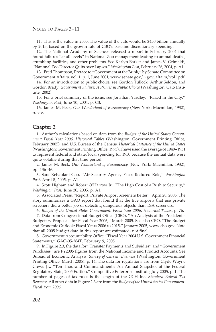#### NOTES TO PAGES 3–11

11. This is the value in 2005. The value of the cuts would be \$450 billion annually by 2015, based on the growth rate of CBO's baseline discretionary spending.

12. The National Academy of Sciences released a report in February 2004 that found failures ''at all levels'' in National Zoo management leading to animal deaths, crumbling facilities, and other problems. See Karlyn Barker and James V. Grimaldi, ''National Zoo Director Quits over Lapses,'' *Washington Post*, February 26, 2004, p. A1.

13. Fred Thompson, Preface to ''Government at the Brink,'' by Senate Committee on Government Affairs, vol. 1, p. 1, June 2001, www.senate.gov/ $\sim$ gov affairs/vol1.pdf.

14. For an introduction to public choice, see Gordon Tullock, Arthur Seldon, and Gordon Brady, *Government Failure: A Primer in Public Choice* (Washington: Cato Institute, 2002).

15. For a brief summary of the issue, see Jonathan Yardley, ''Razed in the City,'' *Washington Post*, June 10, 2004, p. C3.

16. James M. Beck, *Our Wonderland of Bureaucracy* (New York: Macmillan, 1932), p. xiv.

#### **Chapter 2**

1. Author's calculations based on data from the *Budget of the United States Government: Fiscal Year 2006, Historical Tables* (Washington: Government Printing Office, February 2005); and U.S. Bureau of the Census, *Historical Statistics of the United States* (Washington: Government Printing Office, 1975). I have used the average of 1949–1951 to represent federal and state/local spending for 1950 because the annual data were quite volatile during that time period.

2. James M. Beck, *Our Wonderland of Bureaucracy* (New York: Macmillan, 1932), pp. 136–46.

3. Sara Kehaulani Goo, ''Air Security Agency Faces Reduced Role,'' *Washington Post*, April 8, 2005, p. A1.

4. Scott Higham and Robert O'Harrow Jr., ''The High Cost of a Rush to Security,'' *Washington Post*, June 20, 2005, p. A1.

5. Associated Press, ''Report: Private Airport Screeners Better,'' April 20, 2005. The story summarizes a GAO report that found that the five airports that use private screeners did a better job of detecting dangerous objects than TSA screeners.

6. *Budget of the United States Government: Fiscal Year 2006, Historical Tables,* p. 76.

7. Data from Congressional Budget Office (CBO), ''An Analysis of the President's Budgetary Proposals for Fiscal Year 2006,'' March 2005. See also CBO, ''The Budget and Economic Outlook: Fiscal Years 2006 to 2015,'' January 2005, www.cbo.gov. Note that all 2005 budget data in this report are estimated, not final.

8. Government Accountability Office, ''Fiscal Year 2004 U.S. Government Financial Statements,'' GAO-05-284T, February 9, 2005.

9. In Figure 2.3, the data for ''Transfer Payments and Subsidies'' and ''Government Purchases'' are FY2005 figures from the National Income and Product Accounts. See Bureau of Economic Analysis, *Survey of Current Business* (Washington: Government Printing Office, March 2005), p. 14. The data for regulations are from Clyde Wayne Crews Jr., ''Ten Thousand Commandments: An Annual Snapshot of the Federal Regulatory State, 2005 Edition,'' Competitive Enterprise Institute, July 2005, p. 1. The number of pages of tax rules is the length of the CCH Inc. *Standard Federal Tax Reporter*. All other data in Figure 2.3 are from the *Budget of the United States Government: Fiscal Year 2006*.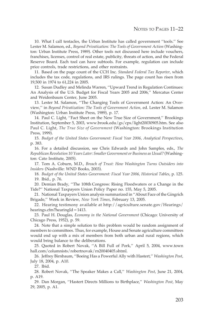10. What I call tentacles, the Urban Institute has called government ''tools.'' See Lester M. Salamon, ed., *Beyond Privatization: The Tools of Government Action* (Washington: Urban Institute Press, 1989). Other tools not discussed here include vouchers, franchises, licenses, control of real estate, publicity, threats of action, and the Federal Reserve Board. Each tool can have subtools. For example, regulation can include price controls, trade restrictions, and other restraints.

11. Based on the page count of the CCH Inc. *Standard Federal Tax Reporter*, which includes the tax code, regulations, and IRS rulings. The page count has risen from 19,500 in 1974 to 61,224 in 2005.

12. Susan Dudley and Melinda Warren, ''Upward Trend in Regulation Continues: An Analysis of the U.S. Budget for Fiscal Years 2005 and 2006,'' Mercatus Center and Weidenbaum Center, June 2005.

13. Lester M. Salamon, ''The Changing Tools of Government Action: An Overview,'' in *Beyond Privatization: The Tools of Government Action,* ed. Lester M. Salamon (Washington: Urban Institute Press, 1989), p. 17.

14. Paul C. Light, ''Fact Sheet on the New True Size of Government,'' Brookings Institution, September 5, 2003, www.brook.edu/gs/cps/light20030905.htm. See also Paul C. Light, *The True Size of Government* (Washington: Brookings Institution Press, 1999).

15. *Budget of the United States Government: Fiscal Year 2006, Analytical Perspectives*, p. 383.

16. For a detailed discussion, see Chris Edwards and John Samples, eds., *The Republican Revolution 10 Years Later: Smaller Government or Business as Usual?* (Washington: Cato Institute, 2005).

17. Tom A. Coburn, M.D., *Breach of Trust: How Washington Turns Outsiders into Insiders* (Nashville: WND Books, 2003).

18. *Budget of the United States Government: Fiscal Year 2006, Historical Tables*, p. 125. 19. Ibid., p. 76.

20. Demian Brady, ''The 108th Congress: Rising Floodwaters or a Change in the Tide?'' National Taxpayers Union Policy Paper no. 155, May 5, 2005.

21. National Taxpayers Union analysis summarized in ''About Face of the Gingrich Brigade,'' Week in Review, *New York Times*, February 13, 2005.

22. Hearing testimony available at http://agriculture.senate.gov/Hearings/ hearings.cfm?hearingId $=1413$ .

23. Paul H. Douglas, *Economy in the National Government* (Chicago: University of Chicago Press, 1952), p. 59.

24. Note that a simple solution to this problem would be random assignment of members to committees. Thus, for example, House and Senate agriculture committees would end up with a mix of members from both urban and rural regions, which would bring balance to the deliberations.

25. Quoted in Robert Novak, ''A Bill Full of Pork,'' April 5, 2004, www.town hall.com/columnists/robertnovak/rn20040405.shtml.

26. Jeffrey Birnbaum, ''Boeing Has a Powerful Ally with Hastert,'' *Washington Post*, July 18, 2004, p. A10.

27. Ibid.

28. Robert Novak, ''The Speaker Makes a Call,'' *Washington Post*, June 21, 2004, p. A19.

29. Dan Morgan, ''Hastert Directs Millions to Birthplace,'' *Washington Post*, May 29, 2005, p. A1.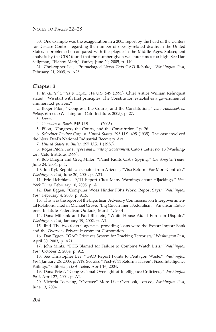NOTES TO PAGES 22–28

30. One example was the exaggeration in a 2005 report by the head of the Centers for Disease Control regarding the number of obesity-related deaths in the United States, a problem she compared with the plague in the Middle Ages. Subsequent analysis by the CDC found that the number given was four times too high. See Dan Seligman, ''Flabby Math,'' *Forbes*, June 20, 2005, p. 140.

31. Christopher Lee, ''Prepackaged News Gets GAO Rebuke,'' *Washington Post*, February 21, 2005, p. A25.

#### **Chapter 3**

1. In *United States v. Lopez,* 514 U.S. 549 (1995), Chief Justice William Rehnquist stated: ''We start with first principles. The Constitution establishes a government of enumerated powers.''

2. Roger Pilon, ''Congress, the Courts, and the Constitution,'' C*ato Handbook on Policy,* 6th ed. (Washington: Cato Institute, 2005), p. 27.

3. *Lopez*.

4. *Gonzales v. Raich,* 545 U.S. \_\_\_\_ (2005).

5. Pilon, ''Congress, the Courts, and the Constitution,'' p. 26.

6. *Schechter Poultry Corp. v. United States*, 295 U.S. 495 (1935). The case involved the New Deal's National Industrial Recovery Act.

7. *United States v. Butler*, 297 U.S. 1 (1936).

8. Roger Pilon, *The Purpose and Limits of Government*, Cato's Letter no. 13 (Washington: Cato Institute, 1999).

9. Bob Drogin and Greg Miller, ''Panel Faults CIA's Spying,'' *Los Angeles Times*, June 24, 2004, p. 1.

10. Jon Kyl, Republican senator from Arizona, ''Visa Reform: For More Controls,'' *Washington Post*, June 20, 2004, p. A21.

11. Eric Lichtblau, ''9/11 Report Cites Many Warnings about Hijackings,'' *New York Times*, February 10, 2005, p. A1.

12. Dan Eggen, ''Computer Woes Hinder FBI's Work, Report Says,'' *Washington Post*, February 4, 2005, p. A15.

13. This was the report of the bipartisan Advisory Commission on Intergovernmental Relations, cited in Michael Greve, ''Big Government Federalism,'' American Enterprise Institute Federalism Outlook, March 1, 2001.

14. Dana Milbank and Paul Blustein, ''White House Aided Enron in Dispute,'' *Washington Post*, January 19, 2002, p. A1.

15. Ibid. The two federal agencies providing loans were the Export-Import Bank and the Overseas Private Investment Corporation.

16. Dan Eggen, ''GAO Criticizes System for Tracking Terrorists,'' *Washington Post*, April 30, 2003, p. A21.

17. John Mintz, ''DHS Blamed for Failure to Combine Watch Lists,'' *Washington Post*, October 2, 2004, p. A2.

18. See Christopher Lee, ''GAO Report Points to Pentagon Waste,'' *Washington Post*, January 26, 2005, p. A19. See also ''Post-9/11 Reforms Haven't Fixed Intelligence Failings,'' editorial, *USA Today*, April 16, 2004.

19. Dana Priest, ''Congressional Oversight of Intelligence Criticized,'' *Washington Post*, April 27, 2004, p. A1.

20. Victoria Toensing, ''Oversee? More Like Overlook,'' op-ed, *Washington Post*, June 13, 2004.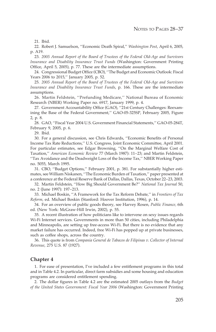21. Ibid.

22. Robert J. Samuelson, ''Economic Death Spiral,'' *Washington Post*, April 6, 2005, p. A19.

23. *2005 Annual Report of the Board of Trustees of the Federal Old-Age and Survivors Insurance and Disability Insurance Trust Funds* (Washington: Government Printing Office, April 5, 2005), p. 77. These are the intermediate assumptions.

24. Congressional Budget Office (CBO), ''The Budget and Economic Outlook: Fiscal Years 2006 to 2015,'' January 2005, p. 52.

25. *2005 Annual Report of the Board of Trustees of the Federal Old-Age and Survivors Insurance and Disability Insurance Trust Funds*, p. 166. These are the intermediate assumptions.

26. Martin Feldstein, ''Prefunding Medicare,'' National Bureau of Economic Research (NBER) Working Paper no. 6917, January 1999, p. 4.

27. Government Accountability Office (GAO), ''21st Century Challenges: Reexamining the Base of the Federal Government,'' GAO-05-325SP, February 2005, Figure 2, p. 8.

28. GAO, ''Fiscal Year 2004 U.S. Government Financial Statements,'' GAO-05-284T, February 9, 2005, p. 6.

29. Ibid.

30. For a general discussion, see Chris Edwards, ''Economic Benefits of Personal Income Tax Rate Reductions,'' U.S. Congress, Joint Economic Committee, April 2001. For particular estimates, see Edgar Browning, ''On the Marginal Welfare Cost of Taxation,'' *American Economic Review* 77 (March 1987): 11–23; and Martin Feldstein, ''Tax Avoidance and the Deadweight Loss of the Income Tax,'' NBER Working Paper no. 5055, March 1995.

31. CBO, ''Budget Options,'' February 2001, p. 381. For substantially higher estimates, see William Niskanen, ''The Economic Burden of Taxation,'' paper presented at a conference at the Federal Reserve Bank of Dallas, Dallas, Texas, October 22–23, 2003.

32. Martin Feldstein, ''How Big Should Government Be?'' *National Tax Journal* 50, no. 2 (June 1997): 197–213.

33. Michael Boskin, ''A Framework for the Tax Reform Debate,'' in *Frontiers of Tax Reform,* ed. Michael Boskin (Stanford: Hoover Institution, 1996), p. 14.

34. For an overview of public goods theory, see Harvey Rosen*, Public Finance,* 6th ed. (New York: McGraw-Hill Irwin, 2002), p. 55.

35. A recent illustration of how politicians like to intervene on sexy issues regards Wi-Fi Internet services. Governments in more than 50 cities, including Philadelphia and Minneapolis, are setting up free-access Wi-Fi. But there is no evidence that any market failure has occurred. Indeed, free Wi-Fi has popped up at private businesses, such as coffee shops, across the country.

36. This quote is from *Compania General de Tabacos de Filipinas v. Collector of Internal Revenue*, 275 U.S. 87 (1927).

#### **Chapter 4**

1. For ease of presentation, I've included a few entitlement programs in this total and in Table 4.2. In particular, direct farm subsidies and some housing and education programs are considered entitlement spending.

2. The dollar figures in Table 4.2 are the estimated 2005 outlays from the *Budget of the United States Government: Fiscal Year 2006* (Washington: Government Printing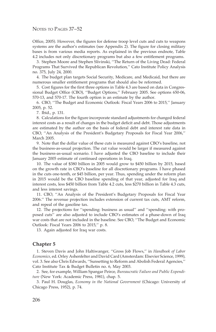#### NOTES TO PAGES 37–52

Office, 2005). However, the figures for defense troop level cuts and cuts to weapons systems are the author's estimates (see Appendix 2). The figure for closing military bases is from various media reports. As explained in the previous endnote, Table 4.2 includes not only discretionary programs but also a few entitlement programs.

3. Stephen Moore and Stephen Slivinski, ''The Return of the Living Dead: Federal Programs That Survived the Republican Revolution,'' Cato Institute Policy Analysis no. 375, July 24, 2000.

4. The budget plan targets Social Security, Medicare, and Medicaid, but there are numerous smaller entitlement programs that should also be reformed.

5. Cost figures for the first three options in Table 4.3 are based on data in Congressional Budget Office (CBO), ''Budget Options,'' February 2005. See options 650-06, 570-13, and 570-17. The fourth option is an estimate by the author.

6. CBO, ''The Budget and Economic Outlook: Fiscal Years 2006 to 2015,'' January 2005, p. 52.

7. Ibid., p. 131.

8. Calculations for the figure incorporate standard adjustments for changed federal interest costs as a result of changes in the budget deficit and debt. Those adjustments are estimated by the author on the basis of federal debt and interest rate data in CBO, ''An Analysis of the President's Budgetary Proposals for Fiscal Year 2006,'' March 2005.

9. Note that the dollar value of these cuts is measured against CBO's baseline, not the business-as-usual projection. The cut value would be larger if measured against the business-as-usual scenario. I have adjusted the CBO baseline to include their January 2005 estimate of continued operations in Iraq.

10. The value of \$380 billion in 2005 would grow to \$450 billion by 2015, based on the growth rate in CBO's baseline for all discretionary programs. I have phased in the cuts one-tenth, or \$45 billion, per year. Thus, spending under the reform plan in 2015 would be the CBO baseline spending of that year, adjusted for Iraq and interest costs, less \$450 billion from Table 4.2 cuts, less \$270 billion in Table 4.3 cuts, and less interest savings.

11. CBO, ''An Analysis of the President's Budgetary Proposals for Fiscal Year 2006.'' The revenue projection includes extension of current tax cuts, AMT reform, and repeal of the gasoline tax.

12. The projections for ''spending: business as usual'' and ''spending: with proposed cuts'' are also adjusted to include CBO's estimates of a phase-down of Iraq war costs that are not included in the baseline. See CBO, ''The Budget and Economic Outlook: Fiscal Years 2006 to 2015,'' p. 8.

13. Again adjusted for Iraq war costs.

#### **Chapter 5**

1. Steven Davis and John Haltiwanger, ''Gross Job Flows,'' in *Handbook of Labor Economics,* ed. Orley Ashenfelter and David Card (Amsterdam: Elsevier Science, 1999), vol. 3. See also Chris Edwards, ''Sunsetting to Reform and Abolish Federal Agencies,'' Cato Institute Tax & Budget Bulletin no. 6, May 2003.

2. See, for example, William Spangar Peirce, *Bureaucratic Failure and Public Expenditure* (New York: Academic Press, 1981), chap. 5.

3. Paul H. Douglas, *Economy in the National Government* (Chicago: University of Chicago Press, 1952), p. 74.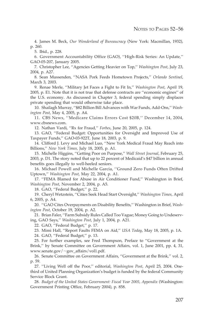4. James M. Beck, *Our Wonderland of Bureaucracy* (New York: Macmillan, 1932), p. 260.

5. Ibid., p. 228.

6. Government Accountability Office (GAO), ''High-Risk Series: An Update,'' GAO-05-207, January 2005.

7. Christopher Lee, ''Agencies Getting Heavier on Top,'' *Washington Post*, July 23, 2004, p. A27.

8. Sean Mussenden, ''NASA Pork Feeds Hometown Projects,'' *Orlando Sentinel*, March 3, 2003.

9. Renae Merle, ''Military Jet Faces a Fight to Fit In,'' *Washington Post*, April 19, 2005, p. E1. Note that it is not true that defense contracts are ''economic engines'' of the U.S. economy. As discussed in Chapter 3, federal spending simply displaces private spending that would otherwise take place.

10. Shailagh Murray, ''\$82 Billion Bill Advances with War Funds, Add-Ons,'' *Washington Post*, May 4, 2005, p. A4.

11. CBS News, ''Medicare Claims Errors Cost \$20B,'' December 14, 2004, www.cbsnews.com.

12. Nathan Vardi, ''Rx for Fraud,'' *Forbes*, June 20, 2005, p. 124.

13. GAO, ''Federal Budget: Opportunities for Oversight and Improved Use of Taxpayer Funds,'' GAO-03-922T, June 18, 2003, p. 9.

14. Clifford J. Levy and Michael Luo, ''New York Medical Fraud May Reach into Billions,'' *New York Times,* July 18, 2005, p. A1.

15. Michelle Higgins, ''Getting Poor on Purpose,'' *Wall Street Journal*, February 25, 2003, p. D1. The story noted that up to 22 percent of Medicaid's \$47 billion in annual benefits goes illegally to well-heeled seniors.

16. Michael Powell and Michelle Garcia, ''Ground Zero Funds Often Drifted Uptown,'' *Washington Post*, May 22, 2004, p. A1.

17. ''FEMA Blamed for Abuse in Air Conditioner Fund,'' Washington in Brief, *Washington Post*, November 2, 2004, p. A5.

18. GAO, ''Federal Budget,'' p. 22.

19. Cheryl Wetzstein, ''Cities Seek Head Start Oversight,'' *Washington Times*, April 6, 2005, p. A4.

20. ''GAO Cites Overpayments on Disability Benefits,'' Washington in Brief, *Washington Post*, October 19, 2004, p. A2.

21. Brian Faler, ''Farm Subsidy Rules Called Too Vague; Money Going to Undeserving, GAO Says,'' *Washington Post*, July 1, 2004, p. A21.

22. GAO, ''Federal Budget,'' p. 17.

23. Mimi Hall, ''Report Faults FEMA on Aid,'' *USA Today*, May 18, 2005, p. 1A.

24. GAO, ''Federal Budget,'' p. 13.

25. For further examples, see Fred Thompson, Preface to ''Government at the Brink,'' by Senate Committee on Government Affairs, vol. 1, June 2001, pp. 4, 31, www.senate.gov/ $\sim$ gov\_affairs/vol1.pdf.

26. Senate Committee on Government Affairs, ''Government at the Brink,'' vol. 2, p. 59.

27. ''Living Well off the Poor,'' editorial, *Washington Post*, April 25, 2004. Onethird of United Planning Organization's budget is funded by the federal Community Service Block Grant.

28. *Budget of the United States Government: Fiscal Year 2005, Appendix* (Washington: Government Printing Office, February 2004), p. 858.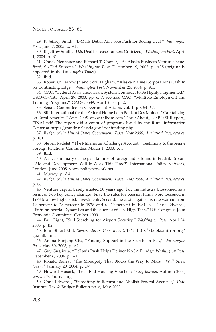29. R. Jeffrey Smith, ''E-Mails Detail Air Force Push for Boeing Deal,'' *Washington Post*, June 7, 2005, p. A1.

30. R. Jeffrey Smith, ''U.S. Deal to Lease Tankers Criticized,'' *Washington Post*, April 1, 2004, p. B1.

31. Chuck Neubauer and Richard T. Cooper, ''As Alaska Business Ventures Benefited, So Did Stevens,'' *Washington Post*, December 19, 2003, p. A35 (originally appeared in the *Los Angeles Times*).

32. Ibid.

33. Robert O'Harrow Jr. and Scott Higham, ''Alaska Native Corporations Cash In on Contracting Edge,'' *Washington Post*, November 25, 2004, p. A1.

34. GAO, ''Federal Assistance: Grant System Continues to Be Highly Fragmented,'' GAO-03-718T, April 29, 2003, pp. 6, 7. See also GAO, ''Multiple Employment and Training Programs,'' GAO-03-589, April 2003, p. 2.

35. Senate Committee on Government Affairs, vol. 1, pp. 54–67.

36. SRI International for the Federal Home Loan Bank of Des Moines, ''Capitalizing on Rural America,'' April 2005, www.fhlbdm.com/Docs/About\_Us/PF/SRIReport\_ FINAL.pdf. The report did a count of programs listed by the Rural Information Center at http://grande.nal.usda.gov/ric/funding.php.

37. *Budget of the United States Government: Fiscal Year 2006, Analytical Perspectives*, p. 181.

38. Steven Radelet, ''The Millennium Challenge Account,'' Testimony to the Senate Foreign Relations Committee, March 4, 2003, p. 5.

39. Ibid.

40. A nice summary of the past failures of foreign aid is found in Fredrik Erixon, "Aid and Development: Will It Work This Time?" International Policy Network, London, June 2005, www.policynetwork.net.

41. Murray, p. A4.

42. *Budget of the United States Government: Fiscal Yeac 2006, Analytical Perspectives,* p. 86.

43. Venture capital barely existed 30 years ago, but the industry blossomed as a result of two key policy changes. First, the rules for pension funds were loosened in 1978 to allow higher-risk investments. Second, the capital gains tax rate was cut from 49 percent to 28 percent in 1978 and to 20 percent in 1981. See Chris Edwards, ''Entrepreneurial Dynamism and the Success of U.S. High-Tech,'' U.S. Congress, Joint Economic Committee, October 1999.

44. Paul Light, ''Still Searching for Airport Security,'' *Washington Post*, April 24, 2005, p. B2.

45. John Stuart Mill, *Representative Government,* 1861, http://books.mirror.org/ gb.mill.html.

46. Ariana Eunjung Cha, ''Finding Support in the Search for E.T.,'' *Washington Post*, May 30, 2005, p. A1.

47. Guy Gugliotta, ''DeLay's Push Helps Deliver NASA Funds,'' *Washington Post*, December 6, 2004, p. A1.

48. Ronald Bailey, ''The Monopoly That Blocks the Way to Mars,'' *Wall Street Journal*, January 20, 2004, p. D7.

49. Howard Husock, ''Let's End Housing Vouchers,'' *City Journal*, Autumn 2000, www.city-journal.org.

50. Chris Edwards, ''Sunsetting to Reform and Abolish Federal Agencies,'' Cato Institute Tax & Budget Bulletin no. 6, May 2003.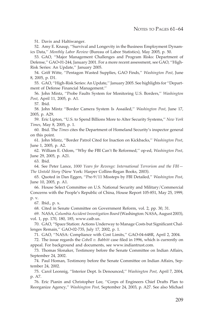51. Davis and Haltiwanger.

52. Amy E. Knaup, ''Survival and Longevity in the Business Employment Dynamics Data,'' *Monthly Labor Review* (Bureau of Labor Statistics), May 2005, p. 50.

53. GAO, ''Major Management Challenges and Program Risks: Department of Defense,'' GAO-01-244, January 2001. For a more recent assessment, see GAO, ''High-Risk Series: An Update,'' January 2005.

54. Griff Witte, ''Pentagon Wasted Supplies, GAO Finds,'' *Washington Post*, June 8, 2005, p. D1.

55. GAO, ''High-Risk Series: An Update,'' January 2005. See highlights for ''Department of Defense Financial Management.''

56. John Mintz, ''Probe Faults System for Monitoring U.S. Borders,'' *Washington Post*, April 11, 2005, p. A1.

57. Ibid.

58. John Mintz ''Border Camera System Is Assailed,'' *Washington Post*, June 17, 2005, p. A29.

59. Eric Lipton, ''U.S. to Spend Billions More to Alter Security Systems,'' *New York Times*, May 8, 2005, p. 1.

60. Ibid. The *Times* cites the Department of Homeland Security's inspector general on this point.

61. John Mintz, ''Border Patrol Cited for Inaction on Kickbacks,'' *Washington Post*, June 1, 2005, p. A2.

62. William E. Odom, ''Why the FBI Can't Be Reformed,'' op-ed, *Washington Post*, June 29, 2005, p. A21.

63. Ibid.

64. See Peter Lance, *1000 Years for Revenge: International Terrorism and the FBI— The Untold Story* (New York: Harper Collins-Regan Books, 2003).

65. Quoted in Dan Eggen, ''Pre-9/11 Missteps by FBI Detailed,'' *Washington Post*, June 10, 2005, p. A1.

66. House Select Committee on U.S. National Security and Military/Commercial Concerns with the People's Republic of China, House Report 105-851, May 25, 1999, p. v.

67. Ibid., p. x.

68. Cited in Senate Committee on Government Reform, vol. 2, pp. 30, 31.

69. NASA, *Columbia Accident Investigation Board* (Washington: NASA, August 2003), vol. 1, pp. 170, 180, 185, www.caib.us.

70. GAO, ''Space Station: Actions Underway to Manage Costs but Significant Challenges Remain,'' GAO-02-735, July 17, 2002, p. 1.

71. GAO, ''NASA: Compliance with Cost Limits,'' GAO-04-648R, April 2, 2004.

72. The issue regards the *Cobell v. Babbitt* case filed in 1996, which is currently on appeal. For background and documents, see www.indiantrust.com.

73. Thomas Slonaker, Testimony before the Senate Committee on Indian Affairs, September 24, 2002.

74. Paul Homan, Testimony before the Senate Committee on Indian Affairs, September 24, 2002.

75. Carol Leonnig, ''Interior Dept. Is Denounced,'' *Washington Post*, April 7, 2004, p. A7.

76. Eric Pianin and Christopher Lee, ''Corps of Engineers Chief Drafts Plan to Reorganize Agency,'' *Washington Post*, September 24, 2003, p. A27. See also Michael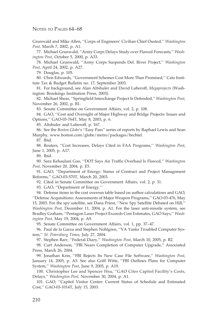# NOTES TO PAGES 64–68

Grunwald and Mike Allen, ''Corps of Engineers' Civilian Chief Ousted,'' *Washington Post*, March 7, 2002, p. A1.

77. Michael Grunwald, ''Army Corps Delays Study over Flawed Forecasts,'' *Washington Post*, October 5, 2000, p. A33.

78. Michael Grunwald, ''Army Corps Suspends Del. River Project,'' *Washington Post*, April 24, 2002, p. A27.

79. Douglas, p. 105.

80. Chris Edwards, ''Government Schemes Cost More Than Promised,'' Cato Institute Tax & Budget Bulletin no. 17, September 2003.

81. For background, see Alan Altshuler and David Luberoff, *Megaprojects* (Washington: Brookings Institution Press, 2003).

82. Michael Shear, ''Springfield Interchange Project Is Defended,'' *Washington Post*, November 26, 2002, p. B1.

83. Senate Committee on Government Affairs, vol. 2, p. 108.

84. GAO, ''Cost and Oversight of Major Highway and Bridge Projects: Issues and Options,'' GAO-03-764T, May 8, 2003, p. 6.

85. Altshuler and Luberoff, p. 167.

86. See the *Boston Globe*'s ''Easy Pass'' series of reports by Raphael Lewis and Sean Murphy, www.boston.com/globe/metro/packages/bechtel.

87. Ibid.

88. Reuters, ''Cost Increases, Delays Cited in FAA Programs,'' *Washington Post*, June 1, 2005, p. A17.

89. Ibid.

90. Sara Kehaulani Goo, ''DOT Says Air Traffic Overhaul Is Flawed,'' *Washington Post*, November 20, 2004, p. E5.

91. GAO, ''Department of Energy: Status of Contract and Project Management Reforms,'' GAO-03-570T, March 20, 2003.

92. Cited in Senate Committee on Government Affairs, vol. 2, p. 31.

93. GAO, ''Department of Energy.''

94. Defense items in the cost overrun table based on author calculations and GAO, ''Defense Acquisitions: Assessments of Major Weapon Programs,'' GAO-03-476, May 15, 2003. For the spy satellite, see Dana Priest, ''New Spy Satellite Debated on Hill,'' *Washington Post*, December 11, 2004, p. A1. For the laser anti-missile system, see Bradley Graham, ''Pentagon Laser Project Exceeds Cost Estimates, GAO Says,'' *Washington Post*, May 19, 2004, p. A9.

95. Senate Committee on Government Affairs, vol. 1, pp. 37–47.

96. Paul de la Garza and Stephen Nohlgren, ''VA Yanks Troubled Computer System,'' *St. Petersburg Times*, July 27, 2004.

97. Stephen Barr, ''Federal Diary,'' *Washington Post*, March 10, 2005, p. B2.

98. Curt Anderson, ''FBI Nears Completion of Computer Upgrade,'' Associated Press, March 26, 2004.

99. Jonathan Krin, ''FBI Rejects Its New Case File Software,'' *Washington Post*, January 14, 2005, p. A5. See also Griff Witte, ''FBI Outlines Plans for Computer System,'' *Washington Post*, June 9, 2005, p. A19.

100. Christopher Lee and Spencer Hsu, ''GAO Cites Capitol Facility's Costs, Delays,'' *Washington Post*, November 30, 2004, p. A1.

101. GAO, ''Capitol Visitor Center: Current Status of Schedule and Estimated Cost,'' GAO-03-1014T, July 15, 2003.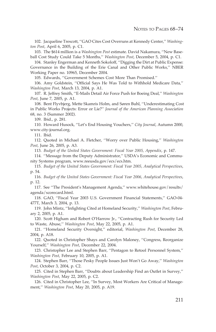102. Jacqueline Trescott, ''GAO Cites Cost Overruns at Kennedy Center,'' *Washington Post*, April 6, 2005, p. C1.

103. The \$614 million is a *Washington Post* estimate. David Nakamura, ''New Baseball Cost Study Could Take 5 Months,'' *Washington Post*, December 5, 2004, p. C1.

104. Stanley Engerman and Kenneth Sokoloff, ''Digging the Dirt at Public Expense: Governance in the Building of the Erie Canal and Other Public Works,'' NBER Working Paper no. 10965, December 2004.

105. Edwards, ''Government Schemes Cost More Than Promised.''

106. Amy Goldstein, ''Official Says He Was Told to Withhold Medicare Data,'' *Washington Post*, March 13, 2004, p. A1.

107. R. Jeffrey Smith, ''E-Mails Detail Air Force Push for Boeing Deal,'' *Washington Post*, June 7, 2005, p. A1.

108. Bent Flyvbjerg, Mette Skamris Holm, and Søren Buhl, ''Underestimating Cost in Public Works Projects: Error or Lie?'' *Journal of the American Planning Association* 68, no. 3 (Summer 2002).

109. Ibid., p. 281.

110. Howard Husock, ''Let's End Housing Vouchers,'' *City Journal*, Autumn 2000, www.city-journal.org.

111. Ibid.

112. Quoted in Michael A. Fletcher, ''Worry over Public Housing,'' *Washington Post*, June 26, 2005, p. A3.

113. *Budget of the United States Government: Fiscal Year 2005, Appendix*, p. 147.

114. ''Message from the Deputy Administrator,'' USDA's Economic and Community Systems program, www.reeusda.gov/ecs/ecs.htm.

115. *Budget of the United States Government: Fiscal Year 2005, Analytical Perspectives*, p. 54.

116. *Budget of the United States Government: Fiscal Year 2006, Analytical Perspectives*, p. 12.

117. See ''The President's Management Agenda,'' www.whitehouse.gov/results/ agenda/scorecard.html.

118. GAO, ''Fiscal Year 2003 U.S. Government Financial Statements,'' GAO-04- 477T, March 3, 2004, p. 13.

119. John Mintz, ''Infighting Cited at Homeland Security,'' *Washington Post*, February 2, 2005, p. A1.

120. Scott Higham and Robert O'Harrow Jr., ''Contracting Rush for Security Led to Waste, Abuse,'' *Washington Post*, May 22, 2005, p. A1.

121. ''Homeland Security Oversight,'' editorial, *Washington Post*, December 28, 2004, p. A18.

122. Quoted in Christopher Shays and Carolyn Maloney, ''Congress, Reorganize Yourself,'' *Washington Post*, December 22, 2004.

123. Christopher Lee and Stephen Barr, ''Pentagon to Retool Personnel System,'' *Washington Post*, February 10, 2005, p. A1.

124. Stephen Barr, ''Those Pesky People Issues Just Won't Go Away,'' *Washington Post*, October 3, 2004, p. C2.

125. Cited in Stephen Barr, ''Doubts about Leadership Find an Outlet in Survey,'' *Washington Post*, May 22, 2005, p. C2.

126. Cited in Christopher Lee, ''In Survey, Most Workers Are Critical of Management,'' *Washington Post*, May 20, 2005, p. A19.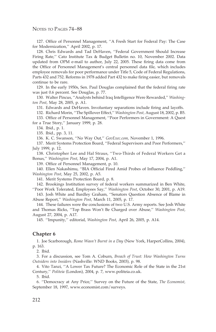127. Office of Personnel Management, ''A Fresh Start for Federal Pay: The Case for Modernization,'' April 2002, p. 17.

128. Chris Edwards and Tad DeHaven, ''Federal Government Should Increase Firing Rate,'' Cato Institute Tax & Budget Bulletin no. 10, November 2002. Data updated from OPM e-mail to author, July 22, 2005. These firing data come from the Office of Personnel Management's central personnel data file, which includes employee removals for poor performance under Title 5, Code of Federal Regulations, Parts 432 and 752. Reforms in 1978 added Part 432 to make firing easier, but removals continue to be rare.

129. In the early 1950s, Sen. Paul Douglas complained that the federal firing rate was just 0.6 percent. See Douglas, p. 77.

130. Walter Pincus, ''Analysts behind Iraq Intelligence Were Rewarded,'' *Washington Post*, May 28, 2005, p. A1.

131. Edwards and DeHaven. Involuntary separations include firing and layoffs.

132. Richard Morin, ''The Spillover Effect,'' *Washington Post,* August 18, 2002, p. B5.

133. Office of Personnel Management, ''Poor Performers in Government: A Quest for a True Story,'' January 1999, p. 28.

134. Ibid., p. 1.

135. Ibid., pp. 3, 11.

136. K. C. Swanson, ''No Way Out,'' *GovExec.com,* November 1, 1996.

137. Merit Systems Protection Board, ''Federal Supervisors and Poor Performers,'' July 1999, p. 12.

138. Christopher Lee and Hal Straus, ''Two-Thirds of Federal Workers Get a Bonus,'' *Washington Post*, May 17, 2004, p. A1.

139. Office of Personnel Management, p. 10.

140. Ellen Nakashimu, ''BIA Official Fired Amid Probes of Influence Peddling,'' *Washington Post*, May 25, 2002, p. A5.

141. Merit Systems Protection Board, p. 8.

142. Brookings Institution survey of federal workers summarized in Ben White, ''Poor Work Tolerated, Employees Say,'' *Washington Post*, October 30, 2001, p. A19.

143. Josh White and Bardley Graham, ''Senators Question Absence of Blame in Abuse Report,'' *Washington Post*, March 11, 2005, p. 17.

144. These failures were the conclusions of two U.S. Army reports. See Josh White and Thomas Ricks, ''Top Brass Won't Be Charged over Abuse,'' *Washington Post*, August 27, 2004, p. A17.

145. ''Impunity,'' editorial, *Washington Post*, April 26, 2005, p. A14.

# **Chapter 6**

1. Joe Scarborough, *Rome Wasn't Burnt in a Day* (New York, HarperCollins, 2004), p. 163.

2. Ibid.

3. For a discussion, see Tom A. Coburn, *Breach of Trust: How Washington Turns Outsiders into Insiders* (Nashville: WND Books, 2003), p. 98.

4. Vito Tanzi, ''A Lower Tax Future? The Economic Role of the State in the 21st Century,'' *Politeia* (London), 2004, p. 7, www.politeia.co.uk.

5. Ibid.

6. ''Democracy at Any Price,'' Survey on the Future of the State, *The Economist,* September 18, 1997, www.economist.com/surveys.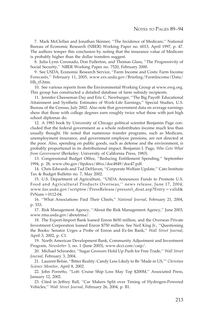7. Mark McClellan and Jonathan Skinner, ''The Incidence of Medicare,'' National Bureau of Economic Research (NBER) Working Paper no. 6013, April 1997, p. 47. The authors temper this conclusion by noting that the insurance value of Medicare is probably higher than the dollar transfers suggest.

8. Julia Lynn Coronado, Don Fullerton, and Thomas Glass, ''The Progressivity of Social Security,'' NBER Working Paper no. 7520, February 2000.

9. See USDA, Economic Research Service, ''Farm Income and Costs: Farm Income Forecasts,'' February 11, 2005, www.ers.usda.gov/Briefing/FarmIncome/Data/ Hh\_t5.htm.

10. See various reports from the Environmental Working Group at www.ewg.org. This group has constructed a detailed database of farm subsidy recipients.

11. Jennifer Cheeseman Day and Eric C. Newburger, ''The Big Payoff: Educational Attainment and Synthetic Estimates of Work-Life Earnings,'' Special Studies, U.S. Bureau of the Census, July 2002. Also note that government data on average earnings show that those with college degrees earn roughly twice what those with just high school diplomas do.

12. A 1983 book by University of Chicago political scientist Benjamin Page concluded that the federal government as a whole redistributes income much less than usually thought. He noted that numerous transfer programs, such as Medicare, unemployment insurance, and government employee pensions, are not directed at the poor. Also, spending on public goods, such as defense and the environment, is probably proportional in its distributional impact. Benjamin I. Page, *Who Gets What from Government* (Berkeley: University of California Press, 1983).

13. Congressional Budget Office, ''Reducing Entitlement Spending,'' September 1994, p. 28, www.cbo.gov/ftpdocs/48xx/doc4849/doc47.pdf.

14. Chris Edwards and Tad DeHaven, ''Corporate Welfare Update,'' Cato Institute Tax & Budget Bulletin no. 7, May 2002.

15. U.S. Department of Agriculture, ''USDA Announces Funds to Promote U.S. Food and Agricultural Products Overseas,'' news release, June 17, 2004, www.fas.usda.gov/scriptsw/PressRelease/pressrel\_dout.asp?Entry = valid &  $PrNum = 0112-04.$ 

16. ''What Associations Paid Their Chiefs,'' *National Journal*, February 21, 2004, p. 533.

17. Risk Management Agency, ''About the Risk Management Agency,'' June 2003, www.rma.usda.gov/aboutrma/.

18. The Export-Import Bank loaned Enron \$650 million, and the Overseas Private Investment Corporation loaned Enron \$750 million. See Neil King Jr., ''Questioning the Books: Senator Urges a Probe of Enron and Ex-Im Bank,'' *Wall Street Journal*, April 3, 2002, p. C1.

19. North American Development Bank, Community Adjustment and Investment Program, *Newsletter* 3, no. 1 (June 2003), www.dcci.com/caip/.

20. Michael Schroeder, ''Sugar Growers Hold Up Push for Free Trade,'' *Wall Street Journal*, February 3, 2004.

21. Laurent Belsie, ''Bitter Reality: Candy Less Likely to Be 'Made in US,''' *Christian Science Monitor*, April 8, 2002.

22. John Porretto, ''Lott: Cruise Ship Loss May Top \$200M,'' Associated Press, January 12, 2002.

23. Cited in Jeffrey Ball, ''Car Makers Split over Timing of Hydrogen-Powered Vehicles,'' *Wall Street Journal*, February 26, 2004, p. B1.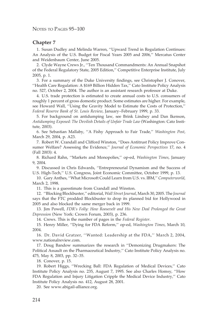# **Chapter 7**

1. Susan Dudley and Melinda Warren, ''Upward Trend in Regulation Continues: An Analysis of the U.S. Budget for Fiscal Years 2005 and 2006,'' Mercatus Center and Weidenbaum Center, June 2005.

2. Clyde Wayne Crews Jr., ''Ten Thousand Commandments: An Annual Snapshot of the Federal Regulatory State, 2005 Edition,'' Competitive Enterprise Institute, July 2005, p. 1.

3. For a summary of the Duke University findings, see Christopher J. Conover, ''Health Care Regulation: A \$169 Billion Hidden Tax,'' Cato Institute Policy Analysis no. 527, October 2, 2004. The author is an assistant research professor at Duke.

4. U.S. trade protection is estimated to create annual costs to U.S. consumers of roughly 1 percent of gross domestic product. Some estimates are higher. For example, see Howard Wall, ''Using the Gravity Model to Estimate the Costs of Protection,'' *Federal Reserve Bank of St. Louis Review*, January–February 1999, p. 33.

5. For background on antidumping law, see Brink Lindsey and Dan Ikenson, *Antidumping Exposed: The Devilish Details of Unfair Trade Law* (Washington: Cato Institute, 2003).

6. See Sebastian Mallaby, ''A Fishy Approach to Fair Trade,'' *Washington Post*, March 29, 2004, p. A23.

7. Robert W. Crandall and Clifford Winston, ''Does Antitrust Policy Improve Consumer Welfare? Assessing the Evidence,'' *Journal of Economic Perspectives* 17, no. 4 (Fall 2003): 4.

8. Richard Rahn, ''Markets and Monopolies,'' op-ed, *Washington Times*, January 9, 2004.

9. Discussed in Chris Edwards, ''Entrepreneurial Dynamism and the Success of U.S. High-Tech,'' U.S. Congress, Joint Economic Committee, October 1999, p. 13.

10. Gary Anthes, ''What Microsoft Could Learn from U.S. vs. IBM,'' *Computerworld*, March 2, 1998.

11. This is a guesstimate from Crandall and Winston.

12. ''Blocking Blockbuster,'' editorial, *Wall Street Journal*, March 30, 2005. The *Journal* says that the FTC prodded Blockbuster to drop its planned bid for Hollywood in 2005 and also blocked the same merger back in 1999.

13. Jim Powell, *FDR's Folly: How Roosevelt and His New Deal Prolonged the Great Depression* (New York: Crown Forum, 2003), p. 236.

14. Crews. This is the number of pages in the *Federal Register*.

15. Henry Miller, ''Dying for FDA Reform,'' op-ed, *Washington Times*, March 10, 2004.

16. Dr. David Gratzer, ''Wanted: Leadership at the FDA,'' March 2, 2004, www.nationalreview.com.

17. Doug Bandow summarizes the research in ''Demonizing Drugmakers: The Political Assault on the Pharmaceutical Industry,'' Cato Institute Policy Analysis no. 475, May 8, 2003, pp. 32–35.

18. Conover, p. 15.

19. Robert Higgs, ''Wrecking Ball: FDA Regulation of Medical Devices,'' Cato Institute Policy Analysis no. 235, August 7, 1995. See also Charles Homsy, ''How FDA Regulation and Injury Litigation Cripple the Medical Device Industry,'' Cato Institute Policy Analysis no. 412, August 28, 2001.

20. See www.abigail-alliance.org.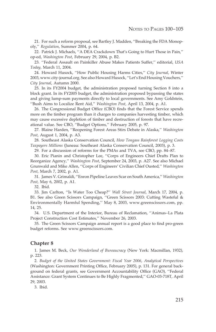21. For such a reform proposal, see Bartley J. Madden, ''Breaking the FDA Monopoly,'' *Regulation*, Summer 2004, p. 64.

22. Patrick J. Michaels, ''A DEA Crackdown That's Going to Hurt Those in Pain,'' op-ed, *Washington Post*, February 29, 2004, p. B2.

23. ''Federal Assault on Painkiller Abuse Makes Patients Suffer,'' editorial, *USA Today,* March 11, 2004.

24. Howard Husock, ''How Public Housing Harms Cities,'' *City Journal*, Winter 2003, www.city-journal.org. See also Howard Husock, ''Let's End Housing Vouchers,'' *City Journal*, Autumn 2000.

25. In its FY2004 budget, the administration proposed turning Section 8 into a block grant. In its FY2005 budget, the administration proposed bypassing the states and giving lump-sum payments directly to local governments. See Amy Goldstein, ''Bush Aims to Localize Rent Aid,'' *Washington Post*, April 13, 2004, p. A1.

26. The Congressional Budget Office (CBO) finds that the Forest Service spends more on the timber program than it charges to companies harvesting timber, which may cause excessive depletion of timber and destruction of forests that have recreational value. See CBO, ''Budget Options,'' February 2005, p. 97.

27. Blaine Harden, ''Reopening Forest Areas Stirs Debate in Alaska,'' *Washington Post*, August 1, 2004, p. A3.

28. Southeast Alaska Conservation Council, *How Tongass Rainforest Logging Costs Taxpayers Millions* (Juneau: Southeast Alaska Conservation Council, 2003), p. 3.

29. For a discussion of reforms for the PMAs and TVA, see CBO, pp. 84–87.

30. Eric Pianin and Christopher Lee, ''Corps of Engineers Chief Drafts Plan to Reorganize Agency,'' *Washington Post*, September 24, 2003, p. A27. See also Michael Grunwald and Mike Allen, ''Corps of Engineers' Civilian Chief Ousted,'' *Washington Post*, March 7, 2002, p. A1.

31. James V. Grimaldi, ''Enron Pipeline Leaves Scar on South America,'' *Washington Post*, May 6, 2002, p. A1.

32. Ibid.

33. Jim Carlton, ''Is Water Too Cheap?'' *Wall Street Journal*, March 17, 2004, p. B1. See also Green Scissors Campaign, ''Green Scissors 2003: Cutting Wasteful & Environmentally Harmful Spending,'' May 8, 2003, www.greenscissors.com, pp. 14, 25.

34. U.S. Department of the Interior, Bureau of Reclamation, ''Animas–La Plata Project Construction Cost Estimates,'' November 26, 2003.

35. The Green Scissors Campaign annual report is a good place to find pro-green budget reforms. See www.greenscissors.com.

#### **Chapter 8**

1. James M. Beck, *Our Wonderland of Bureaucracy* (New York: Macmillan, 1932), p. 223.

2. *Budget of the United States Government: Fiscal Year 2006, Analytical Perspectives* (Washington: Government Printing Office, February 2005), p. 131. For general background on federal grants, see Government Accountability Office (GAO), ''Federal Assistance: Grant System Continues to Be Highly Fragmented,'' GAO-03-718T, April 29, 2003.

3. Ibid.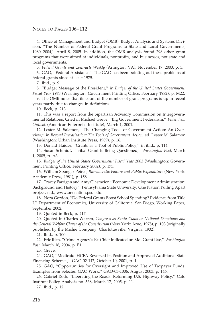# NOTES TO PAGES 106–112

4. Office of Management and Budget (OMB), Budget Analysis and Systems Division, ''The Number of Federal Grant Programs to State and Local Governments, 1980–2004,'' April 8, 2005. In addition, the OMB analysis found 298 other grant programs that were aimed at individuals, nonprofits, and businesses, not state and local governments.

5. *Federal Grants and Contracts Weekly* (Arlington, VA), November 17, 2003, p. 3.

6. GAO, ''Federal Assistance.'' The GAO has been pointing out these problems of federal grants since at least 1975.

7. Ibid., p. 9.

8. ''Budget Message of the President,'' in *Budget of the United States Government: Fiscal Year 1983* (Washington: Government Printing Office, February 1982), p. M22.

9. The OMB notes that its count of the number of grant programs is up in recent years partly due to changes in definitions.

10. Beck, p. 213.

11. This was a report from the bipartisan Advisory Commission on Intergovernmental Relations. Cited in Michael Greve, ''Big Government Federalism,'' *Federalism Outlook* (American Enterprise Institute), March 1, 2001.

12. Lester M. Salamon, ''The Changing Tools of Government Action: An Overview,'' in *Beyond Privatization: The Tools of Government Action,* ed. Lester M. Salamon (Washington: Urban Institute Press, 1989), p. 16.

13. Donald Haider, ''Grants as a Tool of Public Policy,'' in ibid., p. 114.

14. Susan Schmidt, ''Tribal Grant Is Being Questioned,'' *Washington Post*, March 1, 2005, p. A3.

15. *Budget of the United States Government: Fiscal Year 2003* (Washington: Government Printing Office, February 2002), p. 175.

16. William Spangar Peirce, *Bureaucratic Failure and Public Expenditure* (New York: Academic Press, 1981), p. 158.

17. Tracey Farrigan and Amy Glasmeier, ''Economic Development Administration: Background and History,'' Pennsylvania State University, One Nation Pulling Apart project, n.d., www.onenation.psu.edu.

18. Nora Gordon, ''Do Federal Grants Boost School Spending? Evidence from Title I,'' Department of Economics, University of California, San Diego, Working Paper, September 2002.

19. Quoted in Beck, p. 217.

20. Quoted in Charles Warren, *Congress as Santa Claus or National Donations and the General Welfare Clause of the Constitution* (New York: Arno, 1978), p. 103 (originally published by the Michie Company, Charlottesville, Virginia, 1932).

21. Ibid., p. 100.

22. Eric Rich, ''Crime Agency's Ex-Chief Indicated on Md. Grant Use,'' *Washington Post*, March 18, 2004, p. B1.

23. Greve.

24. GAO, ''Medicaid: HCFA Reversed Its Position and Approved Additional State Financing Schemes,'' GAO-02-147, October 10, 2001, p. 1.

25. GAO, ''Opportunities for Oversight and Improved Use of Taxpayer Funds: Examples from Selected GAO Work,'' GAO-03-1006, August 2003, p. 146.

26. Gabriel Roth, ''Liberating the Roads: Reforming U.S. Highway Policy,'' Cato Institute Policy Analysis no. 538, March 17, 2005, p. 11.

27. Ibid., p. 12.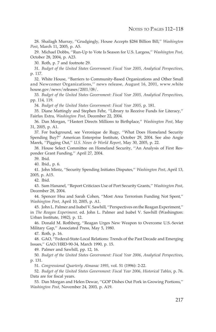28. Shailagh Murray, ''Grudgingly, House Accepts \$284 Billion Bill,'' *Washington Post*, March 11, 2005, p. A5.

29. Michael Dobbs, ''Run-Up to Vote Is Season for U.S. Largess,'' *Washington Post*, October 28, 2004, p. A23.

30. Roth, p. 7 and footnote 29.

31. *Budget of the United States Government: Fiscal Year 2005, Analytical Perspectives*, p. 117.

32. White House, ''Barriers to Community-Based Organizations and Other Small and Newcomer Organizations,'' news release, August 16, 2001, www.white house.gov/news/releases/2001/08/.

33. *Budget of the United States Government: Fiscal Year 2005, Analytical Perspectives*, pp. 114, 119.

34. *Budget of the United States Government: Fiscal Year 2005*, p. 181.

35. Diane Mattingly and Stephen Fehr, ''Library to Receive Funds for Literacy,'' Fairfax Extra, *Washington Post*, December 22, 2004.

36. Dan Morgan, ''Hastert Directs Millions to Birthplace,'' *Washington Post*, May 31, 2005, p. A1.

37. For background, see Veronique de Rugy, ''What Does Homeland Security Spending Buy?'' American Enterprise Institute, October 29, 2004. See also Angie Marek, ''Pigging Out,'' *U.S. News & World Report*, May 30, 2005, p. 22.

38. House Select Committee on Homeland Security, ''An Analysis of First Responder Grant Funding,'' April 27, 2004.

39. Ibid.

40. Ibid., p. 6.

41. John Mintz, ''Security Spending Initiates Disputes,'' *Washington Post*, April 13, 2005, p. A15.

42. Ibid.

43. Sam Hananel, ''Report Criticizes Use of Port Security Grants,'' *Washington Post*, December 28, 2004.

44. Spencer Hsu and Sarah Cohen, ''Most Area Terrorism Funding Not Spent,'' *Washington Post*, April 10, 2005, p. A1.

45. John L. Palmer and Isabel V. Sawhill, ''Perspectives on the Reagan Experiment,'' in *The Reagan Experiment,* ed. John L. Palmer and Isabel V. Sawhill (Washington: Urban Institute, 1982), p. 12.

46. Donald M. Rothberg, ''Reagan Urges New Weapon to Overcome U.S.-Soviet Military Gap,'' Associated Press, May 5, 1980.

47. Roth, p. 16.

48. GAO, ''Federal-State-Local Relations: Trends of the Past Decade and Emerging Issues,'' GAO/HRD-90-34, March 1990, p. 15.

49. Palmer and Sawhill, pp. 12, 16.

50. *Budget of the United States Government: Fiscal Year 2006*, *Analytical Perspectives*, p. 131.

51. *Congressional Quarterly Almanac 1995*, vol. 51 (1996): 2-22.

52. *Budget of the United States Government: Fiscal Year 2006, Historical Tables*, p. 76. Data are for fiscal years.

53. Dan Morgan and Helen Dewar, ''GOP Dishes Out Pork in Growing Portions,'' *Washington Post*, November 24, 2003, p. A19.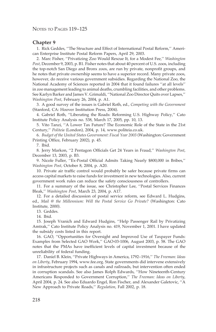#### **Chapter 9**

1. Rick Geddes, ''The Structure and Effect of International Postal Reform,'' American Enterprise Institute Postal Reform Papers, April 29, 2003.

2. Marc Fisher, ''Privatizing Zoo Would Rescue It, for a Modest Fee,'' *Washington Post*, December 9, 2003, p. B1. Fisher notes that about 40 percent of U.S. zoos, including the top-notch San Diego and Bronx zoos, are run by private, nonprofit groups, and he notes that private ownership seems to have a superior record. Many private zoos, however, do receive various government subsidies. Regarding the National Zoo, the National Academy of Sciences reported in 2004 that it found failures ''at all levels'' in zoo management leading to animal deaths, crumbling facilities, and other problems. See Karlyn Barker and James V. Grimaldi, ''National Zoo Director Quits over Lapses,'' *Washington Post*, February 26, 2004, p. A1.

3. A good survey of the issues is Gabriel Roth, ed., *Competing with the Government* (Stanford, CA: Hoover Institution Press, 2004).

4. Gabriel Roth, ''Liberating the Roads: Reforming U.S. Highway Policy,'' Cato Institute Policy Analysis no. 538, March 17, 2005, pp. 10, 13.

5. Vito Tanzi, ''A Lower Tax Future? The Economic Role of the State in the 21st Century,'' *Politeia* (London), 2004, p. 14, www.politeia.co.uk.

6. *Budget of the United States Government: Fiscal Year 2003* (Washington: Government Printing Office, February 2002), p. 45.

7. Ibid.

8. Jerry Markon, ''2 Pentagon Officials Get 24 Years in Fraud,'' *Washington Post*, December 13, 2003, p. B3.

9. Nicole Fuller, ''Ex-Postal Official Admits Taking Nearly \$800,000 in Bribes,'' *Washington Post*, October 8, 2004, p. A20.

10. Private air traffic control would probably be safer because private firms can access capital markets to raise funds for investment in new technologies. Also, current government work rules can reduce the safety consciousness of controllers.

11. For a summary of the issue, see Christopher Lee, ''Postal Services Finances Bleak,'' *Washington Post*, March 23, 2004, p. A17.

12. For a detailed discussion of postal service reform, see Edward L. Hudgins, ed., *Mail @ the Millennium: Will the Postal Service Go Private?* (Washington: Cato Institute, 2000).

13. Geddes.

14. Ibid.

15. Joseph Vranich and Edward Hudgins, ''Help Passenger Rail by Privatizing Amtrak,'' Cato Institute Policy Analysis no. 419, November 1, 2001. I have updated the subsidy costs listed in this report.

16. GAO, ''Opportunities for Oversight and Improved Use of Taxpayer Funds: Examples from Selected GAO Work,'' GAO-03-1006, August 2003, p. 58. The GAO notes that the PMAs have inefficient levels of capital investment because of the unreliability of federal funding.

17. Daniel B. Klein, ''Private Highways in America, 1792–1916,'' *The Freeman: Ideas on Liberty*, February 1994, www.fee.org. State governments did intervene extensively in infrastructure projects such as canals and railroads, but intervention often ended in corruption scandals. See also James Rolph Edwards, ''How Nineteenth-Century Americans Responded to Government Corruption,'' *The Freeman: Ideas on Liberty*, April 2004, p. 24. See also Eduardo Engel, Ron Fischer, and Alexander Galetovic, ''A New Approach to Private Roads,'' *Regulation*, Fall 2002, p. 18.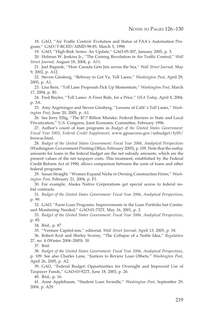18. GAO, ''Air Traffic Control: Evolution and Status of FAA's Automation Program,'' GAO/T-RCED/AIMD-98-85, March 5, 1998.

19. GAO, ''High-Risk Series: An Update,'' GAO-05-207, January 2005, p. 5.

20. Holman W. Jenkins Jr., ''The Coming Revolution in Air Traffic Control,'' *Wall Street Journal*, August 18, 2004, p. A11.

21. Joel Bagnole, ''How Canada Gets Jets across the Sea,'' *Wall Street Journal,* May 9, 2002, p. A12.

22. Steven Ginsberg, ''Beltway to Get Va. Toll Lanes,'' *Washington Post*, April 29, 2005, p. A1.

23. Lisa Rein, ''Toll Lane Proposals Pick Up Momentum,'' *Washington Post*, March 17, 2004, p. B1.

24. Fred Bayles, ''Toll Lanes: A Freer Ride, for a Price,'' *USA Today*, April 8, 2004, p. 3A.

25. Amy Argetsinger and Steven Ginsberg, ''Lessons of Calif.'s Toll Lanes,'' *Washington Post*, June 20, 2005, p. A1.

26. See Jerry Ellig, ''The \$7.7 Billion Mistake: Federal Barriers to State and Local Privatization,'' U.S. Congress, Joint Economic Committee, February 1996.

27. Author's count of loan programs in *Budget of the United States Government: Fiscal Year 2005, Federal Credit Supplement,* www.gpoaccess.gov/usbudget/fy05/ browse.html.

28. *Budget of the United States Government: Fiscal Year 2006, Analytical Perspectives* (Washington: Government Printing Office, February 2005), p. 109. Note that the outlay amounts for loans in the federal budget are the net subsidy amounts, which are the present values of the net taxpayer costs. This treatment, established by the Federal Credit Reform Act of 1990, allows comparison between the costs of loans and other federal programs.

29. Susan Straight, ''Women Expand Niche in Owning Construction Firms,'' *Washington Post*, February 21, 2004, p. F1.

30. For example, Alaska Native Corporations get special access to federal nobid contracts.

31. *Budget of the United States Government: Fiscal Year 2006, Analytical Perspectives*, p. 99.

32. GAO, ''Farm Loan Programs: Improvements in the Loan Portfolio but Continued Monitoring Needed,'' GAO-01-732T, May 16, 2001, p. 2.

33. *Budget of the United States Government: Fiscal Year 2006, Analytical Perspectives*, p. 85.

34. Ibid., p. 87

35. ''Venture Capitol-ism,'' editorial, *Wall Street Journal*, April 13, 2005, p. 18.

36. Robert Krol and Shirley Svorny, ''The Collapse of a Noble Idea,'' *Regulation* 27, no. 4 (Winter 2004–2005): 30.

37. Ibid.

38. *Budget of the United States Government: Fiscal Year 2006, Analytical Perspectives*, p. 109. See also Charles Lane, ''Justices to Review Loan Offsets,'' *Washington Post*, April 26, 2005, p. A2.

39. GAO, ''Federal Budget: Opportunities for Oversight and Improved Use of Taxpayer Funds,'' GAO-03-922T, June 18, 2003, p. 26.

40. Ibid., p. 16.

41. Anne Applebaum, ''Student Loan Swindle,'' *Washington Post*, September 29, 2004, p. A29.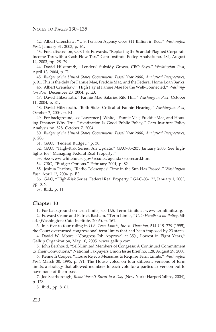# NOTES TO PAGES 130–135

42. Albert Crenshaw, ''U.S. Pension Agency Goes \$11 Billion in Red,'' *Washington Post*, January 31, 2003, p. E1.

43. For a discussion, see Chris Edwards, ''Replacing the Scandal-Plagued Corporate Income Tax with a Cash-Flow Tax,'' Cato Institute Policy Analysis no. 484, August 14, 2003, pp. 28–29.

44. David Hilzenrath, ''Lenders' Subsidy Grows, CBO Says,'' *Washington Post*, April 13, 2004, p. E1.

45. *Budget of the United States Government: Fiscal Year 2006, Analytical Perspectives*,

p. 91. This is the debt for Fannie Mae, Freddie Mac, and the Federal Home Loan Banks. 46. Albert Crenshaw, ''High Pay at Fannie Mae for the Well-Connected,'' *Washington Post*, December 23, 2004, p. E3.

47. David Hilzenrath, ''Fannie Mae Salaries Rile Hill,'' *Washington Post*, October 11, 2004, p. E1.

48. David Hilzenrath, ''Both Sides Critical at Fannie Hearing,'' *Washington Post*, October 7, 2004, p. E1.

49. For background, see Lawrence J. White, ''Fannie Mae, Freddie Mac, and Housing Finance: Why True Privatization Is Good Public Policy,'' Cato Institute Policy Analysis no. 528, October 7, 2004.

50. *Budget of the United States Government: Fiscal Year 2006, Analytical Perspectives*, p. 206.

51. GAO, ''Federal Budget,'' p. 30.

52. GAO, ''High-Risk Series: An Update,'' GAO-05-207, January 2005. See highlights for ''Managing Federal Real Property.''

53. See www.whitehouse.gov/results/agenda/scorecard.htm.

54. CBO, ''Budget Options,'' February 2001, p. 82.

55. Joshua Partlow, ''Radio Telescopes' Time in the Sun Has Passed,'' *Washington Post*, April 12, 2004, p. B3.

56. GAO, ''High-Risk Series: Federal Real Property,'' GAO-03-122, January 1, 2003, pp. 8, 9.

57. Ibid., p. 11.

#### **Chapter 10**

1. For background on term limits, see U.S. Term Limits at www.termlimits.org.

2. Edward Crane and Patrick Basham, ''Term Limits,'' *Cato Handbook on Policy,* 6th ed. (Washington: Cato Institute, 2005), p. 161.

3. In a five-to-four ruling in *U.S. Term Limits, Inc. v. Thornton*, 514 U.S. 779 (1995), the Court overturned congressional term limits that had been imposed by 23 states.

4. David W. Moore, ''Congress Job Approval at 35%, Lowest in Eight Years,'' Gallup Organization, May 10, 2005, www.gallup.com.

5. John Berthoud, ''Self-Limited Members of Congress: A Continued Commitment to Their Convictions,'' National Taxpayers Union Issue Brief no. 128, August 29, 2000.

6. Kenneth Cooper, ''House Rejects Measures to Require Term Limits,'' *Washington Post*, March 30, 1995, p. A1. The House voted on four different versions of term limits, a strategy that allowed members to each vote for a particular version but to have none of them pass.

7. Joe Scarborough, *Rome Wasn't Burnt in a Day* (New York: HarperCollins, 2004), p. 178.

8. Ibid., pp. 8, 61.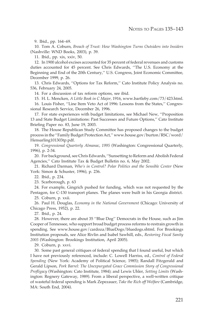9. Ibid., pp. 164–69.

10. Tom A. Coburn, *Breach of Trust: How Washington Turns Outsiders into Insiders* (Nashville: WND Books, 2003), p. 39.

11. Ibid., pp. xix, xxiv, 50.

12. In 1900 alcohol excises accounted for 35 percent of federal revenues and customs duties accounted for 45 percent. See Chris Edwards, ''The U.S. Economy at the Beginning and End of the 20th Century,'' U.S. Congress, Joint Economic Committee, December 1999, p. 26.

13. Chris Edwards, ''Options for Tax Reform,'' Cato Institute Policy Analysis no. 536, February 24, 2005.

14. For a discussion of tax reform options, see ibid.

15. H. L. Mencken, *A Little Book in C Major,* 1916, www.bartleby.com/73/423.html.

16. Louis Fisher, ''Line Item Veto Act of 1996: Lessons from the States,'' Congressional Research Service, December 26, 1996.

17. For state experiences with budget limitations, see Michael New, ''Proposition 13 and State Budget Limitations: Past Successes and Future Options,'' Cato Institute Briefing Paper no. 83, June 19, 2003.

18. The House Republican Study Committee has proposed changes to the budget process in the ''Family Budget Protection Act,'' www.house.gov/burton/RSC/word/ Hensarling101303tp.pdf.

19. *Congressional Quarterly Almanac*, *1995* (Washington: Congressional Quarterly, 1996), p. 2-34.

20. For background, see Chris Edwards, ''Sunsetting to Reform and Abolish Federal Agencies,'' Cato Institute Tax & Budget Bulletin no. 6, May 2002.

21. Richard Darman, *Who's in Control? Polar Politics and the Sensible Center* (New York: Simon & Schuster, 1996), p. 236.

22. Ibid., p. 234.

23. Scarborough, p. 63

24. For example, Gingrich pushed for funding, which was not requested by the Pentagon, for C-130 transport planes. The planes were built in his Georgia district.

25. Coburn, p. xxii.

26. Paul H. Douglas, *Economy in the National Government* (Chicago: University of Chicago Press, 1952), p. 22.

27. Ibid., p. 24.

28. However, there are about 35 ''Blue Dog'' Democrats in the House, such as Jim Cooper of Tennessee, who support broad budget process reforms to restrain growth in spending. See www.house.gov/cardoza/BlueDogs/bluedogs.shtml. For Brookings Institution proposals, see Alice Rivlin and Isabel Sawhill, eds., *Restoring Fiscal Sanity 2005* (Washington: Brookings Institution, April 2005).

29. Coburn, p. xxvi.

30. Some past general critiques of federal spending that I found useful, but which I have not previously referenced, include: C. Lowell Harriss, ed., *Control of Federal Spending* (New York: Academy of Political Science, 1985); Randall Fitzgerald and Gerald Lipson, *Pork Barrel: The Unexpurgated Grace Commission Story of Congressional Profligacy* (Washington: Cato Institute, 1984); and Lewis Uhler, *Setting Limits* (Washington: Regnery Gateway, 1989). From a liberal perspective, a well-written critique of wasteful federal spending is Mark Zepezauer, *Take the Rich off Welfare* (Cambridge, MA: South End, 2004).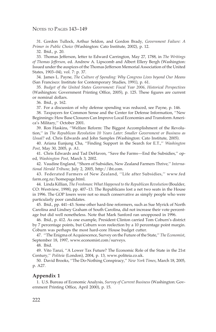## NOTES TO PAGES 143–149

31. Gordon Tullock, Arthur Seldon, and Gordon Brady, *Government Failure: A Primer in Public Choice* (Washington: Cato Institute, 2002), p. 12.

32. Ibid., p. 20.

33. Thomas Jefferson, letter to Edward Carrington, May 27, 1788, in *The Writings of Thomas Jefferson,* ed. Andrew A. Lipscomb and Albert Ellery Bergh (Washington: Issued under the auspices of the Thomas Jefferson Memorial Association of the United States, 1903–04), vol. 7: p. 37.

34. James L. Payne, *The Culture of Spending: Why Congress Lives beyond Our Means* (San Francisco: Institute for Contemporary Studies, 1991), p. 61.

35. *Budget of the United States Government: Fiscal Year 2006, Historical Perspectives* (Washington: Government Printing Office, 2005), p. 125. These figures are current or nominal dollars.

36. Ibid., p. 162.

37. For a discussion of why defense spending was reduced, see Payne, p. 146.

38. Taxpayers for Common Sense and the Center for Defense Information, ''New Beginnings: How Base Closures Can Improve Local Economies and Transform America's Military,'' October 2001.

39. Ron Haskins, ''Welfare Reform: The Biggest Accomplishment of the Revolution,'' in *The Republican Revolution 10 Years Later: Smaller Government or Business as Usual?* ed. Chris Edwards and John Samples (Washington: Cato Institute, 2005).

40. Ariana Eunjung Cha, ''Finding Support in the Search for E.T.,'' *Washington Post*, May 30, 2005, p. A1.

41. Chris Edwards and Tad DeHaven, ''Save the Farms—End the Subsidies,'' oped, *Washington Post*, March 3, 2002.

42. Vaudine England, ''Shorn of Subsidies, New Zealand Farmers Thrive,'' *International Herald Tribune*, July 2, 2005, http://iht.com.

43. Federated Farmers of New Zealand, ''Life after Subsidies,'' www.fed farm.org.nz/homepage.html.

44. Linda Killian, *The Freshman: What Happened to the Republican Revolution* (Boulder, CO: Westview, 1998), pp. 407–13. The Republicans lost a net two seats in the House in 1996. The GOP losers were not so much conservative as simply people who were particularly poor candidates.

45. Ibid., pp. 441–43. Some other hard-line reformers, such as Sue Myrick of North Carolina and Lindsey Graham of South Carolina, did not increase their vote percentage but did well nonetheless. Note that Mark Sanford ran unopposed in 1996.

46. Ibid., p. 412. As one example, President Clinton carried Tom Coburn's district by 7 percentage points, but Coburn won reelection by a 10 percentage point margin. Coburn was perhaps the most hard-core House budget cutter.

47. ''The Enigma of Acquiescence, Survey on the Future of the State,'' *The Economist*, September 18, 1997, www.economist.com/surveys.

48. Ibid.

49. Vito Tanzi, ''A Lower Tax Future? The Economic Role of the State in the 21st Century,'' *Politeia* (London), 2004, p. 13, www.politeia.co.uk.

50. David Brooks, ''The Do-Nothing Conspiracy,'' *New York Times*, March 18, 2005, p. A27.

#### **Appendix 1**

1. U.S. Bureau of Economic Analysis, *Survey of Current Business* (Washington: Government Printing Office, April 2000), p. 15.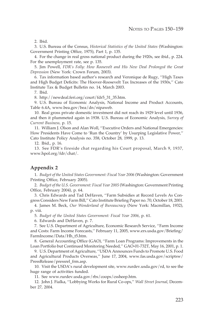2. Ibid.

3. U.S. Bureau of the Census, *Historical Statistics of the United States* (Washington: Government Printing Office, 1975), Part 1, p. 135.

4. For the change in real gross national product during the 1920s, see ibid., p. 224. For the unemployment rate, see p. 135.

5. Jim Powell, *FDR's Folly: How Roosevelt and His New Deal Prolonged the Great Depression* (New York: Crown Forum, 2003).

6. Tax information based author's research and Veronique de Rugy, ''High Taxes and High Budget Deficits: The Hoover-Roosevelt Tax Increases of the 1930s,'' Cato Institute Tax & Budget Bulletin no. 14, March 2003.

7. Ibid.

8. http://newdeal.feri.org/court/fdr5\_31\_35.htm.

9. U.S. Bureau of Economic Analysis, National Income and Product Accounts, Table 6.4A, www.bea.gov/bea/dn/nipaweb.

10. Real gross private domestic investment did not reach its 1929 level until 1936, and then it plummeted again in 1938. U.S. Bureau of Economic Analysis, *Survey of Current Business,* p. 15.

11. William J. Olson and Alan Woll, ''Executive Orders and National Emergencies: How Presidents Have Come to 'Run the Country' by Usurping Legislative Power,'' Cato Institute Policy Analysis no. 358, October 28, 1999, p. 13.

12. Ibid., p. 16.

13. See FDR's fireside chat regarding his Court proposal, March 9, 1937, www.hpol.org/fdr/chat/.

# **Appendix 2**

1. *Budget of the United States Government: Fiscal Year 2006* (Washington: Government Printing Office, February 2005).

2. *Budget of the U.S. Government: Fiscal Year 2005* (Washington: Government Printing Office, February 2004), p. 64.

3. Chris Edwards and Tad DeHaven, ''Farm Subsidies at Record Levels As Congress Considers New Farm Bill,'' Cato Institute Briefing Paper no. 70, October 18, 2001.

4. James M. Beck, *Our Wonderland of Bureaucracy* (New York: Macmillan, 1932), p. viii.

5. *Budget of the United States Government: Fiscal Year 2006*, p. 61.

6. Edwards and DeHaven, p. 7.

7. See U.S. Department of Agriculture, Economic Research Service, ''Farm Income and Costs: Farm Income Forecasts,'' February 11, 2005, www.ers.usda.gov/Briefing/ FarmIncome/Data/Hh\_t5.htm.

8. General Accounting Office (GAO), ''Farm Loan Programs: Improvements in the Loan Portfolio but Continued Monitoring Needed,'' GAO-01-732T, May 16, 2001, p. 1.

9. U.S. Department of Agriculture, ''USDA Announces Funds to Promote U.S. Food and Agricultural Products Overseas,'' June 17, 2004, www.fas.usda.gov/scriptsw/ PressRelease/pressrel\_frm.asp.

10. Visit the USDA's rural development site, www.rurdev.usda.gov/rd, to see the huge range of activities funded.

11. See www.rurdev.usda.gov/rbs/coops/cssheep.htm.

12. John J. Fialka, ''Lobbying Works for Rural Co-ops,'' *Wall Street Journal*, December 27, 2004.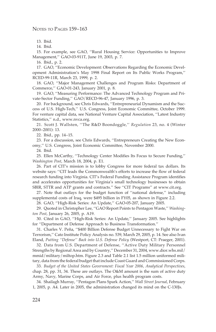13. Ibid.

14. Ibid.

15. For example, see GAO, ''Rural Housing Service: Opportunities to Improve Management,'' GAO-03-911T, June 19, 2003, p. 7.

16. Ibid., p. 2.

17. GAO, ''Economic Development: Observations Regarding the Economic Development Administration's May 1998 Final Report on Its Public Works Program,'' RCED-99-11R, March 23, 1999, p. 2.

18. GAO, ''Major Management Challenges and Program Risks: Department of Commerce,'' GAO-01-243, January 2001, p. 8.

19. GAO, ''Measuring Performance: The Advanced Technology Program and Private-Sector Funding,'' GAO/RECD-96-47, January 1996, p. 3.

20. For background, see Chris Edwards, ''Entrepreneurial Dynamism and the Success of U.S. High-Tech,'' U.S. Congress, Joint Economic Committee, October 1999. For venture capital data, see National Venture Capital Association, ''Latest Industry Statistics,'' n.d., www.nvca.org.

21. Scott J. Wallsten, ''The R&D Boondoggle,'' *Regulation* 23, no. 4 (Winter 2000–2001): 13.

22. Ibid., pp. 14–15.

23. For a discussion, see Chris Edwards, ''Entrepreneurs Creating the New Economy,'' U.S. Congress, Joint Economic Committee, November 2000.

24. Ibid.

25. Ellen McCarthy, ''Technology Center Modifies Its Focus to Secure Funding,'' *Washington Post*, March 18, 2004, p. E1.

26. Part of CIT's mission is to lobby Congress for more federal tax dollars. Its website says: ''CIT leads the Commonwealth's efforts to increase the flow of federal research funding into Virginia. CIT's Federal Funding Assistance Program identifies and accelerates opportunities for Virginia's small technology businesses to obtain SBIR, STTR and ATP grants and contracts.'' See ''CIT Programs'' at www.cit.org.

27. Note that outlays for the budget function of ''national defense,'' including supplemental costs of Iraq, were \$495 billion in FY05, as shown in Figure 2.2.

28. GAO, ''High-Risk Series: An Update,'' GAO-05-207, January 2005.

29. Quoted in Christopher Lee, ''GAO Report Points to Pentagon Waste,'' *Washington Post*, January 26, 2005, p. A19.

30. Cited in GAO, ''High-Risk Series: An Update,'' January 2005. See highlights for ''Department of Defense Approach to Business Transformation.''

31. Charles V. Peña, "\$400 Billion Defense Budget Unnecessary to Fight War on Terrorism,'' Cato Institute Policy Analysis no. 539, March 29, 2005, p. 14. See also Ivan Eland, *Putting ''Defense'' Back into U.S. Defense Policy* (Westport, CT: Praeger, 2001).

32. Data from U.S. Department of Defense, ''Active Duty Military Personnel Strengths by Regional Area and by Country,'' December 31, 2004, www.dior.whs.mil/ mmid/military/miltop.htm. Figure 2.3 and Table 2.1 list 1.5 million uniformed military, data from the federal budget that include Coast Guard and Commissioned Corps.

33. *Budget of the United States Government: Fiscal Year 2006, Analytical Perspectives*, chap. 28, pp. 31, 34. These are outlays. The O&M amount is the sum of active duty Army, Navy, Marine Corps, and Air Force, plus health program costs.

34. Shailagh Murray, ''Pentagon Plans Spark Action,'' *Wall Street Journal*, February 1, 2005, p. A4. Later in 2005, the administration changed its mind on the C-130Js.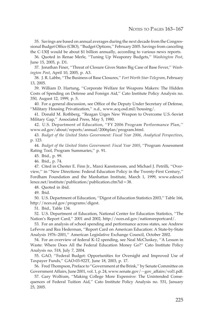35. Savings are based on annual averages during the next decade from the Congressional Budget Office (CBO), ''Budget Options,'' February 2005. Savings from canceling the C-130J would be about \$1 billion annually, according to various news reports.

36. Quoted in Renae Merle, ''Tuning Up Weaponry Budgets,'' *Washington Post*, June 15, 2005, p. D1.

37. Jonathan Finer, ''Threat of Closure Gives States Big Case of Base Fever,'' *Washington Post*, April 10, 2005, p. A3.

38. J. R. Labbe, ''The Business of Base Closures,'' *Fort Worth Star-Telegram*, February 13, 2005.

39. William D. Hartung, ''Corporate Welfare for Weapons Makers: The Hidden Costs of Spending on Defense and Foreign Aid,'' Cato Institute Policy Analysis no. 350, August 12, 1999, p. 5.

40. For a general discussion, see Office of the Deputy Under Secretary of Defense, ''Military Housing Privatization,'' n.d., www.acq.osd.mil/housing/.

41. Donald M. Rothberg, ''Reagan Urges New Weapon to Overcome U.S.-Soviet Military Gap,'' Associated Press, May 5, 1980.

42. U.S. Department of Education, ''FY 2006 Program Performance Plan,'' www.ed.gov/about/reports/annual/2006plan/program.html.

43. *Budget of the United States Government: Fiscal Year 2006, Analytical Perspectives*, p. 123.

44. *Budget of the United States Government: Fiscal Year 2005,* ''Program Assessment Rating Tool, Program Summaries,'' p. 91.

45. Ibid., p. 99.

46. Ibid., p. 74.

47. Cited in Chester E. Finn Jr., Marci Kanstoroom, and Michael J. Petrilli, ''Overview,'' in ''New Directions: Federal Education Policy in the Twenty-First Century,'' Fordham Foundation and the Manhattan Institute, March 1, 1999, www.edexcel lence.net/institute/publication/publication.cfm?id=38.

48. Quoted in ibid.

49. Ibid.

50. U.S. Department of Education, ''Digest of Education Statistics 2003,'' Table 166, http://nces.ed.gov/programs/digest.

51. Ibid., Table 134.

52. U.S. Department of Education, National Center for Education Statistics, ''The Nation's Report Card,'' 2001 and 2002, http://nces.ed.gov/nationsreportcard/.

53. For an analysis of school spending and performance across states, see Andrew LeFevre and Rea Hederman, ''Report Card on American Education: A State-by-State Analysis 1976–2001,'' American Legislative Exchange Council, October 2002.

54. For an overview of federal K-12 spending, see Neal McCluskey, ''A Lesson in Waste: Where Does All the Federal Education Money Go?'' Cato Institute Policy Analysis no. 518, July 7, 2004.

55. GAO, ''Federal Budget: Opportunities for Oversight and Improved Use of Taxpayer Funds,'' GAO-03-922T, June 18, 2003, p. 17.

56. Fred Thompson, Preface to ''Government at the Brink,'' by Senate Committee on Government Affairs, June 2001, vol. 1, p. 24, www.senate.gov/ $\sim$ gov\_affairs/vol1.pdf.

57. Gary Wolfram, ''Making College More Expensive: The Unintended Consequences of Federal Tuition Aid,'' Cato Institute Policy Analysis no. 531, January 25, 2005.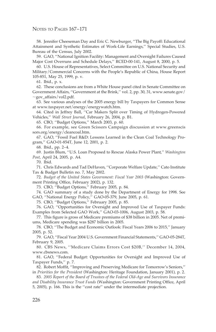NOTES TO PAGES 167–171

58. Jennifer Cheeseman Day and Eric C. Newburger, ''The Big Payoff: Educational Attainment and Synthetic Estimates of Work-Life Earnings,'' Special Studies, U.S. Bureau of the Census, July 2002.

59. GAO, ''National Ignition Facility: Management and Oversight Failures Caused Major Cost Overruns and Schedule Delays,'' RCED-00-141, August 8, 2000, p. 5.

60. U.S. House of Representatives, Select Committee on U.S. National Security and Military/Commercial Concerns with the People's Republic of China, House Report 105-851, May 25, 1999, p. v.

61. Ibid., p. x.

62. These conclusions are from a White House panel cited in Senate Committee on Government Affairs, ''Government at the Brink,'' vol. 2, pp. 30, 31, www.senate.gov/  $\sim$ gov\_affairs/vol2.pdf.

63. See various analyses of the 2005 energy bill by Taxpayers for Common Sense at www.taxpayer.net/energy/energywatch.htm.

64. Cited in Jeffrey Ball, ''Car Makers Split over Timing of Hydrogen-Powered Vehicles,'' *Wall Street Journal*, February 26, 2004, p. B1.

65. CBO, ''Budget Options,'' March 2003, p. 60.

66. For example, see Green Scissors Campaign discussion at www.greenscis sors.org/energy/cleancoal.htm.

67. GAO, ''Fossil Fuel R&D: Lessons Learned in the Clean Coal Technology Program,'' GAO-01-854T, June 12, 2001, p. 2.

68. Ibid., pp. 2–4.

69. Justin Blum, ''U.S. Loan Proposed to Rescue Alaska Power Plant,'' *Washington Post*, April 24, 2005, p. A4.

70. Ibid.

71. Chris Edwards and Tad DeHaven, ''Corporate Welfare Update,'' Cato Institute Tax & Budget Bulletin no. 7, May 2002.

72. *Budget of the United States Government: Fiscal Year 2003* (Washington: Government Printing Office, February 2002), p. 132.

73. CBO, ''Budget Options,'' February 2005, p. 84.

74. GAO summary of a study done by the Department of Energy for 1998. See GAO, ''National Energy Policy,'' GAO-05-379, June 2005, p. 61.

75. CBO, ''Budget Options,'' February 2005, p. 85.

76. GAO, ''Opportunities for Oversight and Improved Use of Taxpayer Funds: Examples from Selected GAO Work,'' GAO-03-1006, August 2003, p. 58.

77. This figure is gross of Medicare premiums of \$38 billion in 2005. Net of premiums, Medicare spending was \$287 billion in 2005.

78. CBO, ''The Budget and Economic Outlook: Fiscal Years 2006 to 2015,'' January 2005, p. 52.

79. GAO, ''Fiscal Year 2004 U.S. Government Financial Statements,'' GAO-05-284T, February 9, 2005.

80. CBS News, ''Medicare Claims Errors Cost \$20B,'' December 14, 2004, www.cbsnews.com.

81. GAO, ''Federal Budget: Opportunities for Oversight and Improved Use of Taxpayer Funds,'' p. 7.

82. Robert Moffit, ''Improving and Preserving Medicare for Tomorrow's Seniors,'' in *Priorities for the President* (Washington: Heritage Foundation, January 2001), p. 2.

83. *2005 Report of the Board of Trustees of the Federal Old-Age and Survivors Insurance and Disability Insurance Trust Funds* (Washington: Government Printing Office, April 5, 2005), p. 166. This is the ''cost rate'' under the intermediate projection.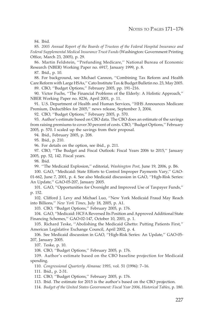84. Ibid.

85. *2005 Annual Report of the Boards of Trustees of the Federal Hospital Insurance and Federal Supplemental Medical Insurance Trust Funds* (Washington: Government Printing Office, March 23, 2005), p. 29.

86. Martin Feldstein, ''Prefunding Medicare,'' National Bureau of Economic Research (NBER) Working Paper no. 6917, January 1999, p. 8.

87. Ibid., p. 10.

88. For background, see Michael Cannon, ''Combining Tax Reform and Health Care Reform with Large HSAs,'' Cato Institute Tax & Budget Bulletin no. 23, May 2005. 89. CBO, ''Budget Options,'' February 2005, pp. 191–216.

90. Victor Fuchs, ''The Financial Problems of the Elderly: A Holistic Approach,'' NBER Working Paper no. 8236, April 2001, p. 11.

91. U.S. Department of Health and Human Services, ''HHS Announces Medicare Premium, Deductibles for 2005,'' news release, September 3, 2004.

92. CBO, ''Budget Options,'' February 2005, p. 570.

93. Author's estimate based on CBO data. The CBO does an estimate of the savings from raising premiums to cover 30 percent of costs. CBO, ''Budget Options,'' February 2005, p. 570. I scaled up the savings from their proposal.

94. Ibid., February 2005, p. 208.

95. Ibid., p. 210.

96. For details on the option, see ibid., p. 211.

97. CBO, ''The Budget and Fiscal Outlook: Fiscal Years 2006 to 2015,'' January 2005, pp. 52, 142. Fiscal years.

98. Ibid.

99. ''The Medicaid Explosion,'' editorial, *Washington Post*, June 19, 2006, p. B6.

100. GAO, ''Medicaid: State Efforts to Control Improper Payments Vary,'' GAO-01-662, June 7, 2001, p. 4. See also Medicaid discussion in GAO, ''High-Risk Series: An Update,'' GAO-05-207, January 2005.

101. GAO, ''Opportunities for Oversight and Improved Use of Taxpayer Funds,'' p. 152.

102. Clifford J. Levy and Michael Luo, ''New York Medicaid Fraud May Reach into Billions,'' *New York Times,* July 18, 2005, p. A1.

103. CBO, ''Budget Options,'' February 2005, p. 176.

104. GAO, ''Medicaid: HCFA Reversed Its Position and Approved Additional State Financing Schemes,'' GAO-02-147, October 10, 2001, p. 1.

105. Richard Teske, ''Abolishing the Medicaid Ghetto: Putting Patients First,'' American Legislative Exchange Council, April 2002, p. 4.

106. See Medicaid discussion in GAO, ''High-Risk Series: An Update,'' GAO-05- 207, January 2005.

107. Teske, p. 10.

108. CBO, ''Budget Options,'' February 2005, p. 176.

109. Author's estimate based on the CBO baseline projection for Medicaid spending.

110. *Congressional Quarterly Almanac 1995,* vol. 51 (1996): 7–16.

111. Ibid., p. 2-31.

112. CBO, ''Budget Options,'' February 2005, p. 176.

113. Ibid. The estimate for 2015 is the author's based on the CBO projection.

114. *Budget of the United States Government: Fiscal Year 2006, Historical Tables*, p. 180.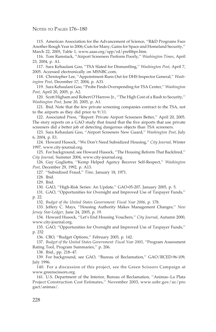# NOTES TO PAGES 176–180

115. American Association for the Advancement of Science, ''R&D Programs Face Another Rough Year in 2006; Cuts for Many, Gains for Space and Homeland Security,'' March 22, 2005, Table 1, www.aaas.org/spp/rd/prel06pr.htm.

116. Tom Ramstack, ''Airport Screeners Perform Poorly,'' *Washington Times*, April 23, 2004, p. A1.

117. Sara Kehaulani Goo, ''TSA Slated for Dismantling,'' *Washington Post*, April 7, 2005. Accessed electronically on MSNBC.com.

118. Christopher Lee, ''Appointment Runs Out for DHS Inspector General,'' *Washington Post*, December 17, 2004, p. A31.

119. Sara Kehaulani Goo, ''Probe Finds Overspending for TSA Center,'' *Washington Post*, April 20, 2005, p. A2.

120. Scott Higham and Robert O'Harrow Jr., ''The High Cost of a Rush to Security,'' *Washington Post*, June 20, 2005, p. A1.

121. Ibid. Note that the few private screening companies contract to the TSA, not to the airports as they did prior to 9/11.

122. Associated Press, ''Report: Private Airport Screeners Better,'' April 20, 2005. The story reports on a GAO study that found that the five airports that use private screeners did a better job of detecting dangerous objects than TSA screeners.

123. Sara Kehaulani Goo, ''Airport Screeners New Guard,'' *Washington Post*, July 6, 2004, p. E1.

124. Howard Husock, ''We Don't Need Subsidized Housing,'' *City Journal*, Winter 1997, www.city-journal.org.

125. For background, see Howard Husock, ''The Housing Reform That Backfired,'' *City Journal*, Summer 2004, www.city-journal.org.

126. Guy Gugliotta, ''Kemp Helped Agency Recover Self-Respect,'' *Washington Post*, December 29, 1992, p. A13.

127. ''Subsidized Fraud,'' *Time,* January 18, 1971.

128. Ibid.

129. Ibid.

130. GAO, ''High-Risk Series: An Update,'' GAO-05-207, January 2005, p. 5.

131. GAO, ''Opportunities for Oversight and Improved Use of Taxpayer Funds,'' p. 22.

132. *Budget of the United States Government: Fiscal Year 2006*, p. 178.

133. Jeffery C. Mays, ''Housing Authority Makes Management Changes,'' *New Jersey Star-Ledger*, June 24, 2005, p. 19.

134. Howard Husock, ''Let's End Housing Vouchers,'' *City Journal*, Autumn 2000, www.city-journal.org.

135. GAO, ''Opportunities for Oversight and Improved Use of Taxpayer Funds,'' p. 232

136. CBO, ''Budget Options,'' February 2005, p. 142.

137. *Budget of the United States Government: Fiscal Year 2005,* ''Program Assessment Rating Tool, Program Summaries,'' p. 206.

138. Ibid., pp. 218–47.

139. For background, see GAO, ''Bureau of Reclamation,'' GAO/RCED-96-109, July 1996.

140. For a discussion of this project, see the Green Scissors Campaign at www.greenscissors.org.

141. U.S. Department of the Interior, Bureau of Reclamation, ''Animas–La Plata Project Construction Cost Estimates,'' November 2003, www.usbr.gov/uc/pro gact/animas/.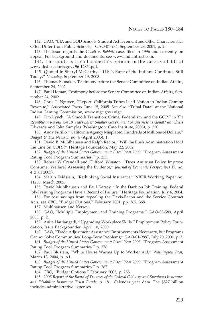142. GAO, ''BIA and DOD Schools: Student Achievement and Other Characteristics Often Differ from Public Schools,'' GAO-01-934, September 28, 2001, p. 2.

143. The issue regards the *Cobell v. Babbitt* case, filed in 1996 and currently on appeal. For background and documents, see www.indiantrust.com.

144. The quote is from Lamberth's opinion in the case available at www.dcd.uscourts.gov/96-1285i.pdf.

145. Quoted in Sheryl McCarthy, ''U.S.'s Rape of the Indians Continues Still Today,'' *Newsday*, September 19, 2003.

146. Thomas Slonaker, Testimony before the Senate Committee on Indian Affairs, September 24, 2002.

147. Paul Homan, Testimony before the Senate Committee on Indian Affairs, September 24, 2002.

148. Chris T. Nguyen, ''Report: California Tribes Lead Nation in Indian Gaming Revenue,'' Associated Press, June 15, 2005. See also ''Tribal Data'' at the National Indian Gaming Commission, www.nigc.gov/nigc.

149. Tim Lynch, ''A Smooth Transition: Crime, Federalism, and the GOP,'' in *The Republican Revolution 10 Years Later: Smaller Government or Business as Usual?* ed. Chris Edwards and John Samples (Washington: Cato Institute, 2005), p. 220.

150. Andy Furillo, ''California Agency Misplaced Hundreds of Millions of Dollars,'' *Budget & Tax News* 3, no. 4 (April 2005): 1.

151. David B. Muhlhausen and Ralph Rector, ''Will the Bush Administration Hold the Line on COPS?'' Heritage Foundation, May 22, 2002.

152. *Budget of the United States Government: Fiscal Year 2005,* ''Program Assessment Rating Tool, Program Summaries,'' p. 255.

153. Robert W Crandall and Clifford Winston, ''Does Antitrust Policy Improve Consumer Welfare? Assessing the Evidence,'' *Journal of Economic Perspectives* 17, no. 4 (Fall 2003).

154. Martin Feldstein, ''Rethinking Social Insurance,'' NBER Working Paper no. 11250, March 2005.

155. David Muhlhausen and Paul Kersey, ''In the Dark on Job Training: Federal Job-Training Programs Have a Record of Failure,'' Heritage Foundation, July 6, 2004.

156. For cost savings from repealing the Davis-Bacon and the Service Contract Acts, see CBO, ''Budget Options,'' February 2001, pp. 367, 368.

157. Muhlhausen and Kersey.

158. GAO, ''Multiple Employment and Training Programs,'' GAO-03-589, April 2003, p. 2.

159. Anita Hattiangadi, ''Upgrading Workplace Skills,'' Employment Policy Foundation, Issue Backgrounder, April 10, 2000.

160. GAO, ''Trade Adjustment Assistance: Improvements Necessary, but Programs Cannot Solve Communities' Long-Term Problems,'' GAO-01-988T, July 20, 2001, p. 3.

161. *Budget of the United States Government: Fiscal Year 2005,* ''Program Assessment Rating Tool, Program Summaries,'' p. 276.

162. Paul Blustein, ''White House Warms Up to Worker Aid,'' *Washington Post*, March 13, 2004, p. A1.

163. *Budget of the United States Government: Fiscal Year 2005,* ''Program Assessment Rating Tool, Program Summaries,'' p. 267.

164. CBO, ''Budget Options,'' February 2005, p. 258.

165. *2005 Report of the Board of Trustees of the Federal Old-Age and Survivors Insurance and Disability Insurance Trust Funds,* p. 181. Calendar year data. The \$527 billion includes administrative expenses.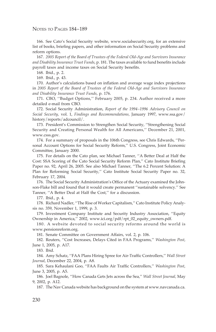NOTES TO PAGES 184–189

166. See Cato's Social Security website, www.socialsecurity.org, for an extensive list of books, briefing papers, and other information on Social Security problems and reform options.

167. *2005 Report of the Board of Trustees of the Federal Old-Age and Survivors Insurance and Disability Insurance Trust Funds*, p. 181. The taxes available to fund benefits include payroll taxes and income taxes on Social Security benefits.

168. Ibid., p. 2.

169. Ibid., p. 43.

170. Author's calculations based on inflation and average wage index projections in *2005 Report of the Board of Trustees of the Federal Old-Age and Survivors Insurance and Disability Insurance Trust Funds*, p. 176.

171. CBO, ''Budget Options,'' February 2005, p. 234. Author received a more detailed e-mail from CBO.

172. Social Security Administration, *Report of the 1994–1996 Advisory Council on Social Security,* vol. 1, *Findings and Recommendations,* January 1997, www.ssa.gov/ history/reports/adcouncil/.

173. President's Commission to Strengthen Social Security, ''Strengthening Social Security and Creating Personal Wealth for All Americans,'' December 21, 2001, www.csss.gov.

174. For a summary of proposals in the 106th Congress, see Chris Edwards, ''Personal Account Options for Social Security Reform," U.S. Congress, Joint Economic Committee, January 2000.

175. For details on the Cato plan, see Michael Tanner, ''A Better Deal at Half the Cost: SSA Scoring of the Cato Social Security Reform Plan,'' Cato Institute Briefing Paper no. 92, April 26, 2005. See also Michael Tanner, ''The 6.2 Percent Solution: A Plan for Reforming Social Security,'' Cato Institute Social Security Paper no. 32, February 17, 2004.

176. The Social Security Administration's Office of the Actuary examined the Johnson-Flake bill and found that it would create permanent ''sustainable solvency.'' See Tanner, ''A Better Deal at Half the Cost,'' for a discussion.

177. Ibid., p. 4.

178. Richard Nadler, ''The Rise of Worker Capitalism,'' Cato Institute Policy Analysis no. 359, November 1, 1999, p. 3.

179. Investment Company Institute and Security Industry Association, ''Equity Ownership in America,'' 2002, www.ici.org/pdf/rpt\_02\_equity\_owners.pdf.

180. A website devoted to social security reforms around the world is www.pensionreform.org.

181. Senate Committee on Government Affairs, vol. 2, p. 106.

182. Reuters, ''Cost Increases, Delays Cited in FAA Programs,'' *Washington Post*, June 1, 2005, p. A17.

183. Ibid.

184. Amy Schatz, ''FAA Plans Hiring Spree for Air-Traffic Controllers,'' *Wall Street Journal*, December 22, 2004, p. A8.

185. Sara Kehaulani Goo, ''FAA Faults Air Traffic Controllers,'' *Washington Post*, June 3, 2005, p. A5.

186. Joel Bagnole, ''How Canada Gets Jets across the Sea,'' *Wall Street Journal,* May 9, 2002, p. A12.

187. The Nav Canada website has background on the system at www.navcanada.ca.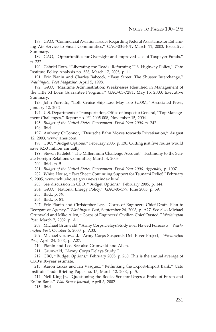188. GAO, ''Commercial Aviation: Issues Regarding Federal Assistance for Enhancing Air Service to Small Communities,'' GAO-03-540T, March 11, 2003, Executive Summary.

189. GAO, ''Opportunities for Oversight and Improved Use of Taxpayer Funds,'' p. 232.

190. Gabriel Roth, ''Liberating the Roads: Reforming U.S. Highway Policy,'' Cato Institute Policy Analysis no. 538, March 17, 2005, p. 11.

191. Eric Pianin and Charles Babcock, ''Easy Street: The Shuster Interchange,'' *Washington Post Magazine*, April 5, 1998.

192. GAO, ''Maritime Administration: Weaknesses Identified in Management of the Title XI Loan Guarantee Program,'' GAO-03-728T, May 15, 2003, Executive Summary.

193. John Porretto, ''Lott: Cruise Ship Loss May Top \$200M,'' Associated Press, January 12, 2002.

194. U.S. Department of Transportation, Office of Inspector General, ''Top Management Challenges,'' Report no. PT-2005-008, November 15, 2004.

195. *Budget of the United States Government: Fiscal Year 2006*, p. 242.

196. Ibid.

197. Anthony O'Connor, ''Deutsche Bahn Moves towards Privatisation,'' August 12, 2003, www.janes.com.

198. CBO, ''Budget Options,'' February 2005, p. 130. Cutting just five routes would save \$250 million annually.

199. Steven Radelet, ''The Millennium Challenge Account,'' Testimony to the Senate Foreign Relations Committee, March 4, 2003.

200. Ibid., p. 5.

201. *Budget of the United States Government: Fiscal Year 2006, Appendix*, p. 1007.

202. White House, ''Fact Sheet: Continuing Support for Tsunami Relief,'' February 9, 2005, www.whitehouse.gov/news/index.html.

203. See discussion in CBO, ''Budget Options,'' February 2005, p. 144.

204. GAO, ''National Energy Policy,'' GAO-05-379, June 2005, p. 59.

205. Ibid., p. 79.

206. Ibid., p. 81.

207. Eric Pianin and Christopher Lee, ''Corps of Engineers Chief Drafts Plan to Reorganize Agency,'' *Washington Post*, September 24, 2003, p. A27. See also Michael Grunwald and Mike Allen, ''Corps of Engineers' Civilian Chief Ousted,'' *Washington Post*, March 7, 2002, p. A1.

208. Michael Grunwald, ''Army Corps Delays Study over Flawed Forecasts,'' *Washington Post*, October 5, 2000, p. A33.

209. Michael Grunwald, ''Army Corps Suspends Del. River Project,'' *Washington Post*, April 24, 2002, p. A27.

210. Pianin and Lee. See also Grunwald and Allen.

211. Grunwald, ''Army Corps Delays Study.''

212. CBO, ''Budget Options,'' February 2005, p. 260. This is the annual average of CBO's 10-year estimate.

213. Aaron Lukas and Ian Vásquez, "Rethinking the Export-Import Bank," Cato Institute Trade Briefing Paper no. 15, March 12, 2002, p. 5.

214. Neil King Jr., ''Questioning the Books: Senator Urges a Probe of Enron and Ex-Im Bank,'' *Wall Street Journal*, April 3, 2002.

215. Ibid.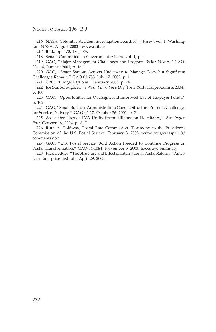NOTES TO PAGES 196–199

216. NASA, Columbia Accident Investigation Board, *Final Report,* vol. 1 (Washington: NASA, August 2003), www.caib.us.

217. Ibid., pp. 170, 180, 185.

218. Senate Committee on Government Affairs, vol. 1, p. 4.

219. GAO, ''Major Management Challenges and Program Risks: NASA,'' GAO-03-114, January 2003, p. 16.

220. GAO, ''Space Station: Actions Underway to Manage Costs but Significant Challenges Remain,'' GAO-02-735, July 17, 2002, p. 1.

221. CBO, ''Budget Options,'' February 2005, p. 74.

222. Joe Scarborough, *Rome Wasn't Burnt in a Day* (New York: HarperCollins, 2004), p. 100.

223. GAO, ''Opportunities for Oversight and Improved Use of Taxpayer Funds,'' p. 102.

224. GAO, ''Small Business Administration: Current Structure Presents Challenges for Service Delivery,'' GAO-02-17, October 26, 2001, p. 2.

225. Associated Press, ''TVA Utility Spent Millions on Hospitality,'' *Washington Post*, October 18, 2004, p. A17.

226. Ruth Y. Goldway, Postal Rate Commission, Testimony to the President's Commission of the U.S. Postal Service, February 3, 2003, www.prc.gov/tsp/113/ comments.doc.

227. GAO, ''U.S. Postal Service: Bold Action Needed to Continue Progress on Postal Transformation,'' GAO-04-108T, November 5, 2003, Executive Summary.

228. Rick Geddes, ''The Structure and Effect of International Postal Reform,'' American Enterprise Institute, April 29, 2003.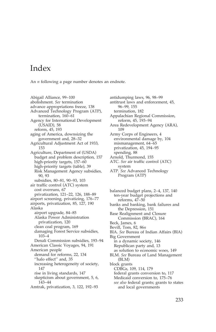# Index

An *n* following a page number denotes an endnote.

Abigail Alliance, 99–100 abolishment. *See* termination advance appropriations freeze, 138 Advanced Technology Program (ATP), termination, 160–61 Agency for International Development (USAID), 58 reform, 45, 193 aging of America, downsizing the government and, 28–32 Agricultural Adjustment Act of 1933, 153 Agriculture, Department of (USDA) budget and problem description, 157 high-priority targets, 157–60 high-priority targets (table), 39 Risk Management Agency subsidies, 90, 93 subsidies, 80–81, 90–93, 103 air traffic control (ATC) system cost overruns, 67 privatization, 121–22, 126, 188–89 airport screening, privatizing, 176–77 airports, privatization, 85, 127, 190 Alaska airport upgrade, 84–85 Alaska Power Administration privatization, 120 clean coal program, 169 damaging Forest Service subsidies, 103–4 Denali Commission subsidies, 193–94 American Classic Voyages, 94, 191 American people demand for reforms, 22, 134 "halo effect" and, 35 increasing heterogeneity of society, 147 rise in living standards, 147 skepticism about government, 5, 6, 143–44 Amtrak, privatization, 3, 122, 192–93

antidumping laws, 96, 98–99 antitrust laws and enforcement, 45, 96–99, 155 termination, 182 Appalachian Regional Commission, reform, 45, 193–94 Area Redevelopment Agency (ARA), 109 Army Corps of Engineers, 4 environmental damage by, 104 mismanagement, 64–65 privatization, 45, 194–95 spending, 88 Arnold, Thurmond, 155 ATC. *See* air traffic control (ATC) system ATP. *See* Advanced Technology Program (ATP) balanced budget plans, 2–4, 137, 140 ten-year budget projections and reforms, 47–50 banks and banking, bank failures and the Depression, 151 Base Realignment and Closure Commission (BRAC), 164 Beck, James, 6 Bevill, Tom, 82, 86*n* BIA. *See* Bureau of Indian Affairs (BIA) Big Government in a dynamic society, 146

Republican party and, 13 as solution to economic woes, 149 BLM. *See* Bureau of Land Management (BLM) block grants

CDBGs, 109, 114, 179 federal grants conversion to, 117

- Medicaid conversion to, 175–76
- *see also* federal grants; grants to states and local governments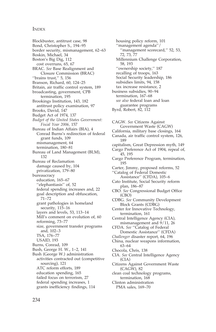# INDEX

Blockbuster, antitrust case, 98 Bond, Christopher S., 194–95 border security, mismanagement, 62–63 Boskin, Michael, 34 Boston's Big Dig, 112 cost overruns, 65, 67 BRAC. *See* Base Realignment and Closure Commission (BRAC) ''brains trust,'' 5, 156 Branson, Richard, 60, 124–25 Britain, air traffic control system, 189 broadcasting, government, CPB termination, 195 Brookings Institution, 143, 182 antitrust policy examination, 97 Brooks, David, 147 Budget Act of 1974, 137 *Budget of the United States Government: Fiscal Year 2006,* 157 Bureau of Indian Affairs (BIA), 4 Conrad Burns's redirection of federal grant funds, 109 mismanagement, 64 termination, 180–81 Bureau of Land Management (BLM), 132 Bureau of Reclamation damage caused by, 104 privatization, 179–80 bureaucracy education, 165–67 ''elephantiasis'' of, 52 federal spending increases and, 22 goal description and obfuscation, 71–72 grant pathologies in homeland security, 115–16 layers and levels, 53, 113–14 Mill's comment on evolution of, 60 reforming, 73–77 size, government transfer programs and, 102–3 TSA, 176–77 USAID, 193 Burns, Conrad, 109 Bush, George H. W., 1–2, 141 Bush (George W.) administration activities contracted out (competitive sourcing), 121 ATC reform efforts, 189 education spending, 165 failed focus on terrorism, 27 federal spending increases, 1 grants inefficiency findings, 114

housing policy reform, 101 ''management agenda''/ "management scorecard," 52, 53, 72, 73, 77 Millennium Challenge Corporation, 58, 193 ''ownership society,'' 187 recalling of troops, 163 Social Security leadership, 186 subsidies limits, 94, 158 tax increase resistance, 2 business subsidies, 90–94 termination, 167–68 *see also* federal loan and loan guarantee programs Byrd, Robert, 82, 112 CAGW. *See* Citizens Against Government Waste (CAGW) California, military base closings, 164 Canada, air traffic control system, 126, 189 capitalism, Great Depression myth, 149 Cargo Preference Act of 1904, repeal of, 45, 195 Cargo Preference Program, termination, 195 Carter, Jimmy, proposed reforms, 52

''Catalog of Federal Domestic Assistance'' (CFDA), 105–6 Cato Institute, Social Security reform plan, 186–87

CBO. *See* Congressional Budget Office (CBO)

- CDBG. *See* Community Development Block Grants (CDBG)
- Center for Innovative Technology, termination, 161
- Central Intelligence Agency (CIA), mismanagement and  $9/11$ , 26

CFDA. *See* ''Catalog of Federal Domestic Assistance'' (CFDA)

- *Challenger* disaster report, 64, 196
- China, nuclear weapons information, 63–64
- Chocola, Chris, 138
- CIA. *See* Central Intelligence Agency (CIA)
- Citizens Against Government Waste (CAGW), 82
- clean coal technology programs, termination, 168

Clinton administration

PMA sales, 169–70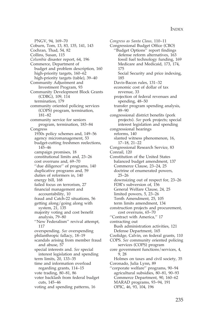PNGV, 94, 169–70 Coburn, Tom, 13, 83, 135, 141, 143 Cochran, Thad, 54, 82 Collins, Susan, 115 *Columbia* disaster report, 64, 196 Commerce, Department of budget and problem description, 160 high-priority targets, 160–62 high-priority targets (table), 39–40 Community Adjustment and Investment Program, 93 Community Development Block Grants (CDBG), 109, 114 termination, 179 community oriented policing services (COPS) program, termination, 181–82 community service for seniors program, termination, 183–84 Congress 1930s policy schemes and, 149–56 agency micromanagement, 53 budget-cutting freshmen reelections, 145–46 campaign promises, 18 constitutional limits and, 23–26 cost overruns and, 69–70 ''due diligence'' of programs, 140 duplicative programs and, 59 duties of reformers in, 140 energy bill, 168 failed focus on terrorism, 27 financial management and accountability, 10 fraud and Catch-22 situations, 56 getting along/going along with system, 21, 135 majority voting and cost benefit analysis, 79–80 ''New Federalism'' revival attempt, 117 overspending. *See* overspending philanthropic fallacy, 18–19 scandals arising from member fraud and abuse, 57 special interests and. *See* special interest legislation and spending term limits, 20, 133–35 time and information overload regarding grants, 114–15 vote trading, 80–81, 86 voter backlash from federal budget cuts, 145–46 voting and spending patterns, 16

*Congress as Santa Claus,* 110–11 Congressional Budget Office (CBO) ''Budget Options'' report findings defense reform alternatives, 163 fossil fuel technology funding, 169 Medicare and Medicaid, 173, 174, 175 Social Security and price indexing, 185 Davis-Bacon rules, 131–32 economic cost of dollar of tax revenue, 33 projection of federal revenues and spending, 48–50 transfer program spending analysis, 89–90 congressional district benefits (pork projects). *See* pork projects; special interest legislation and spending congressional hearings reforms, 140 slanted witness phenomenon, 16, 17–18, 21–22 Congressional Research Service, 83 Conrail, 120 Constitution of the United States balanced budget amendment, 137 Commerce Clause, 23–24, 25 doctrine of enumerated powers, 25–26 downsizing out of respect for, 23–26 FDR's subversion of, 156 General Welfare Clause, 24, 25 limited powers, 5, 23–26 Tenth Amendment, 25, 105 term limits amendment, 134 construction projects and procurement, cost overruns, 65–70 ''Contract with America,'' 17 contracting out Bush administration activities, 121 Defense Department, 165 Coolidge, Calvin, on federal grants, 110 COPS. *See* community oriented policing services (COPS) program core government functions/services, 4, 9, 28 Holmes on taxes and civil society, 35 Coronado, Julia Lynn, 89 ''corporate welfare'' programs, 90–94 agricultural subsidies, 80–81, 90–93 Commerce Department, 90, 160–62 MARAD programs, 93–94, 191 OPIC, 46, 93, 104, 196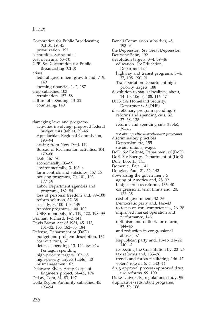#### INDEX

Corporation for Public Broadcasting (CPB), 19, 45 privatization, 195 corruption. *See* scandals cost overruns, 65–70 CPB. *See* Corporation for Public Broadcasting (CPB) crises federal government growth and, 7–9, 149 looming financial, 1, 2, 187 crop subsidies, 103 termination, 157–58 culture of spending, 13–22 countering, 140

damaging laws and programs activities involving, proposed federal budget cuts (table), 39–46 Appalachian Regional Commission, 193–94 arising from New Deal, 149 Bureau of Reclamation activities, 104, 179–80 DoE, 167–70 economically, 95–99 environmentally, 3, 103–4 farm controls and subsidies, 157–58 housing programs, 70, 101, 103, 177–79 Labor Department agencies and programs, 182–84 loss of personal freedom and, 99–100 reform solution, 37, 38 socially, 3, 100–103, 149 transfer programs, 100–103 USPS monopoly, 61, 119, 122, 198–99 Darman, Richard, 1–2, 141 Davis-Bacon Act of 1931, 45, 113, 131–32, 153, 182–83, 184 Defense, Department of (DoD) budget and problem description, 162 cost overruns, 67 defense spending, 13, 144. *See also* Pentagon spending high-priority targets, 162–65 high-priority targets (table), 40 mismanagement, 62 Delaware River, Army Corps of Engineers project, 64–65, 194 DeLay, Tom, 61, 83, 197 Delta Region Authority subsidies, 45, 193–94

Denali Commission subsidies, 45, 193–94 the Depression. *See* Great Depression Deutsche Bahn, 192 devolution targets, 3–4, 39–46 education. *See* Education, Department of highway and transit programs, 3–4, 37, 105, 190–91 Transportation Department highpriority targets, 188 devolution to states/localities, about, 14–15, 106–7, 108, 116–17 DHS. *See* Homeland Security, Department of (DHS) discretionary program spending, 9 reforms and spending cuts, 32, 37–38, 138 reforms and spending cuts (table), 39–46 *see also specific discretionary programs* discriminatory practices Depression-era, 155 *see also* unions, wages DoD. *See* Defense, Department of (DoD) DoE. *See* Energy, Department of (DoE) Dole, Bob, 15, 141 Domenici, Pete, 141 Douglas, Paul, 21, 52, 142 downsizing the government, 5 aging of America and, 28–32 budget process reforms, 136–40 congressional term limits and, 20, 133–35 cost of government, 32–36 Democratic party and, 142–43 to focus on core competencies, 26–28 improved market operation and performance, 146 optimism and outlook for reform, 144–46 and reduction in congressional abuses, 57 Republican party and, 15–16, 21–22, 140–42 respecting the Constitution by, 23–26 tax reforms and, 135–36 trends and forces facilitating, 146–47 voters' role in, 5, 6, 143–44 drug approval process/approved drug use reforms, 99–100 Duke University, regulations study, 95 duplicative/redundant programs, 57–59, 106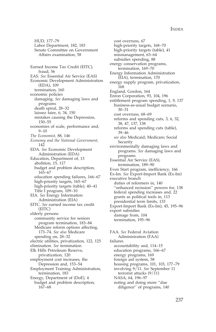HUD, 177–79 Labor Department, 182, 183 Senate Committee on Government Affairs examination, 58 Earned Income Tax Credit (EITC), fraud, 56 EAS. *See* Essential Air Service (EAS) Economic Development Administration (EDA), 109 termination, 160 economic policies damaging. *See* damaging laws and programs death spiral, 28–32 laissez faire, 6, 34, 150 mistakes causing the Depression, 150–55 economies of scale, performance and, 9–10 *The Economist,* 88, 146 *Economy and the National Government,* 142 EDA. *See* Economic Development Administration (EDA) Education, Department of, 13 abolition, 15, 117 budget and problem description, 165–67 education spending failures, 166–67 high-priority targets, 165-67 high-priority targets (table), 40–41 Title I program, 109–10 EIA. *See* Energy Information Administration (EIA) EITC. *See* earned income tax credit (EITC) elderly persons community service for seniors program termination, 183–84 Medicare reform options affecting, 173–74. *See also* Medicare spending on, 28–32 electric utilities, privatization, 122, 125 elimination. *See* termination Elk Hills Petroleum Reserve, privatization, 120 employment cost increases, the Depression and, 153–54 Employment Training Administration, termination, 183 Energy, Department of (DoE), 4 budget and problem description, 167–68

cost overruns, 67 high-priority targets, 168–70 high-priority targets (table), 41 mismanagement, 63–64 subsidies spending, 88 energy conservation programs, termination, 169–70 Energy Information Administration (EIA), termination, 170 energy supply program, privatization, 168 England, Gordon, 164 Enron Corporation, 93, 104, 196 entitlement program spending, 1, 9, 137 business-as-usual budget scenario, 30–31 cost overruns, 68–69 reforms and spending cuts, 3, 6, 32, 38, 47, 137, 138 reforms and spending cuts (table), 39–46 *see also* Medicaid; Medicare; Social Security environmentally damaging laws and programs. *See* damaging laws and programs Essential Air Service (EAS), termination, 189–90 Even Start program, inefficiency, 166 Ex-Im. *See* Export-Import Bank (Ex-Im) executive branch duties of reformers in, 140 ''enhanced recission'' powers for, 138 federal spending increases and, 22 grants as political tools in, 113 presidential term limits, 133 Export-Import Bank (Ex-Im), 45, 195–96 export subsidies damage from, 104 termination, 195–96 FAA. *See* Federal Aviation Administration (FAA) failures accountability and, 114–15 education programs, 166–67 energy programs, 169 foreign aid system, 58 housing programs, 101, 103, 177–79 involving 9/11. *See* September 11

terrorist attacks  $(9/11)$ NASA, 64, 196–97

noting and doing more ''due diligence'' of programs, 140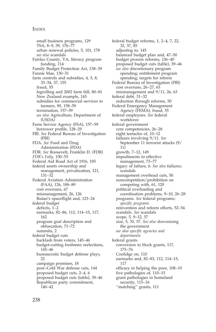# INDEX

small business programs, 129 TSA, 8–9, 59, 176–77 urban renewal policies, 5, 101, 178 *see also* scandals Fairfax County, VA, literacy program funding, 114 Family Budget Protection Act, 138–39 Fannie Mae, 130–31 farm controls and subsidies, 4, 5, 8, 33–34, 37, 155 fraud, 55 logrolling and 2002 farm bill, 80–81 New Zealand example, 145 subsidies for commercial services to farmers, 90, 158–59 termination, 157–59 *see also* Agriculture, Department of (USDA) Farm Service Agency (FSA), 157–59 borrower profile, 128–29 FBI. *See* Federal Bureau of Investigation (FBI) FDA. *See* Food and Drug Administration (FDA) FDR. *See* Roosevelt, Franklin D. (FDR) *FDR's Folly,* 150–55 Federal Aid Road Act of 1916, 105 federal assets ownership and management, privatization, 121, 131–32 Federal Aviation Administration (FAA), 126, 188–89 cost overruns, 67 mismanagement, 26, 126 Rutan's spaceflight and, 123–24 federal budget deficits, 1–2 earmarks, 82–86, 112, 114–15, 117, 162 program goal description and obfuscation, 71–72 summits, 2 federal budget cuts backlash from voters, 145–46 budget-cutting freshmen reelections, 145–46 bureaucratic budget defense plays, 22 campaign promises, 18 post–Cold War defense cuts, 144 proposed budget cuts, 2–4, 6 proposed budget cuts (table), 39–46 Republican party commitment, 140–42

federal budget reforms, 1, 2–4, 7, 22, 32, 37, 85 adjusting to, 145 balanced budget plan and, 47–50 budget process reforms, 136–40 proposed budget cuts (table), 39–46 *see also* discretionary program spending; entitlement program spending; targets for reform Federal Bureau of Investigation (FBI) cost overruns, 26–27, 63 mismanagement and 9/11, 26, 63 federal debt, 31–32 reduction through reforms, 50 Federal Emergency Management Agency (FEMA), fraud, 55 federal employees. *See* federal workforce federal government core competencies, 26–28 eight tentacles of, 10–12 failures involving 9/11. *See* September 11 terrorist attacks (9/ 11) growth, 7–12, 149 impediments to effective management, 73–77 legacy of failure, 6. *See also* failures; scandals management overhead cuts, 50 noncompetition/prohibition on competing with, 61, 120 political overloading and coordination problems, 9–10, 26–28 programs. *See* federal programs; *specific programs* reinvention and reform efforts, 52–54 scandals. *See* scandals scope, 5, 9–12, 57 size, 5, 35, 57. *See also* downsizing the government *see also specific agencies and departments* federal grants conversion to block grants, 117, 175–76 Coolidge on, 110 earmarks and, 82–83, 112, 114–15, 117 efficacy in helping the poor, 108–10 five pathologies of, 110–15 grant pathologies in homeland security, 115–16 ''matching'' grants, 111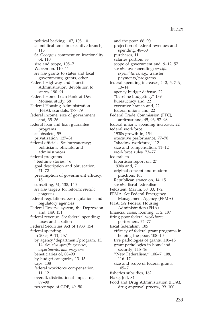political backing, 107, 108–10 as political tools in executive branch, 113 St. George's comment on irrationality of, 110 size and scope, 105–7 Warren on, 110–11 *see also* grants to states and local governments; grants, other Federal Highway and Transit Administration, devolution to states, 190–91 Federal Home Loan Bank of Des Moines, study, 58 Federal Housing Administration (FHA), scandals, 177–79 federal income, size of government and, 35–36 federal loan and loan guarantee programs as obsolete, 59 privatization, 127–31 federal officials. *See* bureaucracy; politicians, officials, and administrators federal programs ''bedtime stories,'' 6 goal description and obfuscation, 71–72 presumption of government efficacy, 18 sunsetting, 61, 138, 140 *see also* targets for reform; *specific programs* federal regulations. *See* regulations and regulatory agencies Federal Reserve system, the Depression and, 149, 151 federal revenue. *See* federal spending; taxes and taxation Federal Securities Act of 1933, 154 federal spending in 2005, 9–11, 157 by agency/department/program, 13, 14. *See also specific agencies, departments, and programs* beneficiaries of, 88–90 by budget categories, 13, 15 caps, 138 federal workforce compensation, 11–12 overall, distributional impact of, 89–90 percentage of GDP, 49–50

and the poor, 86–90 projection of federal revenues and spending, 48–50 purchases, 11 salaries portion, 88 scope of government and, 9–12, 57 *see also* overspending; *specific expenditures, e.g.,* transfer payments/programs federal spending increases, 1–2, 5, 7–9, 13–14 agency budget defense, 22 ''baseline budgeting,'' 139 bureaucracy and, 22 executive branch and, 22 federal unions and, 22 Federal Trade Commission (FTC), antitrust and, 45, 96, 97–98 federal unions, spending increases, 22 federal workforce 1930s growth in, 154 executive performance, 77–78 "shadow workforce," 12 size and compensation, 11–12 workforce rules, 73–77 federalism bipartisan report on, 27 1930s and, 7 original concept and modern practices, 105 Republican stance on, 14–15 *see also* fiscal federalism Feldstein, Martin, 30, 33, 172 FEMA. *See* Federal Emergency Management Agency (FEMA) FHA. *See* Federal Housing Administration (FHA) financial crisis, looming, 1, 2, 187 firing poor federal workforce performers, 74–77 fiscal federalism, 105 efficacy of federal grant programs in helping the poor, 108–10 five pathologies of grants, 110–15 grant pathologies in homeland security, 115-16 ''New Federalism,'' 106–7, 108, 116–17 size and scope of federal grants, 105–7 fisheries subsidies, 162 Flake, Jeff, 84 Food and Drug Administration (FDA), drug approval process, 99–100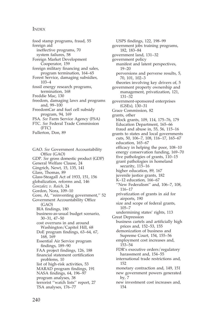# INDEX

food stamp programs, fraud, 55 foreign aid ineffective programs, 70 system failures, 58 Foreign Market Development Cooperator, 159 foreign military financing and sales, program termination, 164–65 Forest Service, damaging subsidies, 103–4 fossil energy research programs, termination, 168 Freddie Mac, 130 freedom, damaging laws and programs and, 99–100 FreedomCar and fuel cell subsidy program, 94, 169 FSA. *See* Farm Service Agency (FSA) FTC. *See* Federal Trade Commission (FTC) Fullerton, Don, 89

GAO. *See* Government Accountability Office (GAO) GDP. *See* gross domestic product (GDP) General Welfare Clause, 24 Gingrich, Newt, 15, 135, 141 Glass, Thomas, 89 Glass-Steagall Act of 1933, 151, 156 globalization, reforms and, 146 *Gonzalez v. Raich,* 24 Gordon, Nora, 109–10 Gore, Al, ''reinventing government,'' 52 Government Accountability Office (GAO) BIA findings, 180 business-as-usual budget scenario, 30–31, 47–50 cost overruns in and around Washington/Capitol Hill, 68 DoE program findings, 63–64, 67, 168, 169 Essential Air Service program findings, 189–90 FAA project findings, 126, 188 financial statement certification problems, 10 list of high-risk activities, 53 MARAD program findings, 191 NASA findings, 64, 196–97 program analyses, 38 terrorist ''watch lists'' report, 27 TSA analyses, 176–77

USPS findings, 122, 198–99 government jobs training programs, 182, 183–84 government land, 131–32 government policy manifest and latent perspectives, 19–20 perversions and perverse results, 5, 70, 101, 102–3 theories involving key drivers of, 5 government property ownership and management, privatization, 121, 131–32 government-sponsored enterprises (GSEs), 130–31 Grace Commission, 82 grants, other block grants, 109, 114, 175–76, 179 Education Department, 165–66 fraud and abuse in, 55, 56, 115–16 grants to states and local governments cuts, 50, 106–7, 108, 116–17, 165–67 education, 165–67 efficacy in helping the poor, 108–10 energy conservation funding, 169–70 five pathologies of grants, 110–15 grant pathologies in homeland security, 115–16 higher education, 89, 167 juvenile justice grants, 182 K–12 education, 166–67 ''New Federalism'' and, 106–7, 108, 116–17 privatization of grants in aid for airports, 190 size and scope of federal grants, 105–7 undermining states' rights, 113 Great Depression business cartels and artificially high prices and, 152–53, 155 demonization of business and Supreme Court, 154, 155–56 employment cost increases and, 153–54 FDR's executive orders/regulatory harassment and, 154–55 international trade restrictions and, 152 monetary contraction and, 149, 151 new government powers generated by, 7 new investment cost increases and, 154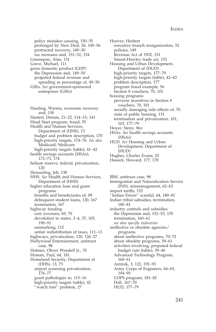policy mistakes causing, 150–55

prolonged by New Deal, 26, 149–56

protracted recovery, 149–50 tax increases and, 151–52, 154

Greenspan, Alan, 131

Greve, Michael, 111

gross domestic product (GDP)

the Depression and, 149–50

projected federal revenue and

- spending as percentage of, 49–50
- GSEs. *See* government-sponsored enterprises (GSEs)

Harding, Warren, economic recovery and, 150 Hastert, Dennis, 21–22, 114–15, 141 Head Start program, fraud, 55 Health and Human Services, Department of (HHS), 13 budget and problem description, 170 high-priority targets, 174–76. *See also* Medicaid; Medicare high-priority targets (table), 41–42 health savings accounts (HSAs), 172–73, 174 helium reserve, federal, privatization, 120 Hensarling, Jeb, 138 HHS. *See* Health and Human Services, Department of (HHS) higher education loan and grant programs benefits and beneficiaries of, 89 delinquent student loans, 120, 167 termination, 167 highway funding cost overruns, 69, 70 devolution to states, 3–4, 37, 105, 190–91 earmarking, 112 unfair redistribution of taxes, 111–13 highways, privatization, 120, 126–27 Hollywood Entertainment, antitrust case, 98 Holmes, Oliver Wendell Jr., 35 Homan, Paul, 64, 181 Homeland Security, Department of (DHS), 13, 73 airport screening privatization, 176–77 grant pathologies in, 115–16 high-priority targets (table), 42

''watch lists'' problem, 27

Hoover, Herbert executive branch reorganization, 52 policies, 149 Revenue Act of 1932, 151 Smoot-Hawley trade act, 152 Housing and Urban Development, Department of (HUD) high-priority targets, 177–79 high-priority targets (table), 42–43 problem description, 177 program fraud example, 56 Section 8 vouchers, 70, 101 housing programs perverse incentives in Section 8 vouchers, 70, 101 socially damaging side effects of, 70 state of public housing, 131 termination and privatization, 101, 103, 177–79 Hoyer, Steny, 86*n* HSAs. *See* health savings accounts (HSAs) HUD. *See* Housing and Urban Development, Department of (HUD) Hughes, Charles Evans, 25

Husock, Howard, 177, 178

IBM, antitrust case, 98 Immigration and Naturalization Service (INS), mismanagement, 62–63 import tariffs, 152 ''Indian Enron'' scandal, 64, 180–81 Indian tribal subsidies, termination, 180–81 industry controls and subsidies the Depression and, 152–53, 155 termination, 160–61 *see also specific industries* ineffective or obsolete agencies/ programs about ineffective programs, 70–72 about obsolete programs, 59–61 activities involving, proposed federal budget cuts (table), 39–46 Advanced Technology Program, 160–61 Amtrak, 3, 122, 192–93 Army Corps of Engineers, 64–65, 194–95 COPS program, 181–82 DoE, 167–70 HUD, 177–79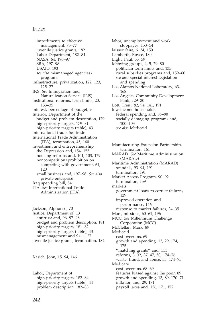# INDEX

impediments to effective management, 73–77 juvenile justice grants, 182 Labor Department, 182–84 NASA, 64, 196–97 SBA, 197–98 USAID, 193 *see also* mismanaged agencies/ programs infrastructure, privatization, 122, 123, 125–27 INS. *See* Immigration and Naturalization Service (INS) institutional reforms, term limits, 20, 133–35 interest, percentage of budget, 9 Interior, Department of the budget and problem description, 179 high-priority targets, 179–81 high-priority targets (table), 43 international trade. *See* trade International Trade Administration (ITA), termination, 45, 160 investment and entrepreneurship the Depression and, 154, 155 housing reforms and, 101, 103, 179 noncompetition/prohibition on competing with government, 61, 120 small business and, 197–98. *See also* private enterprise Iraq spending bill, 54 ITA. *See* International Trade Administration (ITA)

Jackson, Alphonso, 70 Justice, Department of, 13 antitrust and, 96, 97–98 budget and problem description, 181 high-priority targets, 181–82 high-priority targets (table), 43 mismanagement and 9/11, 27 juvenile justice grants, termination, 182

Kasich, John, 15, 94, 146

Labor, Department of high-priority targets, 182–84 high-priority targets (table), 44 problem description, 182–83

labor, unemployment and work stoppages, 153–54 laissez faire, 6, 34, 150 Lamberth, Royce, 180 Light, Paul, 53, 59 lobbying groups, 4, 5, 79–80 politician term limits and, 135 rural subsidies programs and, 159–60 *see also* special interest legislation and spending Los Alamos National Laboratory, 63, 168 Los Angeles Community Development Bank, 129–30 Lott, Trent, 82, 94, 141, 191 low-income households federal spending and, 86–90 socially damaging programs and, 100–103 *see also* Medicaid

Manufacturing Extension Partnership, termination, 161 MARAD. *See* Maritime Administration (MARAD) Maritime Administration (MARAD) scandals, 93–94, 191 termination, 191 Market Access Program, 90–92 termination, 159 markets government loans to correct failures, 129 improved operation and performance, 146 response to market failures, 34–35 Mars, missions, 60–61, 196 MCC. *See* Millennium Challenge Corporation (MCC) McClellan, Mark, 89 Medicaid cost overruns, 69 growth and spending, 13, 29, 174, 175 ''matching grants'' and, 111 reforms, 3, 32, 37, 47, 50, 174–76 waste, fraud, and abuse, 55, 174–75 Medicare cost overruns, 68–69 features biased against the poor, 89 growth and spending, 13, 89, 170–71 inflation and, 29, 171 payroll taxes and, 136, 171, 172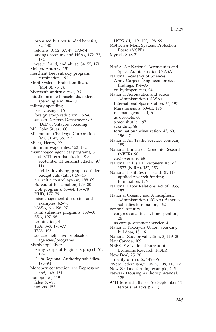promised but not funded benefits, 32, 140 reforms, 3, 32, 37, 47, 170–74 savings accounts and HSAs, 172–73, 174 waste, fraud, and abuse, 54–55, 171 Mellon, Andrew, 151 merchant fleet subsidy program, termination, 191 Merit Systems Protection Board (MSPB), 73, 76 Microsoft, antitrust case, 96 middle-income households, federal spending and, 86–90 military spending base closings, 164 foreign troop reduction, 162–63 *see also* Defense, Department of (DoD); Pentagon spending Mill, John Stuart, 60 Millennium Challenge Corporation (MCC), 45, 58, 193 Miller, Henry, 99 minimum wage rules, 153, 182 mismanaged agencies/programs, 3 and 9/11 terrorist attacks. *See* September 11 terrorist attacks (9/ 11) activities involving, proposed federal budget cuts (table), 39–46 air traffic control system, 188–89 Bureau of Reclamation, 179–80 DoE programs, 63–64, 167–70 HUD, 177–79 mismanagement discussion and examples, 62–70 NASA, 64, 196–97 rural subsidies programs, 159–60 SBA, 197–98 termination, 4 TSA, 8–9, 176–77 TVA, 198 *see also* ineffective or obsolete agencies/programs Mississippi River Army Corps of Engineers project, 64, 194 Delta Regional Authority subsidies, 193–94 Monetary contraction, the Depression and, 149, 151 monopolies, 119 false, 97–98 unions, 153

USPS, 61, 119, 122, 198–99 MSPB. *See* Merit Systems Protection Board (MSPB) Myrick, Sue, 21

NASA. *See* National Aeronautics and Space Administration (NASA) National Academy of Sciences Army Corps of Engineers project findings, 194–95 on hydrogen cars, 94 National Aeronautics and Space Administration (NASA) International Space Station, 64, 197 Mars missions, 60–61, 196 mismanagement, 4, 64 as obsolete, 60 space shuttle, 197 spending, 88 termination/privatization, 45, 60, 196–97 National Air Traffic Services company, 189 National Bureau of Economic Research (NBER), 90 cost overruns, 68 National Industrial Recovery Act of 1933 (NIRA), 152, 153 National Institutes of Health (NIH), applied research funding termination, 176 National Labor Relations Act of 1935, 153 National Oceanic and Atmospheric Administration (NOAA), fisheries subsidies termination, 162 national security congressional focus/time spent on, 28 as core government service, 4 National Taxpayers Union, spending bill data, 15–16 National Zoo, privatization, 3, 119–20 Nav Canada, 189 NBER. *See* National Bureau of Economic Research (NBER) New Deal, 25–26 reality of results, 149–56 ''New Federalism,'' 106–7, 108, 116–17 New Zealand farming example, 145 Newark Housing Authority, scandal, 178 9/11 terrorist attacks. *See* September 11 terrorist attacks (9/11)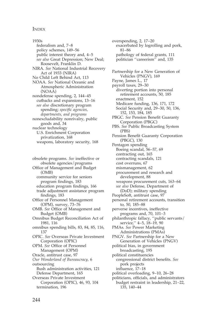1930s federalism and, 7–8 policy schemes, 149–56 public interest theory and, 4–5 *see also* Great Depression; New Deal; Roosevelt, Franklin D. NIRA. *See* National Industrial Recovery Act of 1933 (NIRA) No Child Left Behind Act, 113 NOAA. *See* National Oceanic and Atmospheric Administration (NOAA) nondefense spending, 2, 144–45 cutbacks and expansions, 13–16 *see also* discretionary program spending; *specific agencies, departments, and programs* nonexcludability nonrivalry, public goods and, 34 nuclear technology U.S. Enrichment Corporation privatization, 168 weapons, laboratory security, 168

obsolete programs. *See* ineffective or obsolete agencies/programs Office of Management and Budget (OMB) community service for seniors program findings, 183 education program findings, 166 trade adjustment assistance program findings, 183 Office of Personnel Management (OPM), survey, 73–76 OMB. *See* Office of Management and Budget (OMB) Omnibus Budget Reconciliation Act of 1981, 116 omnibus spending bills, 83, 84, 85, 116, 137 OPIC. *See* Overseas Private Investment Corporation (OPIC) OPM. *See* Office of Personnel Management (OPM) Oracle, antitrust case, 97 *Our Wonderland of Bureaucracy,* 6 outsourcing Bush administration activities, 121 Defense Department, 165 Overseas Private Investment Corporation (OPIC), 46, 93, 104 termination, 196

exacerbated by logrolling and pork, 81–86 pathology of federal grants, 111 politician ''careerism'' and, 135 Partnership for a New Generation of Vehicles (PNGV), 169 Payne, James L., 17 payroll taxes, 29–30 diverting portion into personal retirement accounts, 50, 185 enactment, 152 Medicare funding, 136, 171, 172 Social Security and, 29–30, 50, 136, 152, 153, 184, 185 PBGC. *See* Pension Benefit Guaranty Corporation (PBGC) PBS. *See* Public Broadcasting System (PBS) Pension Benefit Guaranty Corporation (PBGC), 130 Pentagon spending Boeing scandal, 56–57, 69 contracting out, 165 contracting scandals, 121 cost overruns, 67 mismanagement, 62 procurement and research and development, 88 weapons procurement cuts, 163–64 *see also* Defense, Department of (DoD); military spending PeopleSoft, antitrust case, 97 personal retirement accounts, transition to, 50, 185–88 perverse incentives, ineffective programs and, 70, 101–3 philanthropic fallacy, ''public servants/ service,'' 4–5, 18–19, 90 PMAs. *See* Power Marketing Administrations (PMAs) PNGV. *See* Partnership for a New Generation of Vehicles (PNGV) political bias, in government broadcasting, 195 political constituencies congressional district benefits. *See* pork projects influence, 17–18 political overloading, 9–10, 26–28 politicians, officials, and administrators budget restraint in leadership, 21–22, 135, 140–44

overspending, 2, 17–20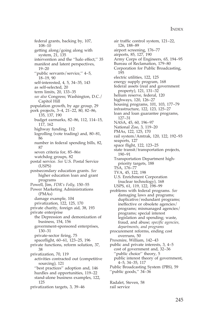federal grants, backing by, 107, 108–10 getting along/going along with system, 21, 135 intervention and the ''halo effect,'' 35 manifest and latent perspectives, 19–20 ''public servants/service,'' 4–5, 18–19, 90 self-interested, 4, 5, 34–35, 143 as self-selected, 20 term limits, 20, 133–35 *see also* Congress; Washington, D.C./ Capitol Hill population growth, by age group, 29 pork projects, 3–4, 21–22, 80, 82–86, 135, 137, 190 budget earmarks, 82–86, 112, 114–15, 117, 162 highway funding, 112 logrolling (vote trading) and, 80–81, 86 number in federal spending bills, 82, 87 seven criteria for, 85–86*n* watchdog groups, 82 postal service. *See* U.S. Postal Service (USPS) postsecondary education grants. *See* higher education loan and grant programs Powell, Jim, *FDR's Folly,* 150–55 Power Marketing Administrations (PMAs) damage example, 104 privatization, 122, 125, 170 private charity, foreign aid, 38, 193 private enterprise the Depression and demonization of business, 154, 156 government-sponsored enterprises, 130–31 private-sector firing, 75 spaceflight, 60–61, 123–25, 196 private functions, reform solution, 37, 38 privatization, 70, 119 activities contracted out (competitive sourcing), 121 ''best practices'' adoption and, 146 hurdles and opportunities, 119–22 stand-alone business examples, 122, 125

privatization targets, 3, 39–46

air traffic control system, 121–22, 126, 188–89 airport screening, 176–77 airports, 85, 127, 190 Army Corps of Engineers, 65, 194–95 Bureau of Reclamation, 179–80 Corporation for Public Broadcasting, 195 electric utilities, 122, 125 energy supply program, 168 federal assets (real and government property), 121, 131–32 helium reserve, federal, 120 highways, 120, 126–27 housing programs, 101, 103, 177–79 infrastructure, 122, 123, 125–27 loan and loan guarantee programs, 127–31 NASA, 45, 60, 196–97 National Zoo, 3, 119–20 PMAs, 122, 125, 170 rail system/Amtrak, 120, 122, 192–93 seaports, 127 space flight, 122, 123–25 state transit/transportation projects, 190–91 Transportation Department highpriority targets, 188 TSA, 176–77 TVA, 45, 122, 198 U.S. Enrichment Corporation (nuclear technology), 168 USPS, 61, 119, 122, 198–99 problems with federal programs. *See* damaging laws and programs; duplicative/redundant programs; ineffective or obsolete agencies/ programs; mismanaged agencies/ programs; special interest legislation and spending; waste, fraud, and abuse; *specific agencies, departments, and programs* procurement reforms, ending cost overruns, 50 Proxmire, William, 142–43 public and private interests, 3, 4–5 cost of government and, 32–36 "public choice" theory, 5 public interest theory of government, 4–5, 34–35, 117

Public Broadcasting System (PBS), 59 ''public goods,'' 34–36

Radalet, Steven, 58 rail service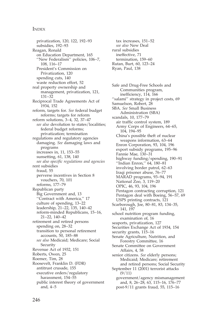privatization, 120, 122, 192–93 subsidies, 192–93 Reagan, Ronald on Education Department, 165 ''New Federalism'' policies, 106–7, 108, 116–17 President's Commission on Privatization, 120 spending cuts, 140 waste reduction effort, 52 real property ownership and management, privatization, 121, 131–32 Reciprocal Trade Agreements Act of 1934, 152 reform, targets for. *See* federal budget reforms; targets for reform reform solutions, 3–4, 32, 37–47 *see also* devolution to states/localities; federal budget reforms; privatization; termination regulations and regulatory agencies damaging. *See* damaging laws and programs increases in, 11, 153–55 sunsetting, 61, 138, 140 *see also specific regulations and agencies* rent subsidies fraud, 55 perverse incentives in Section 8 vouchers, 70, 101 reforms, 177–79 Republican party Big Government and, 13 ''Contract with America,'' 17 culture of spending, 13–22 leadership, 21–22, 135, 140–42 reform-minded Republicans, 15–16, 21–22, 140–42 retirement and retired persons spending on, 28–32 transition to personal retirement accounts, 50, 185–88 *see also* Medicaid; Medicare; Social Security Revenue Act of 1932, 151 Roberts, Owen, 25 Roemer, Tim, 28 Roosevelt, Franklin D. (FDR) antitrust crusade, 155 executive orders/regulatory harassment, 154–55 public interest theory of government and, 4–5

tax increases, 151–52 *see also* New Deal rural subsidies ineffective, 71 termination, 159–60 Rutan, Burt, 60, 123–24 Ryan, Paul, 138

Safe and Drug-Free Schools and Communities program, inefficiency, 114, 166 "salami" strategy in project costs, 69 Samuelson, Robert, 28 SBA. *See* Small Business Administration (SBA) scandals, 10, 177–79 air traffic control system, 189 Army Corps of Engineers, 64–65, 104, 194–95 China's possible theft of nuclear weapons information, 63–64 Enron Corporation, 93, 104, 196 export subsidy programs, 195–96 Fannie Mae, 130-31 highway funding/spending, 190–91 ''Indian Enron,'' 64, 180–81 involving border patrol, 62–63 Iraqi prisoner abuse, 76–77 MARAD programs, 93–94, 191 National Zoo, 3, 119–20 OPIC, 46, 93, 104, 196 Pentagon contracting corruption, 121 Pentagon deal with Boeing, 56–57, 69 USPS printing contracts, 121 Scarborough, Joe, 80–81, 83, 134–35, 141, 197 school nutrition program funding, examination of, 16 seaports, privatization, 127 Securities Exchange Act of 1934, 154 security grants, 115–16 Senate Agriculture, Nutrition, and Forestry Committee, 16 Senate Committee on Government Affairs, 4, 58 senior citizens. *See* elderly persons; Medicaid; Medicare; retirement and retired persons; Social Security September 11 (2001) terrorist attacks (9/11) government/agency mismanagement and, 8, 26–28, 63, 115–16, 176–77 post-9/11 grants fraud, 55, 115–16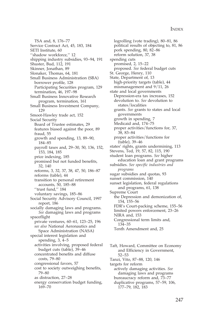TSA and, 8, 176–77 Service Contract Act, 45, 183, 184 SETI Institute, 60 ''shadow workforce,'' 12 shipping industry subsidies, 93–94, 191 Shuster, Bud, 112, 191 Skinner, Jonathan, 89 Slonaker, Thomas, 64, 181 Small Business Administration (SBA) borrower profile, 128 Participating Securities program, 129 termination, 46, 197–98 Small Business Innovative Research program, termination, 161 Small Business Investment Company, 129 Smoot-Hawley trade act, 152 Social Security Board of Trustee estimates, 29 features biased against the poor, 89 fraud, 55 growth and spending, 13, 89–90, 184–85 payroll taxes and, 29–30, 50, 136, 152, 153, 184, 185 price indexing, 185 promised but not funded benefits, 32, 140 reforms, 3, 32, 37, 38, 47, 50, 186–87 reforms (table), 44 transition to personal retirement accounts, 50, 185–88 "trust fund," 184 voluntary savings, 185–86 Social Security Advisory Council, 1997 report, 186 socially damaging laws and programs. *See* damaging laws and programs spaceflight private ventures, 60–61, 123–25, 196 *see also* National Aeronautics and Space Administration (NASA) special interest legislation and spending, 3, 4–5 activities involving, proposed federal budget cuts (table), 39–46 concentrated benefits and diffuse costs, 79–80 congressional favors, 57 cost to society outweighing benefits, 79–80 as distraction, 27–28 energy conservation budget funding, 169–70

logrolling (vote trading), 80–81, 86 political results of objecting to, 81, 86 pork spending, 80, 82–86 reform solution, 37, 38 spending cuts promised, 2, 15–22 proposed. *See* federal budget cuts St. George, Henry, 110 State, Department of, 13 high-priority targets (table), 44 mismanagement and 9/11, 26 state and local governments Depression-era tax increases, 152 devolution to. *See* devolution to states/localities grants. *See* grants to states and local governments growth in spending, 7 Medicaid and, 174–75 proper activities/functions for, 37, 38, 83–84 proper activities/functions for (table), 39–46 states' rights, grants undermining, 113 Stevens, Ted, 19, 57, 82, 115, 190 student loan programs. *See* higher education loan and grant programs subsidies. *See specific industries and programs* sugar subsidies and quotas, 93 sunset commission, 140 sunset legislation, federal regulations and programs, 61, 138 Supreme Court the Depression and demonization of, 154, 155–56 FDR's Court-packing scheme, 155–56 limited powers enforcement, 23–26 NIRA and, 153 Congressional term limits and, 134–35

Tenth Amendment and, 25

Taft, Howard, Committee on Economy and Efficiency in Government, 52–53 Tanzi, Vito, 87–88, 120, 146 targets for reform actively damaging activities. *See* damaging laws and programs

bureaucracy reform and, 73–77 duplicative programs, 57–59, 106, 177–79, 182, 183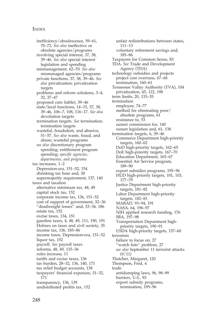inefficiency/obsolescence, 59–61, 70–72. *See also* ineffective or obsolete agencies/programs involving special interest, 37, 38, 39–46. *See also* special interest legislation and spending mismanagement, 62–70. *See also* mismanaged agencies/programs private functions, 37, 38, 39–46. *See also* privatization; privatization targets problems and reform solutions, 3–4, 32, 37–47 proposed cuts (table), 39–46 state/local functions, 14–15, 37, 38, 39–46, 106–7, 108, 116–17. *See also* devolution targets termination targets. *See* termination; termination targets wasteful, fraudulent, and abusive, 51–57. *See also* waste, fraud, and abuse; wasteful programs *see also* discretionary program spending; entitlement program spending; *specific agencies, departments, and programs* tax increases, 1–2 Depression-era, 151–52, 154 shrinking tax base and, 30 supermajority requirement, 137, 140 taxes and taxation alternative minimum tax, 48, 49 capital stock tax, 152 corporate income tax, 136, 151–52 cost of support of government, 32–36 ''deadweight losses'' and, 33–34, 186 estate tax, 152 excise taxes, 134, 151 gasoline taxes, 4, 48, 49, 111, 190, 191 Holmes on taxes and civil society, 35 income tax, 136, 185–86 income taxes, Depression-era, 151–52 liquor tax, 152 payroll. *See* payroll taxes reforms, 48, 49, 135–36 rules increase, 11 tariffs and excise taxes, 136 tax burden, 28–32, 136, 140, 171 tax relief budget accounts, 138 taxpayers' financial exposure, 31–32, 171 transparency, 136, 139 undistributed profits tax, 152

unfair redistributions between states, 111–13 voluntary retirement savings and, 185–86 Taxpayers for Common Sense, 83 TDA. *See* Trade and Development Agency (TDA) technology subsidies and projects project cost overruns, 67–68 termination, 160–61 Tennessee Valley Authority (TVA), 104 privatization, 45, 122, 198 term limits, 20, 133–35 termination employee, 74–77 method for eliminating poor/ obsolete programs, 61 resistance to, 53 sunset commission for, 140 sunset legislation and, 61, 138 termination targets, 6, 39–46 Commerce Department high-priority targets, 160–62 DoD high-priority targets, 162–65 DoE high-priority targets, 167–70 Education Department, 165–67 Essential Air Service program, 189–90 export subsidies programs, 195–96 HUD high-priority targets, 101, 103, 177–79 Justice Department high-priority targets, 181–82 Labor Department high-priority targets, 182–83 MARAD, 93–94, 191 NASA, 64, 196–97 NIH applied research funding, 176 SBA, 197–98 Transportation Department highpriority targets, 190–91 USDA high-priority targets, 157–60 terrorism failure to focus on, 27 ''watch lists'' problem, 27 *see also* September 11 terrorist attacks (9/11) Thatcher, Margaret, 120 Thompson, Fred, 4 trade antidumping laws, 96, 98–99 barriers, U.S., 93 export subsidy programs, termination, 195–96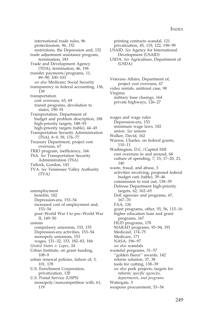international trade rules, 96 protectionism, 96, 152 restrictions, the Depression and, 152 trade adjustment assistance program, termination, 183 Trade and Development Agency (TDA), termination, 46, 196 transfer payments/programs, 11, 89–90, 100–103 *see also* Medicare; Social Security transparency in federal accounting, 136, 139 transportation cost overruns, 65, 69 transit programs, devolution to states, 190–91 Transportation, Department of budget and problem description, 188 high-priority targets, 188–93 high-priority targets (table), 44–45 Transportation Security Administration (TSA), 8–9, 59, 176–77 Treasury Department, project cost overruns, 67 TRIO program, inefficiency, 166 TSA. *See* Transportation Security Administration (TSA) Tullock, Gordon, 143 TVA. *See* Tennessee Valley Authority (TVA)

unemployment benefits, 182 Depression-era, 153–54 increased cost of employment and, 153–54 post–World War I to pre–World War II, 149–50 unions compulsory unionism, 153, 155 Depression-era activities, 153–54 monopoly unionism, 153 wages, 131–32, 153, 182–83, 184 *United States v. Lopez,* 24 Urban Institute, on grant funding, 108–9 urban renewal policies, failure of, 5, 101, 178 U.S. Enrichment Corporation, privatization, 120 U.S. Postal Service (USPS) monopoly/noncompetition with, 61, 119

printing contracts scandal, 121 privatization, 45, 119, 122, 198–99 USAID. *See* Agency for International Development (USAID) USDA. *See* Agriculture, Department of (USDA)

Veterans Affairs, Department of, project cost overruns, 67 video rentals, antitrust case, 98 Virginia military base closings, 164 private highways, 126–27

wages and wage rules Depression-era, 153 minimum wage laws, 182 union. *See* unions Walker, David, 162 Warren, Charles, on federal grants, 110–11 Washington, D.C./Capitol Hill cost overruns in and around, 68 culture of spending, 7, 15, 17–20, 21, 140 waste, fraud, and abuse, 3 activities involving, proposed federal budget cuts (table), 39–46 commission to root out, 138–39 Defense Department high-priority targets, 62, 162–65 DoE agencies and programs, 67, 167–70 FAA, 126 grant programs, other, 55, 56, 115–16 higher education loan and grant programs, 167 HUD programs, 178 MARAD programs, 93–94, 191 Medicaid, 174–75 Medicare, 171 NASA, 196–97 *see also* scandals wasteful programs, 51–57 ''golden fleece'' awards, 142 reform solution, 37, 38 tools for cutting, 138–39 *see also* pork projects; targets for reform; *specific agencies, departments, and programs* Watergate, 5 weapons procurement, 53–54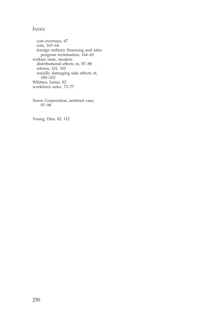cost overruns, 67 cuts, 163–64 foreign military financing and sales program termination, 164–65 welfare state, modern distributional effects in, 87–88 reform, 101, 103 socially damaging side effects of, 100–103 Whitten, Jamie, 82 workforce rules, 73–77

Xerox Corporation, antitrust case, 97–98

Young, Don, 82, 112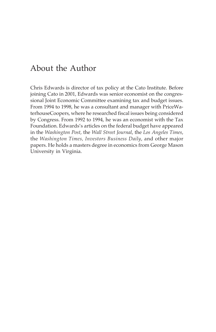# About the Author

Chris Edwards is director of tax policy at the Cato Institute. Before joining Cato in 2001, Edwards was senior economist on the congressional Joint Economic Committee examining tax and budget issues. From 1994 to 1998, he was a consultant and manager with PriceWaterhouseCoopers, where he researched fiscal issues being considered by Congress. From 1992 to 1994, he was an economist with the Tax Foundation. Edwards's articles on the federal budget have appeared in the *Washington Post*, the *Wall Street Journal*, the *Los Angeles Times*, the *Washington Times, Investors Business Daily*, and other major papers. He holds a masters degree in economics from George Mason University in Virginia.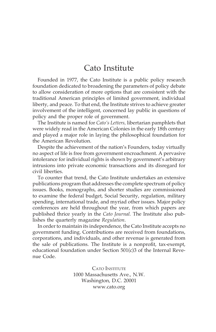## Cato Institute

Founded in 1977, the Cato Institute is a public policy research foundation dedicated to broadening the parameters of policy debate to allow consideration of more options that are consistent with the traditional American principles of limited government, individual liberty, and peace. To that end, the Institute strives to achieve greater involvement of the intelligent, concerned lay public in questions of policy and the proper role of government.

The Institute is named for *Cato's Letters,* libertarian pamphlets that were widely read in the American Colonies in the early 18th century and played a major role in laying the philosophical foundation for the American Revolution.

Despite the achievement of the nation's Founders, today virtually no aspect of life is free from government encroachment. A pervasive intolerance for individual rights is shown by government's arbitrary intrusions into private economic transactions and its disregard for civil liberties.

To counter that trend, the Cato Institute undertakes an extensive publications program that addresses the complete spectrum of policy issues. Books, monographs, and shorter studies are commissioned to examine the federal budget, Social Security, regulation, military spending, international trade, and myriad other issues. Major policy conferences are held throughout the year, from which papers are published thrice yearly in the *Cato Journal.* The Institute also publishes the quarterly magazine *Regulation*.

In order to maintain its independence, the Cato Institute accepts no government funding. Contributions are received from foundations, corporations, and individuals, and other revenue is generated from the sale of publications. The Institute is a nonprofit, tax-exempt, educational foundation under Section 501(c)3 of the Internal Revenue Code.

> CATO INSTITUTE 1000 Massachusetts Ave., N.W. Washington, D.C. 20001 www.cato.org